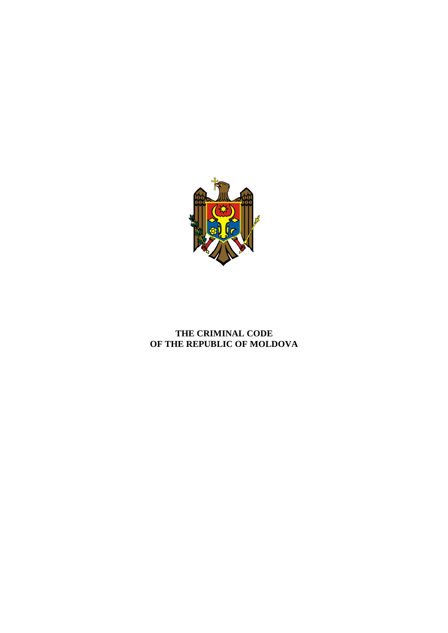

# **THE CRIMINAL CODE OF THE REPUBLIC OF MOLDOVA**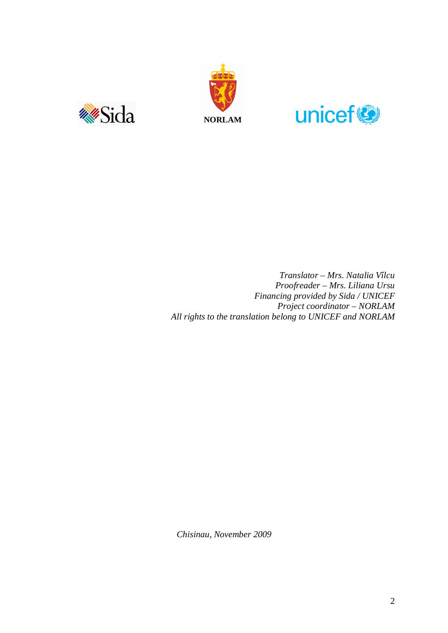





*Translator – Mrs. Natalia Vîlcu Proofreader – Mrs. Liliana Ursu Financing provided by Sida / UNICEF Project coordinator – NORLAM All rights to the translation belong to UNICEF and NORLAM*

*Chisinau, November 2009*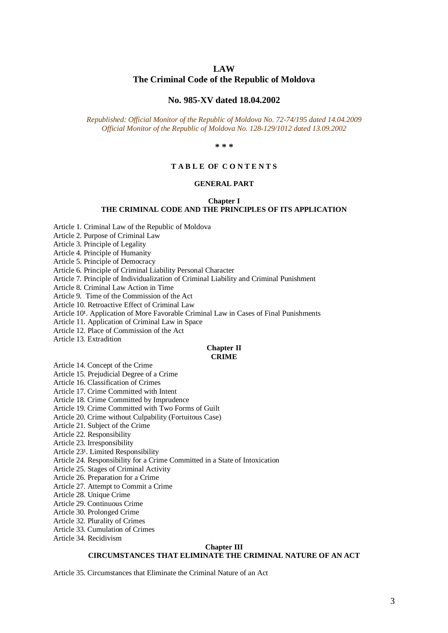# **LAW**

#### **The Criminal Code of the Republic of Moldova**

#### **No. 985-XV dated 18.04.2002**

*Republished: Official Monitor of the Republic of Moldova No. 72-74/195 dated 14.04.2009 Official Monitor of the Republic of Moldova No. 128-129/1012 dated 13.09.2002*

**\* \* \*** 

#### **T A B L E OF C O N T E N T S**

#### **GENERAL PART**

#### **Chapter I THE CRIMINAL CODE AND THE PRINCIPLES OF ITS APPLICATION**

Article 1. Criminal Law of the Republic of Moldova

Article 2. Purpose of Criminal Law

Article 3. Principle of Legality

Article 4. Principle of Humanity

Article 5. Principle of Democracy

Article 6. Principle of Criminal Liability Personal Character

Article 7. Principle of Individualization of Criminal Liability and Criminal Punishment

Article 8. Criminal Law Action in Time

Article 9. Time of the Commission of the Act

Article 10. Retroactive Effect of Criminal Law

Article 10<sup>1</sup>. Application of More Favorable Criminal Law in Cases of Final Punishments

Article 11. Application of Criminal Law in Space

Article 12. Place of Commission of the Act

Article 13. Extradition

#### **Chapter II CRIME**

Article 14. Concept of the Crime

Article 15. Prejudicial Degree of a Crime

Article 16. Classification of Crimes

Article 17. Crime Committed with Intent

Article 18. Crime Committed by Imprudence

Article 19. Crime Committed with Two Forms of Guilt

Article 20. Crime without Culpability (Fortuitous Case)

Article 21. Subject of the Crime

Article 22. Responsibility

Article 23. Irresponsibility

Article 23<sup>1</sup>. Limited Responsibility

Article 24. Responsibility for a Crime Committed in a State of Intoxication

Article 25. Stages of Criminal Activity

Article 26. Preparation for a Crime

Article 27. Attempt to Commit a Crime

Article 28. Unique Crime

Article 29. Continuous Crime

Article 30. Prolonged Crime

Article 32. Plurality of Crimes

Article 33. Cumulation of Crimes

Article 34. Recidivism

#### **Chapter III CIRCUMSTANCES THAT ELIMINATE THE CRIMINAL NATURE OF AN ACT**

Article 35. Circumstances that Eliminate the Criminal Nature of an Act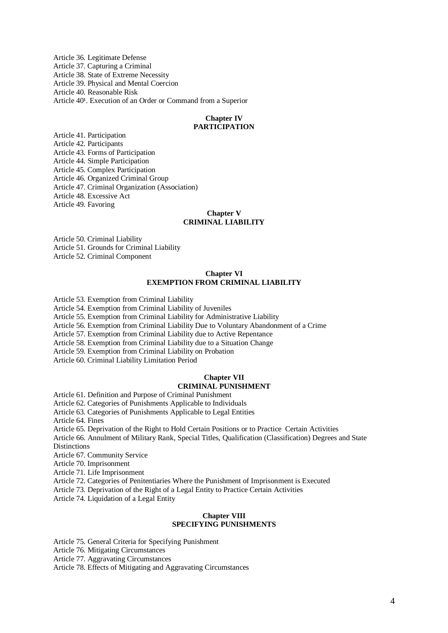Article 36. Legitimate Defense Article 37. Capturing a Criminal Article 38. State of Extreme Necessity Article 39. Physical and Mental Coercion Article 40. Reasonable Risk Article 40<sup>1</sup>. Execution of an Order or Command from a Superior

#### **Chapter IV PARTICIPATION**

Article 41. Participation Article 42. Participants Article 43. Forms of Participation Article 44. Simple Participation Article 45. Complex Participation Article 46. Organized Criminal Group Article 47. Criminal Organization (Association) Article 48. Excessive Act Article 49. Favoring

#### **Chapter V CRIMINAL LIABILITY**

Article 50. Criminal Liability Article 51. Grounds for Criminal Liability

Article 52. Criminal Component

#### **Chapter VI EXEMPTION FROM CRIMINAL LIABILITY**

Article 53. Exemption from Criminal Liability

Article 54. Exemption from Criminal Liability of Juveniles

Article 55. Exemption from Criminal Liability for Administrative Liability

Article 56. Exemption from Criminal Liability Due to Voluntary Abandonment of a Crime

Article 57. Exemption from Criminal Liability due to Active Repentance

Article 58. Exemption from Criminal Liability due to a Situation Change

Article 59. Exemption from Criminal Liability on Probation

Article 60. Criminal Liability Limitation Period

#### **Chapter VII CRIMINAL PUNISHMENT**

Article 61. Definition and Purpose of Criminal Punishment

Article 62. Categories of Punishments Applicable to Individuals

Article 63. Categories of Punishments Applicable to Legal Entities

Article 64. Fines

Article 65. Deprivation of the Right to Hold Certain Positions or to Practice Certain Activities

Article 66. Annulment of Military Rank, Special Titles, Qualification (Classification) Degrees and State Distinctions

Article 67. Community Service

Article 70. Imprisonment

Article 71. Life Imprisonment

Article 72. Categories of Penitentiaries Where the Punishment of Imprisonment is Executed

Article 73. Deprivation of the Right of a Legal Entity to Practice Certain Activities

Article 74. Liquidation of a Legal Entity

#### **Chapter VIII SPECIFYING PUNISHMENTS**

Article 75. General Criteria for Specifying Punishment

Article 76. Mitigating Circumstances

Article 77. Aggravating Circumstances

Article 78. Effects of Mitigating and Aggravating Circumstances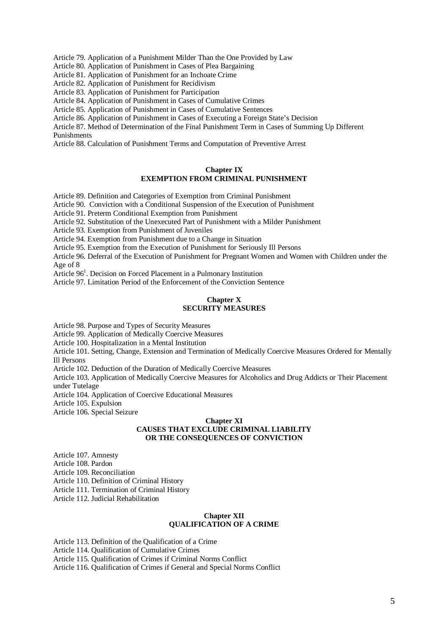Article 79. Application of a Punishment Milder Than the One Provided by Law

Article 80. Application of Punishment in Cases of Plea Bargaining

Article 81. Application of Punishment for an Inchoate Crime

Article 82. Application of Punishment for Recidivism

Article 83. Application of Punishment for Participation

Article 84. Application of Punishment in Cases of Cumulative Crimes

Article 85. Application of Punishment in Cases of Cumulative Sentences

Article 86. Application of Punishment in Cases of Executing a Foreign State's Decision

Article 87. Method of Determination of the Final Punishment Term in Cases of Summing Up Different Punishments

Article 88. Calculation of Punishment Terms and Computation of Preventive Arrest

#### **Chapter IX EXEMPTION FROM CRIMINAL PUNISHMENT**

Article 89. Definition and Categories of Exemption from Criminal Punishment

Article 90. Conviction with a Conditional Suspension of the Execution of Punishment

Article 91. Preterm Conditional Exemption from Punishment

Article 92. Substitution of the Unexecuted Part of Punishment with a Milder Punishment

Article 93. Exemption from Punishment of Juveniles

Article 94. Exemption from Punishment due to a Change in Situation

Article 95. Exemption from the Execution of Punishment for Seriously Ill Persons

Article 96. Deferral of the Execution of Punishment for Pregnant Women and Women with Children under the Age of 8

Article 96<sup>1</sup>. Decision on Forced Placement in a Pulmonary Institution

Article 97. Limitation Period of the Enforcement of the Conviction Sentence

#### **Chapter X SECURITY MEASURES**

Article 98. Purpose and Types of Security Measures

Article 99. Application of Medically Coercive Measures

Article 100. Hospitalization in a Mental Institution

Article 101. Setting, Change, Extension and Termination of Medically Coercive Measures Ordered for Mentally Ill Persons

Article 102. Deduction of the Duration of Medically Coercive Measures

Article 103. Application of Medically Coercive Measures for Alcoholics and Drug Addicts or Their Placement under Tutelage

Article 104. Application of Coercive Educational Measures

Article 105. Expulsion

Article 106. Special Seizure

#### **Chapter XI CAUSES THAT EXCLUDE CRIMINAL LIABILITY OR THE CONSEQUENCES OF CONVICTION**

Article 107. Amnesty

Article 108. Pardon

Article 109. Reconciliation

Article 110. Definition of Criminal History

Article 111. Termination of Criminal History

Article 112. Judicial Rehabilitation

#### **Chapter XII QUALIFICATION OF A CRIME**

Article 113. Definition of the Qualification of a Crime

Article 114. Qualification of Cumulative Crimes

Article 115. Qualification of Crimes if Criminal Norms Conflict

Article 116. Qualification of Crimes if General and Special Norms Conflict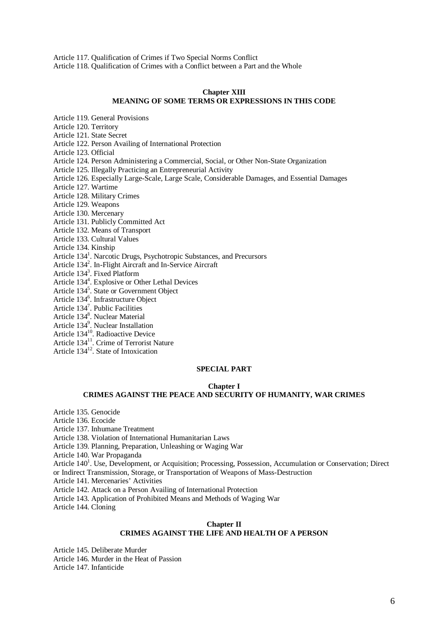Article 117. Qualification of Crimes if Two Special Norms Conflict Article 118. Qualification of Crimes with a Conflict between a Part and the Whole

#### **Chapter XIII MEANING OF SOME TERMS OR EXPRESSIONS IN THIS CODE**

Article 119. General Provisions

Article 120. Territory

Article 121. State Secret

Article 122. Person Availing of International Protection

Article 123. Official

Article 124. Person Administering a Commercial, Social, or Other Non-State Organization

Article 125. Illegally Practicing an Entrepreneurial Activity

Article 126. Especially Large-Scale, Large Scale, Considerable Damages, and Essential Damages

Article 127. Wartime

Article 128. Military Crimes

Article 129. Weapons

Article 130. Mercenary

Article 131. Publicly Committed Act

Article 132. Means of Transport

Article 133. Cultural Values

Article 134. Kinship

Article 134<sup>1</sup>. Narcotic Drugs, Psychotropic Substances, and Precursors

Article 134<sup>2</sup>. In-Flight Aircraft and In-Service Aircraft

Article 134<sup>3</sup> . Fixed Platform

Article 134<sup>4</sup>. Explosive or Other Lethal Devices

Article 134<sup>5</sup>. State or Government Object

Article 134<sup>6</sup>. Infrastructure Object

Article 134<sup>7</sup>. Public Facilities

Article 134 8 . Nuclear Material

Article 134<sup>9</sup>. Nuclear Installation

Article 134<sup>10</sup>. Radioactive Device

Article 134<sup>11</sup>. Crime of Terrorist Nature

Article  $134^{12}$ . State of Intoxication

#### **SPECIAL PART**

#### **Chapter I**

### **CRIMES AGAINST THE PEACE AND SECURITY OF HUMANITY, WAR CRIMES**

Article 135. Genocide

Article 136. Ecocide

Article 137. Inhumane Treatment

Article 138. Violation of International Humanitarian Laws

Article 139. Planning, Preparation, Unleashing or Waging War

Article 140. War Propaganda

Article 140<sup>1</sup>. Use, Development, or Acquisition; Processing, Possession, Accumulation or Conservation; Direct or Indirect Transmission, Storage, or Transportation of Weapons of Mass-Destruction

Article 141. Mercenaries' Activities

Article 142. Attack on a Person Availing of International Protection

Article 143. Application of Prohibited Means and Methods of Waging War

Article 144. Cloning

#### **Chapter II CRIMES AGAINST THE LIFE AND HEALTH OF A PERSON**

Article 145. Deliberate Murder

Article 146. Murder in the Heat of Passion

Article 147. Infanticide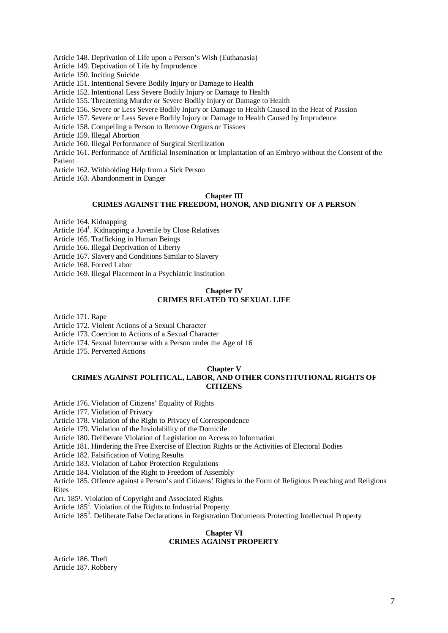Article 148. Deprivation of Life upon a Person's Wish (Euthanasia)

Article 149. Deprivation of Life by Imprudence

Article 150. Inciting Suicide

#### Article 151. Intentional Severe Bodily Injury or Damage to Health

Article 152. Intentional Less Severe Bodily Injury or Damage to Health

Article 155. Threatening Murder or Severe Bodily Injury or Damage to Health

Article 156. Severe or Less Severe Bodily Injury or Damage to Health Caused in the Heat of Passion

Article 157. Severe or Less Severe Bodily Injury or Damage to Health Caused by Imprudence

Article 158. Compelling a Person to Remove Organs or Tissues

Article 159. Illegal Abortion

Article 160. Illegal Performance of Surgical Sterilization

Article 161. Performance of Artificial Insemination or Implantation of an Embryo without the Consent of the Patient

Article 162. Withholding Help from a Sick Person

Article 163. Abandonment in Danger

#### **Chapter III**

#### **CRIMES AGAINST THE FREEDOM, HONOR, AND DIGNITY OF A PERSON**

Article 164. Kidnapping

Article 164<sup>1</sup>. Kidnapping a Juvenile by Close Relatives

Article 165. Trafficking in Human Beings

Article 166. Illegal Deprivation of Liberty

Article 167. Slavery and Conditions Similar to Slavery

Article 168. Forced Labor

Article 169. Illegal Placement in a Psychiatric Institution

#### **Chapter IV CRIMES RELATED TO SEXUAL LIFE**

Article 171. Rape

Article 172. Violent Actions of a Sexual Character

Article 173. Coercion to Actions of a Sexual Character

Article 174. Sexual Intercourse with a Person under the Age of 16

Article 175. Perverted Actions

#### **Chapter V**

#### **CRIMES AGAINST POLITICAL, LABOR, AND OTHER CONSTITUTIONAL RIGHTS OF CITIZENS**

Article 176. Violation of Citizens' Equality of Rights

Article 177. Violation of Privacy

Article 178. Violation of the Right to Privacy of Correspondence

Article 179. Violation of the Inviolability of the Domicile

Article 180. Deliberate Violation of Legislation on Access to Information

Article 181. Hindering the Free Exercise of Election Rights or the Activities of Electoral Bodies

Article 182. Falsification of Voting Results

Article 183. Violation of Labor Protection Regulations

Article 184. Violation of the Right to Freedom of Assembly

Article 185. Offence against a Person's and Citizens' Rights in the Form of Religious Preaching and Religious Rites

Art. 185<sup>1</sup>. Violation of Copyright and Associated Rights

Article 185<sup>2</sup>. Violation of the Rights to Industrial Property

Article 185<sup>3</sup>. Deliberate False Declarations in Registration Documents Protecting Intellectual Property

#### **Chapter VI CRIMES AGAINST PROPERTY**

Article 186. Theft Article 187. Robbery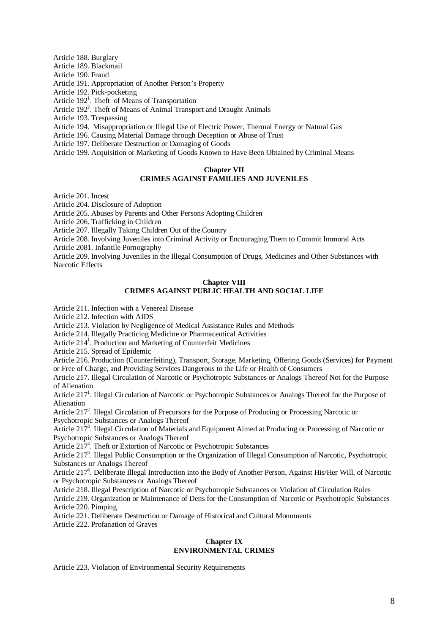Article 188. Burglary

Article 189. Blackmail

Article 190. Fraud

Article 191. Appropriation of Another Person's Property

Article 192. Pick-pocketing

Article 192<sup>1</sup>. Theft of Means of Transportation

Article 192<sup>2</sup>. Theft of Means of Animal Transport and Draught Animals

Article 193. Trespassing

Article 194. Misappropriation or Illegal Use of Electric Power, Thermal Energy or Natural Gas

Article 196. Causing Material Damage through Deception or Abuse of Trust

Article 197. Deliberate Destruction or Damaging of Goods

Article 199. Acquisition or Marketing of Goods Known to Have Been Obtained by Criminal Means

#### **Chapter VII CRIMES AGAINST FAMILIES AND JUVENILES**

Article 201. Incest

Article 204. Disclosure of Adoption

Article 205. Abuses by Parents and Other Persons Adopting Children

Article 206. Trafficking in Children

Article 207. Illegally Taking Children Out of the Country

Article 208. Involving Juveniles into Criminal Activity or Encouraging Them to Commit Immoral Acts

Article 2081. Infantile Pornography

Article 209. Involving Juveniles in the Illegal Consumption of Drugs, Medicines and Other Substances with Narcotic Effects

#### **Chapter VIII CRIMES AGAINST PUBLIC HEALTH AND SOCIAL LIFE**

Article 211. Infection with a Venereal Disease

Article 212. Infection with AIDS

Article 213. Violation by Negligence of Medical Assistance Rules and Methods

Article 214. Illegally Practicing Medicine or Pharmaceutical Activities

Article 214<sup>1</sup>. Production and Marketing of Counterfeit Medicines

Article 215. Spread of Epidemic

Article 216. Production (Counterfeiting), Transport, Storage, Marketing, Offering Goods (Services) for Payment or Free of Charge, and Providing Services Dangerous to the Life or Health of Consumers

Article 217. Illegal Circulation of Narcotic or Psychotropic Substances or Analogs Thereof Not for the Purpose of Alienation

Article 217<sup>1</sup>. Illegal Circulation of Narcotic or Psychotropic Substances or Analogs Thereof for the Purpose of Alienation

Article 217<sup>2</sup>. Illegal Circulation of Precursors for the Purpose of Producing or Processing Narcotic or

Psychotropic Substances or Analogs Thereof

Article 217<sup>3</sup>. Illegal Circulation of Materials and Equipment Aimed at Producing or Processing of Narcotic or Psychotropic Substances or Analogs Thereof

Article 217<sup>4</sup>. Theft or Extortion of Narcotic or Psychotropic Substances

Article 217<sup>5</sup>. Illegal Public Consumption or the Organization of Illegal Consumption of Narcotic, Psychotropic Substances or Analogs Thereof

Article 217<sup>6</sup>. Deliberate Illegal Introduction into the Body of Another Person, Against His/Her Will, of Narcotic or Psychotropic Substances or Analogs Thereof

Article 218. Illegal Prescription of Narcotic or Psychotropic Substances or Violation of Circulation Rules

Article 219. Organization or Maintenance of Dens for the Consumption of Narcotic or Psychotropic Substances Article 220. Pimping

Article 221. Deliberate Destruction or Damage of Historical and Cultural Monuments

Article 222. Profanation of Graves

#### **Chapter IX ENVIRONMENTAL CRIMES**

Article 223. Violation of Environmental Security Requirements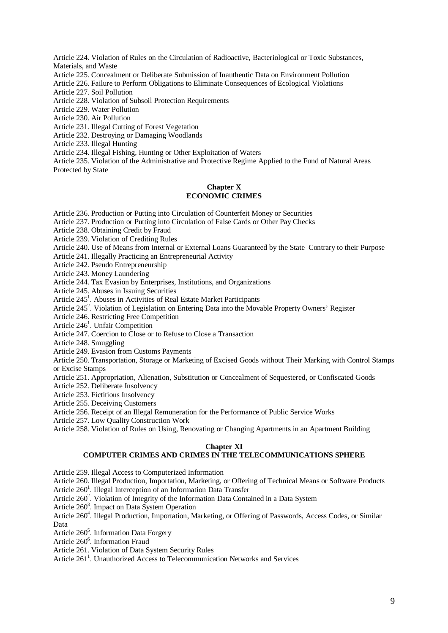Article 224. Violation of Rules on the Circulation of Radioactive, Bacteriological or Toxic Substances, Materials, and Waste

Article 225. Concealment or Deliberate Submission of Inauthentic Data on Environment Pollution

Article 226. Failure to Perform Obligations to Eliminate Consequences of Ecological Violations

Article 227. Soil Pollution

Article 228. Violation of Subsoil Protection Requirements

Article 229. Water Pollution

Article 230. Air Pollution

Article 231. Illegal Cutting of Forest Vegetation

Article 232. Destroying or Damaging Woodlands

Article 233. Illegal Hunting

Article 234. Illegal Fishing, Hunting or Other Exploitation of Waters

Article 235. Violation of the Administrative and Protective Regime Applied to the Fund of Natural Areas Protected by State

#### **Chapter X ECONOMIC CRIMES**

Article 236. Production or Putting into Circulation of Counterfeit Money or Securities

Article 237. Production or Putting into Circulation of False Cards or Other Pay Checks

Article 238. Obtaining Credit by Fraud

Article 239. Violation of Crediting Rules

Article 240. Use of Means from Internal or External Loans Guaranteed by the State Contrary to their Purpose

Article 241. Illegally Practicing an Entrepreneurial Activity

Article 242. Pseudo Entrepreneurship

Article 243. Money Laundering

Article 244. Tax Evasion by Enterprises, Institutions, and Organizations

Article 245. Abuses in Issuing Securities

Article 245<sup>1</sup>. Abuses in Activities of Real Estate Market Participants

Article  $245^2$ . Violation of Legislation on Entering Data into the Movable Property Owners' Register

Article 246. Restricting Free Competition

Article 246<sup>1</sup>. Unfair Competition

Article 247. Coercion to Close or to Refuse to Close a Transaction

Article 248. Smuggling

Article 249. Evasion from Customs Payments

Article 250. Transportation, Storage or Marketing of Excised Goods without Their Marking with Control Stamps or Excise Stamps

Article 251. Appropriation, Alienation, Substitution or Concealment of Sequestered, or Confiscated Goods

Article 252. Deliberate Insolvency

Article 253. Fictitious Insolvency

Article 255. Deceiving Customers

Article 256. Receipt of an Illegal Remuneration for the Performance of Public Service Works

Article 257. Low Quality Construction Work

Article 258. Violation of Rules on Using, Renovating or Changing Apartments in an Apartment Building

#### **Chapter XI**

#### **COMPUTER CRIMES AND CRIMES IN THE TELECOMMUNICATIONS SPHERE**

Article 259. Illegal Access to Computerized Information

Article 260. Illegal Production, Importation, Marketing, or Offering of Technical Means or Software Products Article 260<sup>1</sup>. Illegal Interception of an Information Data Transfer

Article  $260^2$ . Violation of Integrity of the Information Data Contained in a Data System

Article 260<sup>3</sup>. Impact on Data System Operation

Article 260<sup>4</sup>. Illegal Production, Importation, Marketing, or Offering of Passwords, Access Codes, or Similar Data

Article 260<sup>5</sup>. Information Data Forgery

Article 260<sup>6</sup>. Information Fraud

Article 261. Violation of Data System Security Rules

Article 261<sup>1</sup>. Unauthorized Access to Telecommunication Networks and Services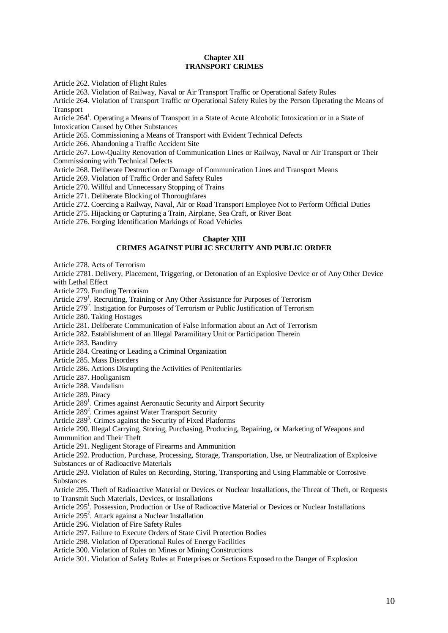#### **Chapter XII TRANSPORT CRIMES**

Article 262. Violation of Flight Rules

Article 263. Violation of Railway, Naval or Air Transport Traffic or Operational Safety Rules

Article 264. Violation of Transport Traffic or Operational Safety Rules by the Person Operating the Means of Transport

Article 264<sup>1</sup>. Operating a Means of Transport in a State of Acute Alcoholic Intoxication or in a State of

Intoxication Caused by Other Substances

Article 265. Commissioning a Means of Transport with Evident Technical Defects

Article 266. Abandoning a Traffic Accident Site

Article 267. Low-Quality Renovation of Communication Lines or Railway, Naval or Air Transport or Their Commissioning with Technical Defects

Article 268. Deliberate Destruction or Damage of Communication Lines and Transport Means

Article 269. Violation of Traffic Order and Safety Rules

Article 270. Willful and Unnecessary Stopping of Trains

Article 271. Deliberate Blocking of Thoroughfares

Article 272. Coercing a Railway, Naval, Air or Road Transport Employee Not to Perform Official Duties

Article 275. Hijacking or Capturing a Train, Airplane, Sea Craft, or River Boat

Article 276. Forging Identification Markings of Road Vehicles

#### **Chapter XIII CRIMES AGAINST PUBLIC SECURITY AND PUBLIC ORDER**

Article 278. Acts of Terrorism

Article 2781. Delivery, Placement, Triggering, or Detonation of an Explosive Device or of Any Other Device with Lethal Effect

Article 279. Funding Terrorism

Article 279<sup>1</sup>. Recruiting, Training or Any Other Assistance for Purposes of Terrorism

Article  $279^2$ . Instigation for Purposes of Terrorism or Public Justification of Terrorism

Article 280. Taking Hostages

Article 281. Deliberate Communication of False Information about an Act of Terrorism

Article 282. Establishment of an Illegal Paramilitary Unit or Participation Therein

Article 283. Banditry

Article 284. Creating or Leading a Criminal Organization

Article 285. Mass Disorders

Article 286. Actions Disrupting the Activities of Penitentiaries

Article 287. Hooliganism

Article 288. Vandalism

Article 289. Piracy

Article 289<sup>1</sup>. Crimes against Aeronautic Security and Airport Security

Article 289<sup>2</sup>. Crimes against Water Transport Security

Article 289<sup>3</sup>. Crimes against the Security of Fixed Platforms

Article 290. Illegal Carrying, Storing, Purchasing, Producing, Repairing, or Marketing of Weapons and

Ammunition and Their Theft

Article 291. Negligent Storage of Firearms and Ammunition

Article 292. Production, Purchase, Processing, Storage, Transportation, Use, or Neutralization of Explosive Substances or of Radioactive Materials

Article 293. Violation of Rules on Recording, Storing, Transporting and Using Flammable or Corrosive Substances

Article 295. Theft of Radioactive Material or Devices or Nuclear Installations, the Threat of Theft, or Requests to Transmit Such Materials, Devices, or Installations

Article 295<sup>1</sup>. Possession, Production or Use of Radioactive Material or Devices or Nuclear Installations

Article 295<sup>2</sup>. Attack against a Nuclear Installation

Article 296. Violation of Fire Safety Rules

Article 297. Failure to Execute Orders of State Civil Protection Bodies

Article 298. Violation of Operational Rules of Energy Facilities

Article 300. Violation of Rules on Mines or Mining Constructions

Article 301. Violation of Safety Rules at Enterprises or Sections Exposed to the Danger of Explosion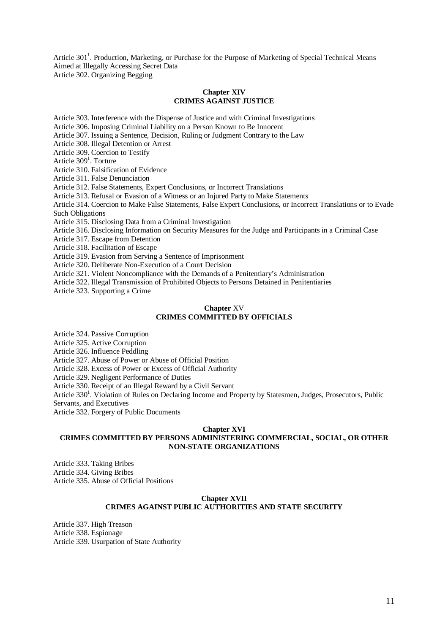Article 301<sup>1</sup>. Production, Marketing, or Purchase for the Purpose of Marketing of Special Technical Means Aimed at Illegally Accessing Secret Data Article 302. Organizing Begging

#### **Chapter XIV CRIMES AGAINST JUSTICE**

Article 303. Interference with the Dispense of Justice and with Criminal Investigations

Article 306. Imposing Criminal Liability on a Person Known to Be Innocent

Article 307. Issuing a Sentence, Decision, Ruling or Judgment Contrary to the Law

Article 308. Illegal Detention or Arrest

Article 309. Coercion to Testify

Article 309<sup>1</sup>. Torture

Article 310. Falsification of Evidence

Article 311. False Denunciation

Article 312. False Statements, Expert Conclusions, or Incorrect Translations

Article 313. Refusal or Evasion of a Witness or an Injured Party to Make Statements

Article 314. Coercion to Make False Statements, False Expert Conclusions, or Incorrect Translations or to Evade Such Obligations

Article 315. Disclosing Data from a Criminal Investigation

Article 316. Disclosing Information on Security Measures for the Judge and Participants in a Criminal Case

Article 317. Escape from Detention

Article 318. Facilitation of Escape

Article 319. Evasion from Serving a Sentence of Imprisonment

Article 320. Deliberate Non-Execution of a Court Decision

Article 321. Violent Noncompliance with the Demands of a Penitentiary's Administration

Article 322. Illegal Transmission of Prohibited Objects to Persons Detained in Penitentiaries

Article 323. Supporting a Crime

#### **Chapter** XV **CRIMES COMMITTED BY OFFICIALS**

Article 324. Passive Corruption

Article 325. Active Corruption

Article 326. Influence Peddling

Article 327. Abuse of Power or Abuse of Official Position

Article 328. Excess of Power or Excess of Official Authority

Article 329. Negligent Performance of Duties

Article 330. Receipt of an Illegal Reward by a Civil Servant

Article 330<sup>1</sup>. Violation of Rules on Declaring Income and Property by Statesmen, Judges, Prosecutors, Public Servants, and Executives

Article 332. Forgery of Public Documents

#### **Chapter XVI**

#### **CRIMES COMMITTED BY PERSONS ADMINISTERING COMMERCIAL, SOCIAL, OR OTHER NON-STATE ORGANIZATIONS**

Article 333. Taking Bribes Article 334. Giving Bribes Article 335. Abuse of Official Positions

#### **Chapter XVII**

#### **CRIMES AGAINST PUBLIC AUTHORITIES AND STATE SECURITY**

Article 337. High Treason Article 338. Espionage Article 339. Usurpation of State Authority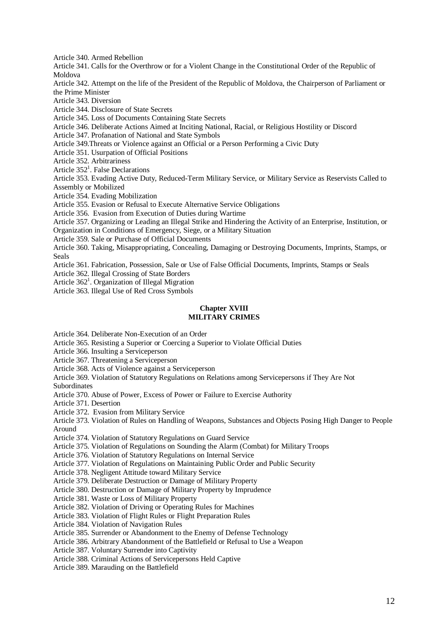Article 340. Armed Rebellion

Article 341. Calls for the Overthrow or for a Violent Change in the Constitutional Order of the Republic of Moldova

Article 342. Attempt on the life of the President of the Republic of Moldova, the Chairperson of Parliament or the Prime Minister

Article 343. Diversion

Article 344. Disclosure of State Secrets

Article 345. Loss of Documents Containing State Secrets

Article 346. Deliberate Actions Aimed at Inciting National, Racial, or Religious Hostility or Discord

Article 347. Profanation of National and State Symbols

Article 349.Threats or Violence against an Official or a Person Performing a Civic Duty

Article 351. Usurpation of Official Positions

Article 352. Arbitrariness

Article 352<sup>1</sup>. False Declarations

Article 353. Evading Active Duty, Reduced-Term Military Service, or Military Service as Reservists Called to Assembly or Mobilized

Article 354. Evading Mobilization

Article 355. Evasion or Refusal to Execute Alternative Service Obligations

Article 356. Evasion from Execution of Duties during Wartime

Article 357. Organizing or Leading an Illegal Strike and Hindering the Activity of an Enterprise, Institution, or Organization in Conditions of Emergency, Siege, or a Military Situation

Article 359. Sale or Purchase of Official Documents

Article 360. Taking, Misappropriating, Concealing, Damaging or Destroying Documents, Imprints, Stamps, or Seals

Article 361. Fabrication, Possession, Sale or Use of False Official Documents, Imprints, Stamps or Seals

Article 362. Illegal Crossing of State Borders

Article 362<sup>1</sup>. Organization of Illegal Migration

Article 363. Illegal Use of Red Cross Symbols

#### **Chapter XVIII MILITARY CRIMES**

Article 364. Deliberate Non-Execution of an Order

Article 365. Resisting a Superior or Coercing a Superior to Violate Official Duties

Article 366. Insulting a Serviceperson

Article 367. Threatening a Serviceperson

Article 368. Acts of Violence against a Serviceperson

Article 369. Violation of Statutory Regulations on Relations among Servicepersons if They Are Not Subordinates

Article 370. Abuse of Power, Excess of Power or Failure to Exercise Authority

Article 371. Desertion

Article 372. Evasion from Military Service

Article 373. Violation of Rules on Handling of Weapons, Substances and Objects Posing High Danger to People Around

Article 374. Violation of Statutory Regulations on Guard Service

Article 375. Violation of Regulations on Sounding the Alarm (Combat) for Military Troops

Article 376. Violation of Statutory Regulations on Internal Service

Article 377. Violation of Regulations on Maintaining Public Order and Public Security

Article 378. Negligent Attitude toward Military Service

Article 379. Deliberate Destruction or Damage of Military Property

Article 380. Destruction or Damage of Military Property by Imprudence

Article 381. Waste or Loss of Military Property

Article 382. Violation of Driving or Operating Rules for Machines

Article 383. Violation of Flight Rules or Flight Preparation Rules

Article 384. Violation of Navigation Rules

Article 385. Surrender or Abandonment to the Enemy of Defense Technology

Article 386. Arbitrary Abandonment of the Battlefield or Refusal to Use a Weapon

Article 387. Voluntary Surrender into Captivity

Article 388. Criminal Actions of Servicepersons Held Captive

Article 389. Marauding on the Battlefield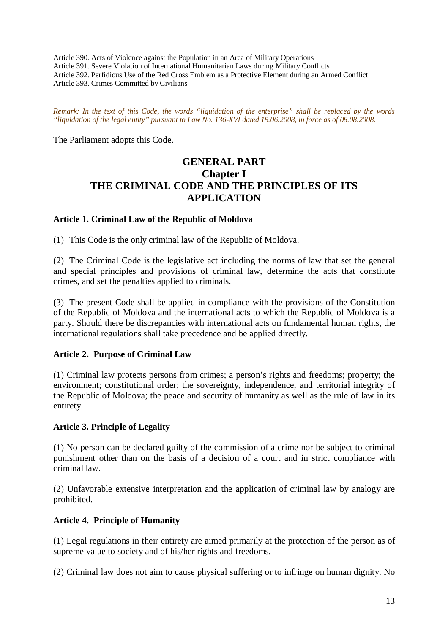Article 390. Acts of Violence against the Population in an Area of Military Operations Article 391. Severe Violation of International Humanitarian Laws during Military Conflicts Article 392. Perfidious Use of the Red Cross Emblem as a Protective Element during an Armed Conflict Article 393. Crimes Committed by Civilians

*Remark: In the text of this Code, the words "liquidation of the enterprise" shall be replaced by the words "liquidation of the legal entity" pursuant to Law No. 136-XVI dated 19.06.2008, in force as of 08.08.2008.*

The Parliament adopts this Code.

# **GENERAL PART Chapter I THE CRIMINAL CODE AND THE PRINCIPLES OF ITS APPLICATION**

### **Article 1. Criminal Law of the Republic of Moldova**

(1) This Code is the only criminal law of the Republic of Moldova.

(2) The Criminal Code is the legislative act including the norms of law that set the general and special principles and provisions of criminal law, determine the acts that constitute crimes, and set the penalties applied to criminals.

(3) The present Code shall be applied in compliance with the provisions of the Constitution of the Republic of Moldova and the international acts to which the Republic of Moldova is a party. Should there be discrepancies with international acts on fundamental human rights, the international regulations shall take precedence and be applied directly.

### **Article 2. Purpose of Criminal Law**

(1) Criminal law protects persons from crimes; a person's rights and freedoms; property; the environment; constitutional order; the sovereignty, independence, and territorial integrity of the Republic of Moldova; the peace and security of humanity as well as the rule of law in its entirety.

### **Article 3. Principle of Legality**

(1) No person can be declared guilty of the commission of a crime nor be subject to criminal punishment other than on the basis of a decision of a court and in strict compliance with criminal law.

(2) Unfavorable extensive interpretation and the application of criminal law by analogy are prohibited.

# **Article 4. Principle of Humanity**

(1) Legal regulations in their entirety are aimed primarily at the protection of the person as of supreme value to society and of his/her rights and freedoms.

(2) Criminal law does not aim to cause physical suffering or to infringe on human dignity. No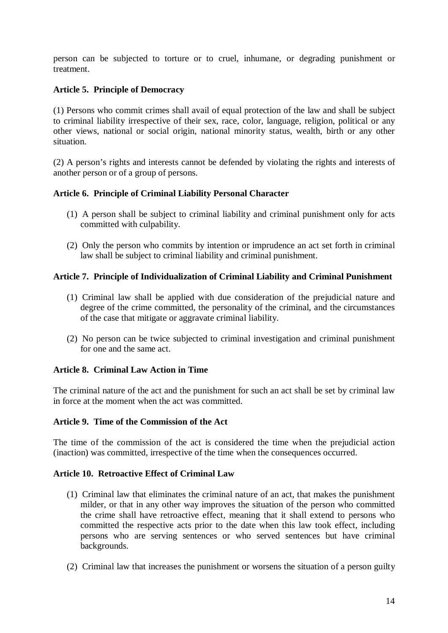person can be subjected to torture or to cruel, inhumane, or degrading punishment or treatment.

# **Article 5. Principle of Democracy**

(1) Persons who commit crimes shall avail of equal protection of the law and shall be subject to criminal liability irrespective of their sex, race, color, language, religion, political or any other views, national or social origin, national minority status, wealth, birth or any other situation.

(2) A person's rights and interests cannot be defended by violating the rights and interests of another person or of a group of persons.

# **Article 6. Principle of Criminal Liability Personal Character**

- (1) A person shall be subject to criminal liability and criminal punishment only for acts committed with culpability.
- (2) Only the person who commits by intention or imprudence an act set forth in criminal law shall be subject to criminal liability and criminal punishment.

### **Article 7. Principle of Individualization of Criminal Liability and Criminal Punishment**

- (1) Criminal law shall be applied with due consideration of the prejudicial nature and degree of the crime committed, the personality of the criminal, and the circumstances of the case that mitigate or aggravate criminal liability.
- (2) No person can be twice subjected to criminal investigation and criminal punishment for one and the same act.

### **Article 8. Criminal Law Action in Time**

The criminal nature of the act and the punishment for such an act shall be set by criminal law in force at the moment when the act was committed.

### **Article 9. Time of the Commission of the Act**

The time of the commission of the act is considered the time when the prejudicial action (inaction) was committed, irrespective of the time when the consequences occurred.

### **Article 10. Retroactive Effect of Criminal Law**

- (1) Criminal law that eliminates the criminal nature of an act, that makes the punishment milder, or that in any other way improves the situation of the person who committed the crime shall have retroactive effect, meaning that it shall extend to persons who committed the respective acts prior to the date when this law took effect, including persons who are serving sentences or who served sentences but have criminal backgrounds.
- (2) Criminal law that increases the punishment or worsens the situation of a person guilty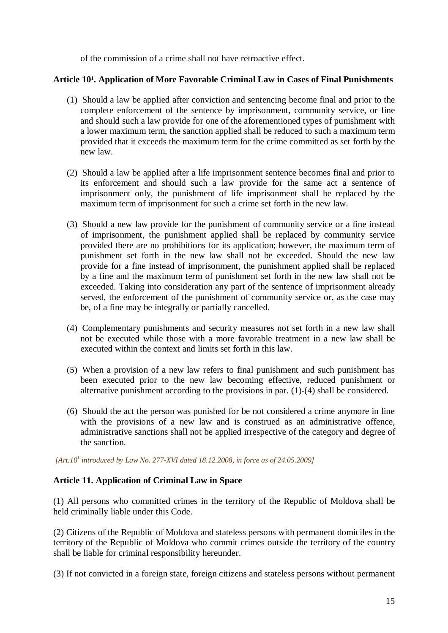of the commission of a crime shall not have retroactive effect.

# Article 10<sup>1</sup>. Application of More Favorable Criminal Law in Cases of Final Punishments

- (1) Should a law be applied after conviction and sentencing become final and prior to the complete enforcement of the sentence by imprisonment, community service, or fine and should such a law provide for one of the aforementioned types of punishment with a lower maximum term, the sanction applied shall be reduced to such a maximum term provided that it exceeds the maximum term for the crime committed as set forth by the new law.
- (2) Should a law be applied after a life imprisonment sentence becomes final and prior to its enforcement and should such a law provide for the same act a sentence of imprisonment only, the punishment of life imprisonment shall be replaced by the maximum term of imprisonment for such a crime set forth in the new law.
- (3) Should a new law provide for the punishment of community service or a fine instead of imprisonment, the punishment applied shall be replaced by community service provided there are no prohibitions for its application; however, the maximum term of punishment set forth in the new law shall not be exceeded. Should the new law provide for a fine instead of imprisonment, the punishment applied shall be replaced by a fine and the maximum term of punishment set forth in the new law shall not be exceeded. Taking into consideration any part of the sentence of imprisonment already served, the enforcement of the punishment of community service or, as the case may be, of a fine may be integrally or partially cancelled.
- (4) Complementary punishments and security measures not set forth in a new law shall not be executed while those with a more favorable treatment in a new law shall be executed within the context and limits set forth in this law.
- (5) When a provision of a new law refers to final punishment and such punishment has been executed prior to the new law becoming effective, reduced punishment or alternative punishment according to the provisions in par. (1)-(4) shall be considered.
- (6) Should the act the person was punished for be not considered a crime anymore in line with the provisions of a new law and is construed as an administrative offence, administrative sanctions shall not be applied irrespective of the category and degree of the sanction.

 *[Art.10<sup>1</sup> introduced by Law No. 277-XVI dated 18.12.2008, in force as of 24.05.2009]* 

# **Article 11. Application of Criminal Law in Space**

(1) All persons who committed crimes in the territory of the Republic of Moldova shall be held criminally liable under this Code.

(2) Citizens of the Republic of Moldova and stateless persons with permanent domiciles in the territory of the Republic of Moldova who commit crimes outside the territory of the country shall be liable for criminal responsibility hereunder.

(3) If not convicted in a foreign state, foreign citizens and stateless persons without permanent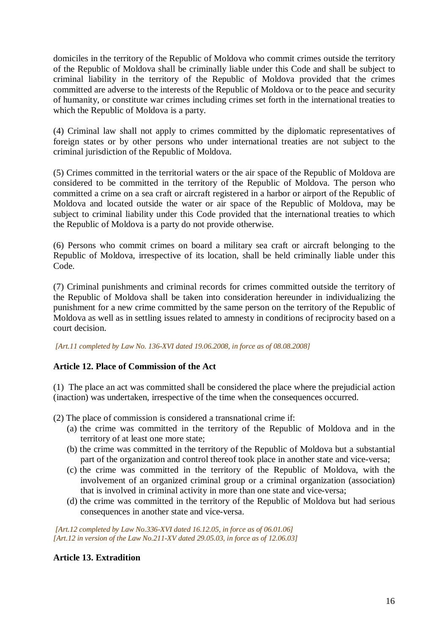domiciles in the territory of the Republic of Moldova who commit crimes outside the territory of the Republic of Moldova shall be criminally liable under this Code and shall be subject to criminal liability in the territory of the Republic of Moldova provided that the crimes committed are adverse to the interests of the Republic of Moldova or to the peace and security of humanity, or constitute war crimes including crimes set forth in the international treaties to which the Republic of Moldova is a party.

(4) Criminal law shall not apply to crimes committed by the diplomatic representatives of foreign states or by other persons who under international treaties are not subject to the criminal jurisdiction of the Republic of Moldova.

(5) Crimes committed in the territorial waters or the air space of the Republic of Moldova are considered to be committed in the territory of the Republic of Moldova. The person who committed a crime on a sea craft or aircraft registered in a harbor or airport of the Republic of Moldova and located outside the water or air space of the Republic of Moldova, may be subject to criminal liability under this Code provided that the international treaties to which the Republic of Moldova is a party do not provide otherwise.

(6) Persons who commit crimes on board a military sea craft or aircraft belonging to the Republic of Moldova, irrespective of its location, shall be held criminally liable under this Code.

(7) Criminal punishments and criminal records for crimes committed outside the territory of the Republic of Moldova shall be taken into consideration hereunder in individualizing the punishment for a new crime committed by the same person on the territory of the Republic of Moldova as well as in settling issues related to amnesty in conditions of reciprocity based on a court decision.

 *[Art.11 completed by Law No. 136-XVI dated 19.06.2008, in force as of 08.08.2008]*

# **Article 12. Place of Commission of the Act**

(1) The place an act was committed shall be considered the place where the prejudicial action (inaction) was undertaken, irrespective of the time when the consequences occurred.

(2) The place of commission is considered a transnational crime if:

- (a) the crime was committed in the territory of the Republic of Moldova and in the territory of at least one more state;
- (b) the crime was committed in the territory of the Republic of Moldova but a substantial part of the organization and control thereof took place in another state and vice-versa;
- (c) the crime was committed in the territory of the Republic of Moldova, with the involvement of an organized criminal group or a criminal organization (association) that is involved in criminal activity in more than one state and vice-versa;
- (d) the crime was committed in the territory of the Republic of Moldova but had serious consequences in another state and vice-versa.

 *[Art.12 completed by Law No.336-XVI dated 16.12.05, in force as of 06.01.06] [Art.12 in version of the Law No.211-XV dated 29.05.03, in force as of 12.06.03]* 

# **Article 13. Extradition**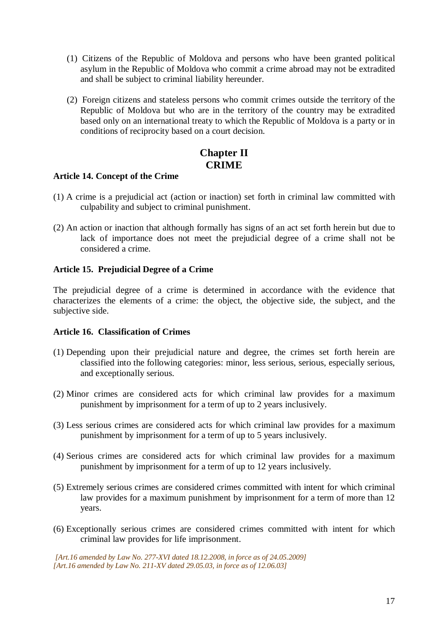- (1) Citizens of the Republic of Moldova and persons who have been granted political asylum in the Republic of Moldova who commit a crime abroad may not be extradited and shall be subject to criminal liability hereunder.
- (2) Foreign citizens and stateless persons who commit crimes outside the territory of the Republic of Moldova but who are in the territory of the country may be extradited based only on an international treaty to which the Republic of Moldova is a party or in conditions of reciprocity based on a court decision.

# **Chapter II CRIME**

# **Article 14. Concept of the Crime**

- (1) A crime is a prejudicial act (action or inaction) set forth in criminal law committed with culpability and subject to criminal punishment.
- (2) An action or inaction that although formally has signs of an act set forth herein but due to lack of importance does not meet the prejudicial degree of a crime shall not be considered a crime.

### **Article 15. Prejudicial Degree of a Crime**

The prejudicial degree of a crime is determined in accordance with the evidence that characterizes the elements of a crime: the object, the objective side, the subject, and the subjective side.

### **Article 16. Classification of Crimes**

- (1) Depending upon their prejudicial nature and degree, the crimes set forth herein are classified into the following categories: minor, less serious, serious, especially serious, and exceptionally serious.
- (2) Minor crimes are considered acts for which criminal law provides for a maximum punishment by imprisonment for a term of up to 2 years inclusively.
- (3) Less serious crimes are considered acts for which criminal law provides for a maximum punishment by imprisonment for a term of up to 5 years inclusively.
- (4) Serious crimes are considered acts for which criminal law provides for a maximum punishment by imprisonment for a term of up to 12 years inclusively.
- (5) Extremely serious crimes are considered crimes committed with intent for which criminal law provides for a maximum punishment by imprisonment for a term of more than 12 years.
- (6) Exceptionally serious crimes are considered crimes committed with intent for which criminal law provides for life imprisonment.

 *[Art.16 amended by Law No. 277-XVI dated 18.12.2008, in force as of 24.05.2009] [Art.16 amended by Law No. 211-XV dated 29.05.03, in force as of 12.06.03]*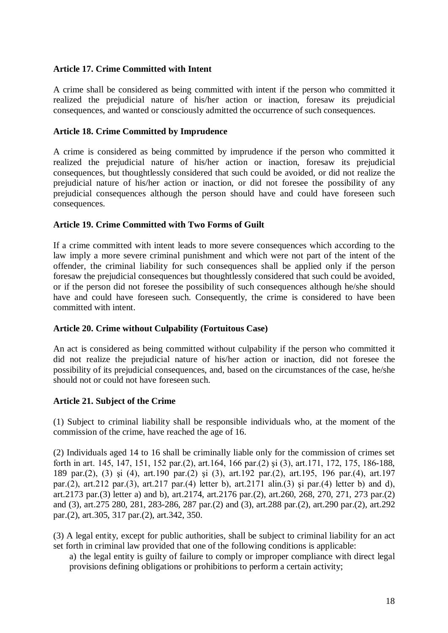### **Article 17. Crime Committed with Intent**

A crime shall be considered as being committed with intent if the person who committed it realized the prejudicial nature of his/her action or inaction, foresaw its prejudicial consequences, and wanted or consciously admitted the occurrence of such consequences.

### **Article 18. Crime Committed by Imprudence**

A crime is considered as being committed by imprudence if the person who committed it realized the prejudicial nature of his/her action or inaction, foresaw its prejudicial consequences, but thoughtlessly considered that such could be avoided, or did not realize the prejudicial nature of his/her action or inaction, or did not foresee the possibility of any prejudicial consequences although the person should have and could have foreseen such consequences.

### **Article 19. Crime Committed with Two Forms of Guilt**

If a crime committed with intent leads to more severe consequences which according to the law imply a more severe criminal punishment and which were not part of the intent of the offender, the criminal liability for such consequences shall be applied only if the person foresaw the prejudicial consequences but thoughtlessly considered that such could be avoided, or if the person did not foresee the possibility of such consequences although he/she should have and could have foreseen such. Consequently, the crime is considered to have been committed with intent.

# **Article 20. Crime without Culpability (Fortuitous Case)**

An act is considered as being committed without culpability if the person who committed it did not realize the prejudicial nature of his/her action or inaction, did not foresee the possibility of its prejudicial consequences, and, based on the circumstances of the case, he/she should not or could not have foreseen such.

# **Article 21. Subject of the Crime**

(1) Subject to criminal liability shall be responsible individuals who, at the moment of the commission of the crime, have reached the age of 16.

(2) Individuals aged 14 to 16 shall be criminally liable only for the commission of crimes set forth in art. 145, 147, 151, 152 par.(2), art.164, 166 par.(2) şi (3), art.171, 172, 175, 186-188, 189 par.(2), (3) şi (4), art.190 par.(2) şi (3), art.192 par.(2), art.195, 196 par.(4), art.197 par.(2), art.212 par.(3), art.217 par.(4) letter b), art.2171 alin.(3) şi par.(4) letter b) and d), art.2173 par.(3) letter a) and b), art.2174, art.2176 par.(2), art.260, 268, 270, 271, 273 par.(2) and (3), art.275 280, 281, 283-286, 287 par.(2) and (3), art.288 par.(2), art.290 par.(2), art.292 par.(2), art.305, 317 par.(2), art.342, 350.

(3) A legal entity, except for public authorities, shall be subject to criminal liability for an act set forth in criminal law provided that one of the following conditions is applicable:

a) the legal entity is guilty of failure to comply or improper compliance with direct legal provisions defining obligations or prohibitions to perform a certain activity;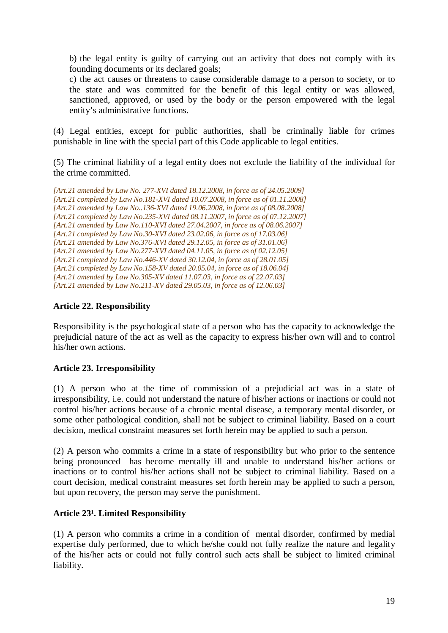b) the legal entity is guilty of carrying out an activity that does not comply with its founding documents or its declared goals;

c) the act causes or threatens to cause considerable damage to a person to society, or to the state and was committed for the benefit of this legal entity or was allowed, sanctioned, approved, or used by the body or the person empowered with the legal entity's administrative functions.

(4) Legal entities, except for public authorities, shall be criminally liable for crimes punishable in line with the special part of this Code applicable to legal entities.

(5) The criminal liability of a legal entity does not exclude the liability of the individual for the crime committed.

*[Art.21 amended by Law No. 277-XVI dated 18.12.2008, in force as of 24.05.2009] [Art.21 completed by Law No.181-XVI dated 10.07.2008, in force as of 01.11.2008] [Art.21 amended by Law No..136-XVI dated 19.06.2008, in force as of 08.08.2008] [Art.21 completed by Law No.235-XVI dated 08.11.2007, in force as of 07.12.2007] [Art.21 amended by Law No.110-XVI dated 27.04.2007, in force as of 08.06.2007] [Art.21 completed by Law No.30-XVI dated 23.02.06, in force as of 17.03.06] [Art.21 amended by Law No.376-XVI dated 29.12.05, in force as of 31.01.06] [Art.21 amended by Law No.277-XVI dated 04.11.05, in force as of 02.12.05] [Art.21 completed by Law No.446-XV dated 30.12.04, in force as of 28.01.05] [Art.21 completed by Law No.158-XV dated 20.05.04, in force as of 18.06.04] [Art.21 amended by Law No.305-XV dated 11.07.03, in force as of 22.07.03] [Art.21 amended by Law No.211-XV dated 29.05.03, in force as of 12.06.03]* 

# **Article 22. Responsibility**

Responsibility is the psychological state of a person who has the capacity to acknowledge the prejudicial nature of the act as well as the capacity to express his/her own will and to control his/her own actions.

# **Article 23. Irresponsibility**

(1) A person who at the time of commission of a prejudicial act was in a state of irresponsibility, i.e. could not understand the nature of his/her actions or inactions or could not control his/her actions because of a chronic mental disease, a temporary mental disorder, or some other pathological condition, shall not be subject to criminal liability. Based on a court decision, medical constraint measures set forth herein may be applied to such a person.

(2) A person who commits a crime in a state of responsibility but who prior to the sentence being pronounced has become mentally ill and unable to understand his/her actions or inactions or to control his/her actions shall not be subject to criminal liability. Based on a court decision, medical constraint measures set forth herein may be applied to such a person, but upon recovery, the person may serve the punishment.

# Article 23<sup>1</sup>. Limited Responsibility

(1) A person who commits a crime in a condition of mental disorder, confirmed by medial expertise duly performed, due to which he/she could not fully realize the nature and legality of the his/her acts or could not fully control such acts shall be subject to limited criminal liability.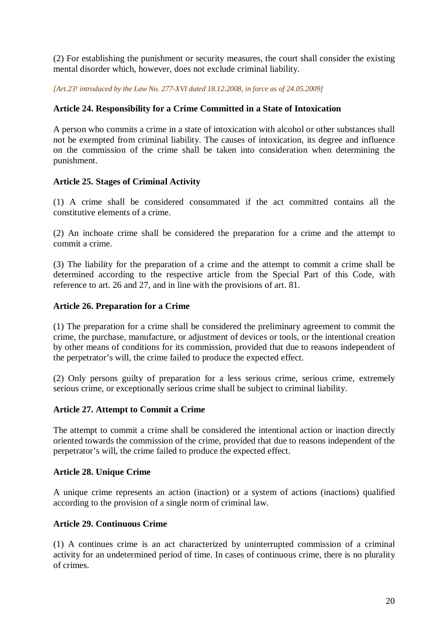(2) For establishing the punishment or security measures, the court shall consider the existing mental disorder which, however, does not exclude criminal liability.

*[Art.23<sup>1</sup> introduced by the Law No. 277-XVI dated 18.12.2008, in force as of 24.05.2009]* 

# **Article 24. Responsibility for a Crime Committed in a State of Intoxication**

A person who commits a crime in a state of intoxication with alcohol or other substances shall not be exempted from criminal liability. The causes of intoxication, its degree and influence on the commission of the crime shall be taken into consideration when determining the punishment.

# **Article 25. Stages of Criminal Activity**

(1) A crime shall be considered consummated if the act committed contains all the constitutive elements of a crime.

(2) An inchoate crime shall be considered the preparation for a crime and the attempt to commit a crime.

(3) The liability for the preparation of a crime and the attempt to commit a crime shall be determined according to the respective article from the Special Part of this Code, with reference to art. 26 and 27, and in line with the provisions of art. 81.

# **Article 26. Preparation for a Crime**

(1) The preparation for a crime shall be considered the preliminary agreement to commit the crime, the purchase, manufacture, or adjustment of devices or tools, or the intentional creation by other means of conditions for its commission, provided that due to reasons independent of the perpetrator's will, the crime failed to produce the expected effect.

(2) Only persons guilty of preparation for a less serious crime, serious crime, extremely serious crime, or exceptionally serious crime shall be subject to criminal liability.

# **Article 27. Attempt to Commit a Crime**

The attempt to commit a crime shall be considered the intentional action or inaction directly oriented towards the commission of the crime, provided that due to reasons independent of the perpetrator's will, the crime failed to produce the expected effect.

# **Article 28. Unique Crime**

A unique crime represents an action (inaction) or a system of actions (inactions) qualified according to the provision of a single norm of criminal law.

# **Article 29. Continuous Crime**

(1) A continues crime is an act characterized by uninterrupted commission of a criminal activity for an undetermined period of time. In cases of continuous crime, there is no plurality of crimes.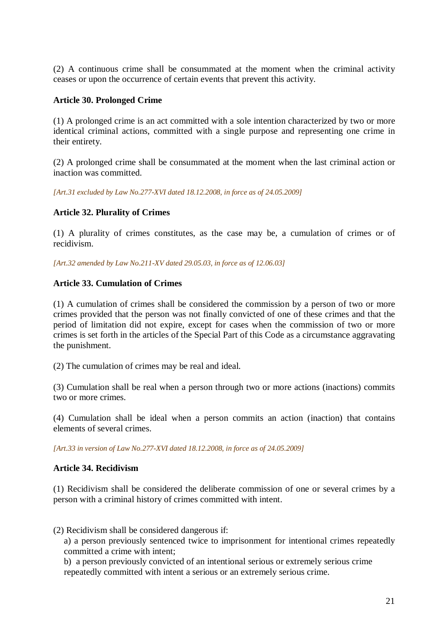(2) A continuous crime shall be consummated at the moment when the criminal activity ceases or upon the occurrence of certain events that prevent this activity.

### **Article 30. Prolonged Crime**

(1) A prolonged crime is an act committed with a sole intention characterized by two or more identical criminal actions, committed with a single purpose and representing one crime in their entirety.

(2) A prolonged crime shall be consummated at the moment when the last criminal action or inaction was committed.

*[Art.31 excluded by Law No.277-XVI dated 18.12.2008, in force as of 24.05.2009]* 

### **Article 32. Plurality of Crimes**

(1) A plurality of crimes constitutes, as the case may be, a cumulation of crimes or of recidivism.

*[Art.32 amended by Law No.211-XV dated 29.05.03, in force as of 12.06.03]*

### **Article 33. Cumulation of Crimes**

(1) A cumulation of crimes shall be considered the commission by a person of two or more crimes provided that the person was not finally convicted of one of these crimes and that the period of limitation did not expire, except for cases when the commission of two or more crimes is set forth in the articles of the Special Part of this Code as a circumstance aggravating the punishment.

(2) The cumulation of crimes may be real and ideal.

(3) Cumulation shall be real when a person through two or more actions (inactions) commits two or more crimes.

(4) Cumulation shall be ideal when a person commits an action (inaction) that contains elements of several crimes.

*[Art.33 in version of Law No.277-XVI dated 18.12.2008, in force as of 24.05.2009]* 

# **Article 34. Recidivism**

(1) Recidivism shall be considered the deliberate commission of one or several crimes by a person with a criminal history of crimes committed with intent.

(2) Recidivism shall be considered dangerous if:

a) a person previously sentenced twice to imprisonment for intentional crimes repeatedly committed a crime with intent;

b) a person previously convicted of an intentional serious or extremely serious crime repeatedly committed with intent a serious or an extremely serious crime.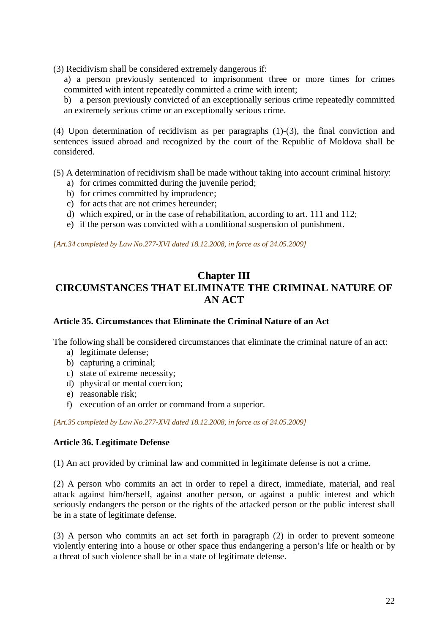(3) Recidivism shall be considered extremely dangerous if:

a) a person previously sentenced to imprisonment three or more times for crimes committed with intent repeatedly committed a crime with intent;

b) a person previously convicted of an exceptionally serious crime repeatedly committed an extremely serious crime or an exceptionally serious crime.

(4) Upon determination of recidivism as per paragraphs (1)-(3), the final conviction and sentences issued abroad and recognized by the court of the Republic of Moldova shall be considered.

(5) A determination of recidivism shall be made without taking into account criminal history:

- a) for crimes committed during the juvenile period;
- b) for crimes committed by imprudence;
- c) for acts that are not crimes hereunder;
- d) which expired, or in the case of rehabilitation, according to art. 111 and 112;
- e) if the person was convicted with a conditional suspension of punishment.

*[Art.34 completed by Law No.277-XVI dated 18.12.2008, in force as of 24.05.2009]* 

# **Chapter III CIRCUMSTANCES THAT ELIMINATE THE CRIMINAL NATURE OF AN ACT**

# **Article 35. Circumstances that Eliminate the Criminal Nature of an Act**

The following shall be considered circumstances that eliminate the criminal nature of an act:

- a) legitimate defense;
- b) capturing a criminal;
- c) state of extreme necessity;
- d) physical or mental coercion;
- e) reasonable risk;
- f) execution of an order or command from a superior.

*[Art.35 completed by Law No.277-XVI dated 18.12.2008, in force as of 24.05.2009]* 

### **Article 36. Legitimate Defense**

(1) An act provided by criminal law and committed in legitimate defense is not a crime.

(2) A person who commits an act in order to repel a direct, immediate, material, and real attack against him/herself, against another person, or against a public interest and which seriously endangers the person or the rights of the attacked person or the public interest shall be in a state of legitimate defense.

(3) A person who commits an act set forth in paragraph (2) in order to prevent someone violently entering into a house or other space thus endangering a person's life or health or by a threat of such violence shall be in a state of legitimate defense.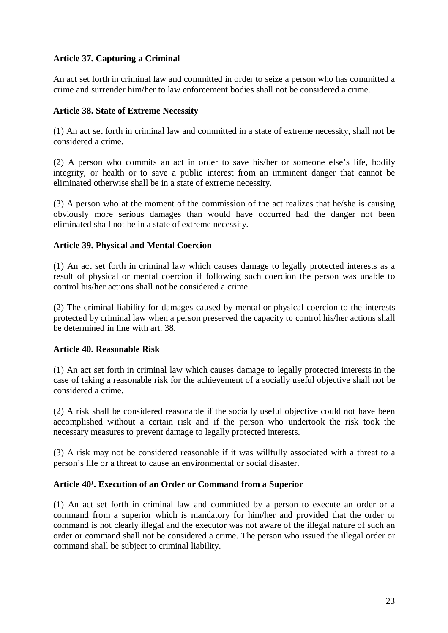# **Article 37. Capturing a Criminal**

An act set forth in criminal law and committed in order to seize a person who has committed a crime and surrender him/her to law enforcement bodies shall not be considered a crime.

### **Article 38. State of Extreme Necessity**

(1) An act set forth in criminal law and committed in a state of extreme necessity, shall not be considered a crime.

(2) A person who commits an act in order to save his/her or someone else's life, bodily integrity, or health or to save a public interest from an imminent danger that cannot be eliminated otherwise shall be in a state of extreme necessity.

(3) A person who at the moment of the commission of the act realizes that he/she is causing obviously more serious damages than would have occurred had the danger not been eliminated shall not be in a state of extreme necessity.

### **Article 39. Physical and Mental Coercion**

(1) An act set forth in criminal law which causes damage to legally protected interests as a result of physical or mental coercion if following such coercion the person was unable to control his/her actions shall not be considered a crime.

(2) The criminal liability for damages caused by mental or physical coercion to the interests protected by criminal law when a person preserved the capacity to control his/her actions shall be determined in line with art. 38.

### **Article 40. Reasonable Risk**

(1) An act set forth in criminal law which causes damage to legally protected interests in the case of taking a reasonable risk for the achievement of a socially useful objective shall not be considered a crime.

(2) A risk shall be considered reasonable if the socially useful objective could not have been accomplished without a certain risk and if the person who undertook the risk took the necessary measures to prevent damage to legally protected interests.

(3) A risk may not be considered reasonable if it was willfully associated with a threat to a person's life or a threat to cause an environmental or social disaster.

# Article 40<sup>1</sup>. Execution of an Order or Command from a Superior

(1) An act set forth in criminal law and committed by a person to execute an order or a command from a superior which is mandatory for him/her and provided that the order or command is not clearly illegal and the executor was not aware of the illegal nature of such an order or command shall not be considered a crime. The person who issued the illegal order or command shall be subject to criminal liability.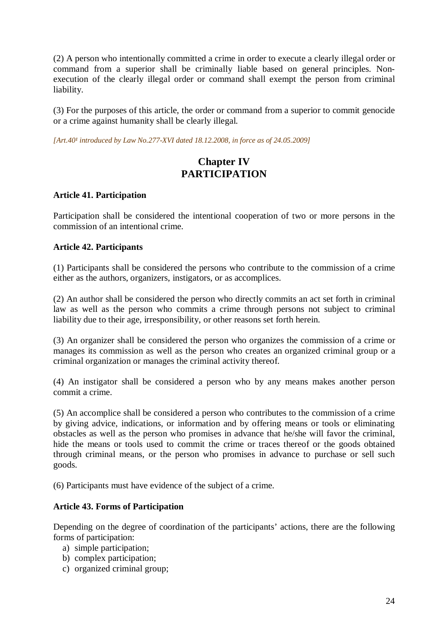(2) A person who intentionally committed a crime in order to execute a clearly illegal order or command from a superior shall be criminally liable based on general principles. Nonexecution of the clearly illegal order or command shall exempt the person from criminal liability.

(3) For the purposes of this article, the order or command from a superior to commit genocide or a crime against humanity shall be clearly illegal.

[Art.40<sup>1</sup> introduced by Law No.277-XVI dated 18.12.2008, in force as of 24.05.2009]

# **Chapter IV PARTICIPATION**

# **Article 41. Participation**

Participation shall be considered the intentional cooperation of two or more persons in the commission of an intentional crime.

### **Article 42. Participants**

(1) Participants shall be considered the persons who contribute to the commission of a crime either as the authors, organizers, instigators, or as accomplices.

(2) An author shall be considered the person who directly commits an act set forth in criminal law as well as the person who commits a crime through persons not subject to criminal liability due to their age, irresponsibility, or other reasons set forth herein.

(3) An organizer shall be considered the person who organizes the commission of a crime or manages its commission as well as the person who creates an organized criminal group or a criminal organization or manages the criminal activity thereof.

(4) An instigator shall be considered a person who by any means makes another person commit a crime.

(5) An accomplice shall be considered a person who contributes to the commission of a crime by giving advice, indications, or information and by offering means or tools or eliminating obstacles as well as the person who promises in advance that he/she will favor the criminal, hide the means or tools used to commit the crime or traces thereof or the goods obtained through criminal means, or the person who promises in advance to purchase or sell such goods.

(6) Participants must have evidence of the subject of a crime.

# **Article 43. Forms of Participation**

Depending on the degree of coordination of the participants' actions, there are the following forms of participation:

- a) simple participation;
- b) complex participation;
- c) organized criminal group;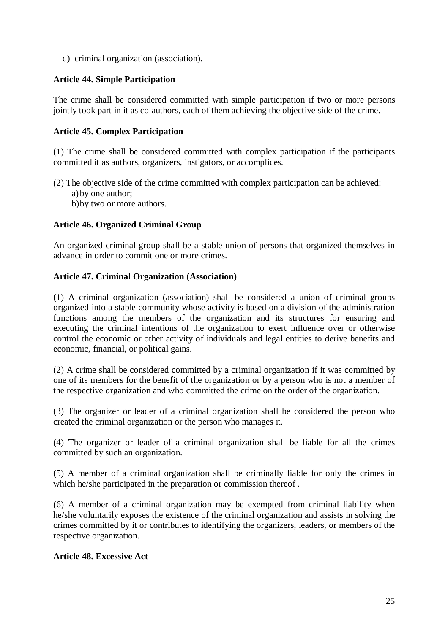d) criminal organization (association).

# **Article 44. Simple Participation**

The crime shall be considered committed with simple participation if two or more persons jointly took part in it as co-authors, each of them achieving the objective side of the crime.

### **Article 45. Complex Participation**

(1) The crime shall be considered committed with complex participation if the participants committed it as authors, organizers, instigators, or accomplices.

(2) The objective side of the crime committed with complex participation can be achieved: a) by one author;

b)by two or more authors.

### **Article 46. Organized Criminal Group**

An organized criminal group shall be a stable union of persons that organized themselves in advance in order to commit one or more crimes.

### **Article 47. Criminal Organization (Association)**

(1) A criminal organization (association) shall be considered a union of criminal groups organized into a stable community whose activity is based on a division of the administration functions among the members of the organization and its structures for ensuring and executing the criminal intentions of the organization to exert influence over or otherwise control the economic or other activity of individuals and legal entities to derive benefits and economic, financial, or political gains.

(2) A crime shall be considered committed by a criminal organization if it was committed by one of its members for the benefit of the organization or by a person who is not a member of the respective organization and who committed the crime on the order of the organization.

(3) The organizer or leader of a criminal organization shall be considered the person who created the criminal organization or the person who manages it.

(4) The organizer or leader of a criminal organization shall be liable for all the crimes committed by such an organization.

(5) A member of a criminal organization shall be criminally liable for only the crimes in which he/she participated in the preparation or commission thereof .

(6) A member of a criminal organization may be exempted from criminal liability when he/she voluntarily exposes the existence of the criminal organization and assists in solving the crimes committed by it or contributes to identifying the organizers, leaders, or members of the respective organization.

### **Article 48. Excessive Act**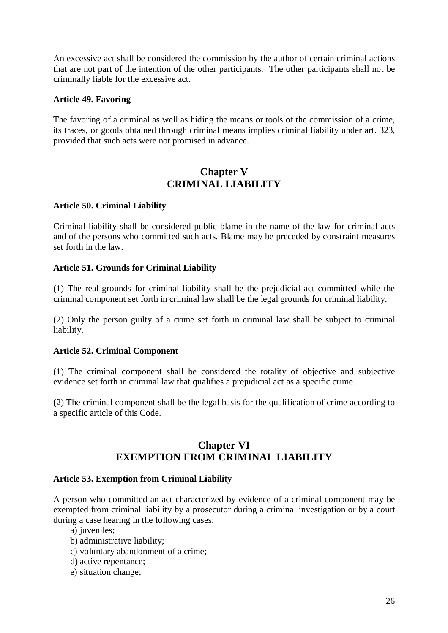An excessive act shall be considered the commission by the author of certain criminal actions that are not part of the intention of the other participants. The other participants shall not be criminally liable for the excessive act.

### **Article 49. Favoring**

The favoring of a criminal as well as hiding the means or tools of the commission of a crime, its traces, or goods obtained through criminal means implies criminal liability under art. 323, provided that such acts were not promised in advance.

# **Chapter V CRIMINAL LIABILITY**

### **Article 50. Criminal Liability**

Criminal liability shall be considered public blame in the name of the law for criminal acts and of the persons who committed such acts. Blame may be preceded by constraint measures set forth in the law.

### **Article 51. Grounds for Criminal Liability**

(1) The real grounds for criminal liability shall be the prejudicial act committed while the criminal component set forth in criminal law shall be the legal grounds for criminal liability.

(2) Only the person guilty of a crime set forth in criminal law shall be subject to criminal liability.

### **Article 52. Criminal Component**

(1) The criminal component shall be considered the totality of objective and subjective evidence set forth in criminal law that qualifies a prejudicial act as a specific crime.

(2) The criminal component shall be the legal basis for the qualification of crime according to a specific article of this Code.

# **Chapter VI EXEMPTION FROM CRIMINAL LIABILITY**

### **Article 53. Exemption from Criminal Liability**

A person who committed an act characterized by evidence of a criminal component may be exempted from criminal liability by a prosecutor during a criminal investigation or by a court during a case hearing in the following cases:

a) juveniles;

- b) administrative liability;
- c) voluntary abandonment of a crime;
- d) active repentance;
- e) situation change;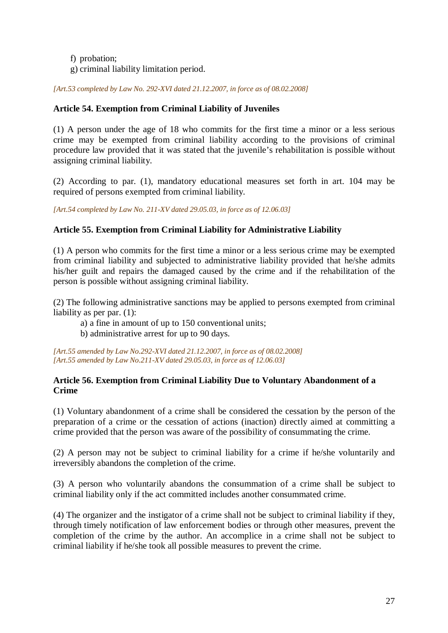- f) probation;
- g) criminal liability limitation period.

*[Art.53 completed by Law No. 292-XVI dated 21.12.2007, in force as of 08.02.2008]*

# **Article 54. Exemption from Criminal Liability of Juveniles**

(1) A person under the age of 18 who commits for the first time a minor or a less serious crime may be exempted from criminal liability according to the provisions of criminal procedure law provided that it was stated that the juvenile's rehabilitation is possible without assigning criminal liability.

(2) According to par. (1), mandatory educational measures set forth in art. 104 may be required of persons exempted from criminal liability.

*[Art.54 completed by Law No. 211-XV dated 29.05.03, in force as of 12.06.03]* 

# **Article 55. Exemption from Criminal Liability for Administrative Liability**

(1) A person who commits for the first time a minor or a less serious crime may be exempted from criminal liability and subjected to administrative liability provided that he/she admits his/her guilt and repairs the damaged caused by the crime and if the rehabilitation of the person is possible without assigning criminal liability.

(2) The following administrative sanctions may be applied to persons exempted from criminal liability as per par. (1):

- a) a fine in amount of up to 150 conventional units;
- b) administrative arrest for up to 90 days.

*[Art.55 amended by Law No.292-XVI dated 21.12.2007, in force as of 08.02.2008] [Art.55 amended by Law No.211-XV dated 29.05.03, in force as of 12.06.03]* 

# **Article 56. Exemption from Criminal Liability Due to Voluntary Abandonment of a Crime**

(1) Voluntary abandonment of a crime shall be considered the cessation by the person of the preparation of a crime or the cessation of actions (inaction) directly aimed at committing a crime provided that the person was aware of the possibility of consummating the crime.

(2) A person may not be subject to criminal liability for a crime if he/she voluntarily and irreversibly abandons the completion of the crime.

(3) A person who voluntarily abandons the consummation of a crime shall be subject to criminal liability only if the act committed includes another consummated crime.

(4) The organizer and the instigator of a crime shall not be subject to criminal liability if they, through timely notification of law enforcement bodies or through other measures, prevent the completion of the crime by the author. An accomplice in a crime shall not be subject to criminal liability if he/she took all possible measures to prevent the crime.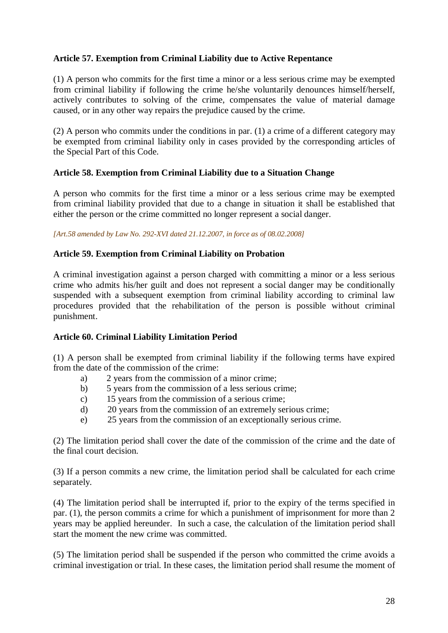# **Article 57. Exemption from Criminal Liability due to Active Repentance**

(1) A person who commits for the first time a minor or a less serious crime may be exempted from criminal liability if following the crime he/she voluntarily denounces himself/herself, actively contributes to solving of the crime, compensates the value of material damage caused, or in any other way repairs the prejudice caused by the crime.

(2) A person who commits under the conditions in par. (1) a crime of a different category may be exempted from criminal liability only in cases provided by the corresponding articles of the Special Part of this Code.

### **Article 58. Exemption from Criminal Liability due to a Situation Change**

A person who commits for the first time a minor or a less serious crime may be exempted from criminal liability provided that due to a change in situation it shall be established that either the person or the crime committed no longer represent a social danger.

*[Art.58 amended by Law No. 292-XVI dated 21.12.2007, in force as of 08.02.2008]*

### **Article 59. Exemption from Criminal Liability on Probation**

A criminal investigation against a person charged with committing a minor or a less serious crime who admits his/her guilt and does not represent a social danger may be conditionally suspended with a subsequent exemption from criminal liability according to criminal law procedures provided that the rehabilitation of the person is possible without criminal punishment.

### **Article 60. Criminal Liability Limitation Period**

(1) A person shall be exempted from criminal liability if the following terms have expired from the date of the commission of the crime:

- a) 2 years from the commission of a minor crime;
- b) 5 years from the commission of a less serious crime;
- c) 15 years from the commission of a serious crime;
- d) 20 years from the commission of an extremely serious crime;
- e) 25 years from the commission of an exceptionally serious crime.

(2) The limitation period shall cover the date of the commission of the crime and the date of the final court decision.

(3) If a person commits a new crime, the limitation period shall be calculated for each crime separately.

(4) The limitation period shall be interrupted if, prior to the expiry of the terms specified in par. (1), the person commits a crime for which a punishment of imprisonment for more than 2 years may be applied hereunder. In such a case, the calculation of the limitation period shall start the moment the new crime was committed.

(5) The limitation period shall be suspended if the person who committed the crime avoids a criminal investigation or trial. In these cases, the limitation period shall resume the moment of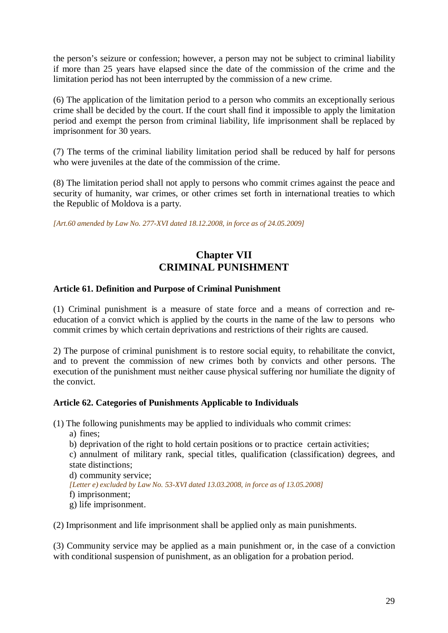the person's seizure or confession; however, a person may not be subject to criminal liability if more than 25 years have elapsed since the date of the commission of the crime and the limitation period has not been interrupted by the commission of a new crime.

(6) The application of the limitation period to a person who commits an exceptionally serious crime shall be decided by the court. If the court shall find it impossible to apply the limitation period and exempt the person from criminal liability, life imprisonment shall be replaced by imprisonment for 30 years.

(7) The terms of the criminal liability limitation period shall be reduced by half for persons who were juveniles at the date of the commission of the crime.

(8) The limitation period shall not apply to persons who commit crimes against the peace and security of humanity, war crimes, or other crimes set forth in international treaties to which the Republic of Moldova is a party.

*[Art.60 amended by Law No. 277-XVI dated 18.12.2008, in force as of 24.05.2009]* 

# **Chapter VII CRIMINAL PUNISHMENT**

# **Article 61. Definition and Purpose of Criminal Punishment**

(1) Criminal punishment is a measure of state force and a means of correction and reeducation of a convict which is applied by the courts in the name of the law to persons who commit crimes by which certain deprivations and restrictions of their rights are caused.

2) The purpose of criminal punishment is to restore social equity, to rehabilitate the convict, and to prevent the commission of new crimes both by convicts and other persons. The execution of the punishment must neither cause physical suffering nor humiliate the dignity of the convict.

### **Article 62. Categories of Punishments Applicable to Individuals**

(1) The following punishments may be applied to individuals who commit crimes:

a) fines;

b) deprivation of the right to hold certain positions or to practice certain activities;

c) annulment of military rank, special titles, qualification (classification) degrees, and state distinctions;

d) community service; *[Letter e) excluded by Law No. 53-XVI dated 13.03.2008, in force as of 13.05.2008]* 

f) imprisonment;

g) life imprisonment.

(2) Imprisonment and life imprisonment shall be applied only as main punishments.

(3) Community service may be applied as a main punishment or, in the case of a conviction with conditional suspension of punishment, as an obligation for a probation period.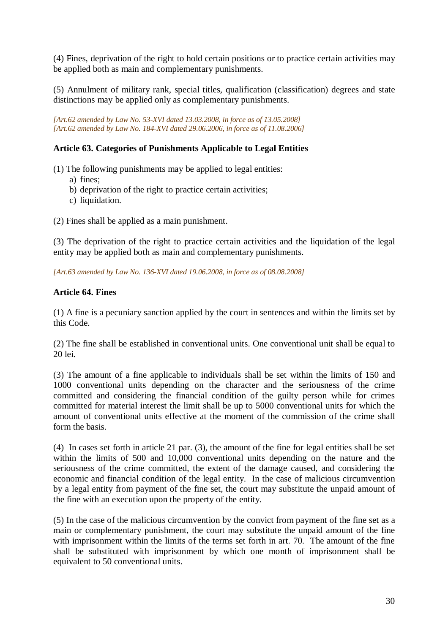(4) Fines, deprivation of the right to hold certain positions or to practice certain activities may be applied both as main and complementary punishments.

(5) Annulment of military rank, special titles, qualification (classification) degrees and state distinctions may be applied only as complementary punishments.

*[Art.62 amended by Law No. 53-XVI dated 13.03.2008, in force as of 13.05.2008] [Art.62 amended by Law No. 184-XVI dated 29.06.2006, in force as of 11.08.2006]* 

# **Article 63. Categories of Punishments Applicable to Legal Entities**

- (1) The following punishments may be applied to legal entities:
	- a) fines;
	- b) deprivation of the right to practice certain activities;
	- c) liquidation.
- (2) Fines shall be applied as a main punishment.

(3) The deprivation of the right to practice certain activities and the liquidation of the legal entity may be applied both as main and complementary punishments.

*[Art.63 amended by Law No. 136-XVI dated 19.06.2008, in force as of 08.08.2008]*

# **Article 64. Fines**

(1) A fine is a pecuniary sanction applied by the court in sentences and within the limits set by this Code.

(2) The fine shall be established in conventional units. One conventional unit shall be equal to 20 lei.

(3) The amount of a fine applicable to individuals shall be set within the limits of 150 and 1000 conventional units depending on the character and the seriousness of the crime committed and considering the financial condition of the guilty person while for crimes committed for material interest the limit shall be up to 5000 conventional units for which the amount of conventional units effective at the moment of the commission of the crime shall form the basis.

(4) In cases set forth in article 21 par. (3), the amount of the fine for legal entities shall be set within the limits of 500 and 10,000 conventional units depending on the nature and the seriousness of the crime committed, the extent of the damage caused, and considering the economic and financial condition of the legal entity. In the case of malicious circumvention by a legal entity from payment of the fine set, the court may substitute the unpaid amount of the fine with an execution upon the property of the entity.

(5) In the case of the malicious circumvention by the convict from payment of the fine set as a main or complementary punishment, the court may substitute the unpaid amount of the fine with imprisonment within the limits of the terms set forth in art. 70. The amount of the fine shall be substituted with imprisonment by which one month of imprisonment shall be equivalent to 50 conventional units.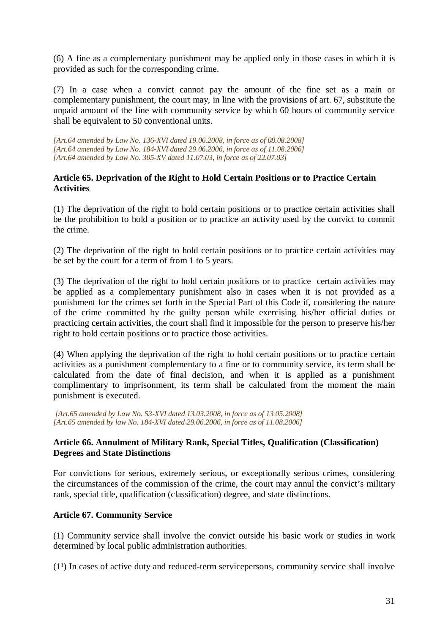(6) A fine as a complementary punishment may be applied only in those cases in which it is provided as such for the corresponding crime.

(7) In a case when a convict cannot pay the amount of the fine set as a main or complementary punishment, the court may, in line with the provisions of art. 67, substitute the unpaid amount of the fine with community service by which 60 hours of community service shall be equivalent to 50 conventional units.

*[Art.64 amended by Law No. 136-XVI dated 19.06.2008, in force as of 08.08.2008] [Art.64 amended by Law No. 184-XVI dated 29.06.2006, in force as of 11.08.2006] [Art.64 amended by Law No. 305-XV dated 11.07.03, in force as of 22.07.03]* 

### **Article 65. Deprivation of the Right to Hold Certain Positions or to Practice Certain Activities**

(1) The deprivation of the right to hold certain positions or to practice certain activities shall be the prohibition to hold a position or to practice an activity used by the convict to commit the crime.

(2) The deprivation of the right to hold certain positions or to practice certain activities may be set by the court for a term of from 1 to 5 years.

(3) The deprivation of the right to hold certain positions or to practice certain activities may be applied as a complementary punishment also in cases when it is not provided as a punishment for the crimes set forth in the Special Part of this Code if, considering the nature of the crime committed by the guilty person while exercising his/her official duties or practicing certain activities, the court shall find it impossible for the person to preserve his/her right to hold certain positions or to practice those activities.

(4) When applying the deprivation of the right to hold certain positions or to practice certain activities as a punishment complementary to a fine or to community service, its term shall be calculated from the date of final decision, and when it is applied as a punishment complimentary to imprisonment, its term shall be calculated from the moment the main punishment is executed.

 *[Art.65 amended by Law No. 53-XVI dated 13.03.2008, in force as of 13.05.2008] [Art.65 amended by law No. 184-XVI dated 29.06.2006, in force as of 11.08.2006]* 

# **Article 66. Annulment of Military Rank, Special Titles, Qualification (Classification) Degrees and State Distinctions**

For convictions for serious, extremely serious, or exceptionally serious crimes, considering the circumstances of the commission of the crime, the court may annul the convict's military rank, special title, qualification (classification) degree, and state distinctions.

# **Article 67. Community Service**

(1) Community service shall involve the convict outside his basic work or studies in work determined by local public administration authorities.

 $(1<sup>1</sup>)$  In cases of active duty and reduced-term servicepersons, community service shall involve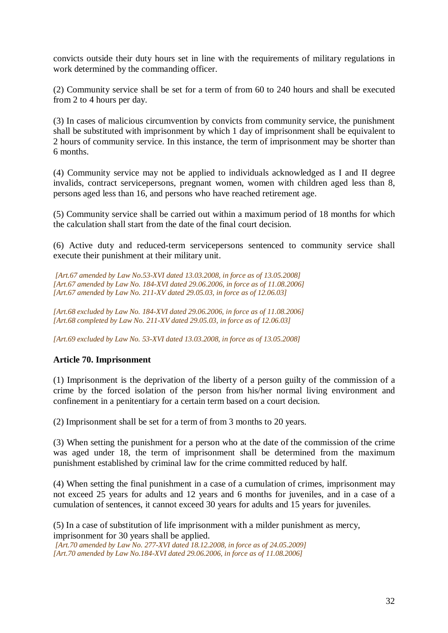convicts outside their duty hours set in line with the requirements of military regulations in work determined by the commanding officer.

(2) Community service shall be set for a term of from 60 to 240 hours and shall be executed from 2 to 4 hours per day.

(3) In cases of malicious circumvention by convicts from community service, the punishment shall be substituted with imprisonment by which 1 day of imprisonment shall be equivalent to 2 hours of community service. In this instance, the term of imprisonment may be shorter than 6 months.

(4) Community service may not be applied to individuals acknowledged as I and II degree invalids, contract servicepersons, pregnant women, women with children aged less than 8, persons aged less than 16, and persons who have reached retirement age.

(5) Community service shall be carried out within a maximum period of 18 months for which the calculation shall start from the date of the final court decision.

(6) Active duty and reduced-term servicepersons sentenced to community service shall execute their punishment at their military unit.

 *[Art.67 amended by Law No.53-XVI dated 13.03.2008, in force as of 13.05.2008] [Art.67 amended by Law No. 184-XVI dated 29.06.2006, in force as of 11.08.2006] [Art.67 amended by Law No. 211-XV dated 29.05.03, in force as of 12.06.03]* 

*[Art.68 excluded by Law No. 184-XVI dated 29.06.2006, in force as of 11.08.2006] [Art.68 completed by Law No. 211-XV dated 29.05.03, in force as of 12.06.03]* 

*[Art.69 excluded by Law No. 53-XVI dated 13.03.2008, in force as of 13.05.2008]* 

# **Article 70. Imprisonment**

(1) Imprisonment is the deprivation of the liberty of a person guilty of the commission of a crime by the forced isolation of the person from his/her normal living environment and confinement in a penitentiary for a certain term based on a court decision.

(2) Imprisonment shall be set for a term of from 3 months to 20 years.

(3) When setting the punishment for a person who at the date of the commission of the crime was aged under 18, the term of imprisonment shall be determined from the maximum punishment established by criminal law for the crime committed reduced by half.

(4) When setting the final punishment in a case of a cumulation of crimes, imprisonment may not exceed 25 years for adults and 12 years and 6 months for juveniles, and in a case of a cumulation of sentences, it cannot exceed 30 years for adults and 15 years for juveniles.

(5) In a case of substitution of life imprisonment with a milder punishment as mercy, imprisonment for 30 years shall be applied.

 *[Art.70 amended by Law No. 277-XVI dated 18.12.2008, in force as of 24.05.2009] [Art.70 amended by Law No.184-XVI dated 29.06.2006, in force as of 11.08.2006]*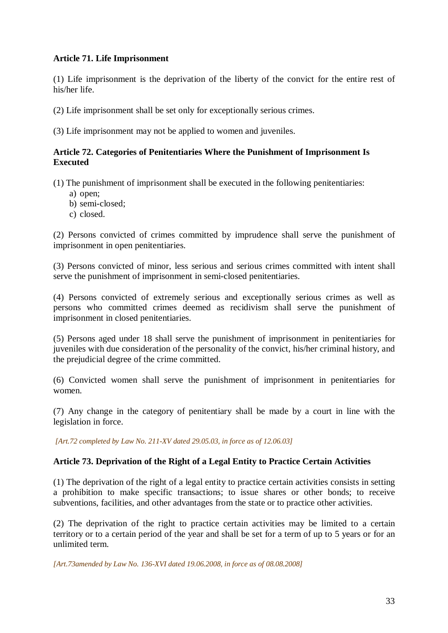### **Article 71. Life Imprisonment**

(1) Life imprisonment is the deprivation of the liberty of the convict for the entire rest of his/her life.

(2) Life imprisonment shall be set only for exceptionally serious crimes.

(3) Life imprisonment may not be applied to women and juveniles.

### **Article 72. Categories of Penitentiaries Where the Punishment of Imprisonment Is Executed**

(1) The punishment of imprisonment shall be executed in the following penitentiaries:

- a) open;
- b) semi-closed;
- c) closed.

(2) Persons convicted of crimes committed by imprudence shall serve the punishment of imprisonment in open penitentiaries.

(3) Persons convicted of minor, less serious and serious crimes committed with intent shall serve the punishment of imprisonment in semi-closed penitentiaries.

(4) Persons convicted of extremely serious and exceptionally serious crimes as well as persons who committed crimes deemed as recidivism shall serve the punishment of imprisonment in closed penitentiaries.

(5) Persons aged under 18 shall serve the punishment of imprisonment in penitentiaries for juveniles with due consideration of the personality of the convict, his/her criminal history, and the prejudicial degree of the crime committed.

(6) Convicted women shall serve the punishment of imprisonment in penitentiaries for women.

(7) Any change in the category of penitentiary shall be made by a court in line with the legislation in force.

 *[Art.72 completed by Law No. 211-XV dated 29.05.03, in force as of 12.06.03]* 

# **Article 73. Deprivation of the Right of a Legal Entity to Practice Certain Activities**

(1) The deprivation of the right of a legal entity to practice certain activities consists in setting a prohibition to make specific transactions; to issue shares or other bonds; to receive subventions, facilities, and other advantages from the state or to practice other activities.

(2) The deprivation of the right to practice certain activities may be limited to a certain territory or to a certain period of the year and shall be set for a term of up to 5 years or for an unlimited term.

*[Art.73amended by Law No. 136-XVI dated 19.06.2008, in force as of 08.08.2008]*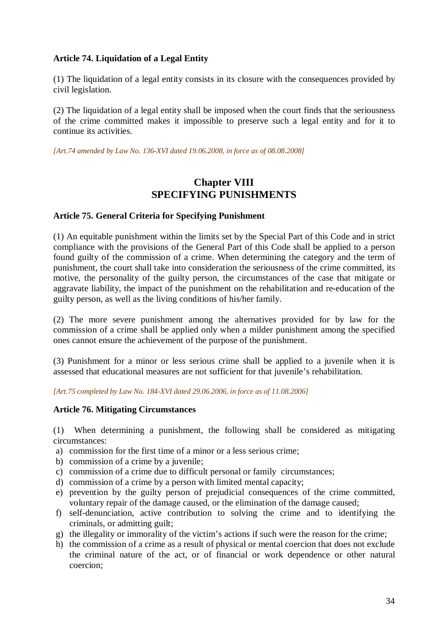# **Article 74. Liquidation of a Legal Entity**

(1) The liquidation of a legal entity consists in its closure with the consequences provided by civil legislation.

(2) The liquidation of a legal entity shall be imposed when the court finds that the seriousness of the crime committed makes it impossible to preserve such a legal entity and for it to continue its activities.

*[Art.74 amended by Law No. 136-XVI dated 19.06.2008, in force as of 08.08.2008]*

# **Chapter VIII SPECIFYING PUNISHMENTS**

### **Article 75. General Criteria for Specifying Punishment**

(1) An equitable punishment within the limits set by the Special Part of this Code and in strict compliance with the provisions of the General Part of this Code shall be applied to a person found guilty of the commission of a crime. When determining the category and the term of punishment, the court shall take into consideration the seriousness of the crime committed, its motive, the personality of the guilty person, the circumstances of the case that mitigate or aggravate liability, the impact of the punishment on the rehabilitation and re-education of the guilty person, as well as the living conditions of his/her family.

(2) The more severe punishment among the alternatives provided for by law for the commission of a crime shall be applied only when a milder punishment among the specified ones cannot ensure the achievement of the purpose of the punishment.

(3) Punishment for a minor or less serious crime shall be applied to a juvenile when it is assessed that educational measures are not sufficient for that juvenile's rehabilitation.

*[Art.75 completed by Law No. 184-XVI dated 29.06.2006, in force as of 11.08.2006]* 

### **Article 76. Mitigating Circumstances**

(1) When determining a punishment, the following shall be considered as mitigating circumstances:

- a) commission for the first time of a minor or a less serious crime;
- b) commission of a crime by a juvenile;
- c) commission of a crime due to difficult personal or family circumstances;
- d) commission of a crime by a person with limited mental capacity;
- e) prevention by the guilty person of prejudicial consequences of the crime committed, voluntary repair of the damage caused, or the elimination of the damage caused;
- f) self-denunciation, active contribution to solving the crime and to identifying the criminals, or admitting guilt;
- g) the illegality or immorality of the victim's actions if such were the reason for the crime;
- h) the commission of a crime as a result of physical or mental coercion that does not exclude the criminal nature of the act, or of financial or work dependence or other natural coercion;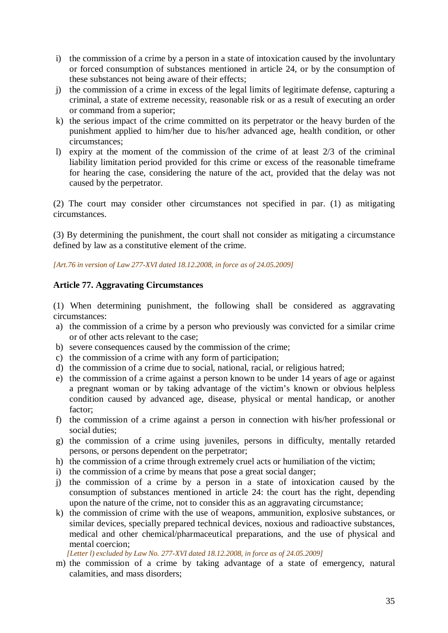- i) the commission of a crime by a person in a state of intoxication caused by the involuntary or forced consumption of substances mentioned in article 24, or by the consumption of these substances not being aware of their effects;
- j) the commission of a crime in excess of the legal limits of legitimate defense, capturing a criminal, a state of extreme necessity, reasonable risk or as a result of executing an order or command from a superior;
- k) the serious impact of the crime committed on its perpetrator or the heavy burden of the punishment applied to him/her due to his/her advanced age, health condition, or other circumstances;
- l) expiry at the moment of the commission of the crime of at least 2/3 of the criminal liability limitation period provided for this crime or excess of the reasonable timeframe for hearing the case, considering the nature of the act, provided that the delay was not caused by the perpetrator.

(2) The court may consider other circumstances not specified in par. (1) as mitigating circumstances.

(3) By determining the punishment, the court shall not consider as mitigating a circumstance defined by law as a constitutive element of the crime.

*[Art.76 in version of Law 277-XVI dated 18.12.2008, in force as of 24.05.2009]* 

### **Article 77. Aggravating Circumstances**

(1) When determining punishment, the following shall be considered as aggravating circumstances:

- a) the commission of a crime by a person who previously was convicted for a similar crime or of other acts relevant to the case;
- b) severe consequences caused by the commission of the crime;
- c) the commission of a crime with any form of participation;
- d) the commission of a crime due to social, national, racial, or religious hatred;
- e) the commission of a crime against a person known to be under 14 years of age or against a pregnant woman or by taking advantage of the victim's known or obvious helpless condition caused by advanced age, disease, physical or mental handicap, or another factor;
- f) the commission of a crime against a person in connection with his/her professional or social duties;
- g) the commission of a crime using juveniles, persons in difficulty, mentally retarded persons, or persons dependent on the perpetrator;
- h) the commission of a crime through extremely cruel acts or humiliation of the victim;
- i) the commission of a crime by means that pose a great social danger;
- j) the commission of a crime by a person in a state of intoxication caused by the consumption of substances mentioned in article 24: the court has the right, depending upon the nature of the crime, not to consider this as an aggravating circumstance;
- k) the commission of crime with the use of weapons, ammunition, explosive substances, or similar devices, specially prepared technical devices, noxious and radioactive substances, medical and other chemical/pharmaceutical preparations, and the use of physical and mental coercion;

*[Letter l) excluded by Law No. 277-XVI dated 18.12.2008, in force as of 24.05.2009]* 

m) the commission of a crime by taking advantage of a state of emergency, natural calamities, and mass disorders;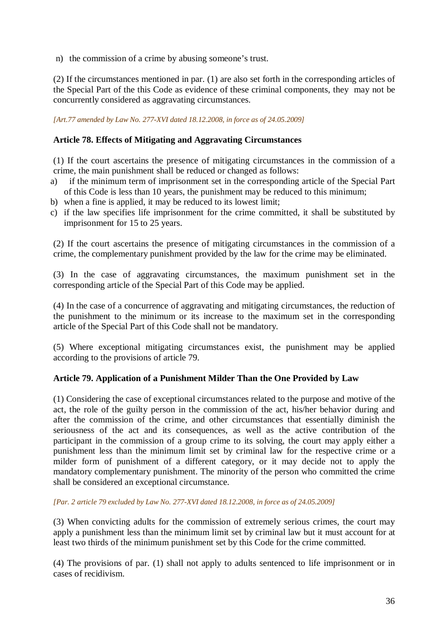n) the commission of a crime by abusing someone's trust.

(2) If the circumstances mentioned in par. (1) are also set forth in the corresponding articles of the Special Part of the this Code as evidence of these criminal components, they may not be concurrently considered as aggravating circumstances.

*[Art.77 amended by Law No. 277-XVI dated 18.12.2008, in force as of 24.05.2009]* 

# **Article 78. Effects of Mitigating and Aggravating Circumstances**

(1) If the court ascertains the presence of mitigating circumstances in the commission of a crime, the main punishment shall be reduced or changed as follows:

- a) if the minimum term of imprisonment set in the corresponding article of the Special Part of this Code is less than 10 years, the punishment may be reduced to this minimum;
- b) when a fine is applied, it may be reduced to its lowest limit:
- c) if the law specifies life imprisonment for the crime committed, it shall be substituted by imprisonment for 15 to 25 years.

(2) If the court ascertains the presence of mitigating circumstances in the commission of a crime, the complementary punishment provided by the law for the crime may be eliminated.

(3) In the case of aggravating circumstances, the maximum punishment set in the corresponding article of the Special Part of this Code may be applied.

(4) In the case of a concurrence of aggravating and mitigating circumstances, the reduction of the punishment to the minimum or its increase to the maximum set in the corresponding article of the Special Part of this Code shall not be mandatory.

(5) Where exceptional mitigating circumstances exist, the punishment may be applied according to the provisions of article 79.

### **Article 79. Application of a Punishment Milder Than the One Provided by Law**

(1) Considering the case of exceptional circumstances related to the purpose and motive of the act, the role of the guilty person in the commission of the act, his/her behavior during and after the commission of the crime, and other circumstances that essentially diminish the seriousness of the act and its consequences, as well as the active contribution of the participant in the commission of a group crime to its solving, the court may apply either a punishment less than the minimum limit set by criminal law for the respective crime or a milder form of punishment of a different category, or it may decide not to apply the mandatory complementary punishment. The minority of the person who committed the crime shall be considered an exceptional circumstance.

*[Par. 2 article 79 excluded by Law No. 277-XVI dated 18.12.2008, in force as of 24.05.2009]* 

(3) When convicting adults for the commission of extremely serious crimes, the court may apply a punishment less than the minimum limit set by criminal law but it must account for at least two thirds of the minimum punishment set by this Code for the crime committed.

(4) The provisions of par. (1) shall not apply to adults sentenced to life imprisonment or in cases of recidivism.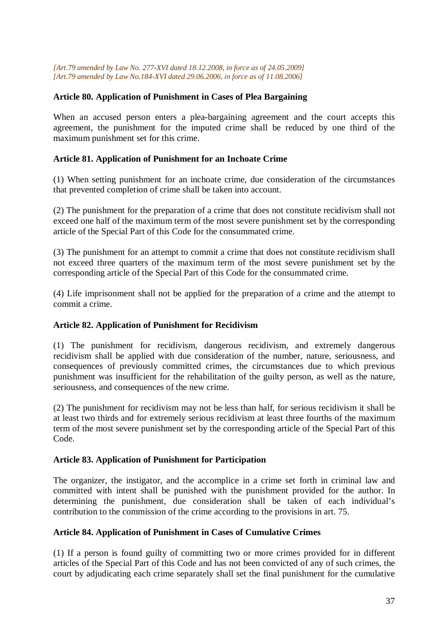*[Art.79 amended by Law No. 277-XVI dated 18.12.2008, in force as of 24.05.2009] [Art.79 amended by Law No.184-XVI dated 29.06.2006, in force as of 11.08.2006]* 

## **Article 80. Application of Punishment in Cases of Plea Bargaining**

When an accused person enters a plea-bargaining agreement and the court accepts this agreement, the punishment for the imputed crime shall be reduced by one third of the maximum punishment set for this crime.

## **Article 81. Application of Punishment for an Inchoate Crime**

(1) When setting punishment for an inchoate crime, due consideration of the circumstances that prevented completion of crime shall be taken into account.

(2) The punishment for the preparation of a crime that does not constitute recidivism shall not exceed one half of the maximum term of the most severe punishment set by the corresponding article of the Special Part of this Code for the consummated crime.

(3) The punishment for an attempt to commit a crime that does not constitute recidivism shall not exceed three quarters of the maximum term of the most severe punishment set by the corresponding article of the Special Part of this Code for the consummated crime.

(4) Life imprisonment shall not be applied for the preparation of a crime and the attempt to commit a crime.

# **Article 82. Application of Punishment for Recidivism**

(1) The punishment for recidivism, dangerous recidivism, and extremely dangerous recidivism shall be applied with due consideration of the number, nature, seriousness, and consequences of previously committed crimes, the circumstances due to which previous punishment was insufficient for the rehabilitation of the guilty person, as well as the nature, seriousness, and consequences of the new crime.

(2) The punishment for recidivism may not be less than half, for serious recidivism it shall be at least two thirds and for extremely serious recidivism at least three fourths of the maximum term of the most severe punishment set by the corresponding article of the Special Part of this Code.

### **Article 83. Application of Punishment for Participation**

The organizer, the instigator, and the accomplice in a crime set forth in criminal law and committed with intent shall be punished with the punishment provided for the author. In determining the punishment, due consideration shall be taken of each individual's contribution to the commission of the crime according to the provisions in art. 75.

# **Article 84. Application of Punishment in Cases of Cumulative Crimes**

(1) If a person is found guilty of committing two or more crimes provided for in different articles of the Special Part of this Code and has not been convicted of any of such crimes, the court by adjudicating each crime separately shall set the final punishment for the cumulative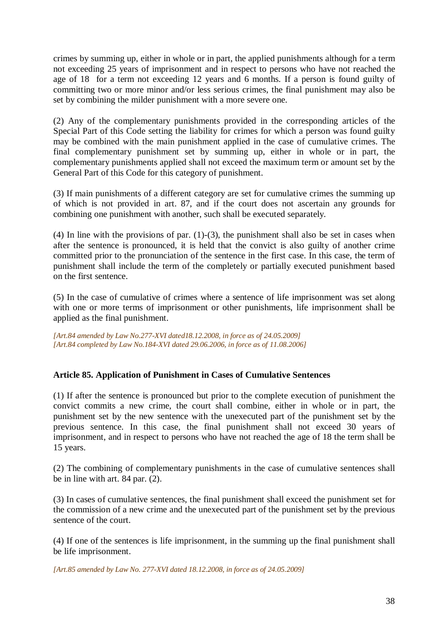crimes by summing up, either in whole or in part, the applied punishments although for a term not exceeding 25 years of imprisonment and in respect to persons who have not reached the age of 18 for a term not exceeding 12 years and 6 months. If a person is found guilty of committing two or more minor and/or less serious crimes, the final punishment may also be set by combining the milder punishment with a more severe one.

(2) Any of the complementary punishments provided in the corresponding articles of the Special Part of this Code setting the liability for crimes for which a person was found guilty may be combined with the main punishment applied in the case of cumulative crimes. The final complementary punishment set by summing up, either in whole or in part, the complementary punishments applied shall not exceed the maximum term or amount set by the General Part of this Code for this category of punishment.

(3) If main punishments of a different category are set for cumulative crimes the summing up of which is not provided in art. 87, and if the court does not ascertain any grounds for combining one punishment with another, such shall be executed separately.

(4) In line with the provisions of par.  $(1)-(3)$ , the punishment shall also be set in cases when after the sentence is pronounced, it is held that the convict is also guilty of another crime committed prior to the pronunciation of the sentence in the first case. In this case, the term of punishment shall include the term of the completely or partially executed punishment based on the first sentence.

(5) In the case of cumulative of crimes where a sentence of life imprisonment was set along with one or more terms of imprisonment or other punishments, life imprisonment shall be applied as the final punishment.

*[Art.84 amended by Law No.277-XVI dated18.12.2008, in force as of 24.05.2009] [Art.84 completed by Law No.184-XVI dated 29.06.2006, in force as of 11.08.2006]*

# **Article 85. Application of Punishment in Cases of Cumulative Sentences**

(1) If after the sentence is pronounced but prior to the complete execution of punishment the convict commits a new crime, the court shall combine, either in whole or in part, the punishment set by the new sentence with the unexecuted part of the punishment set by the previous sentence. In this case, the final punishment shall not exceed 30 years of imprisonment, and in respect to persons who have not reached the age of 18 the term shall be 15 years.

(2) The combining of complementary punishments in the case of cumulative sentences shall be in line with art. 84 par. (2).

(3) In cases of cumulative sentences, the final punishment shall exceed the punishment set for the commission of a new crime and the unexecuted part of the punishment set by the previous sentence of the court.

(4) If one of the sentences is life imprisonment, in the summing up the final punishment shall be life imprisonment.

*[Art.85 amended by Law No. 277-XVI dated 18.12.2008, in force as of 24.05.2009]*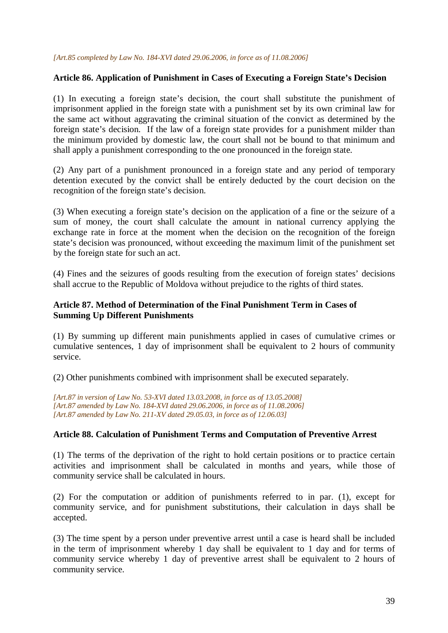## **Article 86. Application of Punishment in Cases of Executing a Foreign State's Decision**

(1) In executing a foreign state's decision, the court shall substitute the punishment of imprisonment applied in the foreign state with a punishment set by its own criminal law for the same act without aggravating the criminal situation of the convict as determined by the foreign state's decision. If the law of a foreign state provides for a punishment milder than the minimum provided by domestic law, the court shall not be bound to that minimum and shall apply a punishment corresponding to the one pronounced in the foreign state.

(2) Any part of a punishment pronounced in a foreign state and any period of temporary detention executed by the convict shall be entirely deducted by the court decision on the recognition of the foreign state's decision.

(3) When executing a foreign state's decision on the application of a fine or the seizure of a sum of money, the court shall calculate the amount in national currency applying the exchange rate in force at the moment when the decision on the recognition of the foreign state's decision was pronounced, without exceeding the maximum limit of the punishment set by the foreign state for such an act.

(4) Fines and the seizures of goods resulting from the execution of foreign states' decisions shall accrue to the Republic of Moldova without prejudice to the rights of third states.

### **Article 87. Method of Determination of the Final Punishment Term in Cases of Summing Up Different Punishments**

(1) By summing up different main punishments applied in cases of cumulative crimes or cumulative sentences, 1 day of imprisonment shall be equivalent to 2 hours of community service.

(2) Other punishments combined with imprisonment shall be executed separately.

*[Art.87 in version of Law No. 53-XVI dated 13.03.2008, in force as of 13.05.2008] [Art.87 amended by Law No. 184-XVI dated 29.06.2006, in force as of 11.08.2006] [Art.87 amended by Law No. 211-XV dated 29.05.03, in force as of 12.06.03]* 

### **Article 88. Calculation of Punishment Terms and Computation of Preventive Arrest**

(1) The terms of the deprivation of the right to hold certain positions or to practice certain activities and imprisonment shall be calculated in months and years, while those of community service shall be calculated in hours.

(2) For the computation or addition of punishments referred to in par. (1), except for community service, and for punishment substitutions, their calculation in days shall be accepted.

(3) The time spent by a person under preventive arrest until a case is heard shall be included in the term of imprisonment whereby 1 day shall be equivalent to 1 day and for terms of community service whereby 1 day of preventive arrest shall be equivalent to 2 hours of community service.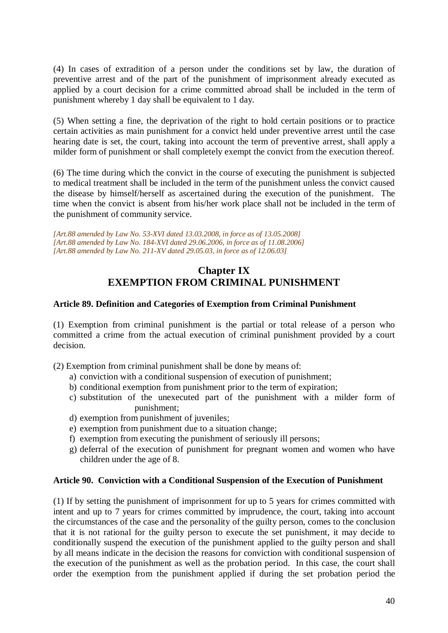(4) In cases of extradition of a person under the conditions set by law, the duration of preventive arrest and of the part of the punishment of imprisonment already executed as applied by a court decision for a crime committed abroad shall be included in the term of punishment whereby 1 day shall be equivalent to 1 day.

(5) When setting a fine, the deprivation of the right to hold certain positions or to practice certain activities as main punishment for a convict held under preventive arrest until the case hearing date is set, the court, taking into account the term of preventive arrest, shall apply a milder form of punishment or shall completely exempt the convict from the execution thereof.

(6) The time during which the convict in the course of executing the punishment is subjected to medical treatment shall be included in the term of the punishment unless the convict caused the disease by himself/herself as ascertained during the execution of the punishment. The time when the convict is absent from his/her work place shall not be included in the term of the punishment of community service.

*[Art.88 amended by Law No. 53-XVI dated 13.03.2008, in force as of 13.05.2008] [Art.88 amended by Law No. 184-XVI dated 29.06.2006, in force as of 11.08.2006] [Art.88 amended by Law No. 211-XV dated 29.05.03, in force as of 12.06.03]* 

# **Chapter IX EXEMPTION FROM CRIMINAL PUNISHMENT**

# **Article 89. Definition and Categories of Exemption from Criminal Punishment**

(1) Exemption from criminal punishment is the partial or total release of a person who committed a crime from the actual execution of criminal punishment provided by a court decision.

(2) Exemption from criminal punishment shall be done by means of:

- a) conviction with a conditional suspension of execution of punishment;
- b) conditional exemption from punishment prior to the term of expiration;
- c) substitution of the unexecuted part of the punishment with a milder form of punishment;
- d) exemption from punishment of juveniles;
- e) exemption from punishment due to a situation change;
- f) exemption from executing the punishment of seriously ill persons;
- g) deferral of the execution of punishment for pregnant women and women who have children under the age of 8.

# **Article 90. Conviction with a Conditional Suspension of the Execution of Punishment**

(1) If by setting the punishment of imprisonment for up to 5 years for crimes committed with intent and up to 7 years for crimes committed by imprudence, the court, taking into account the circumstances of the case and the personality of the guilty person, comes to the conclusion that it is not rational for the guilty person to execute the set punishment, it may decide to conditionally suspend the execution of the punishment applied to the guilty person and shall by all means indicate in the decision the reasons for conviction with conditional suspension of the execution of the punishment as well as the probation period. In this case, the court shall order the exemption from the punishment applied if during the set probation period the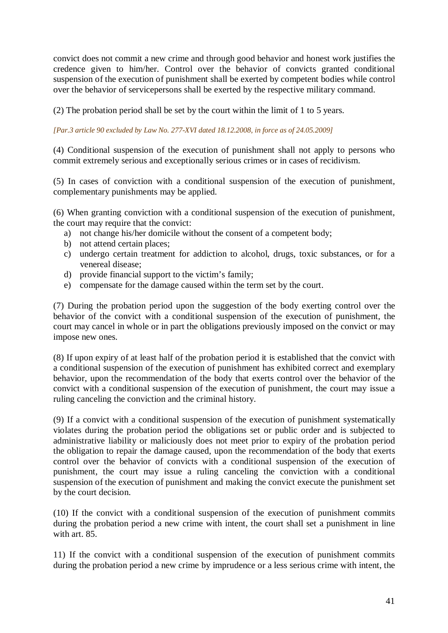convict does not commit a new crime and through good behavior and honest work justifies the credence given to him/her. Control over the behavior of convicts granted conditional suspension of the execution of punishment shall be exerted by competent bodies while control over the behavior of servicepersons shall be exerted by the respective military command.

(2) The probation period shall be set by the court within the limit of 1 to 5 years.

*[Par.3 article 90 excluded by Law No. 277-XVI dated 18.12.2008, in force as of 24.05.2009]* 

(4) Conditional suspension of the execution of punishment shall not apply to persons who commit extremely serious and exceptionally serious crimes or in cases of recidivism.

(5) In cases of conviction with a conditional suspension of the execution of punishment, complementary punishments may be applied.

(6) When granting conviction with a conditional suspension of the execution of punishment, the court may require that the convict:

- a) not change his/her domicile without the consent of a competent body;
- b) not attend certain places;
- c) undergo certain treatment for addiction to alcohol, drugs, toxic substances, or for a venereal disease;
- d) provide financial support to the victim's family;
- e) compensate for the damage caused within the term set by the court.

(7) During the probation period upon the suggestion of the body exerting control over the behavior of the convict with a conditional suspension of the execution of punishment, the court may cancel in whole or in part the obligations previously imposed on the convict or may impose new ones.

(8) If upon expiry of at least half of the probation period it is established that the convict with a conditional suspension of the execution of punishment has exhibited correct and exemplary behavior, upon the recommendation of the body that exerts control over the behavior of the convict with a conditional suspension of the execution of punishment, the court may issue a ruling canceling the conviction and the criminal history.

(9) If a convict with a conditional suspension of the execution of punishment systematically violates during the probation period the obligations set or public order and is subjected to administrative liability or maliciously does not meet prior to expiry of the probation period the obligation to repair the damage caused, upon the recommendation of the body that exerts control over the behavior of convicts with a conditional suspension of the execution of punishment, the court may issue a ruling canceling the conviction with a conditional suspension of the execution of punishment and making the convict execute the punishment set by the court decision.

(10) If the convict with a conditional suspension of the execution of punishment commits during the probation period a new crime with intent, the court shall set a punishment in line with art. 85.

11) If the convict with a conditional suspension of the execution of punishment commits during the probation period a new crime by imprudence or a less serious crime with intent, the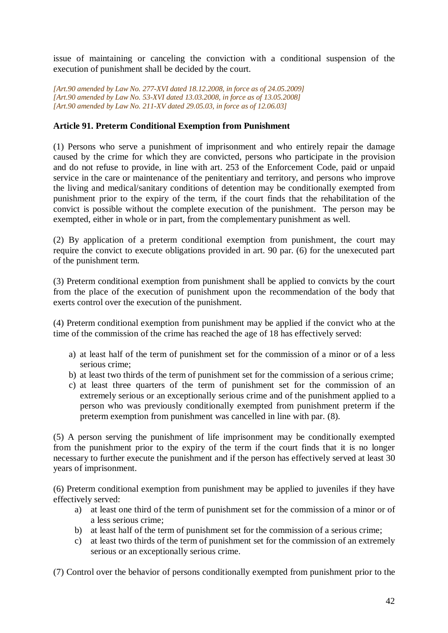issue of maintaining or canceling the conviction with a conditional suspension of the execution of punishment shall be decided by the court.

*[Art.90 amended by Law No. 277-XVI dated 18.12.2008, in force as of 24.05.2009] [Art.90 amended by Law No. 53-XVI dated 13.03.2008, in force as of 13.05.2008] [Art.90 amended by Law No. 211-XV dated 29.05.03, in force as of 12.06.03]*

# **Article 91. Preterm Conditional Exemption from Punishment**

(1) Persons who serve a punishment of imprisonment and who entirely repair the damage caused by the crime for which they are convicted, persons who participate in the provision and do not refuse to provide, in line with art. 253 of the Enforcement Code, paid or unpaid service in the care or maintenance of the penitentiary and territory, and persons who improve the living and medical/sanitary conditions of detention may be conditionally exempted from punishment prior to the expiry of the term, if the court finds that the rehabilitation of the convict is possible without the complete execution of the punishment. The person may be exempted, either in whole or in part, from the complementary punishment as well.

(2) By application of a preterm conditional exemption from punishment, the court may require the convict to execute obligations provided in art. 90 par. (6) for the unexecuted part of the punishment term.

(3) Preterm conditional exemption from punishment shall be applied to convicts by the court from the place of the execution of punishment upon the recommendation of the body that exerts control over the execution of the punishment.

(4) Preterm conditional exemption from punishment may be applied if the convict who at the time of the commission of the crime has reached the age of 18 has effectively served:

- a) at least half of the term of punishment set for the commission of a minor or of a less serious crime;
- b) at least two thirds of the term of punishment set for the commission of a serious crime;
- c) at least three quarters of the term of punishment set for the commission of an extremely serious or an exceptionally serious crime and of the punishment applied to a person who was previously conditionally exempted from punishment preterm if the preterm exemption from punishment was cancelled in line with par. (8).

(5) A person serving the punishment of life imprisonment may be conditionally exempted from the punishment prior to the expiry of the term if the court finds that it is no longer necessary to further execute the punishment and if the person has effectively served at least 30 years of imprisonment.

(6) Preterm conditional exemption from punishment may be applied to juveniles if they have effectively served:

- a) at least one third of the term of punishment set for the commission of a minor or of a less serious crime;
- b) at least half of the term of punishment set for the commission of a serious crime;
- c) at least two thirds of the term of punishment set for the commission of an extremely serious or an exceptionally serious crime.

(7) Control over the behavior of persons conditionally exempted from punishment prior to the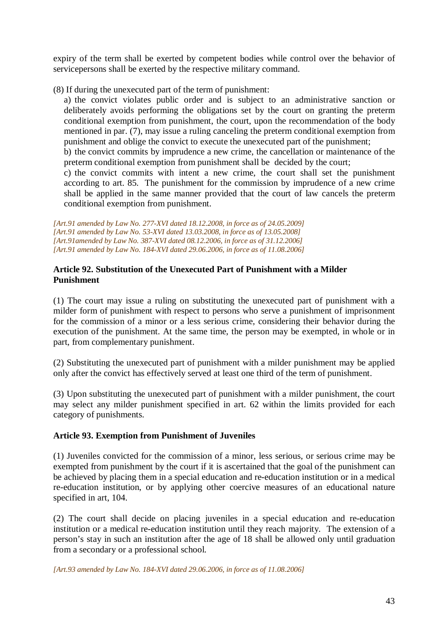expiry of the term shall be exerted by competent bodies while control over the behavior of servicepersons shall be exerted by the respective military command.

(8) If during the unexecuted part of the term of punishment:

a) the convict violates public order and is subject to an administrative sanction or deliberately avoids performing the obligations set by the court on granting the preterm conditional exemption from punishment, the court, upon the recommendation of the body mentioned in par. (7), may issue a ruling canceling the preterm conditional exemption from punishment and oblige the convict to execute the unexecuted part of the punishment;

b) the convict commits by imprudence a new crime, the cancellation or maintenance of the preterm conditional exemption from punishment shall be decided by the court;

c) the convict commits with intent a new crime, the court shall set the punishment according to art. 85. The punishment for the commission by imprudence of a new crime shall be applied in the same manner provided that the court of law cancels the preterm conditional exemption from punishment.

*[Art.91 amended by Law No. 277-XVI dated 18.12.2008, in force as of 24.05.2009] [Art.91 amended by Law No. 53-XVI dated 13.03.2008, in force as of 13.05.2008] [Art.91amended by Law No. 387-XVI dated 08.12.2006, in force as of 31.12.2006] [Art.91 amended by Law No. 184-XVI dated 29.06.2006, in force as of 11.08.2006]*

## **Article 92. Substitution of the Unexecuted Part of Punishment with a Milder Punishment**

(1) The court may issue a ruling on substituting the unexecuted part of punishment with a milder form of punishment with respect to persons who serve a punishment of imprisonment for the commission of a minor or a less serious crime, considering their behavior during the execution of the punishment. At the same time, the person may be exempted, in whole or in part, from complementary punishment.

(2) Substituting the unexecuted part of punishment with a milder punishment may be applied only after the convict has effectively served at least one third of the term of punishment.

(3) Upon substituting the unexecuted part of punishment with a milder punishment, the court may select any milder punishment specified in art. 62 within the limits provided for each category of punishments.

# **Article 93. Exemption from Punishment of Juveniles**

(1) Juveniles convicted for the commission of a minor, less serious, or serious crime may be exempted from punishment by the court if it is ascertained that the goal of the punishment can be achieved by placing them in a special education and re-education institution or in a medical re-education institution, or by applying other coercive measures of an educational nature specified in art, 104.

(2) The court shall decide on placing juveniles in a special education and re-education institution or a medical re-education institution until they reach majority. The extension of a person's stay in such an institution after the age of 18 shall be allowed only until graduation from a secondary or a professional school.

*[Art.93 amended by Law No. 184-XVI dated 29.06.2006, in force as of 11.08.2006]*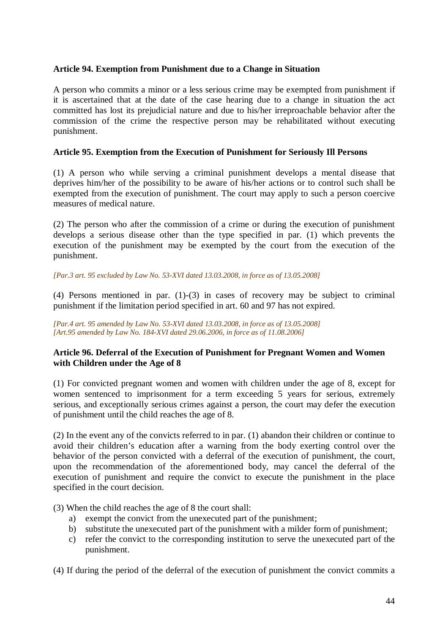## **Article 94. Exemption from Punishment due to a Change in Situation**

A person who commits a minor or a less serious crime may be exempted from punishment if it is ascertained that at the date of the case hearing due to a change in situation the act committed has lost its prejudicial nature and due to his/her irreproachable behavior after the commission of the crime the respective person may be rehabilitated without executing punishment.

### **Article 95. Exemption from the Execution of Punishment for Seriously Ill Persons**

(1) A person who while serving a criminal punishment develops a mental disease that deprives him/her of the possibility to be aware of his/her actions or to control such shall be exempted from the execution of punishment. The court may apply to such a person coercive measures of medical nature.

(2) The person who after the commission of a crime or during the execution of punishment develops a serious disease other than the type specified in par. (1) which prevents the execution of the punishment may be exempted by the court from the execution of the punishment.

*[Par.3 art. 95 excluded by Law No. 53-XVI dated 13.03.2008, in force as of 13.05.2008]* 

(4) Persons mentioned in par. (1)-(3) in cases of recovery may be subject to criminal punishment if the limitation period specified in art. 60 and 97 has not expired.

*[Par.4 art. 95 amended by Law No. 53-XVI dated 13.03.2008, in force as of 13.05.2008] [Art.95 amended by Law No. 184-XVI dated 29.06.2006, in force as of 11.08.2006]*

# **Article 96. Deferral of the Execution of Punishment for Pregnant Women and Women with Children under the Age of 8**

(1) For convicted pregnant women and women with children under the age of 8, except for women sentenced to imprisonment for a term exceeding 5 years for serious, extremely serious, and exceptionally serious crimes against a person, the court may defer the execution of punishment until the child reaches the age of 8.

(2) In the event any of the convicts referred to in par. (1) abandon their children or continue to avoid their children's education after a warning from the body exerting control over the behavior of the person convicted with a deferral of the execution of punishment, the court, upon the recommendation of the aforementioned body, may cancel the deferral of the execution of punishment and require the convict to execute the punishment in the place specified in the court decision.

(3) When the child reaches the age of 8 the court shall:

- a) exempt the convict from the unexecuted part of the punishment;
- b) substitute the unexecuted part of the punishment with a milder form of punishment;
- c) refer the convict to the corresponding institution to serve the unexecuted part of the punishment.

(4) If during the period of the deferral of the execution of punishment the convict commits a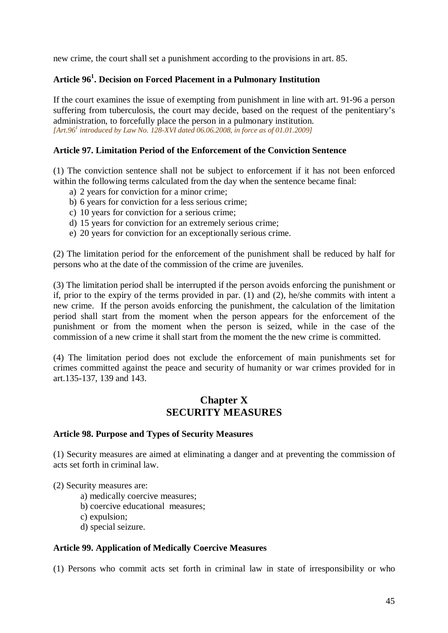new crime, the court shall set a punishment according to the provisions in art. 85.

# **Article 96<sup>1</sup> . Decision on Forced Placement in a Pulmonary Institution**

If the court examines the issue of exempting from punishment in line with art. 91-96 a person suffering from tuberculosis, the court may decide, based on the request of the penitentiary's administration, to forcefully place the person in a pulmonary institution. *[Art.96<sup>1</sup> introduced by Law No. 128-XVI dated 06.06.2008, in force as of 01.01.2009]* 

## **Article 97. Limitation Period of the Enforcement of the Conviction Sentence**

(1) The conviction sentence shall not be subject to enforcement if it has not been enforced within the following terms calculated from the day when the sentence became final:

- a) 2 years for conviction for a minor crime;
- b) 6 years for conviction for a less serious crime;
- c) 10 years for conviction for a serious crime;
- d) 15 years for conviction for an extremely serious crime;
- e) 20 years for conviction for an exceptionally serious crime.

(2) The limitation period for the enforcement of the punishment shall be reduced by half for persons who at the date of the commission of the crime are juveniles.

(3) The limitation period shall be interrupted if the person avoids enforcing the punishment or if, prior to the expiry of the terms provided in par. (1) and (2), he/she commits with intent a new crime. If the person avoids enforcing the punishment, the calculation of the limitation period shall start from the moment when the person appears for the enforcement of the punishment or from the moment when the person is seized, while in the case of the commission of a new crime it shall start from the moment the the new crime is committed.

(4) The limitation period does not exclude the enforcement of main punishments set for crimes committed against the peace and security of humanity or war crimes provided for in art.135-137, 139 and 143.

# **Chapter X SECURITY MEASURES**

### **Article 98. Purpose and Types of Security Measures**

(1) Security measures are aimed at eliminating a danger and at preventing the commission of acts set forth in criminal law.

(2) Security measures are:

a) medically coercive measures;

b) coercive educational measures;

c) expulsion;

d) special seizure.

### **Article 99. Application of Medically Coercive Measures**

(1) Persons who commit acts set forth in criminal law in state of irresponsibility or who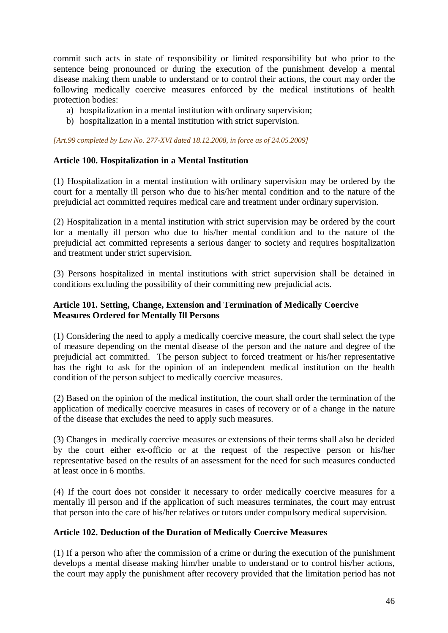commit such acts in state of responsibility or limited responsibility but who prior to the sentence being pronounced or during the execution of the punishment develop a mental disease making them unable to understand or to control their actions, the court may order the following medically coercive measures enforced by the medical institutions of health protection bodies:

- a) hospitalization in a mental institution with ordinary supervision;
- b) hospitalization in a mental institution with strict supervision.

*[Art.99 completed by Law No. 277-XVI dated 18.12.2008, in force as of 24.05.2009]* 

## **Article 100. Hospitalization in a Mental Institution**

(1) Hospitalization in a mental institution with ordinary supervision may be ordered by the court for a mentally ill person who due to his/her mental condition and to the nature of the prejudicial act committed requires medical care and treatment under ordinary supervision.

(2) Hospitalization in a mental institution with strict supervision may be ordered by the court for a mentally ill person who due to his/her mental condition and to the nature of the prejudicial act committed represents a serious danger to society and requires hospitalization and treatment under strict supervision.

(3) Persons hospitalized in mental institutions with strict supervision shall be detained in conditions excluding the possibility of their committing new prejudicial acts.

## **Article 101. Setting, Change, Extension and Termination of Medically Coercive Measures Ordered for Mentally Ill Persons**

(1) Considering the need to apply a medically coercive measure, the court shall select the type of measure depending on the mental disease of the person and the nature and degree of the prejudicial act committed. The person subject to forced treatment or his/her representative has the right to ask for the opinion of an independent medical institution on the health condition of the person subject to medically coercive measures.

(2) Based on the opinion of the medical institution, the court shall order the termination of the application of medically coercive measures in cases of recovery or of a change in the nature of the disease that excludes the need to apply such measures.

(3) Changes in medically coercive measures or extensions of their terms shall also be decided by the court either ex-officio or at the request of the respective person or his/her representative based on the results of an assessment for the need for such measures conducted at least once in 6 months.

(4) If the court does not consider it necessary to order medically coercive measures for a mentally ill person and if the application of such measures terminates, the court may entrust that person into the care of his/her relatives or tutors under compulsory medical supervision.

### **Article 102. Deduction of the Duration of Medically Coercive Measures**

(1) If a person who after the commission of a crime or during the execution of the punishment develops a mental disease making him/her unable to understand or to control his/her actions, the court may apply the punishment after recovery provided that the limitation period has not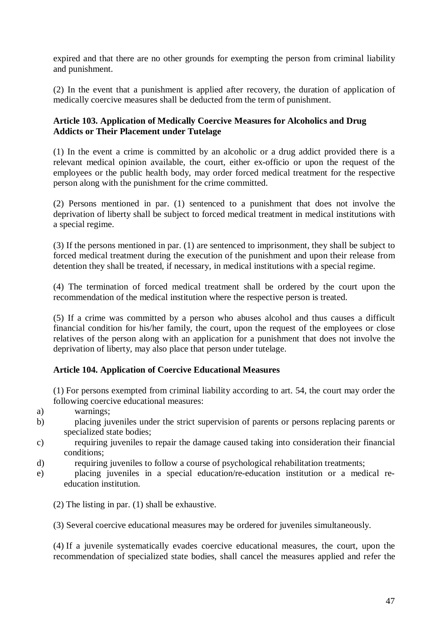expired and that there are no other grounds for exempting the person from criminal liability and punishment.

(2) In the event that a punishment is applied after recovery, the duration of application of medically coercive measures shall be deducted from the term of punishment.

# **Article 103. Application of Medically Coercive Measures for Alcoholics and Drug Addicts or Their Placement under Tutelage**

(1) In the event a crime is committed by an alcoholic or a drug addict provided there is a relevant medical opinion available, the court, either ex-officio or upon the request of the employees or the public health body, may order forced medical treatment for the respective person along with the punishment for the crime committed.

(2) Persons mentioned in par. (1) sentenced to a punishment that does not involve the deprivation of liberty shall be subject to forced medical treatment in medical institutions with a special regime.

(3) If the persons mentioned in par. (1) are sentenced to imprisonment, they shall be subject to forced medical treatment during the execution of the punishment and upon their release from detention they shall be treated, if necessary, in medical institutions with a special regime.

(4) The termination of forced medical treatment shall be ordered by the court upon the recommendation of the medical institution where the respective person is treated.

(5) If a crime was committed by a person who abuses alcohol and thus causes a difficult financial condition for his/her family, the court, upon the request of the employees or close relatives of the person along with an application for a punishment that does not involve the deprivation of liberty, may also place that person under tutelage.

# **Article 104. Application of Coercive Educational Measures**

(1) For persons exempted from criminal liability according to art. 54, the court may order the following coercive educational measures:

- a) warnings;
- b) placing juveniles under the strict supervision of parents or persons replacing parents or specialized state bodies;
- c) requiring juveniles to repair the damage caused taking into consideration their financial conditions;
- d) requiring juveniles to follow a course of psychological rehabilitation treatments;
- e) placing juveniles in a special education/re-education institution or a medical reeducation institution.
	- (2) The listing in par. (1) shall be exhaustive.
	- (3) Several coercive educational measures may be ordered for juveniles simultaneously.

(4) If a juvenile systematically evades coercive educational measures, the court, upon the recommendation of specialized state bodies, shall cancel the measures applied and refer the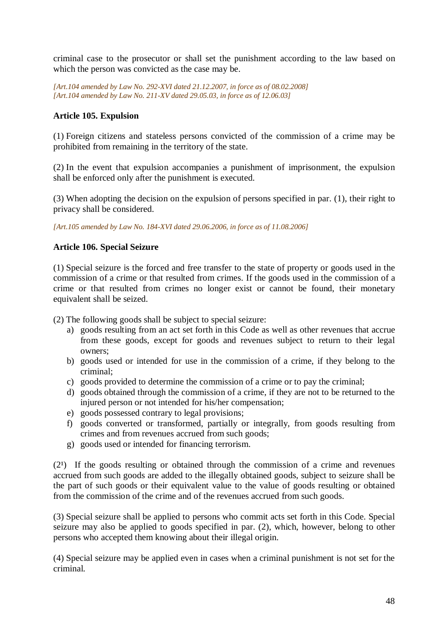criminal case to the prosecutor or shall set the punishment according to the law based on which the person was convicted as the case may be.

*[Art.104 amended by Law No. 292-XVI dated 21.12.2007, in force as of 08.02.2008] [Art.104 amended by Law No. 211-XV dated 29.05.03, in force as of 12.06.03]*

## **Article 105. Expulsion**

(1) Foreign citizens and stateless persons convicted of the commission of a crime may be prohibited from remaining in the territory of the state.

(2) In the event that expulsion accompanies a punishment of imprisonment, the expulsion shall be enforced only after the punishment is executed.

(3) When adopting the decision on the expulsion of persons specified in par. (1), their right to privacy shall be considered.

*[Art.105 amended by Law No. 184-XVI dated 29.06.2006, in force as of 11.08.2006]*

## **Article 106. Special Seizure**

(1) Special seizure is the forced and free transfer to the state of property or goods used in the commission of a crime or that resulted from crimes. If the goods used in the commission of a crime or that resulted from crimes no longer exist or cannot be found, their monetary equivalent shall be seized.

(2) The following goods shall be subject to special seizure:

- a) goods resulting from an act set forth in this Code as well as other revenues that accrue from these goods, except for goods and revenues subject to return to their legal owners;
- b) goods used or intended for use in the commission of a crime, if they belong to the criminal;
- c) goods provided to determine the commission of a crime or to pay the criminal;
- d) goods obtained through the commission of a crime, if they are not to be returned to the injured person or not intended for his/her compensation:
- e) goods possessed contrary to legal provisions;
- f) goods converted or transformed, partially or integrally, from goods resulting from crimes and from revenues accrued from such goods;
- g) goods used or intended for financing terrorism.

 $(2<sup>1</sup>)$  If the goods resulting or obtained through the commission of a crime and revenues accrued from such goods are added to the illegally obtained goods, subject to seizure shall be the part of such goods or their equivalent value to the value of goods resulting or obtained from the commission of the crime and of the revenues accrued from such goods.

(3) Special seizure shall be applied to persons who commit acts set forth in this Code. Special seizure may also be applied to goods specified in par. (2), which, however, belong to other persons who accepted them knowing about their illegal origin.

(4) Special seizure may be applied even in cases when a criminal punishment is not set for the criminal.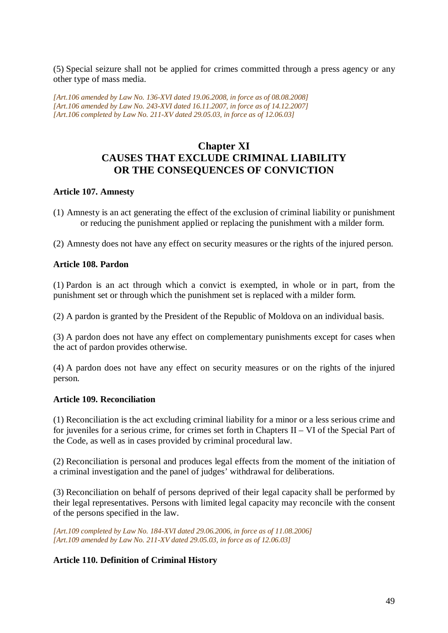(5) Special seizure shall not be applied for crimes committed through a press agency or any other type of mass media.

*[Art.106 amended by Law No. 136-XVI dated 19.06.2008, in force as of 08.08.2008] [Art.106 amended by Law No. 243-XVI dated 16.11.2007, in force as of 14.12.2007] [Art.106 completed by Law No. 211-XV dated 29.05.03, in force as of 12.06.03]* 

# **Chapter XI CAUSES THAT EXCLUDE CRIMINAL LIABILITY OR THE CONSEQUENCES OF CONVICTION**

### **Article 107. Amnesty**

(1) Amnesty is an act generating the effect of the exclusion of criminal liability or punishment or reducing the punishment applied or replacing the punishment with a milder form.

(2) Amnesty does not have any effect on security measures or the rights of the injured person.

## **Article 108. Pardon**

(1) Pardon is an act through which a convict is exempted, in whole or in part, from the punishment set or through which the punishment set is replaced with a milder form.

(2) A pardon is granted by the President of the Republic of Moldova on an individual basis.

(3) A pardon does not have any effect on complementary punishments except for cases when the act of pardon provides otherwise.

(4) A pardon does not have any effect on security measures or on the rights of the injured person.

### **Article 109. Reconciliation**

(1) Reconciliation is the act excluding criminal liability for a minor or a less serious crime and for juveniles for a serious crime, for crimes set forth in Chapters II – VI of the Special Part of the Code, as well as in cases provided by criminal procedural law.

(2) Reconciliation is personal and produces legal effects from the moment of the initiation of a criminal investigation and the panel of judges' withdrawal for deliberations.

(3) Reconciliation on behalf of persons deprived of their legal capacity shall be performed by their legal representatives. Persons with limited legal capacity may reconcile with the consent of the persons specified in the law.

*[Art.109 completed by Law No. 184-XVI dated 29.06.2006, in force as of 11.08.2006] [Art.109 amended by Law No. 211-XV dated 29.05.03, in force as of 12.06.03]*

# **Article 110. Definition of Criminal History**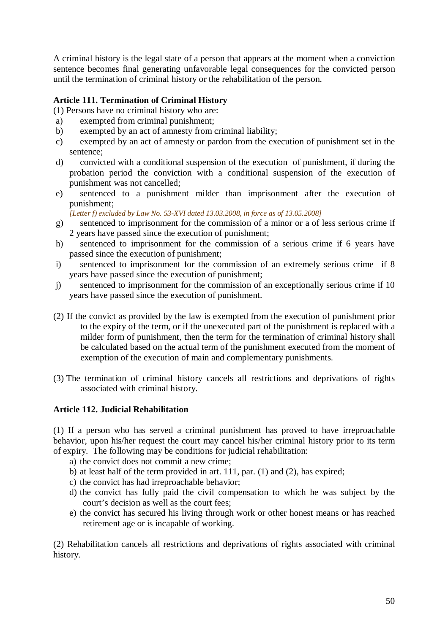A criminal history is the legal state of a person that appears at the moment when a conviction sentence becomes final generating unfavorable legal consequences for the convicted person until the termination of criminal history or the rehabilitation of the person.

# **Article 111. Termination of Criminal History**

(1) Persons have no criminal history who are:

- a) exempted from criminal punishment;
- b) exempted by an act of amnesty from criminal liability;
- c) exempted by an act of amnesty or pardon from the execution of punishment set in the sentence;
- d) convicted with a conditional suspension of the execution of punishment, if during the probation period the conviction with a conditional suspension of the execution of punishment was not cancelled;
- e) sentenced to a punishment milder than imprisonment after the execution of punishment;

*[Letter f) excluded by Law No. 53-XVI dated 13.03.2008, in force as of 13.05.2008]* 

- g) sentenced to imprisonment for the commission of a minor or a of less serious crime if 2 years have passed since the execution of punishment;
- h) sentenced to imprisonment for the commission of a serious crime if 6 years have passed since the execution of punishment;
- i) sentenced to imprisonment for the commission of an extremely serious crime if 8 years have passed since the execution of punishment;
- j) sentenced to imprisonment for the commission of an exceptionally serious crime if 10 years have passed since the execution of punishment.
- (2) If the convict as provided by the law is exempted from the execution of punishment prior to the expiry of the term, or if the unexecuted part of the punishment is replaced with a milder form of punishment, then the term for the termination of criminal history shall be calculated based on the actual term of the punishment executed from the moment of exemption of the execution of main and complementary punishments.
- (3) The termination of criminal history cancels all restrictions and deprivations of rights associated with criminal history.

# **Article 112. Judicial Rehabilitation**

(1) If a person who has served a criminal punishment has proved to have irreproachable behavior, upon his/her request the court may cancel his/her criminal history prior to its term of expiry. The following may be conditions for judicial rehabilitation:

- a) the convict does not commit a new crime;
- b) at least half of the term provided in art. 111, par. (1) and (2), has expired;
- c) the convict has had irreproachable behavior;
- d) the convict has fully paid the civil compensation to which he was subject by the court's decision as well as the court fees;
- e) the convict has secured his living through work or other honest means or has reached retirement age or is incapable of working.

(2) Rehabilitation cancels all restrictions and deprivations of rights associated with criminal history.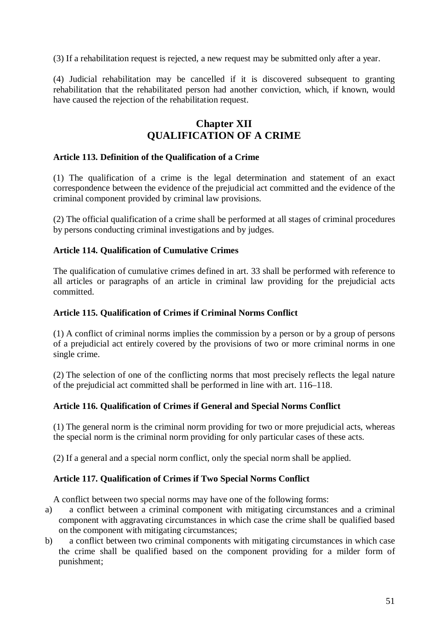(3) If a rehabilitation request is rejected, a new request may be submitted only after a year.

(4) Judicial rehabilitation may be cancelled if it is discovered subsequent to granting rehabilitation that the rehabilitated person had another conviction, which, if known, would have caused the rejection of the rehabilitation request.

# **Chapter XII QUALIFICATION OF A CRIME**

### **Article 113. Definition of the Qualification of a Crime**

(1) The qualification of a crime is the legal determination and statement of an exact correspondence between the evidence of the prejudicial act committed and the evidence of the criminal component provided by criminal law provisions.

(2) The official qualification of a crime shall be performed at all stages of criminal procedures by persons conducting criminal investigations and by judges.

## **Article 114. Qualification of Cumulative Crimes**

The qualification of cumulative crimes defined in art. 33 shall be performed with reference to all articles or paragraphs of an article in criminal law providing for the prejudicial acts committed.

### **Article 115. Qualification of Crimes if Criminal Norms Conflict**

(1) A conflict of criminal norms implies the commission by a person or by a group of persons of a prejudicial act entirely covered by the provisions of two or more criminal norms in one single crime.

(2) The selection of one of the conflicting norms that most precisely reflects the legal nature of the prejudicial act committed shall be performed in line with art. 116–118.

# **Article 116. Qualification of Crimes if General and Special Norms Conflict**

(1) The general norm is the criminal norm providing for two or more prejudicial acts, whereas the special norm is the criminal norm providing for only particular cases of these acts.

(2) If a general and a special norm conflict, only the special norm shall be applied.

# **Article 117. Qualification of Crimes if Two Special Norms Conflict**

A conflict between two special norms may have one of the following forms:

- a) a conflict between a criminal component with mitigating circumstances and a criminal component with aggravating circumstances in which case the crime shall be qualified based on the component with mitigating circumstances;
- b) a conflict between two criminal components with mitigating circumstances in which case the crime shall be qualified based on the component providing for a milder form of punishment;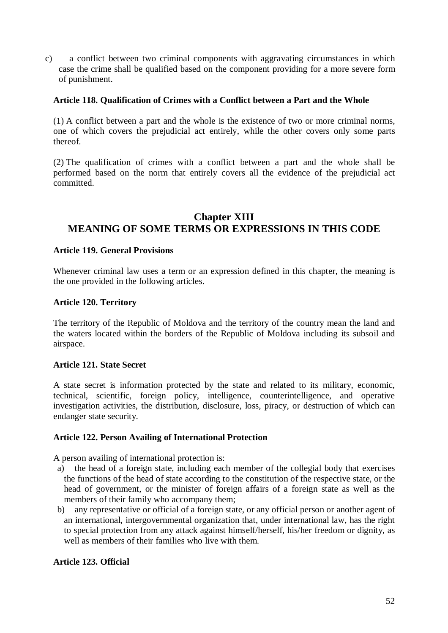c) a conflict between two criminal components with aggravating circumstances in which case the crime shall be qualified based on the component providing for a more severe form of punishment.

## **Article 118. Qualification of Crimes with a Conflict between a Part and the Whole**

(1) A conflict between a part and the whole is the existence of two or more criminal norms, one of which covers the prejudicial act entirely, while the other covers only some parts thereof.

(2) The qualification of crimes with a conflict between a part and the whole shall be performed based on the norm that entirely covers all the evidence of the prejudicial act committed.

# **Chapter XIII MEANING OF SOME TERMS OR EXPRESSIONS IN THIS CODE**

### **Article 119. General Provisions**

Whenever criminal law uses a term or an expression defined in this chapter, the meaning is the one provided in the following articles.

## **Article 120. Territory**

The territory of the Republic of Moldova and the territory of the country mean the land and the waters located within the borders of the Republic of Moldova including its subsoil and airspace.

### **Article 121. State Secret**

A state secret is information protected by the state and related to its military, economic, technical, scientific, foreign policy, intelligence, counterintelligence, and operative investigation activities, the distribution, disclosure, loss, piracy, or destruction of which can endanger state security.

### **Article 122. Person Availing of International Protection**

A person availing of international protection is:

- a) the head of a foreign state, including each member of the collegial body that exercises the functions of the head of state according to the constitution of the respective state, or the head of government, or the minister of foreign affairs of a foreign state as well as the members of their family who accompany them;
- b) any representative or official of a foreign state, or any official person or another agent of an international, intergovernmental organization that, under international law, has the right to special protection from any attack against himself/herself, his/her freedom or dignity, as well as members of their families who live with them.

### **Article 123. Official**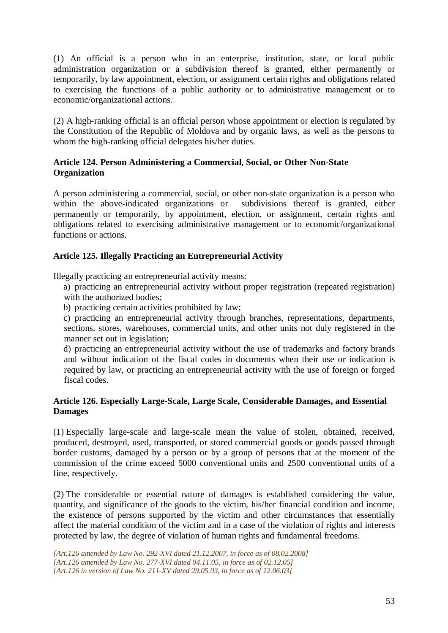(1) An official is a person who in an enterprise, institution, state, or local public administration organization or a subdivision thereof is granted, either permanently or temporarily, by law appointment, election, or assignment certain rights and obligations related to exercising the functions of a public authority or to administrative management or to economic/organizational actions.

(2) A high-ranking official is an official person whose appointment or election is regulated by the Constitution of the Republic of Moldova and by organic laws, as well as the persons to whom the high-ranking official delegates his/her duties.

# **Article 124. Person Administering a Commercial, Social, or Other Non-State Organization**

A person administering a commercial, social, or other non-state organization is a person who within the above-indicated organizations or subdivisions thereof is granted, either permanently or temporarily, by appointment, election, or assignment, certain rights and obligations related to exercising administrative management or to economic/organizational functions or actions.

# **Article 125. Illegally Practicing an Entrepreneurial Activity**

Illegally practicing an entrepreneurial activity means:

- a) practicing an entrepreneurial activity without proper registration (repeated registration) with the authorized bodies;
- b) practicing certain activities prohibited by law;

c) practicing an entrepreneurial activity through branches, representations, departments, sections, stores, warehouses, commercial units, and other units not duly registered in the manner set out in legislation;

d) practicing an entrepreneurial activity without the use of trademarks and factory brands and without indication of the fiscal codes in documents when their use or indication is required by law, or practicing an entrepreneurial activity with the use of foreign or forged fiscal codes.

## **Article 126. Especially Large-Scale, Large Scale, Considerable Damages, and Essential Damages**

(1) Especially large-scale and large-scale mean the value of stolen, obtained, received, produced, destroyed, used, transported, or stored commercial goods or goods passed through border customs, damaged by a person or by a group of persons that at the moment of the commission of the crime exceed 5000 conventional units and 2500 conventional units of a fine, respectively.

(2) The considerable or essential nature of damages is established considering the value, quantity, and significance of the goods to the victim, his/her financial condition and income, the existence of persons supported by the victim and other circumstances that essentially affect the material condition of the victim and in a case of the violation of rights and interests protected by law, the degree of violation of human rights and fundamental freedoms.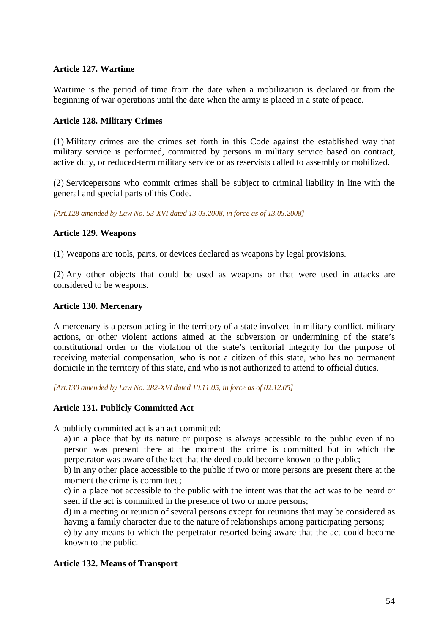## **Article 127. Wartime**

Wartime is the period of time from the date when a mobilization is declared or from the beginning of war operations until the date when the army is placed in a state of peace.

### **Article 128. Military Crimes**

(1) Military crimes are the crimes set forth in this Code against the established way that military service is performed, committed by persons in military service based on contract, active duty, or reduced-term military service or as reservists called to assembly or mobilized.

(2) Servicepersons who commit crimes shall be subject to criminal liability in line with the general and special parts of this Code.

*[Art.128 amended by Law No. 53-XVI dated 13.03.2008, in force as of 13.05.2008]* 

## **Article 129. Weapons**

(1) Weapons are tools, parts, or devices declared as weapons by legal provisions.

(2) Any other objects that could be used as weapons or that were used in attacks are considered to be weapons.

## **Article 130. Mercenary**

A mercenary is a person acting in the territory of a state involved in military conflict, military actions, or other violent actions aimed at the subversion or undermining of the state's constitutional order or the violation of the state's territorial integrity for the purpose of receiving material compensation, who is not a citizen of this state, who has no permanent domicile in the territory of this state, and who is not authorized to attend to official duties.

*[Art.130 amended by Law No. 282-XVI dated 10.11.05, in force as of 02.12.05]*

### **Article 131. Publicly Committed Act**

A publicly committed act is an act committed:

a) in a place that by its nature or purpose is always accessible to the public even if no person was present there at the moment the crime is committed but in which the perpetrator was aware of the fact that the deed could become known to the public;

b) in any other place accessible to the public if two or more persons are present there at the moment the crime is committed;

c) in a place not accessible to the public with the intent was that the act was to be heard or seen if the act is committed in the presence of two or more persons;

d) in a meeting or reunion of several persons except for reunions that may be considered as having a family character due to the nature of relationships among participating persons;

e) by any means to which the perpetrator resorted being aware that the act could become known to the public.

### **Article 132. Means of Transport**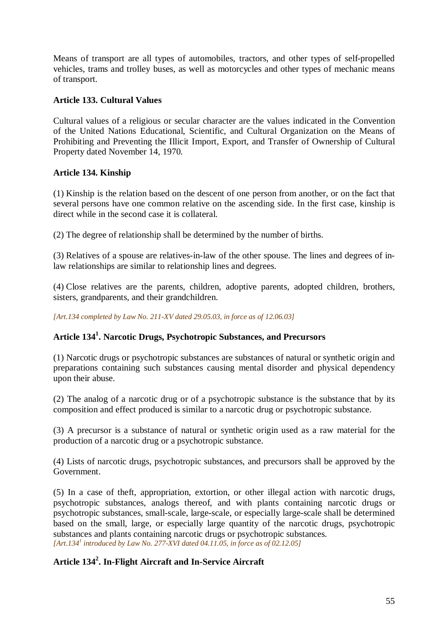Means of transport are all types of automobiles, tractors, and other types of self-propelled vehicles, trams and trolley buses, as well as motorcycles and other types of mechanic means of transport.

# **Article 133. Cultural Values**

Cultural values of a religious or secular character are the values indicated in the Convention of the United Nations Educational, Scientific, and Cultural Organization on the Means of Prohibiting and Preventing the Illicit Import, Export, and Transfer of Ownership of Cultural Property dated November 14, 1970.

# **Article 134. Kinship**

(1) Kinship is the relation based on the descent of one person from another, or on the fact that several persons have one common relative on the ascending side. In the first case, kinship is direct while in the second case it is collateral.

(2) The degree of relationship shall be determined by the number of births.

(3) Relatives of a spouse are relatives-in-law of the other spouse. The lines and degrees of inlaw relationships are similar to relationship lines and degrees.

(4) Close relatives are the parents, children, adoptive parents, adopted children, brothers, sisters, grandparents, and their grandchildren.

*[Art.134 completed by Law No. 211-XV dated 29.05.03, in force as of 12.06.03]* 

# **Article 134<sup>1</sup> . Narcotic Drugs, Psychotropic Substances, and Precursors**

(1) Narcotic drugs or psychotropic substances are substances of natural or synthetic origin and preparations containing such substances causing mental disorder and physical dependency upon their abuse.

(2) The analog of a narcotic drug or of a psychotropic substance is the substance that by its composition and effect produced is similar to a narcotic drug or psychotropic substance.

(3) A precursor is a substance of natural or synthetic origin used as a raw material for the production of a narcotic drug or a psychotropic substance.

(4) Lists of narcotic drugs, psychotropic substances, and precursors shall be approved by the Government.

(5) In a case of theft, appropriation, extortion, or other illegal action with narcotic drugs, psychotropic substances, analogs thereof, and with plants containing narcotic drugs or psychotropic substances, small-scale, large-scale, or especially large-scale shall be determined based on the small, large, or especially large quantity of the narcotic drugs, psychotropic substances and plants containing narcotic drugs or psychotropic substances. *[Art.134<sup>1</sup> introduced by Law No. 277-XVI dated 04.11.05, in force as of 02.12.05]* 

# **Article 134<sup>2</sup> . In-Flight Aircraft and In-Service Aircraft**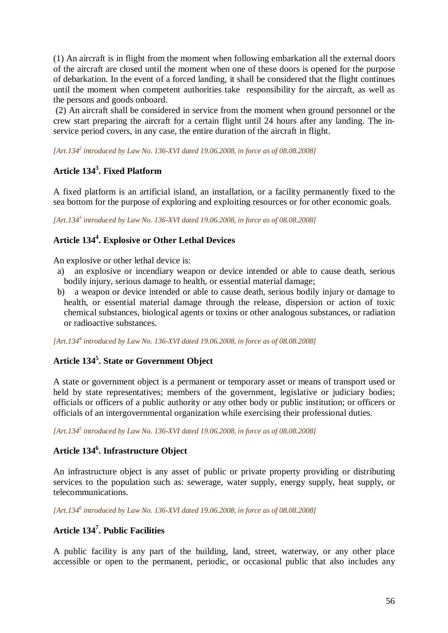(1) An aircraft is in flight from the moment when following embarkation all the external doors of the aircraft are closed until the moment when one of these doors is opened for the purpose of debarkation. In the event of a forced landing, it shall be considered that the flight continues until the moment when competent authorities take responsibility for the aircraft, as well as the persons and goods onboard.

 (2) An aircraft shall be considered in service from the moment when ground personnel or the crew start preparing the aircraft for a certain flight until 24 hours after any landing. The inservice period covers, in any case, the entire duration of the aircraft in flight.

*[Art.134<sup>2</sup> introduced by Law No. 136-XVI dated 19.06.2008, in force as of 08.08.2008]*

# **Article 134<sup>3</sup> . Fixed Platform**

A fixed platform is an artificial island, an installation, or a facility permanently fixed to the sea bottom for the purpose of exploring and exploiting resources or for other economic goals.

*[Art.134<sup>3</sup> introduced by Law No. 136-XVI dated 19.06.2008, in force as of 08.08.2008]*

# **Article 134<sup>4</sup> . Explosive or Other Lethal Devices**

An explosive or other lethal device is:

- a) an explosive or incendiary weapon or device intended or able to cause death, serious bodily injury, serious damage to health, or essential material damage;
- b) a weapon or device intended or able to cause death, serious bodily injury or damage to health, or essential material damage through the release, dispersion or action of toxic chemical substances, biological agents or toxins or other analogous substances, or radiation or radioactive substances.

*[Art.134<sup>4</sup> introduced by Law No. 136-XVI dated 19.06.2008, in force as of 08.08.2008]*

# **Article 134<sup>5</sup> . State or Government Object**

A state or government object is a permanent or temporary asset or means of transport used or held by state representatives; members of the government, legislative or judiciary bodies; officials or officers of a public authority or any other body or public institution; or officers or officials of an intergovernmental organization while exercising their professional duties.

*[Art.134<sup>5</sup> introduced by Law No. 136-XVI dated 19.06.2008, in force as of 08.08.2008]*

# **Article 134<sup>6</sup> . Infrastructure Object**

An infrastructure object is any asset of public or private property providing or distributing services to the population such as: sewerage, water supply, energy supply, heat supply, or telecommunications.

*[Art.134<sup>6</sup> introduced by Law No. 136-XVI dated 19.06.2008, in force as of 08.08.2008]*

# **Article 134<sup>7</sup> . Public Facilities**

A public facility is any part of the building, land, street, waterway, or any other place accessible or open to the permanent, periodic, or occasional public that also includes any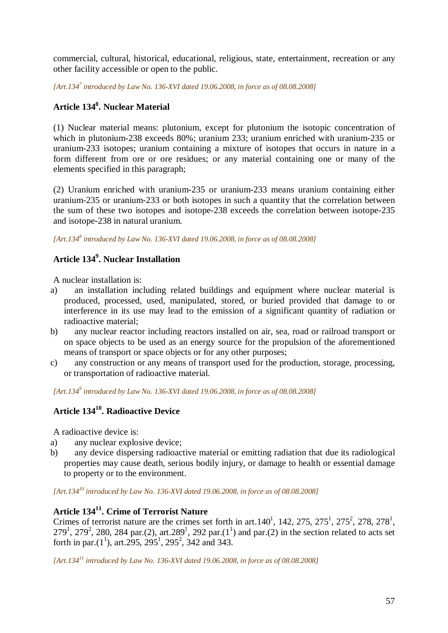commercial, cultural, historical, educational, religious, state, entertainment, recreation or any other facility accessible or open to the public.

*[Art.134<sup>7</sup> introduced by Law No. 136-XVI dated 19.06.2008, in force as of 08.08.2008]*

# **Article 134<sup>8</sup> . Nuclear Material**

(1) Nuclear material means: plutonium, except for plutonium the isotopic concentration of which in plutonium-238 exceeds 80%; uranium 233; uranium enriched with uranium-235 or uranium-233 isotopes; uranium containing a mixture of isotopes that occurs in nature in a form different from ore or ore residues; or any material containing one or many of the elements specified in this paragraph;

(2) Uranium enriched with uranium-235 or uranium-233 means uranium containing either uranium-235 or uranium-233 or both isotopes in such a quantity that the correlation between the sum of these two isotopes and isotope-238 exceeds the correlation between isotope-235 and isotope-238 in natural uranium.

*[Art.134<sup>8</sup> introduced by Law No. 136-XVI dated 19.06.2008, in force as of 08.08.2008]*

# **Article 134<sup>9</sup> . Nuclear Installation**

A nuclear installation is:

- a) an installation including related buildings and equipment where nuclear material is produced, processed, used, manipulated, stored, or buried provided that damage to or interference in its use may lead to the emission of a significant quantity of radiation or radioactive material;
- b) any nuclear reactor including reactors installed on air, sea, road or railroad transport or on space objects to be used as an energy source for the propulsion of the aforementioned means of transport or space objects or for any other purposes;
- c) any construction or any means of transport used for the production, storage, processing, or transportation of radioactive material.

*[Art.134<sup>9</sup> introduced by Law No. 136-XVI dated 19.06.2008, in force as of 08.08.2008]*

# **Article 134<sup>10</sup>. Radioactive Device**

A radioactive device is:

- a) any nuclear explosive device;
- b) any device dispersing radioactive material or emitting radiation that due its radiological properties may cause death, serious bodily injury, or damage to health or essential damage to property or to the environment.

*[Art.134<sup>10</sup> introduced by Law No. 136-XVI dated 19.06.2008, in force as of 08.08.2008]*

# **Article 134<sup>11</sup>. Crime of Terrorist Nature**

Crimes of terrorist nature are the crimes set forth in art.  $140^1$ ,  $142$ ,  $275$ ,  $275^1$ ,  $275^2$ ,  $278$ ,  $278^1$ ,  $279^1$ ,  $279^2$ , 280, 284 par.(2), art.289<sup>1</sup>, 292 par.(1<sup>1</sup>) and par.(2) in the section related to acts set forth in par. $(1^1)$ , art.295, 295<sup>1</sup>, 295<sup>2</sup>, 342 and 343.

*[Art.134<sup>11</sup> introduced by Law No. 136-XVI dated 19.06.2008, in force as of 08.08.2008]*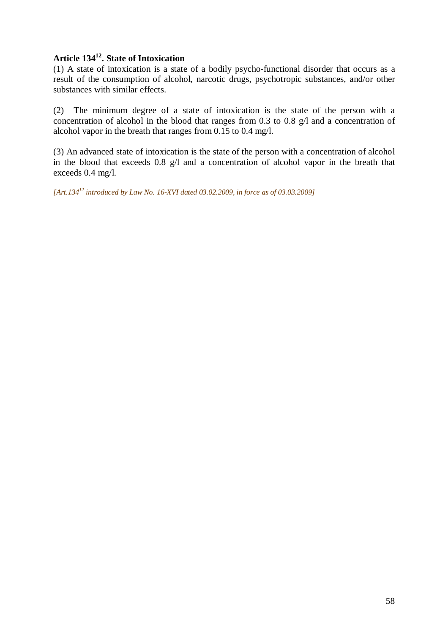# **Article 134<sup>12</sup>. State of Intoxication**

(1) A state of intoxication is a state of a bodily psycho-functional disorder that occurs as a result of the consumption of alcohol, narcotic drugs, psychotropic substances, and/or other substances with similar effects.

(2) The minimum degree of a state of intoxication is the state of the person with a concentration of alcohol in the blood that ranges from 0.3 to 0.8 g/l and a concentration of alcohol vapor in the breath that ranges from 0.15 to 0.4 mg/l.

(3) An advanced state of intoxication is the state of the person with a concentration of alcohol in the blood that exceeds 0.8 g/l and a concentration of alcohol vapor in the breath that exceeds 0.4 mg/l.

*[Art.134<sup>12</sup> introduced by Law No. 16-XVI dated 03.02.2009, in force as of 03.03.2009]*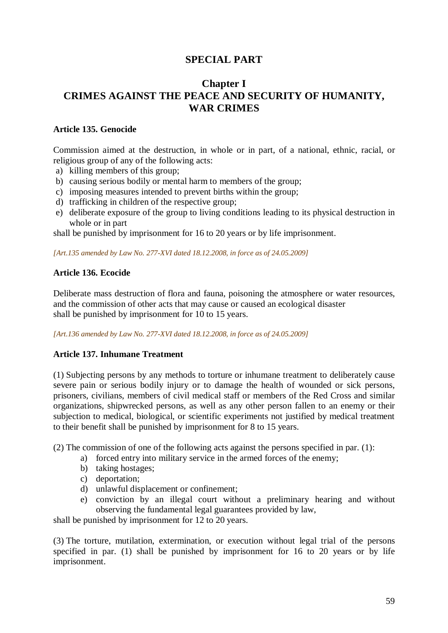# **SPECIAL PART**

# **Chapter I CRIMES AGAINST THE PEACE AND SECURITY OF HUMANITY, WAR CRIMES**

## **Article 135. Genocide**

Commission aimed at the destruction, in whole or in part, of a national, ethnic, racial, or religious group of any of the following acts:

- a) killing members of this group;
- b) causing serious bodily or mental harm to members of the group;
- c) imposing measures intended to prevent births within the group;
- d) trafficking in children of the respective group;
- e) deliberate exposure of the group to living conditions leading to its physical destruction in whole or in part

shall be punished by imprisonment for 16 to 20 years or by life imprisonment.

*[Art.135 amended by Law No. 277-XVI dated 18.12.2008, in force as of 24.05.2009]* 

## **Article 136. Ecocide**

Deliberate mass destruction of flora and fauna, poisoning the atmosphere or water resources, and the commission of other acts that may cause or caused an ecological disaster shall be punished by imprisonment for 10 to 15 years.

*[Art.136 amended by Law No. 277-XVI dated 18.12.2008, in force as of 24.05.2009]* 

# **Article 137. Inhumane Treatment**

(1) Subjecting persons by any methods to torture or inhumane treatment to deliberately cause severe pain or serious bodily injury or to damage the health of wounded or sick persons, prisoners, civilians, members of civil medical staff or members of the Red Cross and similar organizations, shipwrecked persons, as well as any other person fallen to an enemy or their subjection to medical, biological, or scientific experiments not justified by medical treatment to their benefit shall be punished by imprisonment for 8 to 15 years.

(2) The commission of one of the following acts against the persons specified in par. (1):

- a) forced entry into military service in the armed forces of the enemy;
	- b) taking hostages;
	- c) deportation;
	- d) unlawful displacement or confinement;
- e) conviction by an illegal court without a preliminary hearing and without observing the fundamental legal guarantees provided by law,

shall be punished by imprisonment for 12 to 20 years.

(3) The torture, mutilation, extermination, or execution without legal trial of the persons specified in par. (1) shall be punished by imprisonment for 16 to 20 years or by life imprisonment.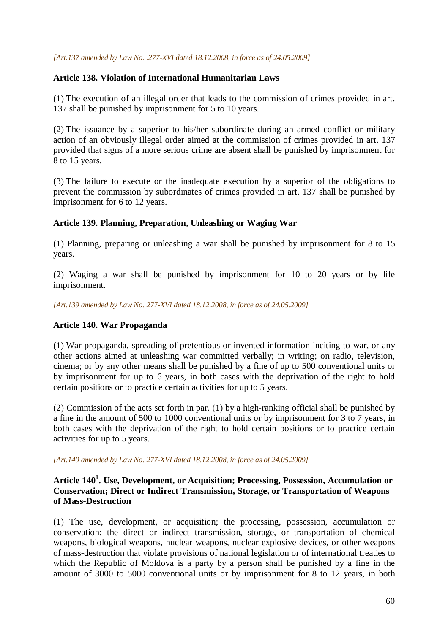#### *[Art.137 amended by Law No. .277-XVI dated 18.12.2008, in force as of 24.05.2009]*

### **Article 138. Violation of International Humanitarian Laws**

(1) The execution of an illegal order that leads to the commission of crimes provided in art. 137 shall be punished by imprisonment for 5 to 10 years.

(2) The issuance by a superior to his/her subordinate during an armed conflict or military action of an obviously illegal order aimed at the commission of crimes provided in art. 137 provided that signs of a more serious crime are absent shall be punished by imprisonment for 8 to 15 years.

(3) The failure to execute or the inadequate execution by a superior of the obligations to prevent the commission by subordinates of crimes provided in art. 137 shall be punished by imprisonment for 6 to 12 years.

### **Article 139. Planning, Preparation, Unleashing or Waging War**

(1) Planning, preparing or unleashing a war shall be punished by imprisonment for 8 to 15 years.

(2) Waging a war shall be punished by imprisonment for 10 to 20 years or by life imprisonment.

*[Art.139 amended by Law No. 277-XVI dated 18.12.2008, in force as of 24.05.2009]* 

### **Article 140. War Propaganda**

(1) War propaganda, spreading of pretentious or invented information inciting to war, or any other actions aimed at unleashing war committed verbally; in writing; on radio, television, cinema; or by any other means shall be punished by a fine of up to 500 conventional units or by imprisonment for up to 6 years, in both cases with the deprivation of the right to hold certain positions or to practice certain activities for up to 5 years.

(2) Commission of the acts set forth in par. (1) by a high-ranking official shall be punished by a fine in the amount of 500 to 1000 conventional units or by imprisonment for 3 to 7 years, in both cases with the deprivation of the right to hold certain positions or to practice certain activities for up to 5 years.

*[Art.140 amended by Law No. 277-XVI dated 18.12.2008, in force as of 24.05.2009]* 

# **Article 140<sup>1</sup> . Use, Development, or Acquisition; Processing, Possession, Accumulation or Conservation; Direct or Indirect Transmission, Storage, or Transportation of Weapons of Mass-Destruction**

(1) The use, development, or acquisition; the processing, possession, accumulation or conservation; the direct or indirect transmission, storage, or transportation of chemical weapons, biological weapons, nuclear weapons, nuclear explosive devices, or other weapons of mass-destruction that violate provisions of national legislation or of international treaties to which the Republic of Moldova is a party by a person shall be punished by a fine in the amount of 3000 to 5000 conventional units or by imprisonment for 8 to 12 years, in both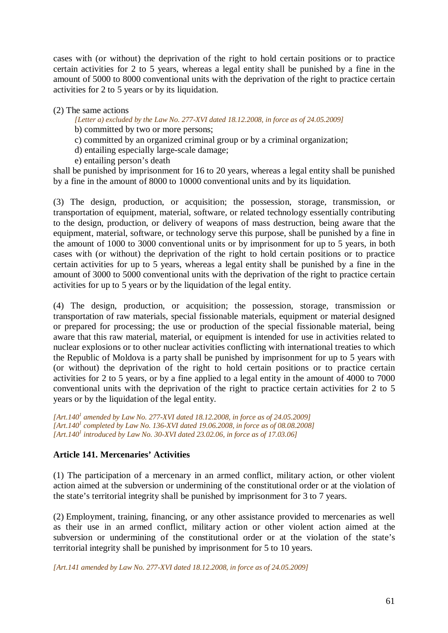cases with (or without) the deprivation of the right to hold certain positions or to practice certain activities for 2 to 5 years, whereas a legal entity shall be punished by a fine in the amount of 5000 to 8000 conventional units with the deprivation of the right to practice certain activities for 2 to 5 years or by its liquidation.

### (2) The same actions

#### *[Letter a) excluded by the Law No. 277-XVI dated 18.12.2008, in force as of 24.05.2009]*  b) committed by two or more persons;

- c) committed by an organized criminal group or by a criminal organization;
- d) entailing especially large-scale damage;
- e) entailing person's death

shall be punished by imprisonment for 16 to 20 years, whereas a legal entity shall be punished by a fine in the amount of 8000 to 10000 conventional units and by its liquidation.

(3) The design, production, or acquisition; the possession, storage, transmission, or transportation of equipment, material, software, or related technology essentially contributing to the design, production, or delivery of weapons of mass destruction, being aware that the equipment, material, software, or technology serve this purpose, shall be punished by a fine in the amount of 1000 to 3000 conventional units or by imprisonment for up to 5 years, in both cases with (or without) the deprivation of the right to hold certain positions or to practice certain activities for up to 5 years, whereas a legal entity shall be punished by a fine in the amount of 3000 to 5000 conventional units with the deprivation of the right to practice certain activities for up to 5 years or by the liquidation of the legal entity.

(4) The design, production, or acquisition; the possession, storage, transmission or transportation of raw materials, special fissionable materials, equipment or material designed or prepared for processing; the use or production of the special fissionable material, being aware that this raw material, material, or equipment is intended for use in activities related to nuclear explosions or to other nuclear activities conflicting with international treaties to which the Republic of Moldova is a party shall be punished by imprisonment for up to 5 years with (or without) the deprivation of the right to hold certain positions or to practice certain activities for 2 to 5 years, or by a fine applied to a legal entity in the amount of 4000 to 7000 conventional units with the deprivation of the right to practice certain activities for 2 to 5 years or by the liquidation of the legal entity.

*[Art.140<sup>1</sup> amended by Law No. 277-XVI dated 18.12.2008, in force as of 24.05.2009] [Art.140<sup>1</sup> completed by Law No. 136-XVI dated 19.06.2008, in force as of 08.08.2008] [Art.140<sup>1</sup> introduced by Law No. 30-XVI dated 23.02.06, in force as of 17.03.06]*

# **Article 141. Mercenaries' Activities**

(1) The participation of a mercenary in an armed conflict, military action, or other violent action aimed at the subversion or undermining of the constitutional order or at the violation of the state's territorial integrity shall be punished by imprisonment for 3 to 7 years.

(2) Employment, training, financing, or any other assistance provided to mercenaries as well as their use in an armed conflict, military action or other violent action aimed at the subversion or undermining of the constitutional order or at the violation of the state's territorial integrity shall be punished by imprisonment for 5 to 10 years.

*[Art.141 amended by Law No. 277-XVI dated 18.12.2008, in force as of 24.05.2009]*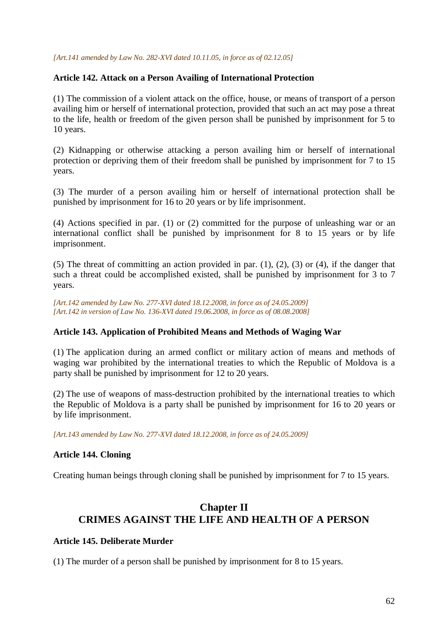#### *[Art.141 amended by Law No. 282-XVI dated 10.11.05, in force as of 02.12.05]*

## **Article 142. Attack on a Person Availing of International Protection**

(1) The commission of a violent attack on the office, house, or means of transport of a person availing him or herself of international protection, provided that such an act may pose a threat to the life, health or freedom of the given person shall be punished by imprisonment for 5 to 10 years.

(2) Kidnapping or otherwise attacking a person availing him or herself of international protection or depriving them of their freedom shall be punished by imprisonment for 7 to 15 years.

(3) The murder of a person availing him or herself of international protection shall be punished by imprisonment for 16 to 20 years or by life imprisonment.

(4) Actions specified in par. (1) or (2) committed for the purpose of unleashing war or an international conflict shall be punished by imprisonment for 8 to 15 years or by life imprisonment.

(5) The threat of committing an action provided in par. (1), (2), (3) or (4), if the danger that such a threat could be accomplished existed, shall be punished by imprisonment for 3 to 7 years.

*[Art.142 amended by Law No. 277-XVI dated 18.12.2008, in force as of 24.05.2009] [Art.142 in version of Law No. 136-XVI dated 19.06.2008, in force as of 08.08.2008]*

### **Article 143. Application of Prohibited Means and Methods of Waging War**

(1) The application during an armed conflict or military action of means and methods of waging war prohibited by the international treaties to which the Republic of Moldova is a party shall be punished by imprisonment for 12 to 20 years.

(2) The use of weapons of mass-destruction prohibited by the international treaties to which the Republic of Moldova is a party shall be punished by imprisonment for 16 to 20 years or by life imprisonment.

*[Art.143 amended by Law No. 277-XVI dated 18.12.2008, in force as of 24.05.2009]* 

### **Article 144. Cloning**

Creating human beings through cloning shall be punished by imprisonment for 7 to 15 years.

# **Chapter II CRIMES AGAINST THE LIFE AND HEALTH OF A PERSON**

### **Article 145. Deliberate Murder**

(1) The murder of a person shall be punished by imprisonment for 8 to 15 years.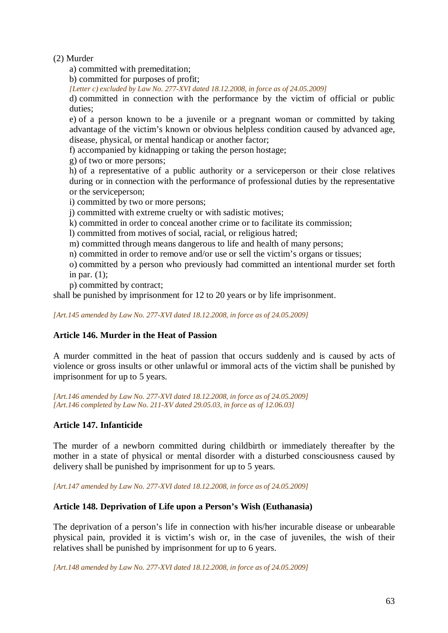(2) Murder

a) committed with premeditation;

b) committed for purposes of profit;

*[Letter c) excluded by Law No. 277-XVI dated 18.12.2008, in force as of 24.05.2009]* 

d) committed in connection with the performance by the victim of official or public duties;

e) of a person known to be a juvenile or a pregnant woman or committed by taking advantage of the victim's known or obvious helpless condition caused by advanced age, disease, physical, or mental handicap or another factor;

f) accompanied by kidnapping or taking the person hostage;

g) of two or more persons;

h) of a representative of a public authority or a serviceperson or their close relatives during or in connection with the performance of professional duties by the representative or the serviceperson;

i) committed by two or more persons;

j) committed with extreme cruelty or with sadistic motives;

k) committed in order to conceal another crime or to facilitate its commission;

- l) committed from motives of social, racial, or religious hatred;
- m) committed through means dangerous to life and health of many persons;

n) committed in order to remove and/or use or sell the victim's organs or tissues;

o) committed by a person who previously had committed an intentional murder set forth in par. (1);

p) committed by contract;

shall be punished by imprisonment for 12 to 20 years or by life imprisonment.

*[Art.145 amended by Law No. 277-XVI dated 18.12.2008, in force as of 24.05.2009]* 

# **Article 146. Murder in the Heat of Passion**

A murder committed in the heat of passion that occurs suddenly and is caused by acts of violence or gross insults or other unlawful or immoral acts of the victim shall be punished by imprisonment for up to 5 years.

*[Art.146 amended by Law No. 277-XVI dated 18.12.2008, in force as of 24.05.2009] [Art.146 completed by Law No. 211-XV dated 29.05.03, in force as of 12.06.03]* 

# **Article 147. Infanticide**

The murder of a newborn committed during childbirth or immediately thereafter by the mother in a state of physical or mental disorder with a disturbed consciousness caused by delivery shall be punished by imprisonment for up to 5 years.

*[Art.147 amended by Law No. 277-XVI dated 18.12.2008, in force as of 24.05.2009]* 

### **Article 148. Deprivation of Life upon a Person's Wish (Euthanasia)**

The deprivation of a person's life in connection with his/her incurable disease or unbearable physical pain, provided it is victim's wish or, in the case of juveniles, the wish of their relatives shall be punished by imprisonment for up to 6 years.

*[Art.148 amended by Law No. 277-XVI dated 18.12.2008, in force as of 24.05.2009]*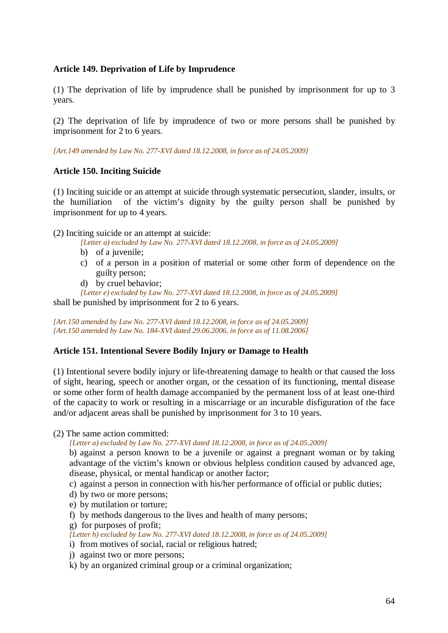# **Article 149. Deprivation of Life by Imprudence**

(1) The deprivation of life by imprudence shall be punished by imprisonment for up to 3 years.

(2) The deprivation of life by imprudence of two or more persons shall be punished by imprisonment for 2 to 6 years.

*[Art.149 amended by Law No. 277-XVI dated 18.12.2008, in force as of 24.05.2009]* 

### **Article 150. Inciting Suicide**

(1) Inciting suicide or an attempt at suicide through systematic persecution, slander, insults, or the humiliation of the victim's dignity by the guilty person shall be punished by imprisonment for up to 4 years.

(2) Inciting suicide or an attempt at suicide:

*[Letter a) excluded by Law No. 277-XVI dated 18.12.2008, in force as of 24.05.2009]* 

- b) of a juvenile:
- c) of a person in a position of material or some other form of dependence on the guilty person;
- d) by cruel behavior;

*[Letter e) excluded by Law No. 277-XVI dated 18.12.2008, in force as of 24.05.2009]* 

shall be punished by imprisonment for 2 to 6 years.

*[Art.150 amended by Law No. 277-XVI dated 18.12.2008, in force as of 24.05.2009] [Art.150 amended by Law No. 184-XVI dated 29.06.2006, in force as of 11.08.2006]*

### **Article 151. Intentional Severe Bodily Injury or Damage to Health**

(1) Intentional severe bodily injury or life-threatening damage to health or that caused the loss of sight, hearing, speech or another organ, or the cessation of its functioning, mental disease or some other form of health damage accompanied by the permanent loss of at least one-third of the capacity to work or resulting in a miscarriage or an incurable disfiguration of the face and/or adjacent areas shall be punished by imprisonment for 3 to 10 years.

(2) The same action committed:

*[Letter a) excluded by Law No. 277-XVI dated 18.12.2008, in force as of 24.05.2009]* 

b) against a person known to be a juvenile or against a pregnant woman or by taking advantage of the victim's known or obvious helpless condition caused by advanced age, disease, physical, or mental handicap or another factor;

c) against a person in connection with his/her performance of official or public duties;

- d) by two or more persons;
- e) by mutilation or torture;
- f) by methods dangerous to the lives and health of many persons;

g) for purposes of profit;

*[Letter h) excluded by Law No. 277-XVI dated 18.12.2008, in force as of 24.05.2009]* 

- i) from motives of social, racial or religious hatred;
- j) against two or more persons;
- k) by an organized criminal group or a criminal organization;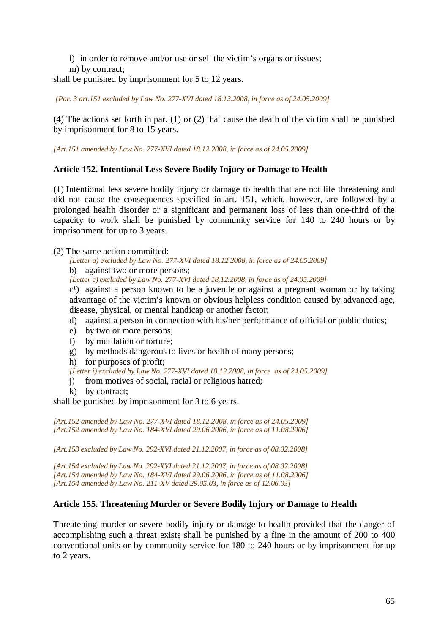- l) in order to remove and/or use or sell the victim's organs or tissues;
- m) by contract;

shall be punished by imprisonment for 5 to 12 years.

*[Par. 3 art.151 excluded by Law No. 277-XVI dated 18.12.2008, in force as of 24.05.2009]* 

(4) The actions set forth in par. (1) or (2) that cause the death of the victim shall be punished by imprisonment for 8 to 15 years.

*[Art.151 amended by Law No. 277-XVI dated 18.12.2008, in force as of 24.05.2009]* 

### **Article 152. Intentional Less Severe Bodily Injury or Damage to Health**

(1) Intentional less severe bodily injury or damage to health that are not life threatening and did not cause the consequences specified in art. 151, which, however, are followed by a prolonged health disorder or a significant and permanent loss of less than one-third of the capacity to work shall be punished by community service for 140 to 240 hours or by imprisonment for up to 3 years.

(2) The same action committed:

*[Letter a) excluded by Law No. 277-XVI dated 18.12.2008, in force as of 24.05.2009]* 

b) against two or more persons;

*[Letter c) excluded by Law No. 277-XVI dated 18.12.2008, in force as of 24.05.2009]* 

 $c<sup>1</sup>$  against a person known to be a juvenile or against a pregnant woman or by taking advantage of the victim's known or obvious helpless condition caused by advanced age, disease, physical, or mental handicap or another factor;

- d) against a person in connection with his/her performance of official or public duties;
- e) by two or more persons;
- f) by mutilation or torture;
- g) by methods dangerous to lives or health of many persons;
- h) for purposes of profit;

*[Letter i) excluded by Law No. 277-XVI dated 18.12.2008, in force as of 24.05.2009]* 

- j) from motives of social, racial or religious hatred;
- k) by contract;

shall be punished by imprisonment for 3 to 6 years.

*[Art.152 amended by Law No. 277-XVI dated 18.12.2008, in force as of 24.05.2009] [Art.152 amended by Law No. 184-XVI dated 29.06.2006, in force as of 11.08.2006]*

*[Art.153 excluded by Law No. 292-XVI dated 21.12.2007, in force as of 08.02.2008]*

*[Art.154 excluded by Law No. 292-XVI dated 21.12.2007, in force as of 08.02.2008] [Art.154 amended by Law No. 184-XVI dated 29.06.2006, in force as of 11.08.2006] [Art.154 amended by Law No. 211-XV dated 29.05.03, in force as of 12.06.03]* 

### **Article 155. Threatening Murder or Severe Bodily Injury or Damage to Health**

Threatening murder or severe bodily injury or damage to health provided that the danger of accomplishing such a threat exists shall be punished by a fine in the amount of 200 to 400 conventional units or by community service for 180 to 240 hours or by imprisonment for up to 2 years.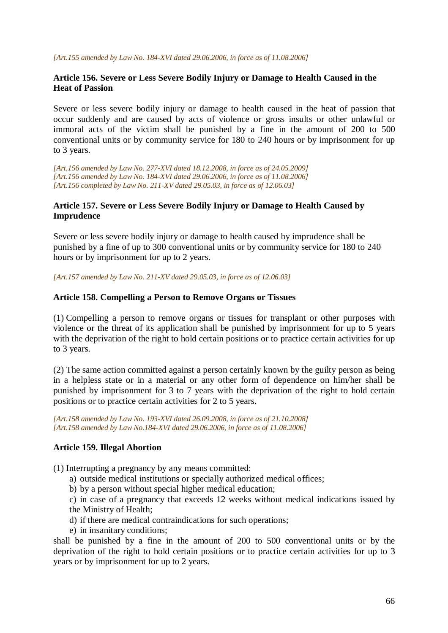*[Art.155 amended by Law No. 184-XVI dated 29.06.2006, in force as of 11.08.2006]*

## **Article 156. Severe or Less Severe Bodily Injury or Damage to Health Caused in the Heat of Passion**

Severe or less severe bodily injury or damage to health caused in the heat of passion that occur suddenly and are caused by acts of violence or gross insults or other unlawful or immoral acts of the victim shall be punished by a fine in the amount of 200 to 500 conventional units or by community service for 180 to 240 hours or by imprisonment for up to 3 years.

*[Art.156 amended by Law No. 277-XVI dated 18.12.2008, in force as of 24.05.2009] [Art.156 amended by Law No. 184-XVI dated 29.06.2006, in force as of 11.08.2006] [Art.156 completed by Law No. 211-XV dated 29.05.03, in force as of 12.06.03]*

## **Article 157. Severe or Less Severe Bodily Injury or Damage to Health Caused by Imprudence**

Severe or less severe bodily injury or damage to health caused by imprudence shall be punished by a fine of up to 300 conventional units or by community service for 180 to 240 hours or by imprisonment for up to 2 years.

*[Art.157 amended by Law No. 211-XV dated 29.05.03, in force as of 12.06.03]* 

## **Article 158. Compelling a Person to Remove Organs or Tissues**

(1) Compelling a person to remove organs or tissues for transplant or other purposes with violence or the threat of its application shall be punished by imprisonment for up to 5 years with the deprivation of the right to hold certain positions or to practice certain activities for up to 3 years.

(2) The same action committed against a person certainly known by the guilty person as being in a helpless state or in a material or any other form of dependence on him/her shall be punished by imprisonment for 3 to 7 years with the deprivation of the right to hold certain positions or to practice certain activities for 2 to 5 years.

*[Art.158 amended by Law No. 193-XVI dated 26.09.2008, in force as of 21.10.2008] [Art.158 amended by Law No.184-XVI dated 29.06.2006, in force as of 11.08.2006]* 

### **Article 159. Illegal Abortion**

- (1) Interrupting a pregnancy by any means committed:
	- a) outside medical institutions or specially authorized medical offices;
	- b) by a person without special higher medical education;

c) in case of a pregnancy that exceeds 12 weeks without medical indications issued by the Ministry of Health;

- d) if there are medical contraindications for such operations;
- e) in insanitary conditions;

shall be punished by a fine in the amount of 200 to 500 conventional units or by the deprivation of the right to hold certain positions or to practice certain activities for up to 3 years or by imprisonment for up to 2 years.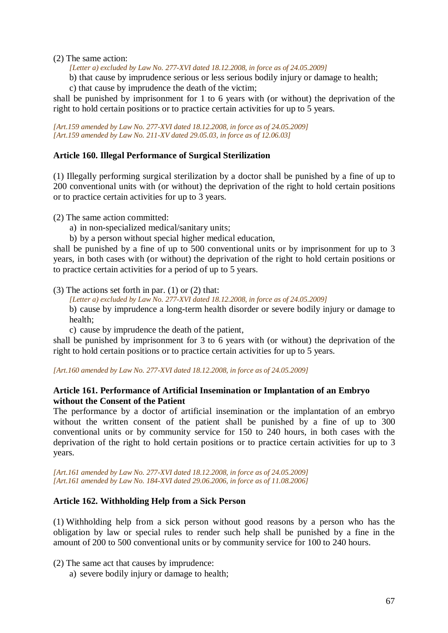(2) The same action:

*[Letter a) excluded by Law No. 277-XVI dated 18.12.2008, in force as of 24.05.2009]* 

b) that cause by imprudence serious or less serious bodily injury or damage to health;

c) that cause by imprudence the death of the victim;

shall be punished by imprisonment for 1 to 6 years with (or without) the deprivation of the right to hold certain positions or to practice certain activities for up to 5 years.

*[Art.159 amended by Law No. 277-XVI dated 18.12.2008, in force as of 24.05.2009] [Art.159 amended by Law No. 211-XV dated 29.05.03, in force as of 12.06.03]* 

### **Article 160. Illegal Performance of Surgical Sterilization**

(1) Illegally performing surgical sterilization by a doctor shall be punished by a fine of up to 200 conventional units with (or without) the deprivation of the right to hold certain positions or to practice certain activities for up to 3 years.

(2) The same action committed:

- a) in non-specialized medical/sanitary units;
- b) by a person without special higher medical education,

shall be punished by a fine of up to 500 conventional units or by imprisonment for up to 3 years, in both cases with (or without) the deprivation of the right to hold certain positions or to practice certain activities for a period of up to 5 years.

(3) The actions set forth in par. (1) or (2) that:

- *[Letter a) excluded by Law No. 277-XVI dated 18.12.2008, in force as of 24.05.2009]*
- b) cause by imprudence a long-term health disorder or severe bodily injury or damage to health;
- c) cause by imprudence the death of the patient,

shall be punished by imprisonment for 3 to 6 years with (or without) the deprivation of the right to hold certain positions or to practice certain activities for up to 5 years.

#### *[Art.160 amended by Law No. 277-XVI dated 18.12.2008, in force as of 24.05.2009]*

### **Article 161. Performance of Artificial Insemination or Implantation of an Embryo without the Consent of the Patient**

The performance by a doctor of artificial insemination or the implantation of an embryo without the written consent of the patient shall be punished by a fine of up to 300 conventional units or by community service for 150 to 240 hours, in both cases with the deprivation of the right to hold certain positions or to practice certain activities for up to 3 years.

*[Art.161 amended by Law No. 277-XVI dated 18.12.2008, in force as of 24.05.2009] [Art.161 amended by Law No. 184-XVI dated 29.06.2006, in force as of 11.08.2006]*

### **Article 162. Withholding Help from a Sick Person**

(1) Withholding help from a sick person without good reasons by a person who has the obligation by law or special rules to render such help shall be punished by a fine in the amount of 200 to 500 conventional units or by community service for 100 to 240 hours.

(2) The same act that causes by imprudence:

a) severe bodily injury or damage to health;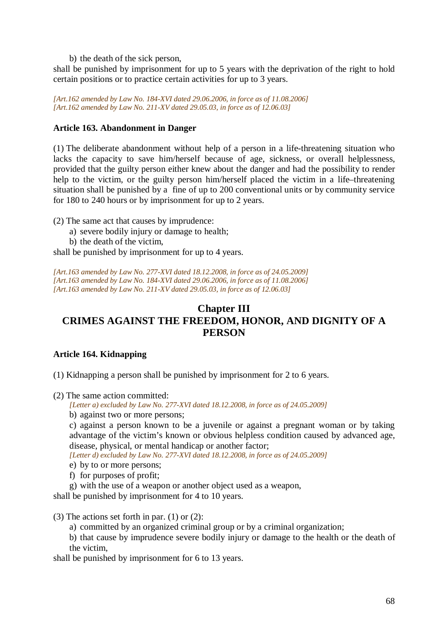b) the death of the sick person,

shall be punished by imprisonment for up to 5 years with the deprivation of the right to hold certain positions or to practice certain activities for up to 3 years.

*[Art.162 amended by Law No. 184-XVI dated 29.06.2006, in force as of 11.08.2006] [Art.162 amended by Law No. 211-XV dated 29.05.03, in force as of 12.06.03]* 

## **Article 163. Abandonment in Danger**

(1) The deliberate abandonment without help of a person in a life-threatening situation who lacks the capacity to save him/herself because of age, sickness, or overall helplessness, provided that the guilty person either knew about the danger and had the possibility to render help to the victim, or the guilty person him/herself placed the victim in a life–threatening situation shall be punished by a fine of up to 200 conventional units or by community service for 180 to 240 hours or by imprisonment for up to 2 years.

(2) The same act that causes by imprudence:

- a) severe bodily injury or damage to health;
- b) the death of the victim,

shall be punished by imprisonment for up to 4 years.

*[Art.163 amended by Law No. 277-XVI dated 18.12.2008, in force as of 24.05.2009] [Art.163 amended by Law No. 184-XVI dated 29.06.2006, in force as of 11.08.2006] [Art.163 amended by Law No. 211-XV dated 29.05.03, in force as of 12.06.03]* 

# **Chapter III CRIMES AGAINST THE FREEDOM, HONOR, AND DIGNITY OF A PERSON**

### **Article 164. Kidnapping**

(1) Kidnapping a person shall be punished by imprisonment for 2 to 6 years.

(2) The same action committed:

*[Letter a) excluded by Law No. 277-XVI dated 18.12.2008, in force as of 24.05.2009]* 

b) against two or more persons;

c) against a person known to be a juvenile or against a pregnant woman or by taking advantage of the victim's known or obvious helpless condition caused by advanced age, disease, physical, or mental handicap or another factor;

*[Letter d) excluded by Law No. 277-XVI dated 18.12.2008, in force as of 24.05.2009]* 

- e) by to or more persons;
- f) for purposes of profit;
- g) with the use of a weapon or another object used as a weapon,

shall be punished by imprisonment for 4 to 10 years.

(3) The actions set forth in par. (1) or (2):

- a) committed by an organized criminal group or by a criminal organization;
- b) that cause by imprudence severe bodily injury or damage to the health or the death of the victim,

shall be punished by imprisonment for 6 to 13 years.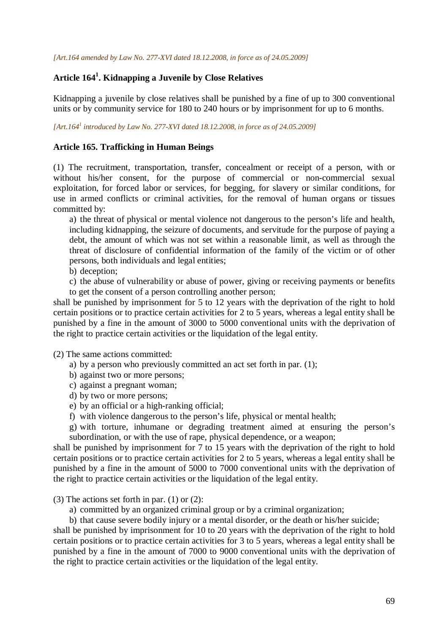# **Article 164<sup>1</sup> . Kidnapping a Juvenile by Close Relatives**

Kidnapping a juvenile by close relatives shall be punished by a fine of up to 300 conventional units or by community service for 180 to 240 hours or by imprisonment for up to 6 months.

*[Art.164<sup>1</sup> introduced by Law No. 277-XVI dated 18.12.2008, in force as of 24.05.2009]* 

#### **Article 165. Trafficking in Human Beings**

(1) The recruitment, transportation, transfer, concealment or receipt of a person, with or without his/her consent, for the purpose of commercial or non-commercial sexual exploitation, for forced labor or services, for begging, for slavery or similar conditions, for use in armed conflicts or criminal activities, for the removal of human organs or tissues committed by:

a) the threat of physical or mental violence not dangerous to the person's life and health, including kidnapping, the seizure of documents, and servitude for the purpose of paying a debt, the amount of which was not set within a reasonable limit, as well as through the threat of disclosure of confidential information of the family of the victim or of other persons, both individuals and legal entities;

b) deception;

c) the abuse of vulnerability or abuse of power, giving or receiving payments or benefits to get the consent of a person controlling another person;

shall be punished by imprisonment for 5 to 12 years with the deprivation of the right to hold certain positions or to practice certain activities for 2 to 5 years, whereas a legal entity shall be punished by a fine in the amount of 3000 to 5000 conventional units with the deprivation of the right to practice certain activities or the liquidation of the legal entity.

(2) The same actions committed:

- a) by a person who previously committed an act set forth in par. (1);
- b) against two or more persons;
- c) against a pregnant woman;
- d) by two or more persons;
- e) by an official or a high-ranking official;
- f) with violence dangerous to the person's life, physical or mental health;

g) with torture, inhumane or degrading treatment aimed at ensuring the person's subordination, or with the use of rape, physical dependence, or a weapon;

shall be punished by imprisonment for 7 to 15 years with the deprivation of the right to hold certain positions or to practice certain activities for 2 to 5 years, whereas a legal entity shall be punished by a fine in the amount of 5000 to 7000 conventional units with the deprivation of the right to practice certain activities or the liquidation of the legal entity.

(3) The actions set forth in par. (1) or (2):

a) committed by an organized criminal group or by a criminal organization;

b) that cause severe bodily injury or a mental disorder, or the death or his/her suicide; shall be punished by imprisonment for 10 to 20 years with the deprivation of the right to hold certain positions or to practice certain activities for 3 to 5 years, whereas a legal entity shall be punished by a fine in the amount of 7000 to 9000 conventional units with the deprivation of the right to practice certain activities or the liquidation of the legal entity.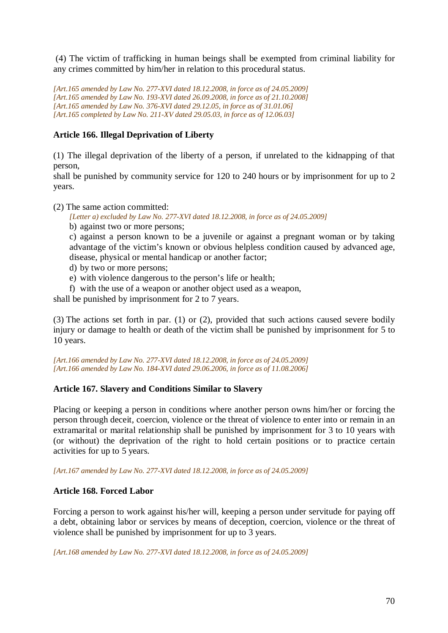(4) The victim of trafficking in human beings shall be exempted from criminal liability for any crimes committed by him/her in relation to this procedural status.

*[Art.165 amended by Law No. 277-XVI dated 18.12.2008, in force as of 24.05.2009] [Art.165 amended by Law No. 193-XVI dated 26.09.2008, in force as of 21.10.2008] [Art.165 amended by Law No. 376-XVI dated 29.12.05, in force as of 31.01.06] [Art.165 completed by Law No. 211-XV dated 29.05.03, in force as of 12.06.03]* 

# **Article 166. Illegal Deprivation of Liberty**

(1) The illegal deprivation of the liberty of a person, if unrelated to the kidnapping of that person,

shall be punished by community service for 120 to 240 hours or by imprisonment for up to 2 years.

(2) The same action committed:

*[Letter a) excluded by Law No. 277-XVI dated 18.12.2008, in force as of 24.05.2009]* 

b) against two or more persons;

c) against a person known to be a juvenile or against a pregnant woman or by taking advantage of the victim's known or obvious helpless condition caused by advanced age, disease, physical or mental handicap or another factor;

- d) by two or more persons;
- e) with violence dangerous to the person's life or health;
- f) with the use of a weapon or another object used as a weapon,

shall be punished by imprisonment for 2 to 7 years.

(3) The actions set forth in par. (1) or (2), provided that such actions caused severe bodily injury or damage to health or death of the victim shall be punished by imprisonment for 5 to 10 years.

*[Art.166 amended by Law No. 277-XVI dated 18.12.2008, in force as of 24.05.2009] [Art.166 amended by Law No. 184-XVI dated 29.06.2006, in force as of 11.08.2006]*

# **Article 167. Slavery and Conditions Similar to Slavery**

Placing or keeping a person in conditions where another person owns him/her or forcing the person through deceit, coercion, violence or the threat of violence to enter into or remain in an extramarital or marital relationship shall be punished by imprisonment for 3 to 10 years with (or without) the deprivation of the right to hold certain positions or to practice certain activities for up to 5 years.

*[Art.167 amended by Law No. 277-XVI dated 18.12.2008, in force as of 24.05.2009]* 

# **Article 168. Forced Labor**

Forcing a person to work against his/her will, keeping a person under servitude for paying off a debt, obtaining labor or services by means of deception, coercion, violence or the threat of violence shall be punished by imprisonment for up to 3 years.

*[Art.168 amended by Law No. 277-XVI dated 18.12.2008, in force as of 24.05.2009]*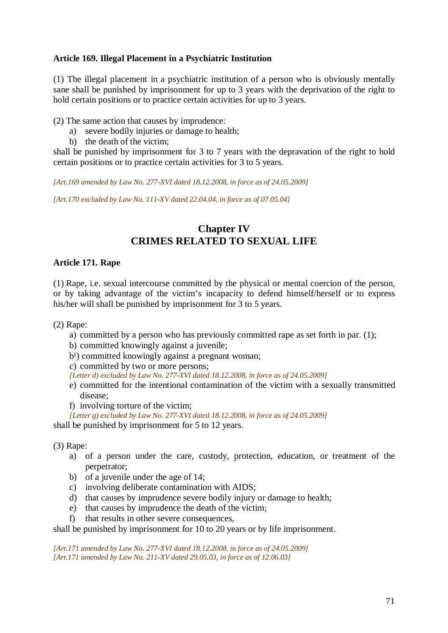## **Article 169. Illegal Placement in a Psychiatric Institution**

(1) The illegal placement in a psychiatric institution of a person who is obviously mentally sane shall be punished by imprisonment for up to 3 years with the deprivation of the right to hold certain positions or to practice certain activities for up to 3 years.

(2) The same action that causes by imprudence:

- a) severe bodily injuries or damage to health;
- b) the death of the victim;

shall be punished by imprisonment for 3 to 7 years with the depravation of the right to hold certain positions or to practice certain activities for 3 to 5 years.

*[Art.169 amended by Law No. 277-XVI dated 18.12.2008, in force as of 24.05.2009]* 

*[Art.170 excluded by Law No. 111-XV dated 22.04.04, in force as of 07.05.04]* 

# **Chapter IV CRIMES RELATED TO SEXUAL LIFE**

## **Article 171. Rape**

(1) Rape, i.e. sexual intercourse committed by the physical or mental coercion of the person, or by taking advantage of the victim's incapacity to defend himself/herself or to express his/her will shall be punished by imprisonment for 3 to 5 years.

(2) Rape:

- a) committed by a person who has previously committed rape as set forth in par. (1);
- b) committed knowingly against a juvenile;
- $b<sup>1</sup>$ ) committed knowingly against a pregnant woman;
- c) committed by two or more persons;
- *[Letter d) excluded by Law No. 277-XVI dated 18.12.2008, in force as of 24.05.2009]*
- e) committed for the intentional contamination of the victim with a sexually transmitted disease;
- f) involving torture of the victim;

*[Letter g) excluded by Law No. 277-XVI dated 18.12.2008, in force as of 24.05.2009]* 

shall be punished by imprisonment for 5 to 12 years.

(3) Rape:

- a) of a person under the care, custody, protection, education, or treatment of the perpetrator;
- b) of a juvenile under the age of 14;
- c) involving deliberate contamination with AIDS;
- d) that causes by imprudence severe bodily injury or damage to health;
- e) that causes by imprudence the death of the victim;
- f) that results in other severe consequences,

shall be punished by imprisonment for 10 to 20 years or by life imprisonment.

*[Art.171 amended by Law No. 277-XVI dated 18.12.2008, in force as of 24.05.2009] [Art.171 amended by Law No. 211-XV dated 29.05.03, in force as of 12.06.03]*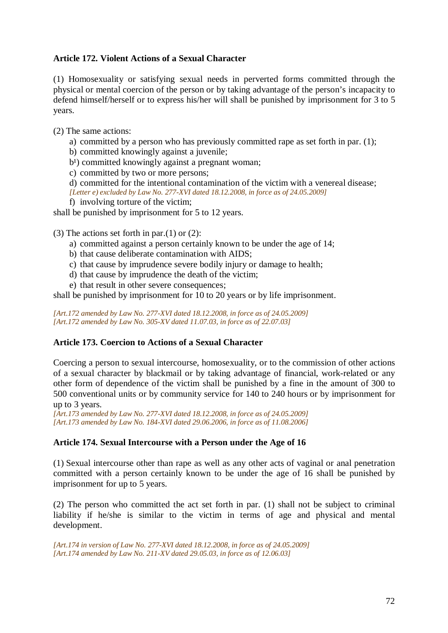# **Article 172. Violent Actions of a Sexual Character**

(1) Homosexuality or satisfying sexual needs in perverted forms committed through the physical or mental coercion of the person or by taking advantage of the person's incapacity to defend himself/herself or to express his/her will shall be punished by imprisonment for 3 to 5 years.

(2) The same actions:

a) committed by a person who has previously committed rape as set forth in par. (1);

b) committed knowingly against a juvenile;

 $b<sup>1</sup>$ ) committed knowingly against a pregnant woman;

c) committed by two or more persons;

d) committed for the intentional contamination of the victim with a venereal disease; *[Letter e) excluded by Law No. 277-XVI dated 18.12.2008, in force as of 24.05.2009]* 

f) involving torture of the victim;

shall be punished by imprisonment for 5 to 12 years.

(3) The actions set forth in par. $(1)$  or  $(2)$ :

- a) committed against a person certainly known to be under the age of 14;
- b) that cause deliberate contamination with AIDS;
- c) that cause by imprudence severe bodily injury or damage to health;
- d) that cause by imprudence the death of the victim;
- e) that result in other severe consequences;

shall be punished by imprisonment for 10 to 20 years or by life imprisonment.

*[Art.172 amended by Law No. 277-XVI dated 18.12.2008, in force as of 24.05.2009] [Art.172 amended by Law No. 305-XV dated 11.07.03, in force as of 22.07.03]* 

### **Article 173. Coercion to Actions of a Sexual Character**

Coercing a person to sexual intercourse, homosexuality, or to the commission of other actions of a sexual character by blackmail or by taking advantage of financial, work-related or any other form of dependence of the victim shall be punished by a fine in the amount of 300 to 500 conventional units or by community service for 140 to 240 hours or by imprisonment for up to 3 years.

*[Art.173 amended by Law No. 277-XVI dated 18.12.2008, in force as of 24.05.2009] [Art.173 amended by Law No. 184-XVI dated 29.06.2006, in force as of 11.08.2006]*

### **Article 174. Sexual Intercourse with a Person under the Age of 16**

(1) Sexual intercourse other than rape as well as any other acts of vaginal or anal penetration committed with a person certainly known to be under the age of 16 shall be punished by imprisonment for up to 5 years.

(2) The person who committed the act set forth in par. (1) shall not be subject to criminal liability if he/she is similar to the victim in terms of age and physical and mental development.

*[Art.174 in version of Law No. 277-XVI dated 18.12.2008, in force as of 24.05.2009] [Art.174 amended by Law No. 211-XV dated 29.05.03, in force as of 12.06.03]*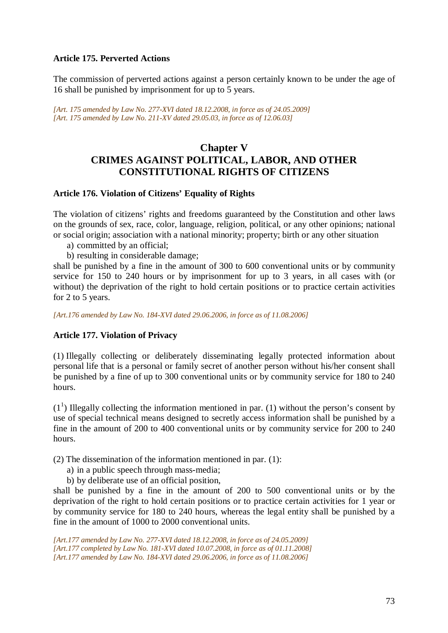## **Article 175. Perverted Actions**

The commission of perverted actions against a person certainly known to be under the age of 16 shall be punished by imprisonment for up to 5 years.

*[Art. 175 amended by Law No. 277-XVI dated 18.12.2008, in force as of 24.05.2009] [Art. 175 amended by Law No. 211-XV dated 29.05.03, in force as of 12.06.03]*

# **Chapter V CRIMES AGAINST POLITICAL, LABOR, AND OTHER CONSTITUTIONAL RIGHTS OF CITIZENS**

#### **Article 176. Violation of Citizens' Equality of Rights**

The violation of citizens' rights and freedoms guaranteed by the Constitution and other laws on the grounds of sex, race, color, language, religion, political, or any other opinions; national or social origin; association with a national minority; property; birth or any other situation

- a) committed by an official;
- b) resulting in considerable damage;

shall be punished by a fine in the amount of 300 to 600 conventional units or by community service for 150 to 240 hours or by imprisonment for up to 3 years, in all cases with (or without) the deprivation of the right to hold certain positions or to practice certain activities for 2 to 5 years.

*[Art.176 amended by Law No. 184-XVI dated 29.06.2006, in force as of 11.08.2006]*

#### **Article 177. Violation of Privacy**

(1) Illegally collecting or deliberately disseminating legally protected information about personal life that is a personal or family secret of another person without his/her consent shall be punished by a fine of up to 300 conventional units or by community service for 180 to 240 hours.

 $(1<sup>1</sup>)$  Illegally collecting the information mentioned in par. (1) without the person's consent by use of special technical means designed to secretly access information shall be punished by a fine in the amount of 200 to 400 conventional units or by community service for 200 to 240 hours.

(2) The dissemination of the information mentioned in par. (1):

- a) in a public speech through mass-media;
- b) by deliberate use of an official position,

shall be punished by a fine in the amount of 200 to 500 conventional units or by the deprivation of the right to hold certain positions or to practice certain activities for 1 year or by community service for 180 to 240 hours, whereas the legal entity shall be punished by a fine in the amount of 1000 to 2000 conventional units.

*[Art.177 amended by Law No. 277-XVI dated 18.12.2008, in force as of 24.05.2009] [Art.177 completed by Law No. 181-XVI dated 10.07.2008, in force as of 01.11.2008] [Art.177 amended by Law No. 184-XVI dated 29.06.2006, in force as of 11.08.2006]*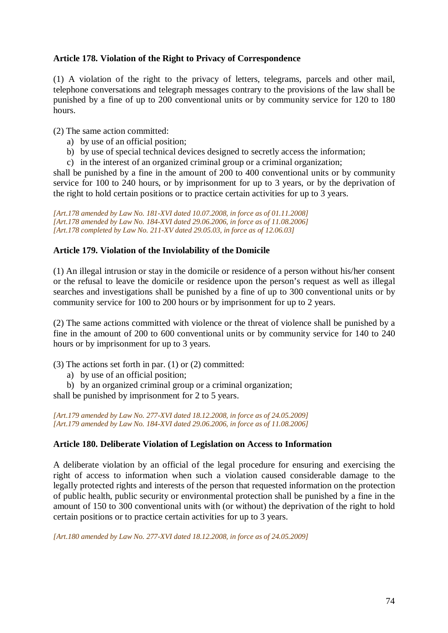## **Article 178. Violation of the Right to Privacy of Correspondence**

(1) A violation of the right to the privacy of letters, telegrams, parcels and other mail, telephone conversations and telegraph messages contrary to the provisions of the law shall be punished by a fine of up to 200 conventional units or by community service for 120 to 180 hours.

(2) The same action committed:

- a) by use of an official position;
- b) by use of special technical devices designed to secretly access the information;
- c) in the interest of an organized criminal group or a criminal organization;

shall be punished by a fine in the amount of 200 to 400 conventional units or by community service for 100 to 240 hours, or by imprisonment for up to 3 years, or by the deprivation of the right to hold certain positions or to practice certain activities for up to 3 years.

*[Art.178 amended by Law No. 181-XVI dated 10.07.2008, in force as of 01.11.2008] [Art.178 amended by Law No. 184-XVI dated 29.06.2006, in force as of 11.08.2006] [Art.178 completed by Law No. 211-XV dated 29.05.03, in force as of 12.06.03]* 

# **Article 179. Violation of the Inviolability of the Domicile**

(1) An illegal intrusion or stay in the domicile or residence of a person without his/her consent or the refusal to leave the domicile or residence upon the person's request as well as illegal searches and investigations shall be punished by a fine of up to 300 conventional units or by community service for 100 to 200 hours or by imprisonment for up to 2 years.

(2) The same actions committed with violence or the threat of violence shall be punished by a fine in the amount of 200 to 600 conventional units or by community service for 140 to 240 hours or by imprisonment for up to 3 years.

(3) The actions set forth in par. (1) or (2) committed:

a) by use of an official position;

b) by an organized criminal group or a criminal organization;

shall be punished by imprisonment for 2 to 5 years.

*[Art.179 amended by Law No. 277-XVI dated 18.12.2008, in force as of 24.05.2009] [Art.179 amended by Law No. 184-XVI dated 29.06.2006, in force as of 11.08.2006]*

## **Article 180. Deliberate Violation of Legislation on Access to Information**

A deliberate violation by an official of the legal procedure for ensuring and exercising the right of access to information when such a violation caused considerable damage to the legally protected rights and interests of the person that requested information on the protection of public health, public security or environmental protection shall be punished by a fine in the amount of 150 to 300 conventional units with (or without) the deprivation of the right to hold certain positions or to practice certain activities for up to 3 years.

*[Art.180 amended by Law No. 277-XVI dated 18.12.2008, in force as of 24.05.2009]*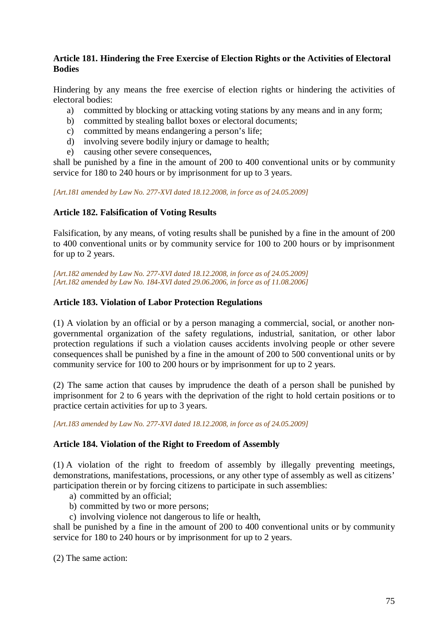## **Article 181. Hindering the Free Exercise of Election Rights or the Activities of Electoral Bodies**

Hindering by any means the free exercise of election rights or hindering the activities of electoral bodies:

- a) committed by blocking or attacking voting stations by any means and in any form;
- b) committed by stealing ballot boxes or electoral documents;
- c) committed by means endangering a person's life;
- d) involving severe bodily injury or damage to health;
- e) causing other severe consequences,

shall be punished by a fine in the amount of 200 to 400 conventional units or by community service for 180 to 240 hours or by imprisonment for up to 3 years.

*[Art.181 amended by Law No. 277-XVI dated 18.12.2008, in force as of 24.05.2009]* 

## **Article 182. Falsification of Voting Results**

Falsification, by any means, of voting results shall be punished by a fine in the amount of 200 to 400 conventional units or by community service for 100 to 200 hours or by imprisonment for up to 2 years.

*[Art.182 amended by Law No. 277-XVI dated 18.12.2008, in force as of 24.05.2009] [Art.182 amended by Law No. 184-XVI dated 29.06.2006, in force as of 11.08.2006]*

## **Article 183. Violation of Labor Protection Regulations**

(1) A violation by an official or by a person managing a commercial, social, or another nongovernmental organization of the safety regulations, industrial, sanitation, or other labor protection regulations if such a violation causes accidents involving people or other severe consequences shall be punished by a fine in the amount of 200 to 500 conventional units or by community service for 100 to 200 hours or by imprisonment for up to 2 years.

(2) The same action that causes by imprudence the death of a person shall be punished by imprisonment for 2 to 6 years with the deprivation of the right to hold certain positions or to practice certain activities for up to 3 years.

*[Art.183 amended by Law No. 277-XVI dated 18.12.2008, in force as of 24.05.2009]* 

#### **Article 184. Violation of the Right to Freedom of Assembly**

(1) A violation of the right to freedom of assembly by illegally preventing meetings, demonstrations, manifestations, processions, or any other type of assembly as well as citizens' participation therein or by forcing citizens to participate in such assemblies:

- a) committed by an official;
- b) committed by two or more persons;
- c) involving violence not dangerous to life or health,

shall be punished by a fine in the amount of 200 to 400 conventional units or by community service for 180 to 240 hours or by imprisonment for up to 2 years.

(2) The same action: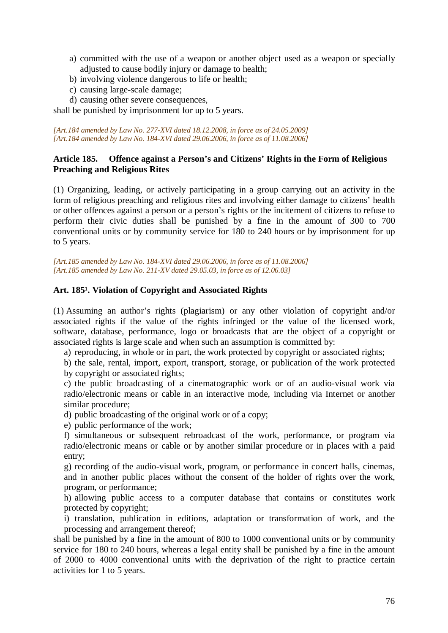- a) committed with the use of a weapon or another object used as a weapon or specially adjusted to cause bodily injury or damage to health;
- b) involving violence dangerous to life or health;
- c) causing large-scale damage;
- d) causing other severe consequences,

shall be punished by imprisonment for up to 5 years.

*[Art.184 amended by Law No. 277-XVI dated 18.12.2008, in force as of 24.05.2009] [Art.184 amended by Law No. 184-XVI dated 29.06.2006, in force as of 11.08.2006]*

#### **Article 185. Offence against a Person's and Citizens' Rights in the Form of Religious Preaching and Religious Rites**

(1) Organizing, leading, or actively participating in a group carrying out an activity in the form of religious preaching and religious rites and involving either damage to citizens' health or other offences against a person or a person's rights or the incitement of citizens to refuse to perform their civic duties shall be punished by a fine in the amount of 300 to 700 conventional units or by community service for 180 to 240 hours or by imprisonment for up to 5 years.

*[Art.185 amended by Law No. 184-XVI dated 29.06.2006, in force as of 11.08.2006] [Art.185 amended by Law No. 211-XV dated 29.05.03, in force as of 12.06.03]* 

## Art. 185<sup>1</sup>. Violation of Copyright and Associated Rights

(1) Assuming an author's rights (plagiarism) or any other violation of copyright and/or associated rights if the value of the rights infringed or the value of the licensed work, software, database, performance, logo or broadcasts that are the object of a copyright or associated rights is large scale and when such an assumption is committed by:

a) reproducing, in whole or in part, the work protected by copyright or associated rights;

b) the sale, rental, import, export, transport, storage, or publication of the work protected by copyright or associated rights;

c) the public broadcasting of a cinematographic work or of an audio-visual work via radio/electronic means or cable in an interactive mode, including via Internet or another similar procedure;

d) public broadcasting of the original work or of a copy;

e) public performance of the work;

f) simultaneous or subsequent rebroadcast of the work, performance, or program via radio/electronic means or cable or by another similar procedure or in places with a paid entry;

g) recording of the audio-visual work, program, or performance in concert halls, cinemas, and in another public places without the consent of the holder of rights over the work, program, or performance;

h) allowing public access to a computer database that contains or constitutes work protected by copyright;

i) translation, publication in editions, adaptation or transformation of work, and the processing and arrangement thereof;

shall be punished by a fine in the amount of 800 to 1000 conventional units or by community service for 180 to 240 hours, whereas a legal entity shall be punished by a fine in the amount of 2000 to 4000 conventional units with the deprivation of the right to practice certain activities for 1 to 5 years.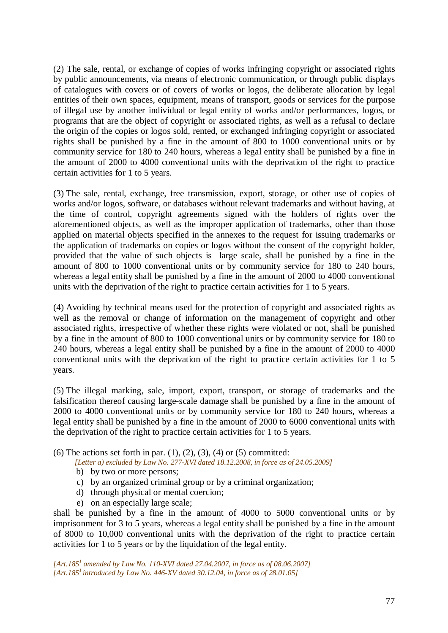(2) The sale, rental, or exchange of copies of works infringing copyright or associated rights by public announcements, via means of electronic communication, or through public displays of catalogues with covers or of covers of works or logos, the deliberate allocation by legal entities of their own spaces, equipment, means of transport, goods or services for the purpose of illegal use by another individual or legal entity of works and/or performances, logos, or programs that are the object of copyright or associated rights, as well as a refusal to declare the origin of the copies or logos sold, rented, or exchanged infringing copyright or associated rights shall be punished by a fine in the amount of 800 to 1000 conventional units or by community service for 180 to 240 hours, whereas a legal entity shall be punished by a fine in the amount of 2000 to 4000 conventional units with the deprivation of the right to practice certain activities for 1 to 5 years.

(3) The sale, rental, exchange, free transmission, export, storage, or other use of copies of works and/or logos, software, or databases without relevant trademarks and without having, at the time of control, copyright agreements signed with the holders of rights over the aforementioned objects, as well as the improper application of trademarks, other than those applied on material objects specified in the annexes to the request for issuing trademarks or the application of trademarks on copies or logos without the consent of the copyright holder, provided that the value of such objects is large scale, shall be punished by a fine in the amount of 800 to 1000 conventional units or by community service for 180 to 240 hours, whereas a legal entity shall be punished by a fine in the amount of 2000 to 4000 conventional units with the deprivation of the right to practice certain activities for 1 to 5 years.

(4) Avoiding by technical means used for the protection of copyright and associated rights as well as the removal or change of information on the management of copyright and other associated rights, irrespective of whether these rights were violated or not, shall be punished by a fine in the amount of 800 to 1000 conventional units or by community service for 180 to 240 hours, whereas a legal entity shall be punished by a fine in the amount of 2000 to 4000 conventional units with the deprivation of the right to practice certain activities for 1 to 5 years.

(5) The illegal marking, sale, import, export, transport, or storage of trademarks and the falsification thereof causing large-scale damage shall be punished by a fine in the amount of 2000 to 4000 conventional units or by community service for 180 to 240 hours, whereas a legal entity shall be punished by a fine in the amount of 2000 to 6000 conventional units with the deprivation of the right to practice certain activities for 1 to 5 years.

(6) The actions set forth in par.  $(1)$ ,  $(2)$ ,  $(3)$ ,  $(4)$  or  $(5)$  committed:

*[Letter a) excluded by Law No. 277-XVI dated 18.12.2008, in force as of 24.05.2009]* 

- b) by two or more persons;
- c) by an organized criminal group or by a criminal organization;
- d) through physical or mental coercion;
- e) on an especially large scale;

shall be punished by a fine in the amount of 4000 to 5000 conventional units or by imprisonment for 3 to 5 years, whereas a legal entity shall be punished by a fine in the amount of 8000 to 10,000 conventional units with the deprivation of the right to practice certain activities for 1 to 5 years or by the liquidation of the legal entity.

*[Art.185<sup>1</sup> amended by Law No. 110-XVI dated 27.04.2007, in force as of 08.06.2007] [Art.185<sup>1</sup>introduced by Law No. 446-XV dated 30.12.04, in force as of 28.01.05]*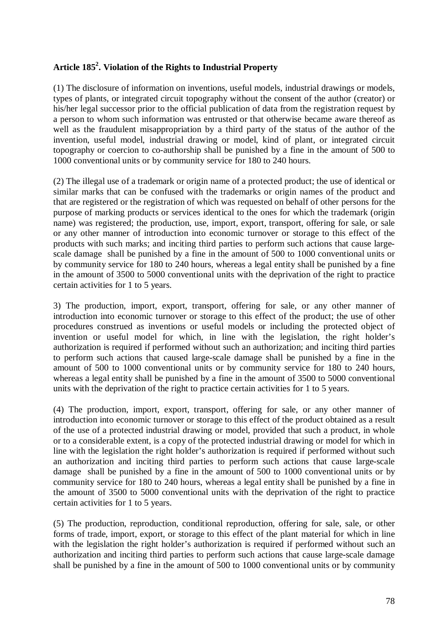# **Article 185<sup>2</sup> . Violation of the Rights to Industrial Property**

(1) The disclosure of information on inventions, useful models, industrial drawings or models, types of plants, or integrated circuit topography without the consent of the author (creator) or his/her legal successor prior to the official publication of data from the registration request by a person to whom such information was entrusted or that otherwise became aware thereof as well as the fraudulent misappropriation by a third party of the status of the author of the invention, useful model, industrial drawing or model, kind of plant, or integrated circuit topography or coercion to co-authorship shall be punished by a fine in the amount of 500 to 1000 conventional units or by community service for 180 to 240 hours.

(2) The illegal use of a trademark or origin name of a protected product; the use of identical or similar marks that can be confused with the trademarks or origin names of the product and that are registered or the registration of which was requested on behalf of other persons for the purpose of marking products or services identical to the ones for which the trademark (origin name) was registered; the production, use, import, export, transport, offering for sale, or sale or any other manner of introduction into economic turnover or storage to this effect of the products with such marks; and inciting third parties to perform such actions that cause largescale damage shall be punished by a fine in the amount of 500 to 1000 conventional units or by community service for 180 to 240 hours, whereas a legal entity shall be punished by a fine in the amount of 3500 to 5000 conventional units with the deprivation of the right to practice certain activities for 1 to 5 years.

3) The production, import, export, transport, offering for sale, or any other manner of introduction into economic turnover or storage to this effect of the product; the use of other procedures construed as inventions or useful models or including the protected object of invention or useful model for which, in line with the legislation, the right holder's authorization is required if performed without such an authorization; and inciting third parties to perform such actions that caused large-scale damage shall be punished by a fine in the amount of 500 to 1000 conventional units or by community service for 180 to 240 hours, whereas a legal entity shall be punished by a fine in the amount of 3500 to 5000 conventional units with the deprivation of the right to practice certain activities for 1 to 5 years.

(4) The production, import, export, transport, offering for sale, or any other manner of introduction into economic turnover or storage to this effect of the product obtained as a result of the use of a protected industrial drawing or model, provided that such a product, in whole or to a considerable extent, is a copy of the protected industrial drawing or model for which in line with the legislation the right holder's authorization is required if performed without such an authorization and inciting third parties to perform such actions that cause large-scale damage shall be punished by a fine in the amount of 500 to 1000 conventional units or by community service for 180 to 240 hours, whereas a legal entity shall be punished by a fine in the amount of 3500 to 5000 conventional units with the deprivation of the right to practice certain activities for 1 to 5 years.

(5) The production, reproduction, conditional reproduction, offering for sale, sale, or other forms of trade, import, export, or storage to this effect of the plant material for which in line with the legislation the right holder's authorization is required if performed without such an authorization and inciting third parties to perform such actions that cause large-scale damage shall be punished by a fine in the amount of 500 to 1000 conventional units or by community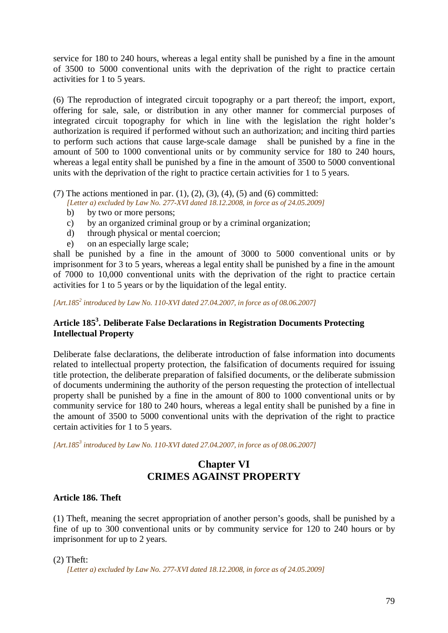service for 180 to 240 hours, whereas a legal entity shall be punished by a fine in the amount of 3500 to 5000 conventional units with the deprivation of the right to practice certain activities for 1 to 5 years.

(6) The reproduction of integrated circuit topography or a part thereof; the import, export, offering for sale, sale, or distribution in any other manner for commercial purposes of integrated circuit topography for which in line with the legislation the right holder's authorization is required if performed without such an authorization; and inciting third parties to perform such actions that cause large-scale damage shall be punished by a fine in the amount of 500 to 1000 conventional units or by community service for 180 to 240 hours, whereas a legal entity shall be punished by a fine in the amount of 3500 to 5000 conventional units with the deprivation of the right to practice certain activities for 1 to 5 years.

(7) The actions mentioned in par.  $(1)$ ,  $(2)$ ,  $(3)$ ,  $(4)$ ,  $(5)$  and  $(6)$  committed:

*[Letter a) excluded by Law No. 277-XVI dated 18.12.2008, in force as of 24.05.2009]* 

- b) by two or more persons;
- c) by an organized criminal group or by a criminal organization;
- d) through physical or mental coercion;
- e) on an especially large scale;

shall be punished by a fine in the amount of 3000 to 5000 conventional units or by imprisonment for 3 to 5 years, whereas a legal entity shall be punished by a fine in the amount of 7000 to 10,000 conventional units with the deprivation of the right to practice certain activities for 1 to 5 years or by the liquidation of the legal entity.

*[Art.185<sup>2</sup> introduced by Law No. 110-XVI dated 27.04.2007, in force as of 08.06.2007]*

# **Article 185<sup>3</sup> . Deliberate False Declarations in Registration Documents Protecting Intellectual Property**

Deliberate false declarations, the deliberate introduction of false information into documents related to intellectual property protection, the falsification of documents required for issuing title protection, the deliberate preparation of falsified documents, or the deliberate submission of documents undermining the authority of the person requesting the protection of intellectual property shall be punished by a fine in the amount of 800 to 1000 conventional units or by community service for 180 to 240 hours, whereas a legal entity shall be punished by a fine in the amount of 3500 to 5000 conventional units with the deprivation of the right to practice certain activities for 1 to 5 years.

*[Art.185<sup>3</sup> introduced by Law No. 110-XVI dated 27.04.2007, in force as of 08.06.2007]*

# **Chapter VI CRIMES AGAINST PROPERTY**

## **Article 186. Theft**

(1) Theft, meaning the secret appropriation of another person's goods, shall be punished by a fine of up to 300 conventional units or by community service for 120 to 240 hours or by imprisonment for up to 2 years.

 $(2)$  Theft:

*[Letter a) excluded by Law No. 277-XVI dated 18.12.2008, in force as of 24.05.2009]*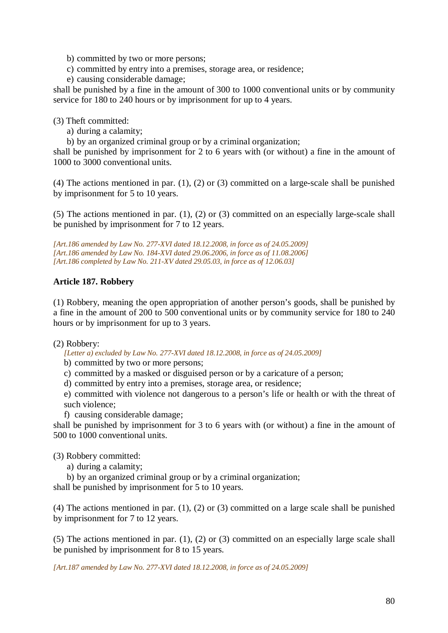- b) committed by two or more persons;
- c) committed by entry into a premises, storage area, or residence;
- e) causing considerable damage;

shall be punished by a fine in the amount of 300 to 1000 conventional units or by community service for 180 to 240 hours or by imprisonment for up to 4 years.

(3) Theft committed:

- a) during a calamity;
- b) by an organized criminal group or by a criminal organization;

shall be punished by imprisonment for 2 to 6 years with (or without) a fine in the amount of 1000 to 3000 conventional units.

(4) The actions mentioned in par. (1), (2) or (3) committed on a large-scale shall be punished by imprisonment for 5 to 10 years.

(5) The actions mentioned in par. (1), (2) or (3) committed on an especially large-scale shall be punished by imprisonment for 7 to 12 years.

## **Article 187. Robbery**

(1) Robbery, meaning the open appropriation of another person's goods, shall be punished by a fine in the amount of 200 to 500 conventional units or by community service for 180 to 240 hours or by imprisonment for up to 3 years.

(2) Robbery:

*[Letter a) excluded by Law No. 277-XVI dated 18.12.2008, in force as of 24.05.2009]* 

b) committed by two or more persons;

- c) committed by a masked or disguised person or by a caricature of a person;
- d) committed by entry into a premises, storage area, or residence;

e) committed with violence not dangerous to a person's life or health or with the threat of such violence;

f) causing considerable damage;

shall be punished by imprisonment for 3 to 6 years with (or without) a fine in the amount of 500 to 1000 conventional units.

(3) Robbery committed:

- a) during a calamity;
- b) by an organized criminal group or by a criminal organization;

shall be punished by imprisonment for 5 to 10 years.

(4) The actions mentioned in par. (1), (2) or (3) committed on a large scale shall be punished by imprisonment for 7 to 12 years.

(5) The actions mentioned in par. (1), (2) or (3) committed on an especially large scale shall be punished by imprisonment for 8 to 15 years.

*[Art.187 amended by Law No. 277-XVI dated 18.12.2008, in force as of 24.05.2009]* 

*<sup>[</sup>Art.186 amended by Law No. 277-XVI dated 18.12.2008, in force as of 24.05.2009] [Art.186 amended by Law No. 184-XVI dated 29.06.2006, in force as of 11.08.2006] [Art.186 completed by Law No. 211-XV dated 29.05.03, in force as of 12.06.03]*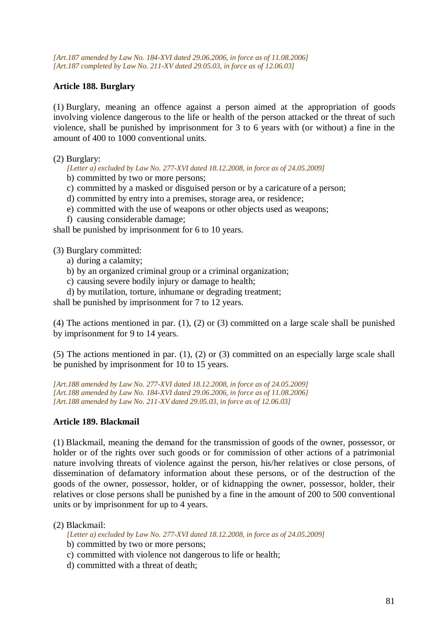*[Art.187 amended by Law No. 184-XVI dated 29.06.2006, in force as of 11.08.2006] [Art.187 completed by Law No. 211-XV dated 29.05.03, in force as of 12.06.03]* 

## **Article 188. Burglary**

(1) Burglary, meaning an offence against a person aimed at the appropriation of goods involving violence dangerous to the life or health of the person attacked or the threat of such violence, shall be punished by imprisonment for 3 to 6 years with (or without) a fine in the amount of 400 to 1000 conventional units.

(2) Burglary:

*[Letter a) excluded by Law No. 277-XVI dated 18.12.2008, in force as of 24.05.2009]* 

b) committed by two or more persons;

- c) committed by a masked or disguised person or by a caricature of a person;
- d) committed by entry into a premises, storage area, or residence;
- e) committed with the use of weapons or other objects used as weapons;
- f) causing considerable damage;

shall be punished by imprisonment for 6 to 10 years.

(3) Burglary committed:

- a) during a calamity;
- b) by an organized criminal group or a criminal organization;
- c) causing severe bodily injury or damage to health;
- d) by mutilation, torture, inhumane or degrading treatment;

shall be punished by imprisonment for 7 to 12 years.

(4) The actions mentioned in par. (1), (2) or (3) committed on a large scale shall be punished by imprisonment for 9 to 14 years.

(5) The actions mentioned in par. (1), (2) or (3) committed on an especially large scale shall be punished by imprisonment for 10 to 15 years.

*[Art.188 amended by Law No. 277-XVI dated 18.12.2008, in force as of 24.05.2009] [Art.188 amended by Law No. 184-XVI dated 29.06.2006, in force as of 11.08.2006] [Art.188 amended by Law No. 211-XV dated 29.05.03, in force as of 12.06.03]* 

#### **Article 189. Blackmail**

(1) Blackmail, meaning the demand for the transmission of goods of the owner, possessor, or holder or of the rights over such goods or for commission of other actions of a patrimonial nature involving threats of violence against the person, his/her relatives or close persons, of dissemination of defamatory information about these persons, or of the destruction of the goods of the owner, possessor, holder, or of kidnapping the owner, possessor, holder, their relatives or close persons shall be punished by a fine in the amount of 200 to 500 conventional units or by imprisonment for up to 4 years.

#### (2) Blackmail:

*[Letter a) excluded by Law No. 277-XVI dated 18.12.2008, in force as of 24.05.2009]* 

- b) committed by two or more persons;
- c) committed with violence not dangerous to life or health;
- d) committed with a threat of death;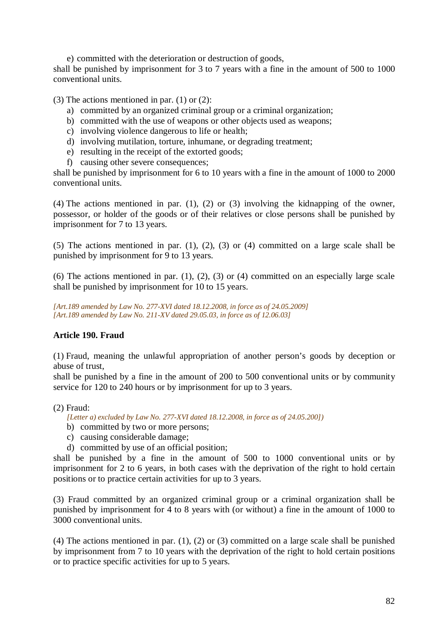e) committed with the deterioration or destruction of goods,

shall be punished by imprisonment for 3 to 7 years with a fine in the amount of 500 to 1000 conventional units.

(3) The actions mentioned in par.  $(1)$  or  $(2)$ :

- a) committed by an organized criminal group or a criminal organization;
- b) committed with the use of weapons or other objects used as weapons;
- c) involving violence dangerous to life or health;
- d) involving mutilation, torture, inhumane, or degrading treatment;
- e) resulting in the receipt of the extorted goods;
- f) causing other severe consequences;

shall be punished by imprisonment for 6 to 10 years with a fine in the amount of 1000 to 2000 conventional units.

(4) The actions mentioned in par. (1), (2) or (3) involving the kidnapping of the owner, possessor, or holder of the goods or of their relatives or close persons shall be punished by imprisonment for 7 to 13 years.

(5) The actions mentioned in par. (1), (2), (3) or (4) committed on a large scale shall be punished by imprisonment for 9 to 13 years.

(6) The actions mentioned in par.  $(1)$ ,  $(2)$ ,  $(3)$  or  $(4)$  committed on an especially large scale shall be punished by imprisonment for 10 to 15 years.

*[Art.189 amended by Law No. 277-XVI dated 18.12.2008, in force as of 24.05.2009] [Art.189 amended by Law No. 211-XV dated 29.05.03, in force as of 12.06.03]* 

## **Article 190. Fraud**

(1) Fraud, meaning the unlawful appropriation of another person's goods by deception or abuse of trust,

shall be punished by a fine in the amount of 200 to 500 conventional units or by community service for 120 to 240 hours or by imprisonment for up to 3 years.

(2) Fraud:

*[Letter a) excluded by Law No. 277-XVI dated 18.12.2008, in force as of 24.05.200])*

- b) committed by two or more persons;
- c) causing considerable damage;
- d) committed by use of an official position;

shall be punished by a fine in the amount of 500 to 1000 conventional units or by imprisonment for 2 to 6 years, in both cases with the deprivation of the right to hold certain positions or to practice certain activities for up to 3 years.

(3) Fraud committed by an organized criminal group or a criminal organization shall be punished by imprisonment for 4 to 8 years with (or without) a fine in the amount of 1000 to 3000 conventional units.

(4) The actions mentioned in par. (1), (2) or (3) committed on a large scale shall be punished by imprisonment from 7 to 10 years with the deprivation of the right to hold certain positions or to practice specific activities for up to 5 years.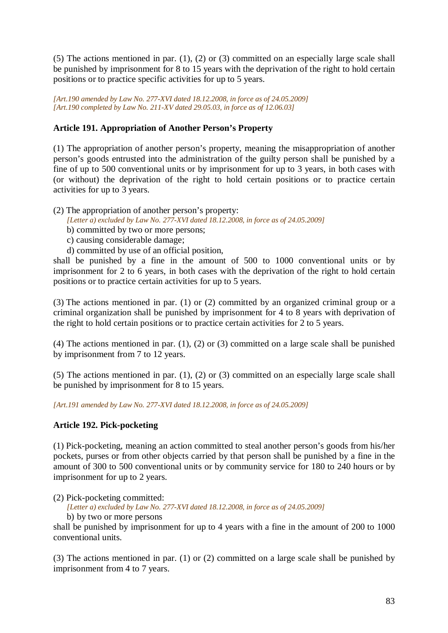(5) The actions mentioned in par. (1), (2) or (3) committed on an especially large scale shall be punished by imprisonment for 8 to 15 years with the deprivation of the right to hold certain positions or to practice specific activities for up to 5 years.

*[Art.190 amended by Law No. 277-XVI dated 18.12.2008, in force as of 24.05.2009] [Art.190 completed by Law No. 211-XV dated 29.05.03, in force as of 12.06.03]* 

# **Article 191. Appropriation of Another Person's Property**

(1) The appropriation of another person's property, meaning the misappropriation of another person's goods entrusted into the administration of the guilty person shall be punished by a fine of up to 500 conventional units or by imprisonment for up to 3 years, in both cases with (or without) the deprivation of the right to hold certain positions or to practice certain activities for up to 3 years.

(2) The appropriation of another person's property:

- *[Letter a) excluded by Law No. 277-XVI dated 18.12.2008, in force as of 24.05.2009]*
- b) committed by two or more persons;
- c) causing considerable damage;
- d) committed by use of an official position,

shall be punished by a fine in the amount of 500 to 1000 conventional units or by imprisonment for 2 to 6 years, in both cases with the deprivation of the right to hold certain positions or to practice certain activities for up to 5 years.

(3) The actions mentioned in par. (1) or (2) committed by an organized criminal group or a criminal organization shall be punished by imprisonment for 4 to 8 years with deprivation of the right to hold certain positions or to practice certain activities for 2 to 5 years.

(4) The actions mentioned in par. (1), (2) or (3) committed on a large scale shall be punished by imprisonment from 7 to 12 years.

(5) The actions mentioned in par. (1), (2) or (3) committed on an especially large scale shall be punished by imprisonment for 8 to 15 years.

*[Art.191 amended by Law No. 277-XVI dated 18.12.2008, in force as of 24.05.2009]* 

## **Article 192. Pick-pocketing**

(1) Pick-pocketing, meaning an action committed to steal another person's goods from his/her pockets, purses or from other objects carried by that person shall be punished by a fine in the amount of 300 to 500 conventional units or by community service for 180 to 240 hours or by imprisonment for up to 2 years.

(2) Pick-pocketing committed:

*[Letter a) excluded by Law No. 277-XVI dated 18.12.2008, in force as of 24.05.2009]* 

b) by two or more persons

shall be punished by imprisonment for up to 4 years with a fine in the amount of 200 to 1000 conventional units.

(3) The actions mentioned in par. (1) or (2) committed on a large scale shall be punished by imprisonment from 4 to 7 years.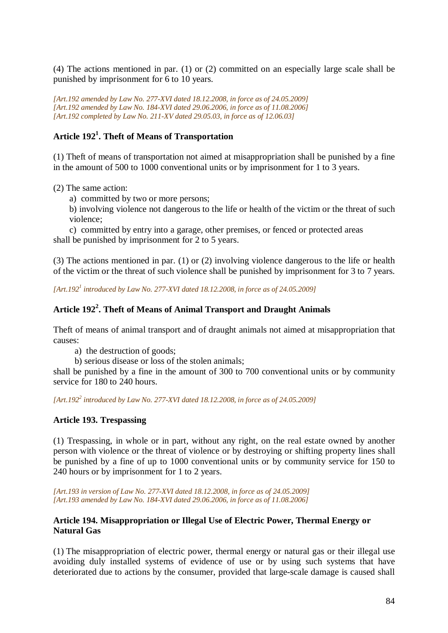(4) The actions mentioned in par. (1) or (2) committed on an especially large scale shall be punished by imprisonment for 6 to 10 years.

*[Art.192 amended by Law No. 277-XVI dated 18.12.2008, in force as of 24.05.2009] [Art.192 amended by Law No. 184-XVI dated 29.06.2006, in force as of 11.08.2006] [Art.192 completed by Law No. 211-XV dated 29.05.03, in force as of 12.06.03]* 

# **Article 192<sup>1</sup> . Theft of Means of Transportation**

(1) Theft of means of transportation not aimed at misappropriation shall be punished by a fine in the amount of 500 to 1000 conventional units or by imprisonment for 1 to 3 years.

(2) The same action:

a) committed by two or more persons;

b) involving violence not dangerous to the life or health of the victim or the threat of such violence;

c) committed by entry into a garage, other premises, or fenced or protected areas shall be punished by imprisonment for 2 to 5 years.

(3) The actions mentioned in par. (1) or (2) involving violence dangerous to the life or health of the victim or the threat of such violence shall be punished by imprisonment for 3 to 7 years.

*[Art.192<sup>1</sup> introduced by Law No. 277-XVI dated 18.12.2008, in force as of 24.05.2009]* 

# **Article 192<sup>2</sup> . Theft of Means of Animal Transport and Draught Animals**

Theft of means of animal transport and of draught animals not aimed at misappropriation that causes:

a) the destruction of goods;

b) serious disease or loss of the stolen animals;

shall be punished by a fine in the amount of 300 to 700 conventional units or by community service for 180 to 240 hours.

*[Art.192<sup>2</sup> introduced by Law No. 277-XVI dated 18.12.2008, in force as of 24.05.2009]* 

#### **Article 193. Trespassing**

(1) Trespassing, in whole or in part, without any right, on the real estate owned by another person with violence or the threat of violence or by destroying or shifting property lines shall be punished by a fine of up to 1000 conventional units or by community service for 150 to 240 hours or by imprisonment for 1 to 2 years.

*[Art.193 in version of Law No. 277-XVI dated 18.12.2008, in force as of 24.05.2009] [Art.193 amended by Law No. 184-XVI dated 29.06.2006, in force as of 11.08.2006]*

## **Article 194. Misappropriation or Illegal Use of Electric Power, Thermal Energy or Natural Gas**

(1) The misappropriation of electric power, thermal energy or natural gas or their illegal use avoiding duly installed systems of evidence of use or by using such systems that have deteriorated due to actions by the consumer, provided that large-scale damage is caused shall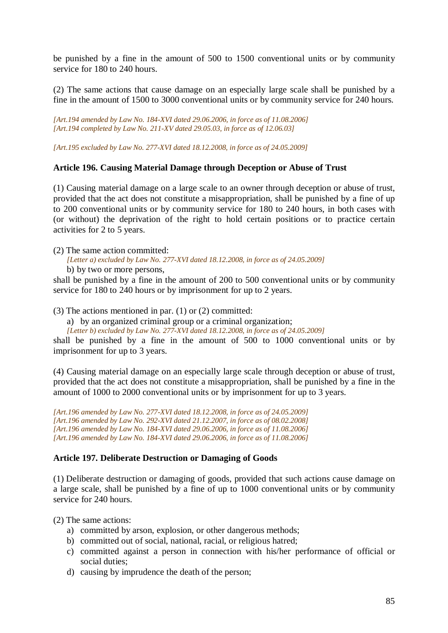be punished by a fine in the amount of 500 to 1500 conventional units or by community service for 180 to 240 hours.

(2) The same actions that cause damage on an especially large scale shall be punished by a fine in the amount of 1500 to 3000 conventional units or by community service for 240 hours.

*[Art.194 amended by Law No. 184-XVI dated 29.06.2006, in force as of 11.08.2006] [Art.194 completed by Law No. 211-XV dated 29.05.03, in force as of 12.06.03]* 

*[Art.195 excluded by Law No. 277-XVI dated 18.12.2008, in force as of 24.05.2009]* 

#### **Article 196. Causing Material Damage through Deception or Abuse of Trust**

(1) Causing material damage on a large scale to an owner through deception or abuse of trust, provided that the act does not constitute a misappropriation, shall be punished by a fine of up to 200 conventional units or by community service for 180 to 240 hours, in both cases with (or without) the deprivation of the right to hold certain positions or to practice certain activities for 2 to 5 years.

(2) The same action committed:

*[Letter a) excluded by Law No. 277-XVI dated 18.12.2008, in force as of 24.05.2009]*  b) by two or more persons,

shall be punished by a fine in the amount of 200 to 500 conventional units or by community service for 180 to 240 hours or by imprisonment for up to 2 years.

(3) The actions mentioned in par. (1) or (2) committed:

a) by an organized criminal group or a criminal organization;

*[Letter b) excluded by Law No. 277-XVI dated 18.12.2008, in force as of 24.05.2009]* 

shall be punished by a fine in the amount of 500 to 1000 conventional units or by imprisonment for up to 3 years.

(4) Causing material damage on an especially large scale through deception or abuse of trust, provided that the act does not constitute a misappropriation, shall be punished by a fine in the amount of 1000 to 2000 conventional units or by imprisonment for up to 3 years.

*[Art.196 amended by Law No. 277-XVI dated 18.12.2008, in force as of 24.05.2009] [Art.196 amended by Law No. 292-XVI dated 21.12.2007, in force as of 08.02.2008] [Art.196 amended by Law No. 184-XVI dated 29.06.2006, in force as of 11.08.2006] [Art.196 amended by Law No. 184-XVI dated 29.06.2006, in force as of 11.08.2006]*

#### **Article 197. Deliberate Destruction or Damaging of Goods**

(1) Deliberate destruction or damaging of goods, provided that such actions cause damage on a large scale, shall be punished by a fine of up to 1000 conventional units or by community service for 240 hours.

(2) The same actions:

- a) committed by arson, explosion, or other dangerous methods;
- b) committed out of social, national, racial, or religious hatred;
- c) committed against a person in connection with his/her performance of official or social duties;
- d) causing by imprudence the death of the person;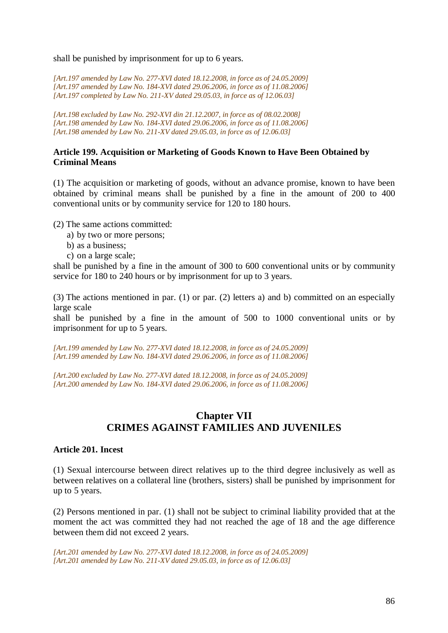shall be punished by imprisonment for up to 6 years.

*[Art.197 amended by Law No. 277-XVI dated 18.12.2008, in force as of 24.05.2009] [Art.197 amended by Law No. 184-XVI dated 29.06.2006, in force as of 11.08.2006] [Art.197 completed by Law No. 211-XV dated 29.05.03, in force as of 12.06.03]*

*[Art.198 excluded by Law No. 292-XVI din 21.12.2007, in force as of 08.02.2008] [Art.198 amended by Law No. 184-XVI dated 29.06.2006, in force as of 11.08.2006] [Art.198 amended by Law No. 211-XV dated 29.05.03, in force as of 12.06.03]*

#### **Article 199. Acquisition or Marketing of Goods Known to Have Been Obtained by Criminal Means**

(1) The acquisition or marketing of goods, without an advance promise, known to have been obtained by criminal means shall be punished by a fine in the amount of 200 to 400 conventional units or by community service for 120 to 180 hours.

(2) The same actions committed:

- a) by two or more persons;
- b) as a business;
- c) on a large scale;

shall be punished by a fine in the amount of 300 to 600 conventional units or by community service for 180 to 240 hours or by imprisonment for up to 3 years.

(3) The actions mentioned in par. (1) or par. (2) letters a) and b) committed on an especially large scale

shall be punished by a fine in the amount of 500 to 1000 conventional units or by imprisonment for up to 5 years.

*[Art.199 amended by Law No. 277-XVI dated 18.12.2008, in force as of 24.05.2009] [Art.199 amended by Law No. 184-XVI dated 29.06.2006, in force as of 11.08.2006]*

*[Art.200 excluded by Law No. 277-XVI dated 18.12.2008, in force as of 24.05.2009] [Art.200 amended by Law No. 184-XVI dated 29.06.2006, in force as of 11.08.2006]*

# **Chapter VII CRIMES AGAINST FAMILIES AND JUVENILES**

#### **Article 201. Incest**

(1) Sexual intercourse between direct relatives up to the third degree inclusively as well as between relatives on a collateral line (brothers, sisters) shall be punished by imprisonment for up to 5 years.

(2) Persons mentioned in par. (1) shall not be subject to criminal liability provided that at the moment the act was committed they had not reached the age of 18 and the age difference between them did not exceed 2 years.

*[Art.201 amended by Law No. 277-XVI dated 18.12.2008, in force as of 24.05.2009] [Art.201 amended by Law No. 211-XV dated 29.05.03, in force as of 12.06.03]*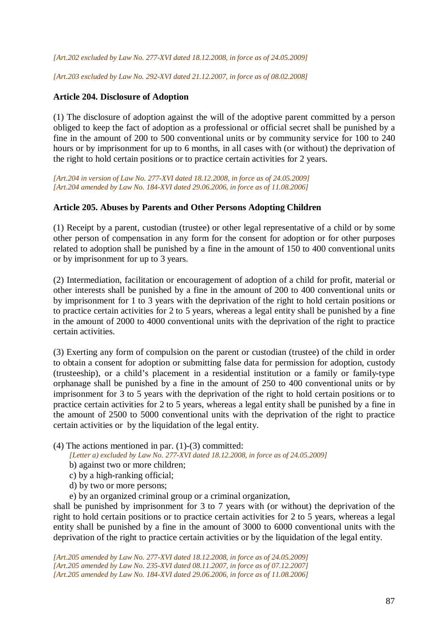*[Art.202 excluded by Law No. 277-XVI dated 18.12.2008, in force as of 24.05.2009]* 

*[Art.203 excluded by Law No. 292-XVI dated 21.12.2007, in force as of 08.02.2008]*

#### **Article 204. Disclosure of Adoption**

(1) The disclosure of adoption against the will of the adoptive parent committed by a person obliged to keep the fact of adoption as a professional or official secret shall be punished by a fine in the amount of 200 to 500 conventional units or by community service for 100 to 240 hours or by imprisonment for up to 6 months, in all cases with (or without) the deprivation of the right to hold certain positions or to practice certain activities for 2 years.

*[Art.204 in version of Law No. 277-XVI dated 18.12.2008, in force as of 24.05.2009] [Art.204 amended by Law No. 184-XVI dated 29.06.2006, in force as of 11.08.2006]*

#### **Article 205. Abuses by Parents and Other Persons Adopting Children**

(1) Receipt by a parent, custodian (trustee) or other legal representative of a child or by some other person of compensation in any form for the consent for adoption or for other purposes related to adoption shall be punished by a fine in the amount of 150 to 400 conventional units or by imprisonment for up to 3 years.

(2) Intermediation, facilitation or encouragement of adoption of a child for profit, material or other interests shall be punished by a fine in the amount of 200 to 400 conventional units or by imprisonment for 1 to 3 years with the deprivation of the right to hold certain positions or to practice certain activities for 2 to 5 years, whereas a legal entity shall be punished by a fine in the amount of 2000 to 4000 conventional units with the deprivation of the right to practice certain activities.

(3) Exerting any form of compulsion on the parent or custodian (trustee) of the child in order to obtain a consent for adoption or submitting false data for permission for adoption, custody (trusteeship), or a child's placement in a residential institution or a family or family-type orphanage shall be punished by a fine in the amount of 250 to 400 conventional units or by imprisonment for 3 to 5 years with the deprivation of the right to hold certain positions or to practice certain activities for 2 to 5 years, whereas a legal entity shall be punished by a fine in the amount of 2500 to 5000 conventional units with the deprivation of the right to practice certain activities or by the liquidation of the legal entity.

(4) The actions mentioned in par.  $(1)-(3)$  committed:

*[Letter a) excluded by Law No. 277-XVI dated 18.12.2008, in force as of 24.05.2009]* 

- b) against two or more children;
- c) by a high-ranking official;
- d) by two or more persons;

e) by an organized criminal group or a criminal organization,

shall be punished by imprisonment for 3 to 7 years with (or without) the deprivation of the right to hold certain positions or to practice certain activities for 2 to 5 years, whereas a legal entity shall be punished by a fine in the amount of 3000 to 6000 conventional units with the deprivation of the right to practice certain activities or by the liquidation of the legal entity.

*[Art.205 amended by Law No. 277-XVI dated 18.12.2008, in force as of 24.05.2009] [Art.205 amended by Law No. 235-XVI dated 08.11.2007, in force as of 07.12.2007] [Art.205 amended by Law No. 184-XVI dated 29.06.2006, in force as of 11.08.2006]*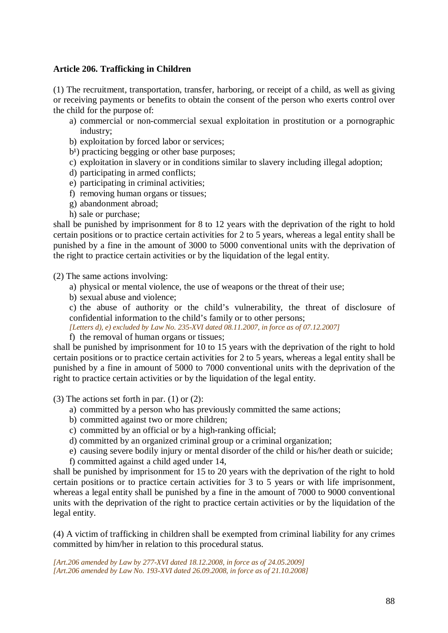## **Article 206. Trafficking in Children**

(1) The recruitment, transportation, transfer, harboring, or receipt of a child, as well as giving or receiving payments or benefits to obtain the consent of the person who exerts control over the child for the purpose of:

- a) commercial or non-commercial sexual exploitation in prostitution or a pornographic industry;
- b) exploitation by forced labor or services;
- $b<sup>1</sup>$ ) practicing begging or other base purposes;
- c) exploitation in slavery or in conditions similar to slavery including illegal adoption;
- d) participating in armed conflicts;
- e) participating in criminal activities;
- f) removing human organs or tissues;
- g) abandonment abroad;
- h) sale or purchase;

shall be punished by imprisonment for 8 to 12 years with the deprivation of the right to hold certain positions or to practice certain activities for 2 to 5 years, whereas a legal entity shall be punished by a fine in the amount of 3000 to 5000 conventional units with the deprivation of the right to practice certain activities or by the liquidation of the legal entity.

(2) The same actions involving:

- a) physical or mental violence, the use of weapons or the threat of their use;
- b) sexual abuse and violence;

c) the abuse of authority or the child's vulnerability, the threat of disclosure of confidential information to the child's family or to other persons;

- *[Letters d), e) excluded by Law No. 235-XVI dated 08.11.2007, in force as of 07.12.2007]*
- f) the removal of human organs or tissues;

shall be punished by imprisonment for 10 to 15 years with the deprivation of the right to hold certain positions or to practice certain activities for 2 to 5 years, whereas a legal entity shall be punished by a fine in amount of 5000 to 7000 conventional units with the deprivation of the right to practice certain activities or by the liquidation of the legal entity.

(3) The actions set forth in par. (1) or (2):

- a) committed by a person who has previously committed the same actions;
- b) committed against two or more children;
- c) committed by an official or by a high-ranking official;
- d) committed by an organized criminal group or a criminal organization;
- e) causing severe bodily injury or mental disorder of the child or his/her death or suicide;
- f) committed against a child aged under 14,

shall be punished by imprisonment for 15 to 20 years with the deprivation of the right to hold certain positions or to practice certain activities for 3 to 5 years or with life imprisonment, whereas a legal entity shall be punished by a fine in the amount of 7000 to 9000 conventional units with the deprivation of the right to practice certain activities or by the liquidation of the legal entity.

(4) A victim of trafficking in children shall be exempted from criminal liability for any crimes committed by him/her in relation to this procedural status.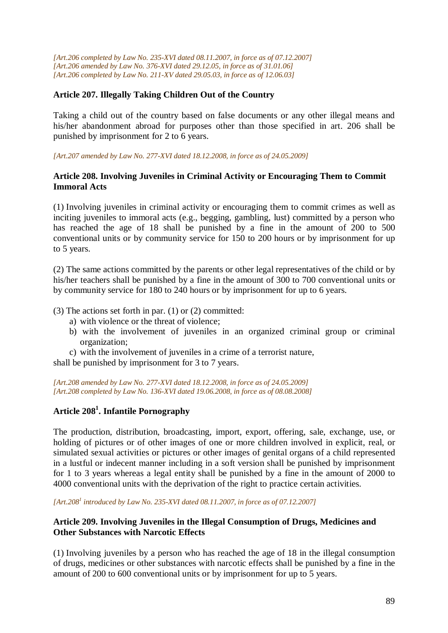*[Art.206 completed by Law No. 235-XVI dated 08.11.2007, in force as of 07.12.2007] [Art.206 amended by Law No. 376-XVI dated 29.12.05, in force as of 31.01.06] [Art.206 completed by Law No. 211-XV dated 29.05.03, in force as of 12.06.03]* 

## **Article 207. Illegally Taking Children Out of the Country**

Taking a child out of the country based on false documents or any other illegal means and his/her abandonment abroad for purposes other than those specified in art. 206 shall be punished by imprisonment for 2 to 6 years.

*[Art.207 amended by Law No. 277-XVI dated 18.12.2008, in force as of 24.05.2009]* 

#### **Article 208. Involving Juveniles in Criminal Activity or Encouraging Them to Commit Immoral Acts**

(1) Involving juveniles in criminal activity or encouraging them to commit crimes as well as inciting juveniles to immoral acts (e.g., begging, gambling, lust) committed by a person who has reached the age of 18 shall be punished by a fine in the amount of 200 to 500 conventional units or by community service for 150 to 200 hours or by imprisonment for up to 5 years.

(2) The same actions committed by the parents or other legal representatives of the child or by his/her teachers shall be punished by a fine in the amount of 300 to 700 conventional units or by community service for 180 to 240 hours or by imprisonment for up to 6 years.

(3) The actions set forth in par. (1) or (2) committed:

- a) with violence or the threat of violence;
- b) with the involvement of juveniles in an organized criminal group or criminal organization;
- c) with the involvement of juveniles in a crime of a terrorist nature,

shall be punished by imprisonment for 3 to 7 years.

*[Art.208 amended by Law No. 277-XVI dated 18.12.2008, in force as of 24.05.2009] [Art.208 completed by Law No. 136-XVI dated 19.06.2008, in force as of 08.08.2008]*

# **Article 208<sup>1</sup> . Infantile Pornography**

The production, distribution, broadcasting, import, export, offering, sale, exchange, use, or holding of pictures or of other images of one or more children involved in explicit, real, or simulated sexual activities or pictures or other images of genital organs of a child represented in a lustful or indecent manner including in a soft version shall be punished by imprisonment for 1 to 3 years whereas a legal entity shall be punished by a fine in the amount of 2000 to 4000 conventional units with the deprivation of the right to practice certain activities.

*[Art.208<sup>1</sup> introduced by Law No. 235-XVI dated 08.11.2007, in force as of 07.12.2007]*

## **Article 209. Involving Juveniles in the Illegal Consumption of Drugs, Medicines and Other Substances with Narcotic Effects**

(1) Involving juveniles by a person who has reached the age of 18 in the illegal consumption of drugs, medicines or other substances with narcotic effects shall be punished by a fine in the amount of 200 to 600 conventional units or by imprisonment for up to 5 years.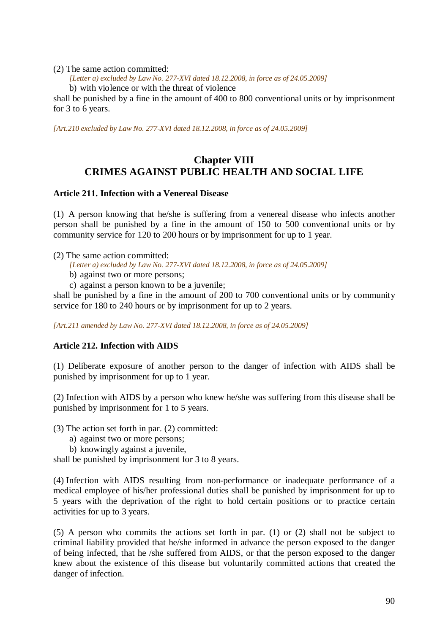(2) The same action committed:

*[Letter a) excluded by Law No. 277-XVI dated 18.12.2008, in force as of 24.05.2009]* 

b) with violence or with the threat of violence

shall be punished by a fine in the amount of 400 to 800 conventional units or by imprisonment for 3 to 6 years.

*[Art.210 excluded by Law No. 277-XVI dated 18.12.2008, in force as of 24.05.2009]* 

# **Chapter VIII CRIMES AGAINST PUBLIC HEALTH AND SOCIAL LIFE**

## **Article 211. Infection with a Venereal Disease**

(1) A person knowing that he/she is suffering from a venereal disease who infects another person shall be punished by a fine in the amount of 150 to 500 conventional units or by community service for 120 to 200 hours or by imprisonment for up to 1 year.

(2) The same action committed:

*[Letter a) excluded by Law No. 277-XVI dated 18.12.2008, in force as of 24.05.2009]* 

- b) against two or more persons;
- c) against a person known to be a juvenile;

shall be punished by a fine in the amount of 200 to 700 conventional units or by community service for 180 to 240 hours or by imprisonment for up to 2 years.

*[Art.211 amended by Law No. 277-XVI dated 18.12.2008, in force as of 24.05.2009]* 

## **Article 212. Infection with AIDS**

(1) Deliberate exposure of another person to the danger of infection with AIDS shall be punished by imprisonment for up to 1 year.

(2) Infection with AIDS by a person who knew he/she was suffering from this disease shall be punished by imprisonment for 1 to 5 years.

(3) The action set forth in par. (2) committed:

- a) against two or more persons;
- b) knowingly against a juvenile,

shall be punished by imprisonment for 3 to 8 years.

(4) Infection with AIDS resulting from non-performance or inadequate performance of a medical employee of his/her professional duties shall be punished by imprisonment for up to 5 years with the deprivation of the right to hold certain positions or to practice certain activities for up to 3 years.

(5) A person who commits the actions set forth in par. (1) or (2) shall not be subject to criminal liability provided that he/she informed in advance the person exposed to the danger of being infected, that he /she suffered from AIDS, or that the person exposed to the danger knew about the existence of this disease but voluntarily committed actions that created the danger of infection.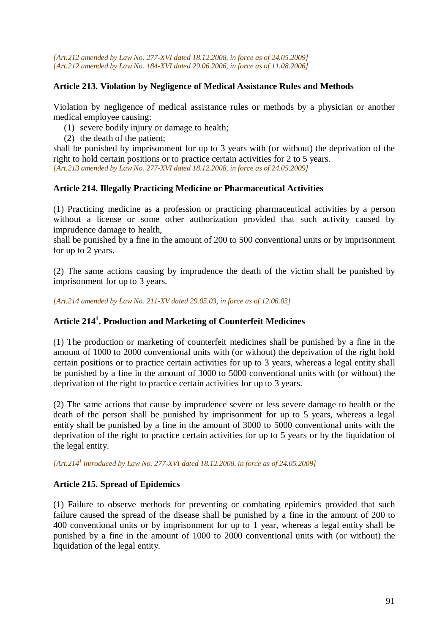*[Art.212 amended by Law No. 277-XVI dated 18.12.2008, in force as of 24.05.2009] [Art.212 amended by Law No. 184-XVI dated 29.06.2006, in force as of 11.08.2006]*

## **Article 213. Violation by Negligence of Medical Assistance Rules and Methods**

Violation by negligence of medical assistance rules or methods by a physician or another medical employee causing:

(1) severe bodily injury or damage to health;

(2) the death of the patient;

shall be punished by imprisonment for up to 3 years with (or without) the deprivation of the right to hold certain positions or to practice certain activities for 2 to 5 years. *[Art.213 amended by Law No. 277-XVI dated 18.12.2008, in force as of 24.05.2009]* 

## **Article 214. Illegally Practicing Medicine or Pharmaceutical Activities**

(1) Practicing medicine as a profession or practicing pharmaceutical activities by a person without a license or some other authorization provided that such activity caused by imprudence damage to health,

shall be punished by a fine in the amount of 200 to 500 conventional units or by imprisonment for up to 2 years.

(2) The same actions causing by imprudence the death of the victim shall be punished by imprisonment for up to 3 years.

*[Art.214 amended by Law No. 211-XV dated 29.05.03, in force as of 12.06.03]* 

# **Article 214<sup>1</sup> . Production and Marketing of Counterfeit Medicines**

(1) The production or marketing of counterfeit medicines shall be punished by a fine in the amount of 1000 to 2000 conventional units with (or without) the deprivation of the right hold certain positions or to practice certain activities for up to 3 years, whereas a legal entity shall be punished by a fine in the amount of 3000 to 5000 conventional units with (or without) the deprivation of the right to practice certain activities for up to 3 years.

(2) The same actions that cause by imprudence severe or less severe damage to health or the death of the person shall be punished by imprisonment for up to 5 years, whereas a legal entity shall be punished by a fine in the amount of 3000 to 5000 conventional units with the deprivation of the right to practice certain activities for up to 5 years or by the liquidation of the legal entity.

*[Art.214<sup>1</sup> introduced by Law No. 277-XVI dated 18.12.2008, in force as of 24.05.2009]* 

## **Article 215. Spread of Epidemics**

(1) Failure to observe methods for preventing or combating epidemics provided that such failure caused the spread of the disease shall be punished by a fine in the amount of 200 to 400 conventional units or by imprisonment for up to 1 year, whereas a legal entity shall be punished by a fine in the amount of 1000 to 2000 conventional units with (or without) the liquidation of the legal entity.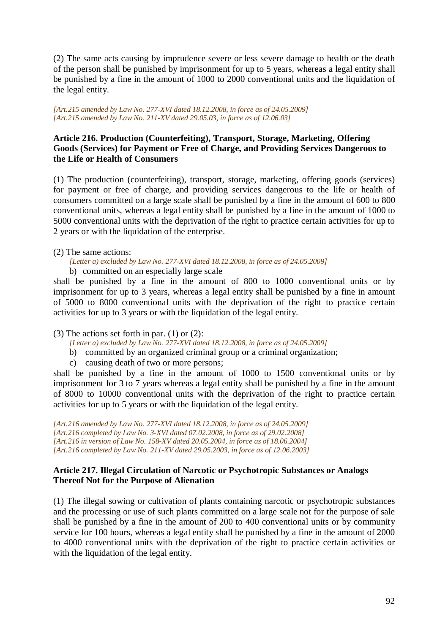(2) The same acts causing by imprudence severe or less severe damage to health or the death of the person shall be punished by imprisonment for up to 5 years, whereas a legal entity shall be punished by a fine in the amount of 1000 to 2000 conventional units and the liquidation of the legal entity.

*[Art.215 amended by Law No. 277-XVI dated 18.12.2008, in force as of 24.05.2009] [Art.215 amended by Law No. 211-XV dated 29.05.03, in force as of 12.06.03]* 

## **Article 216. Production (Counterfeiting), Transport, Storage, Marketing, Offering Goods (Services) for Payment or Free of Charge, and Providing Services Dangerous to the Life or Health of Consumers**

(1) The production (counterfeiting), transport, storage, marketing, offering goods (services) for payment or free of charge, and providing services dangerous to the life or health of consumers committed on a large scale shall be punished by a fine in the amount of 600 to 800 conventional units, whereas a legal entity shall be punished by a fine in the amount of 1000 to 5000 conventional units with the deprivation of the right to practice certain activities for up to 2 years or with the liquidation of the enterprise.

- (2) The same actions:
	- *[Letter a) excluded by Law No. 277-XVI dated 18.12.2008, in force as of 24.05.2009]*
	- b) committed on an especially large scale

shall be punished by a fine in the amount of 800 to 1000 conventional units or by imprisonment for up to 3 years, whereas a legal entity shall be punished by a fine in amount of 5000 to 8000 conventional units with the deprivation of the right to practice certain activities for up to 3 years or with the liquidation of the legal entity.

(3) The actions set forth in par. (1) or (2):

*[Letter a) excluded by Law No. 277-XVI dated 18.12.2008, in force as of 24.05.2009]* 

- b) committed by an organized criminal group or a criminal organization;
- c) causing death of two or more persons;

shall be punished by a fine in the amount of 1000 to 1500 conventional units or by imprisonment for 3 to 7 years whereas a legal entity shall be punished by a fine in the amount of 8000 to 10000 conventional units with the deprivation of the right to practice certain activities for up to 5 years or with the liquidation of the legal entity.

*[Art.216 amended by Law No. 277-XVI dated 18.12.2008, in force as of 24.05.2009] [Art.216 completed by Law No. 3-XVI dated 07.02.2008, in force as of 29.02.2008] [Art.216 in version of Law No. 158-XV dated 20.05.2004, in force as of 18.06.2004] [Art.216 completed by Law No. 211-XV dated 29.05.2003, in force as of 12.06.2003]* 

## **Article 217. Illegal Circulation of Narcotic or Psychotropic Substances or Analogs Thereof Not for the Purpose of Alienation**

(1) The illegal sowing or cultivation of plants containing narcotic or psychotropic substances and the processing or use of such plants committed on a large scale not for the purpose of sale shall be punished by a fine in the amount of 200 to 400 conventional units or by community service for 100 hours, whereas a legal entity shall be punished by a fine in the amount of 2000 to 4000 conventional units with the deprivation of the right to practice certain activities or with the liquidation of the legal entity.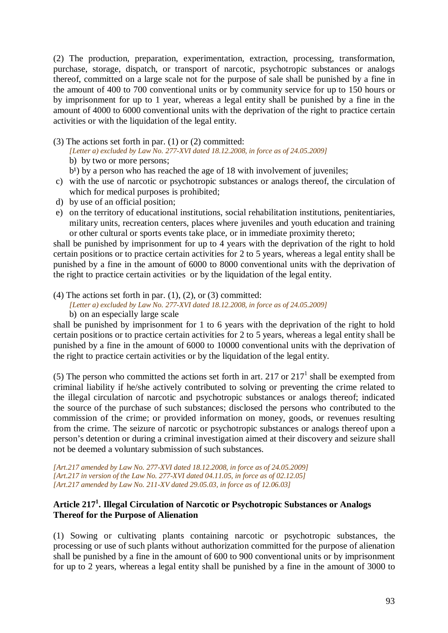(2) The production, preparation, experimentation, extraction, processing, transformation, purchase, storage, dispatch, or transport of narcotic, psychotropic substances or analogs thereof, committed on a large scale not for the purpose of sale shall be punished by a fine in the amount of 400 to 700 conventional units or by community service for up to 150 hours or by imprisonment for up to 1 year, whereas a legal entity shall be punished by a fine in the amount of 4000 to 6000 conventional units with the deprivation of the right to practice certain activities or with the liquidation of the legal entity.

(3) The actions set forth in par. (1) or (2) committed:

*[Letter a) excluded by Law No. 277-XVI dated 18.12.2008, in force as of 24.05.2009]* 

- b) by two or more persons;
- $b<sup>1</sup>$ ) by a person who has reached the age of 18 with involvement of juveniles;
- c) with the use of narcotic or psychotropic substances or analogs thereof, the circulation of which for medical purposes is prohibited;
- d) by use of an official position;
- e) on the territory of educational institutions, social rehabilitation institutions, penitentiaries, military units, recreation centers, places where juveniles and youth education and training or other cultural or sports events take place, or in immediate proximity thereto;

shall be punished by imprisonment for up to 4 years with the deprivation of the right to hold certain positions or to practice certain activities for 2 to 5 years, whereas a legal entity shall be punished by a fine in the amount of 6000 to 8000 conventional units with the deprivation of the right to practice certain activities or by the liquidation of the legal entity.

(4) The actions set forth in par.  $(1)$ ,  $(2)$ , or  $(3)$  committed:

*[Letter a) excluded by Law No. 277-XVI dated 18.12.2008, in force as of 24.05.2009]*  b) on an especially large scale

shall be punished by imprisonment for 1 to 6 years with the deprivation of the right to hold certain positions or to practice certain activities for 2 to 5 years, whereas a legal entity shall be punished by a fine in the amount of 6000 to 10000 conventional units with the deprivation of the right to practice certain activities or by the liquidation of the legal entity.

(5) The person who committed the actions set forth in art. 217 or  $217<sup>1</sup>$  shall be exempted from criminal liability if he/she actively contributed to solving or preventing the crime related to the illegal circulation of narcotic and psychotropic substances or analogs thereof; indicated the source of the purchase of such substances; disclosed the persons who contributed to the commission of the crime; or provided information on money, goods, or revenues resulting from the crime. The seizure of narcotic or psychotropic substances or analogs thereof upon a person's detention or during a criminal investigation aimed at their discovery and seizure shall not be deemed a voluntary submission of such substances.

*[Art.217 amended by Law No. 277-XVI dated 18.12.2008, in force as of 24.05.2009] [Art.217 in version of the Law No. 277-XVI dated 04.11.05, in force as of 02.12.05] [Art.217 amended by Law No. 211-XV dated 29.05.03, in force as of 12.06.03]* 

## **Article 217<sup>1</sup> . Illegal Circulation of Narcotic or Psychotropic Substances or Analogs Thereof for the Purpose of Alienation**

(1) Sowing or cultivating plants containing narcotic or psychotropic substances, the processing or use of such plants without authorization committed for the purpose of alienation shall be punished by a fine in the amount of 600 to 900 conventional units or by imprisonment for up to 2 years, whereas a legal entity shall be punished by a fine in the amount of 3000 to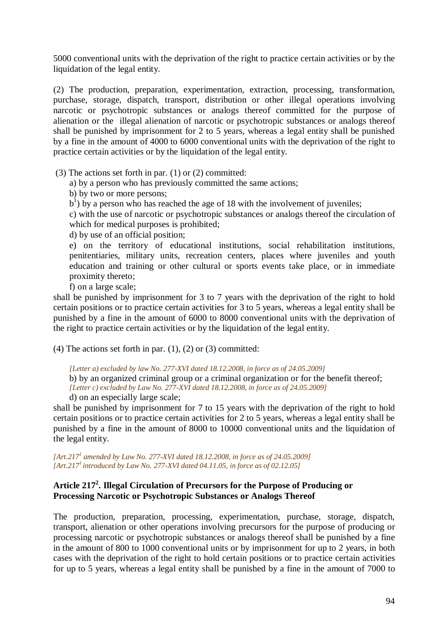5000 conventional units with the deprivation of the right to practice certain activities or by the liquidation of the legal entity.

(2) The production, preparation, experimentation, extraction, processing, transformation, purchase, storage, dispatch, transport, distribution or other illegal operations involving narcotic or psychotropic substances or analogs thereof committed for the purpose of alienation or the illegal alienation of narcotic or psychotropic substances or analogs thereof shall be punished by imprisonment for 2 to 5 years, whereas a legal entity shall be punished by a fine in the amount of 4000 to 6000 conventional units with the deprivation of the right to practice certain activities or by the liquidation of the legal entity.

(3) The actions set forth in par. (1) or (2) committed:

a) by a person who has previously committed the same actions;

b) by two or more persons;

 $b<sup>1</sup>$ ) by a person who has reached the age of 18 with the involvement of juveniles;

c) with the use of narcotic or psychotropic substances or analogs thereof the circulation of which for medical purposes is prohibited;

d) by use of an official position;

e) on the territory of educational institutions, social rehabilitation institutions, penitentiaries, military units, recreation centers, places where juveniles and youth education and training or other cultural or sports events take place, or in immediate proximity thereto;

f) on a large scale;

shall be punished by imprisonment for 3 to 7 years with the deprivation of the right to hold certain positions or to practice certain activities for 3 to 5 years, whereas a legal entity shall be punished by a fine in the amount of 6000 to 8000 conventional units with the deprivation of the right to practice certain activities or by the liquidation of the legal entity.

(4) The actions set forth in par.  $(1)$ ,  $(2)$  or  $(3)$  committed:

*[Letter a) excluded by law No. 277-XVI dated 18.12.2008, in force as of 24.05.2009]* 

b) by an organized criminal group or a criminal organization or for the benefit thereof; *[Letter c) excluded by Law No. 277-XVI dated 18.12.2008, in force as of 24.05.2009]* 

d) on an especially large scale;

shall be punished by imprisonment for 7 to 15 years with the deprivation of the right to hold certain positions or to practice certain activities for 2 to 5 years, whereas a legal entity shall be punished by a fine in the amount of 8000 to 10000 conventional units and the liquidation of the legal entity.

*[Art.217<sup>1</sup> amended by Law No. 277-XVI dated 18.12.2008, in force as of 24.05.2009] [Art.217<sup>1</sup>introduced by Law No. 277-XVI dated 04.11.05, in force as of 02.12.05]* 

## **Article 217<sup>2</sup> . Illegal Circulation of Precursors for the Purpose of Producing or Processing Narcotic or Psychotropic Substances or Analogs Thereof**

The production, preparation, processing, experimentation, purchase, storage, dispatch, transport, alienation or other operations involving precursors for the purpose of producing or processing narcotic or psychotropic substances or analogs thereof shall be punished by a fine in the amount of 800 to 1000 conventional units or by imprisonment for up to 2 years, in both cases with the deprivation of the right to hold certain positions or to practice certain activities for up to 5 years, whereas a legal entity shall be punished by a fine in the amount of 7000 to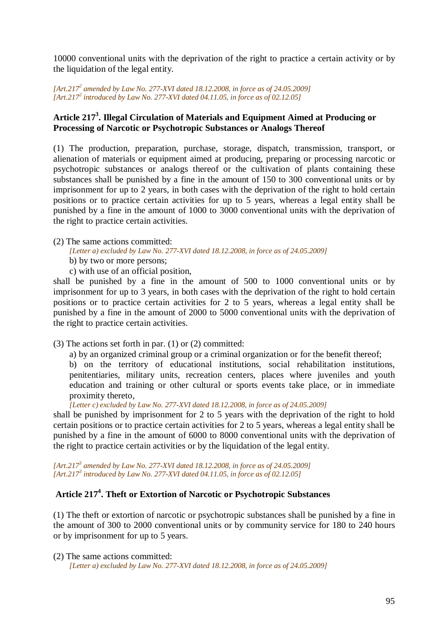10000 conventional units with the deprivation of the right to practice a certain activity or by the liquidation of the legal entity.

*[Art.217<sup>2</sup> amended by Law No. 277-XVI dated 18.12.2008, in force as of 24.05.2009] [Art.217<sup>2</sup> introduced by Law No. 277-XVI dated 04.11.05, in force as of 02.12.05]* 

## **Article 217<sup>3</sup> . Illegal Circulation of Materials and Equipment Aimed at Producing or Processing of Narcotic or Psychotropic Substances or Analogs Thereof**

(1) The production, preparation, purchase, storage, dispatch, transmission, transport, or alienation of materials or equipment aimed at producing, preparing or processing narcotic or psychotropic substances or analogs thereof or the cultivation of plants containing these substances shall be punished by a fine in the amount of 150 to 300 conventional units or by imprisonment for up to 2 years, in both cases with the deprivation of the right to hold certain positions or to practice certain activities for up to 5 years, whereas a legal entity shall be punished by a fine in the amount of 1000 to 3000 conventional units with the deprivation of the right to practice certain activities.

(2) The same actions committed:

*[Letter a) excluded by Law No. 277-XVI dated 18.12.2008, in force as of 24.05.2009]* 

b) by two or more persons;

c) with use of an official position,

shall be punished by a fine in the amount of 500 to 1000 conventional units or by imprisonment for up to 3 years, in both cases with the deprivation of the right to hold certain positions or to practice certain activities for 2 to 5 years, whereas a legal entity shall be punished by a fine in the amount of 2000 to 5000 conventional units with the deprivation of the right to practice certain activities.

(3) The actions set forth in par. (1) or (2) committed:

a) by an organized criminal group or a criminal organization or for the benefit thereof;

b) on the territory of educational institutions, social rehabilitation institutions, penitentiaries, military units, recreation centers, places where juveniles and youth education and training or other cultural or sports events take place, or in immediate proximity thereto,

*[Letter c) excluded by Law No. 277-XVI dated 18.12.2008, in force as of 24.05.2009]* 

shall be punished by imprisonment for 2 to 5 years with the deprivation of the right to hold certain positions or to practice certain activities for 2 to 5 years, whereas a legal entity shall be punished by a fine in the amount of 6000 to 8000 conventional units with the deprivation of the right to practice certain activities or by the liquidation of the legal entity.

*[Art.217<sup>3</sup> amended by Law No. 277-XVI dated 18.12.2008, in force as of 24.05.2009] [Art.217<sup>3</sup> introduced by Law No. 277-XVI dated 04.11.05, in force as of 02.12.05]* 

# **Article 217<sup>4</sup> . Theft or Extortion of Narcotic or Psychotropic Substances**

(1) The theft or extortion of narcotic or psychotropic substances shall be punished by a fine in the amount of 300 to 2000 conventional units or by community service for 180 to 240 hours or by imprisonment for up to 5 years.

(2) The same actions committed:

*[Letter a) excluded by Law No. 277-XVI dated 18.12.2008, in force as of 24.05.2009]*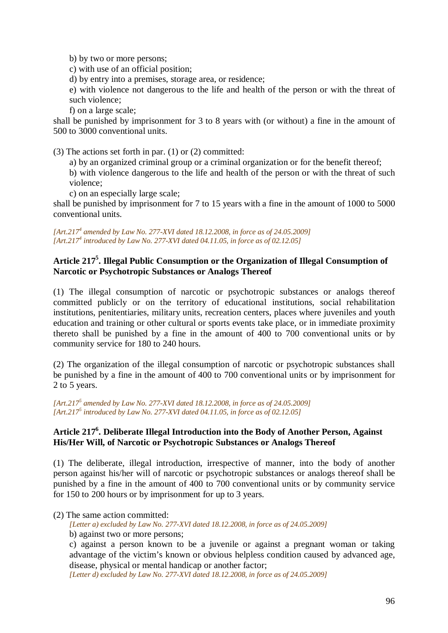b) by two or more persons;

c) with use of an official position;

d) by entry into a premises, storage area, or residence;

e) with violence not dangerous to the life and health of the person or with the threat of such violence;

f) on a large scale;

shall be punished by imprisonment for 3 to 8 years with (or without) a fine in the amount of 500 to 3000 conventional units.

(3) The actions set forth in par. (1) or (2) committed:

a) by an organized criminal group or a criminal organization or for the benefit thereof;

b) with violence dangerous to the life and health of the person or with the threat of such violence;

c) on an especially large scale;

shall be punished by imprisonment for 7 to 15 years with a fine in the amount of 1000 to 5000 conventional units.

*[Art.217<sup>4</sup> amended by Law No. 277-XVI dated 18.12.2008, in force as of 24.05.2009] [Art.217<sup>4</sup> introduced by Law No. 277-XVI dated 04.11.05, in force as of 02.12.05]* 

# **Article 217<sup>5</sup> . Illegal Public Consumption or the Organization of Illegal Consumption of Narcotic or Psychotropic Substances or Analogs Thereof**

(1) The illegal consumption of narcotic or psychotropic substances or analogs thereof committed publicly or on the territory of educational institutions, social rehabilitation institutions, penitentiaries, military units, recreation centers, places where juveniles and youth education and training or other cultural or sports events take place, or in immediate proximity thereto shall be punished by a fine in the amount of 400 to 700 conventional units or by community service for 180 to 240 hours.

(2) The organization of the illegal consumption of narcotic or psychotropic substances shall be punished by a fine in the amount of 400 to 700 conventional units or by imprisonment for 2 to 5 years.

*[Art.217<sup>5</sup> amended by Law No. 277-XVI dated 18.12.2008, in force as of 24.05.2009] [Art.217<sup>5</sup> introduced by Law No. 277-XVI dated 04.11.05, in force as of 02.12.05]* 

## **Article 217<sup>6</sup> . Deliberate Illegal Introduction into the Body of Another Person, Against His/Her Will, of Narcotic or Psychotropic Substances or Analogs Thereof**

(1) The deliberate, illegal introduction, irrespective of manner, into the body of another person against his/her will of narcotic or psychotropic substances or analogs thereof shall be punished by a fine in the amount of 400 to 700 conventional units or by community service for 150 to 200 hours or by imprisonment for up to 3 years.

(2) The same action committed:

*[Letter a) excluded by Law No. 277-XVI dated 18.12.2008, in force as of 24.05.2009]* 

b) against two or more persons;

c) against a person known to be a juvenile or against a pregnant woman or taking advantage of the victim's known or obvious helpless condition caused by advanced age, disease, physical or mental handicap or another factor;

*[Letter d) excluded by Law No. 277-XVI dated 18.12.2008, in force as of 24.05.2009]*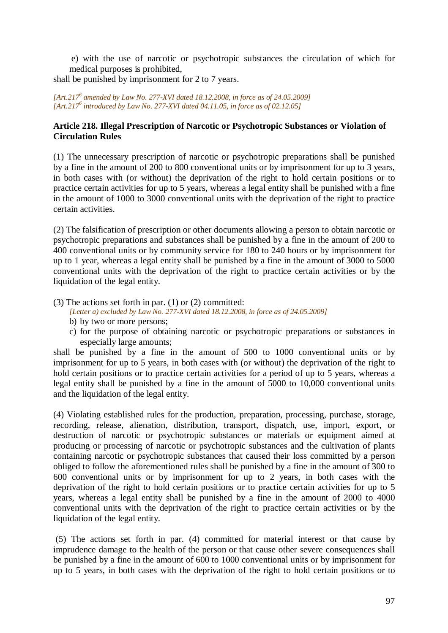e) with the use of narcotic or psychotropic substances the circulation of which for medical purposes is prohibited,

shall be punished by imprisonment for 2 to 7 years.

*[Art.217<sup>6</sup> amended by Law No. 277-XVI dated 18.12.2008, in force as of 24.05.2009] [Art.217<sup>6</sup> introduced by Law No. 277-XVI dated 04.11.05, in force as of 02.12.05]* 

## **Article 218. Illegal Prescription of Narcotic or Psychotropic Substances or Violation of Circulation Rules**

(1) The unnecessary prescription of narcotic or psychotropic preparations shall be punished by a fine in the amount of 200 to 800 conventional units or by imprisonment for up to 3 years, in both cases with (or without) the deprivation of the right to hold certain positions or to practice certain activities for up to 5 years, whereas a legal entity shall be punished with a fine in the amount of 1000 to 3000 conventional units with the deprivation of the right to practice certain activities.

(2) The falsification of prescription or other documents allowing a person to obtain narcotic or psychotropic preparations and substances shall be punished by a fine in the amount of 200 to 400 conventional units or by community service for 180 to 240 hours or by imprisonment for up to 1 year, whereas a legal entity shall be punished by a fine in the amount of 3000 to 5000 conventional units with the deprivation of the right to practice certain activities or by the liquidation of the legal entity.

(3) The actions set forth in par. (1) or (2) committed:

*[Letter a) excluded by Law No. 277-XVI dated 18.12.2008, in force as of 24.05.2009]* 

- b) by two or more persons;
- c) for the purpose of obtaining narcotic or psychotropic preparations or substances in especially large amounts;

shall be punished by a fine in the amount of 500 to 1000 conventional units or by imprisonment for up to 5 years, in both cases with (or without) the deprivation of the right to hold certain positions or to practice certain activities for a period of up to 5 years, whereas a legal entity shall be punished by a fine in the amount of 5000 to 10,000 conventional units and the liquidation of the legal entity.

(4) Violating established rules for the production, preparation, processing, purchase, storage, recording, release, alienation, distribution, transport, dispatch, use, import, export, or destruction of narcotic or psychotropic substances or materials or equipment aimed at producing or processing of narcotic or psychotropic substances and the cultivation of plants containing narcotic or psychotropic substances that caused their loss committed by a person obliged to follow the aforementioned rules shall be punished by a fine in the amount of 300 to 600 conventional units or by imprisonment for up to 2 years, in both cases with the deprivation of the right to hold certain positions or to practice certain activities for up to 5 years, whereas a legal entity shall be punished by a fine in the amount of 2000 to 4000 conventional units with the deprivation of the right to practice certain activities or by the liquidation of the legal entity.

 (5) The actions set forth in par. (4) committed for material interest or that cause by imprudence damage to the health of the person or that cause other severe consequences shall be punished by a fine in the amount of 600 to 1000 conventional units or by imprisonment for up to 5 years, in both cases with the deprivation of the right to hold certain positions or to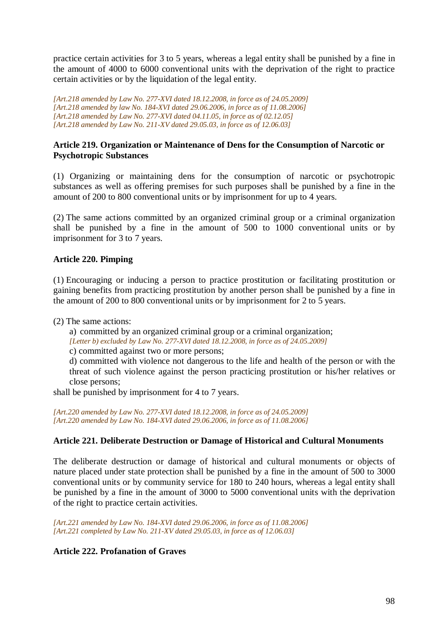practice certain activities for 3 to 5 years, whereas a legal entity shall be punished by a fine in the amount of 4000 to 6000 conventional units with the deprivation of the right to practice certain activities or by the liquidation of the legal entity.

*[Art.218 amended by Law No. 277-XVI dated 18.12.2008, in force as of 24.05.2009] [Art.218 amended by law No. 184-XVI dated 29.06.2006, in force as of 11.08.2006] [Art.218 amended by Law No. 277-XVI dated 04.11.05, in force as of 02.12.05] [Art.218 amended by Law No. 211-XV dated 29.05.03, in force as of 12.06.03]* 

## **Article 219. Organization or Maintenance of Dens for the Consumption of Narcotic or Psychotropic Substances**

(1) Organizing or maintaining dens for the consumption of narcotic or psychotropic substances as well as offering premises for such purposes shall be punished by a fine in the amount of 200 to 800 conventional units or by imprisonment for up to 4 years.

(2) The same actions committed by an organized criminal group or a criminal organization shall be punished by a fine in the amount of 500 to 1000 conventional units or by imprisonment for 3 to 7 years.

## **Article 220. Pimping**

(1) Encouraging or inducing a person to practice prostitution or facilitating prostitution or gaining benefits from practicing prostitution by another person shall be punished by a fine in the amount of 200 to 800 conventional units or by imprisonment for 2 to 5 years.

(2) The same actions:

a) committed by an organized criminal group or a criminal organization;

*[Letter b) excluded by Law No. 277-XVI dated 18.12.2008, in force as of 24.05.2009]* 

c) committed against two or more persons;

d) committed with violence not dangerous to the life and health of the person or with the threat of such violence against the person practicing prostitution or his/her relatives or close persons;

shall be punished by imprisonment for 4 to 7 years.

*[Art.220 amended by Law No. 277-XVI dated 18.12.2008, in force as of 24.05.2009] [Art.220 amended by Law No. 184-XVI dated 29.06.2006, in force as of 11.08.2006]*

#### **Article 221. Deliberate Destruction or Damage of Historical and Cultural Monuments**

The deliberate destruction or damage of historical and cultural monuments or objects of nature placed under state protection shall be punished by a fine in the amount of 500 to 3000 conventional units or by community service for 180 to 240 hours, whereas a legal entity shall be punished by a fine in the amount of 3000 to 5000 conventional units with the deprivation of the right to practice certain activities.

*[Art.221 amended by Law No. 184-XVI dated 29.06.2006, in force as of 11.08.2006] [Art.221 completed by Law No. 211-XV dated 29.05.03, in force as of 12.06.03]* 

## **Article 222. Profanation of Graves**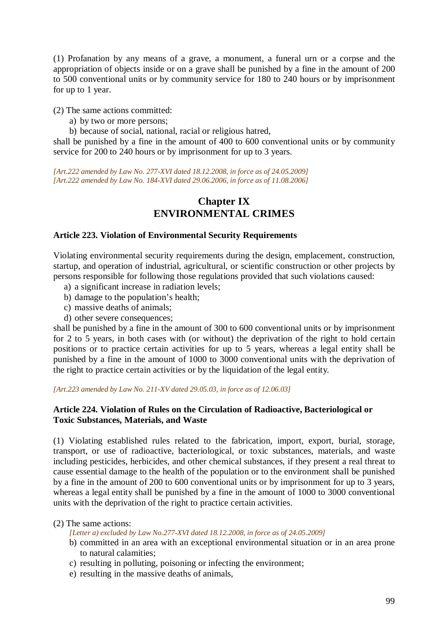(1) Profanation by any means of a grave, a monument, a funeral urn or a corpse and the appropriation of objects inside or on a grave shall be punished by a fine in the amount of 200 to 500 conventional units or by community service for 180 to 240 hours or by imprisonment for up to 1 year.

(2) The same actions committed:

- a) by two or more persons;
- b) because of social, national, racial or religious hatred,

shall be punished by a fine in the amount of 400 to 600 conventional units or by community service for 200 to 240 hours or by imprisonment for up to 3 years.

*[Art.222 amended by Law No. 277-XVI dated 18.12.2008, in force as of 24.05.2009] [Art.222 amended by Law No. 184-XVI dated 29.06.2006, in force as of 11.08.2006]*

# **Chapter IX ENVIRONMENTAL CRIMES**

#### **Article 223. Violation of Environmental Security Requirements**

Violating environmental security requirements during the design, emplacement, construction, startup, and operation of industrial, agricultural, or scientific construction or other projects by persons responsible for following those regulations provided that such violations caused:

- a) a significant increase in radiation levels;
- b) damage to the population's health;
- c) massive deaths of animals;
- d) other severe consequences;

shall be punished by a fine in the amount of 300 to 600 conventional units or by imprisonment for 2 to 5 years, in both cases with (or without) the deprivation of the right to hold certain positions or to practice certain activities for up to 5 years, whereas a legal entity shall be punished by a fine in the amount of 1000 to 3000 conventional units with the deprivation of the right to practice certain activities or by the liquidation of the legal entity.

*[Art.223 amended by Law No. 211-XV dated 29.05.03, in force as of 12.06.03]*

#### **Article 224. Violation of Rules on the Circulation of Radioactive, Bacteriological or Toxic Substances, Materials, and Waste**

(1) Violating established rules related to the fabrication, import, export, burial, storage, transport, or use of radioactive, bacteriological, or toxic substances, materials, and waste including pesticides, herbicides, and other chemical substances, if they present a real threat to cause essential damage to the health of the population or to the environment shall be punished by a fine in the amount of 200 to 600 conventional units or by imprisonment for up to 3 years, whereas a legal entity shall be punished by a fine in the amount of 1000 to 3000 conventional units with the deprivation of the right to practice certain activities.

#### (2) The same actions:

*[Letter a) excluded by Law No.277-XVI dated 18.12.2008, in force as of 24.05.2009]* 

- b) committed in an area with an exceptional environmental situation or in an area prone to natural calamities;
- c) resulting in polluting, poisoning or infecting the environment;
- e) resulting in the massive deaths of animals,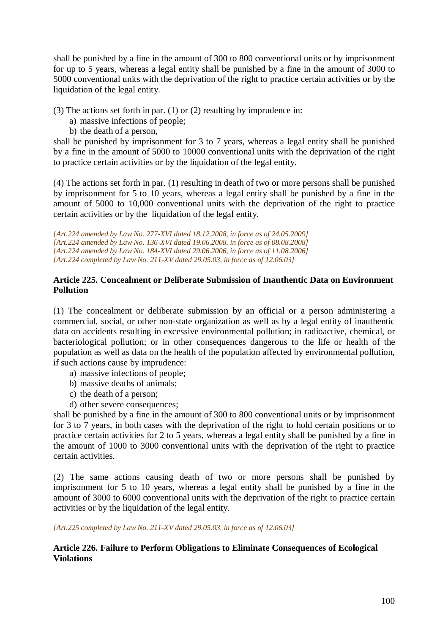shall be punished by a fine in the amount of 300 to 800 conventional units or by imprisonment for up to 5 years, whereas a legal entity shall be punished by a fine in the amount of 3000 to 5000 conventional units with the deprivation of the right to practice certain activities or by the liquidation of the legal entity.

(3) The actions set forth in par. (1) or (2) resulting by imprudence in:

- a) massive infections of people;
- b) the death of a person,

shall be punished by imprisonment for 3 to 7 years, whereas a legal entity shall be punished by a fine in the amount of 5000 to 10000 conventional units with the deprivation of the right to practice certain activities or by the liquidation of the legal entity.

(4) The actions set forth in par. (1) resulting in death of two or more persons shall be punished by imprisonment for 5 to 10 years, whereas a legal entity shall be punished by a fine in the amount of 5000 to 10,000 conventional units with the deprivation of the right to practice certain activities or by the liquidation of the legal entity.

*[Art.224 amended by Law No. 277-XVI dated 18.12.2008, in force as of 24.05.2009] [Art.224 amended by Law No. 136-XVI dated 19.06.2008, in force as of 08.08.2008] [Art.224 amended by Law No. 184-XVI dated 29.06.2006, in force as of 11.08.2006] [Art.224 completed by Law No. 211-XV dated 29.05.03, in force as of 12.06.03]* 

## **Article 225. Concealment or Deliberate Submission of Inauthentic Data on Environment Pollution**

(1) The concealment or deliberate submission by an official or a person administering a commercial, social, or other non-state organization as well as by a legal entity of inauthentic data on accidents resulting in excessive environmental pollution; in radioactive, chemical, or bacteriological pollution; or in other consequences dangerous to the life or health of the population as well as data on the health of the population affected by environmental pollution, if such actions cause by imprudence:

- a) massive infections of people;
- b) massive deaths of animals;
- c) the death of a person;
- d) other severe consequences;

shall be punished by a fine in the amount of 300 to 800 conventional units or by imprisonment for 3 to 7 years, in both cases with the deprivation of the right to hold certain positions or to practice certain activities for 2 to 5 years, whereas a legal entity shall be punished by a fine in the amount of 1000 to 3000 conventional units with the deprivation of the right to practice certain activities.

(2) The same actions causing death of two or more persons shall be punished by imprisonment for 5 to 10 years, whereas a legal entity shall be punished by a fine in the amount of 3000 to 6000 conventional units with the deprivation of the right to practice certain activities or by the liquidation of the legal entity.

*[Art.225 completed by Law No. 211-XV dated 29.05.03, in force as of 12.06.03]* 

## **Article 226. Failure to Perform Obligations to Eliminate Consequences of Ecological Violations**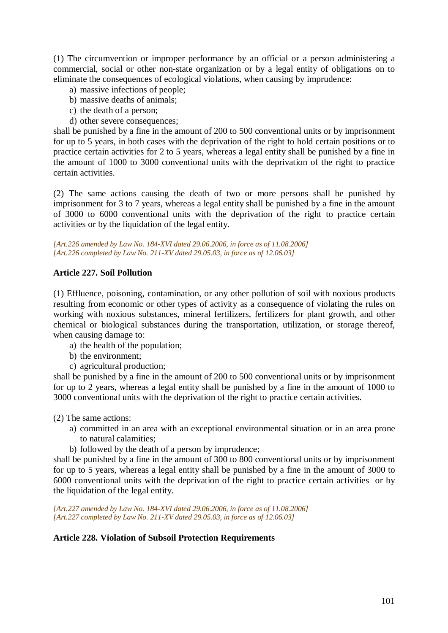(1) The circumvention or improper performance by an official or a person administering a commercial, social or other non-state organization or by a legal entity of obligations on to eliminate the consequences of ecological violations, when causing by imprudence:

- a) massive infections of people;
- b) massive deaths of animals;
- c) the death of a person;
- d) other severe consequences;

shall be punished by a fine in the amount of 200 to 500 conventional units or by imprisonment for up to 5 years, in both cases with the deprivation of the right to hold certain positions or to practice certain activities for 2 to 5 years, whereas a legal entity shall be punished by a fine in the amount of 1000 to 3000 conventional units with the deprivation of the right to practice certain activities.

(2) The same actions causing the death of two or more persons shall be punished by imprisonment for 3 to 7 years, whereas a legal entity shall be punished by a fine in the amount of 3000 to 6000 conventional units with the deprivation of the right to practice certain activities or by the liquidation of the legal entity.

*[Art.226 amended by Law No. 184-XVI dated 29.06.2006, in force as of 11.08.2006] [Art.226 completed by Law No. 211-XV dated 29.05.03, in force as of 12.06.03]* 

## **Article 227. Soil Pollution**

(1) Effluence, poisoning, contamination, or any other pollution of soil with noxious products resulting from economic or other types of activity as a consequence of violating the rules on working with noxious substances, mineral fertilizers, fertilizers for plant growth, and other chemical or biological substances during the transportation, utilization, or storage thereof, when causing damage to:

- a) the health of the population;
- b) the environment;
- c) agricultural production;

shall be punished by a fine in the amount of 200 to 500 conventional units or by imprisonment for up to 2 years, whereas a legal entity shall be punished by a fine in the amount of 1000 to 3000 conventional units with the deprivation of the right to practice certain activities.

(2) The same actions:

- a) committed in an area with an exceptional environmental situation or in an area prone to natural calamities;
- b) followed by the death of a person by imprudence;

shall be punished by a fine in the amount of 300 to 800 conventional units or by imprisonment for up to 5 years, whereas a legal entity shall be punished by a fine in the amount of 3000 to 6000 conventional units with the deprivation of the right to practice certain activities or by the liquidation of the legal entity.

*[Art.227 amended by Law No. 184-XVI dated 29.06.2006, in force as of 11.08.2006] [Art.227 completed by Law No. 211-XV dated 29.05.03, in force as of 12.06.03]* 

#### **Article 228. Violation of Subsoil Protection Requirements**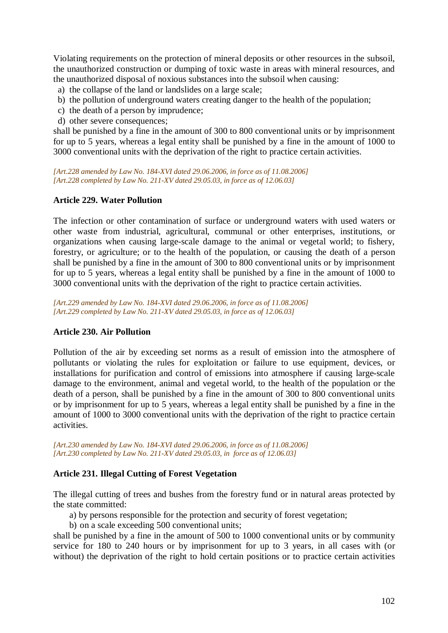Violating requirements on the protection of mineral deposits or other resources in the subsoil, the unauthorized construction or dumping of toxic waste in areas with mineral resources, and the unauthorized disposal of noxious substances into the subsoil when causing:

- a) the collapse of the land or landslides on a large scale;
- b) the pollution of underground waters creating danger to the health of the population;
- c) the death of a person by imprudence;
- d) other severe consequences;

shall be punished by a fine in the amount of 300 to 800 conventional units or by imprisonment for up to 5 years, whereas a legal entity shall be punished by a fine in the amount of 1000 to 3000 conventional units with the deprivation of the right to practice certain activities.

*[Art.228 amended by Law No. 184-XVI dated 29.06.2006, in force as of 11.08.2006] [Art.228 completed by Law No. 211-XV dated 29.05.03, in force as of 12.06.03]* 

#### **Article 229. Water Pollution**

The infection or other contamination of surface or underground waters with used waters or other waste from industrial, agricultural, communal or other enterprises, institutions, or organizations when causing large-scale damage to the animal or vegetal world; to fishery, forestry, or agriculture; or to the health of the population, or causing the death of a person shall be punished by a fine in the amount of 300 to 800 conventional units or by imprisonment for up to 5 years, whereas a legal entity shall be punished by a fine in the amount of 1000 to 3000 conventional units with the deprivation of the right to practice certain activities.

*[Art.229 amended by Law No. 184-XVI dated 29.06.2006, in force as of 11.08.2006] [Art.229 completed by Law No. 211-XV dated 29.05.03, in force as of 12.06.03]* 

#### **Article 230. Air Pollution**

Pollution of the air by exceeding set norms as a result of emission into the atmosphere of pollutants or violating the rules for exploitation or failure to use equipment, devices, or installations for purification and control of emissions into atmosphere if causing large-scale damage to the environment, animal and vegetal world, to the health of the population or the death of a person, shall be punished by a fine in the amount of 300 to 800 conventional units or by imprisonment for up to 5 years, whereas a legal entity shall be punished by a fine in the amount of 1000 to 3000 conventional units with the deprivation of the right to practice certain activities.

*[Art.230 amended by Law No. 184-XVI dated 29.06.2006, in force as of 11.08.2006] [Art.230 completed by Law No. 211-XV dated 29.05.03, in force as of 12.06.03]* 

#### **Article 231. Illegal Cutting of Forest Vegetation**

The illegal cutting of trees and bushes from the forestry fund or in natural areas protected by the state committed:

- a) by persons responsible for the protection and security of forest vegetation;
- b) on a scale exceeding 500 conventional units;

shall be punished by a fine in the amount of 500 to 1000 conventional units or by community service for 180 to 240 hours or by imprisonment for up to 3 years, in all cases with (or without) the deprivation of the right to hold certain positions or to practice certain activities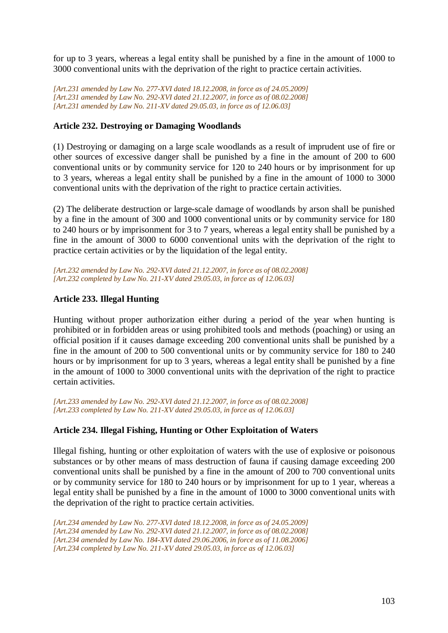for up to 3 years, whereas a legal entity shall be punished by a fine in the amount of 1000 to 3000 conventional units with the deprivation of the right to practice certain activities.

*[Art.231 amended by Law No. 277-XVI dated 18.12.2008, in force as of 24.05.2009] [Art.231 amended by Law No. 292-XVI dated 21.12.2007, in force as of 08.02.2008] [Art.231 amended by Law No. 211-XV dated 29.05.03, in force as of 12.06.03]* 

## **Article 232. Destroying or Damaging Woodlands**

(1) Destroying or damaging on a large scale woodlands as a result of imprudent use of fire or other sources of excessive danger shall be punished by a fine in the amount of 200 to 600 conventional units or by community service for 120 to 240 hours or by imprisonment for up to 3 years, whereas a legal entity shall be punished by a fine in the amount of 1000 to 3000 conventional units with the deprivation of the right to practice certain activities.

(2) The deliberate destruction or large-scale damage of woodlands by arson shall be punished by a fine in the amount of 300 and 1000 conventional units or by community service for 180 to 240 hours or by imprisonment for 3 to 7 years, whereas a legal entity shall be punished by a fine in the amount of 3000 to 6000 conventional units with the deprivation of the right to practice certain activities or by the liquidation of the legal entity.

*[Art.232 amended by Law No. 292-XVI dated 21.12.2007, in force as of 08.02.2008] [Art.232 completed by Law No. 211-XV dated 29.05.03, in force as of 12.06.03]* 

## **Article 233. Illegal Hunting**

Hunting without proper authorization either during a period of the year when hunting is prohibited or in forbidden areas or using prohibited tools and methods (poaching) or using an official position if it causes damage exceeding 200 conventional units shall be punished by a fine in the amount of 200 to 500 conventional units or by community service for 180 to 240 hours or by imprisonment for up to 3 years, whereas a legal entity shall be punished by a fine in the amount of 1000 to 3000 conventional units with the deprivation of the right to practice certain activities.

*[Art.233 amended by Law No. 292-XVI dated 21.12.2007, in force as of 08.02.2008] [Art.233 completed by Law No. 211-XV dated 29.05.03, in force as of 12.06.03]* 

## **Article 234. Illegal Fishing, Hunting or Other Exploitation of Waters**

Illegal fishing, hunting or other exploitation of waters with the use of explosive or poisonous substances or by other means of mass destruction of fauna if causing damage exceeding 200 conventional units shall be punished by a fine in the amount of 200 to 700 conventional units or by community service for 180 to 240 hours or by imprisonment for up to 1 year, whereas a legal entity shall be punished by a fine in the amount of 1000 to 3000 conventional units with the deprivation of the right to practice certain activities.

*[Art.234 amended by Law No. 277-XVI dated 18.12.2008, in force as of 24.05.2009] [Art.234 amended by Law No. 292-XVI dated 21.12.2007, in force as of 08.02.2008] [Art.234 amended by Law No. 184-XVI dated 29.06.2006, in force as of 11.08.2006] [Art.234 completed by Law No. 211-XV dated 29.05.03, in force as of 12.06.03]*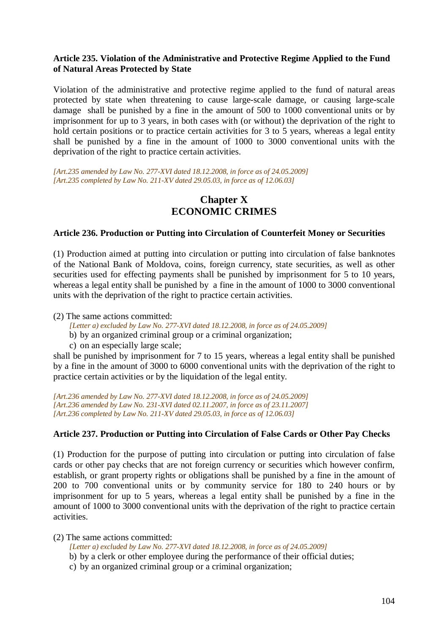## **Article 235. Violation of the Administrative and Protective Regime Applied to the Fund of Natural Areas Protected by State**

Violation of the administrative and protective regime applied to the fund of natural areas protected by state when threatening to cause large-scale damage, or causing large-scale damage shall be punished by a fine in the amount of 500 to 1000 conventional units or by imprisonment for up to 3 years, in both cases with (or without) the deprivation of the right to hold certain positions or to practice certain activities for 3 to 5 years, whereas a legal entity shall be punished by a fine in the amount of 1000 to 3000 conventional units with the deprivation of the right to practice certain activities.

*[Art.235 amended by Law No. 277-XVI dated 18.12.2008, in force as of 24.05.2009] [Art.235 completed by Law No. 211-XV dated 29.05.03, in force as of 12.06.03]* 

# **Chapter X ECONOMIC CRIMES**

#### **Article 236. Production or Putting into Circulation of Counterfeit Money or Securities**

(1) Production aimed at putting into circulation or putting into circulation of false banknotes of the National Bank of Moldova, coins, foreign currency, state securities, as well as other securities used for effecting payments shall be punished by imprisonment for 5 to 10 years, whereas a legal entity shall be punished by a fine in the amount of 1000 to 3000 conventional units with the deprivation of the right to practice certain activities.

(2) The same actions committed:

- *[Letter a) excluded by Law No. 277-XVI dated 18.12.2008, in force as of 24.05.2009]*
- b) by an organized criminal group or a criminal organization;
- c) on an especially large scale;

shall be punished by imprisonment for 7 to 15 years, whereas a legal entity shall be punished by a fine in the amount of 3000 to 6000 conventional units with the deprivation of the right to practice certain activities or by the liquidation of the legal entity.

*[Art.236 amended by Law No. 277-XVI dated 18.12.2008, in force as of 24.05.2009] [Art.236 amended by Law No. 231-XVI dated 02.11.2007, in force as of 23.11.2007] [Art.236 completed by Law No. 211-XV dated 29.05.03, in force as of 12.06.03]* 

#### **Article 237. Production or Putting into Circulation of False Cards or Other Pay Checks**

(1) Production for the purpose of putting into circulation or putting into circulation of false cards or other pay checks that are not foreign currency or securities which however confirm, establish, or grant property rights or obligations shall be punished by a fine in the amount of 200 to 700 conventional units or by community service for 180 to 240 hours or by imprisonment for up to 5 years, whereas a legal entity shall be punished by a fine in the amount of 1000 to 3000 conventional units with the deprivation of the right to practice certain activities.

(2) The same actions committed:

- *[Letter a) excluded by Law No. 277-XVI dated 18.12.2008, in force as of 24.05.2009]*
- b) by a clerk or other employee during the performance of their official duties;
- c) by an organized criminal group or a criminal organization;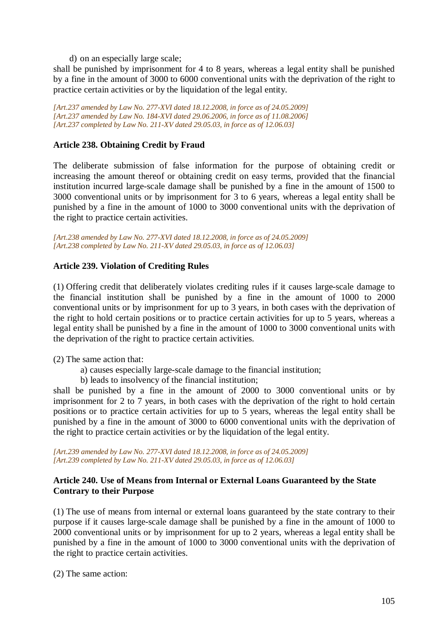d) on an especially large scale;

shall be punished by imprisonment for 4 to 8 years, whereas a legal entity shall be punished by a fine in the amount of 3000 to 6000 conventional units with the deprivation of the right to practice certain activities or by the liquidation of the legal entity.

*[Art.237 amended by Law No. 277-XVI dated 18.12.2008, in force as of 24.05.2009] [Art.237 amended by Law No. 184-XVI dated 29.06.2006, in force as of 11.08.2006] [Art.237 completed by Law No. 211-XV dated 29.05.03, in force as of 12.06.03]* 

## **Article 238. Obtaining Credit by Fraud**

The deliberate submission of false information for the purpose of obtaining credit or increasing the amount thereof or obtaining credit on easy terms, provided that the financial institution incurred large-scale damage shall be punished by a fine in the amount of 1500 to 3000 conventional units or by imprisonment for 3 to 6 years, whereas a legal entity shall be punished by a fine in the amount of 1000 to 3000 conventional units with the deprivation of the right to practice certain activities.

*[Art.238 amended by Law No. 277-XVI dated 18.12.2008, in force as of 24.05.2009] [Art.238 completed by Law No. 211-XV dated 29.05.03, in force as of 12.06.03]* 

#### **Article 239. Violation of Crediting Rules**

(1) Offering credit that deliberately violates crediting rules if it causes large-scale damage to the financial institution shall be punished by a fine in the amount of 1000 to 2000 conventional units or by imprisonment for up to 3 years, in both cases with the deprivation of the right to hold certain positions or to practice certain activities for up to 5 years, whereas a legal entity shall be punished by a fine in the amount of 1000 to 3000 conventional units with the deprivation of the right to practice certain activities.

(2) The same action that:

- a) causes especially large-scale damage to the financial institution;
- b) leads to insolvency of the financial institution;

shall be punished by a fine in the amount of 2000 to 3000 conventional units or by imprisonment for 2 to 7 years, in both cases with the deprivation of the right to hold certain positions or to practice certain activities for up to 5 years, whereas the legal entity shall be punished by a fine in the amount of 3000 to 6000 conventional units with the deprivation of the right to practice certain activities or by the liquidation of the legal entity.

*[Art.239 amended by Law No. 277-XVI dated 18.12.2008, in force as of 24.05.2009] [Art.239 completed by Law No. 211-XV dated 29.05.03, in force as of 12.06.03]*

## **Article 240. Use of Means from Internal or External Loans Guaranteed by the State Contrary to their Purpose**

(1) The use of means from internal or external loans guaranteed by the state contrary to their purpose if it causes large-scale damage shall be punished by a fine in the amount of 1000 to 2000 conventional units or by imprisonment for up to 2 years, whereas a legal entity shall be punished by a fine in the amount of 1000 to 3000 conventional units with the deprivation of the right to practice certain activities.

(2) The same action: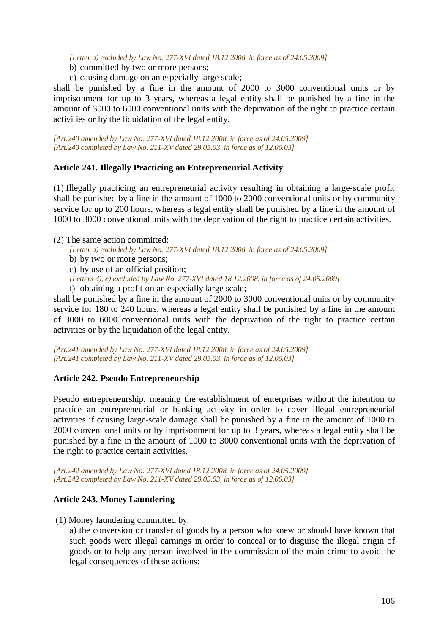*[Letter a) excluded by Law No. 277-XVI dated 18.12.2008, in force as of 24.05.2009]* 

- b) committed by two or more persons;
- c) causing damage on an especially large scale;

shall be punished by a fine in the amount of 2000 to 3000 conventional units or by imprisonment for up to 3 years, whereas a legal entity shall be punished by a fine in the amount of 3000 to 6000 conventional units with the deprivation of the right to practice certain activities or by the liquidation of the legal entity.

*[Art.240 amended by Law No. 277-XVI dated 18.12.2008, in force as of 24.05.2009] [Art.240 completed by Law No. 211-XV dated 29.05.03, in force as of 12.06.03]* 

#### **Article 241. Illegally Practicing an Entrepreneurial Activity**

(1) Illegally practicing an entrepreneurial activity resulting in obtaining a large-scale profit shall be punished by a fine in the amount of 1000 to 2000 conventional units or by community service for up to 200 hours, whereas a legal entity shall be punished by a fine in the amount of 1000 to 3000 conventional units with the deprivation of the right to practice certain activities.

#### (2) The same action committed:

*[Letter a) excluded by Law No. 277-XVI dated 18.12.2008, in force as of 24.05.2009]* 

- b) by two or more persons;
- c) by use of an official position;
- *[Letters d), e) excluded by Law No. 277-XVI dated 18.12.2008, in force as of 24.05.2009]*
- f) obtaining a profit on an especially large scale;

shall be punished by a fine in the amount of 2000 to 3000 conventional units or by community service for 180 to 240 hours, whereas a legal entity shall be punished by a fine in the amount of 3000 to 6000 conventional units with the deprivation of the right to practice certain activities or by the liquidation of the legal entity.

*[Art.241 amended by Law No. 277-XVI dated 18.12.2008, in force as of 24.05.2009] [Art.241 completed by Law No. 211-XV dated 29.05.03, in force as of 12.06.03]* 

#### **Article 242. Pseudo Entrepreneurship**

Pseudo entrepreneurship, meaning the establishment of enterprises without the intention to practice an entrepreneurial or banking activity in order to cover illegal entrepreneurial activities if causing large-scale damage shall be punished by a fine in the amount of 1000 to 2000 conventional units or by imprisonment for up to 3 years, whereas a legal entity shall be punished by a fine in the amount of 1000 to 3000 conventional units with the deprivation of the right to practice certain activities.

*[Art.242 amended by Law No. 277-XVI dated 18.12.2008, in force as of 24.05.2009] [Art.242 completed by Law No. 211-XV dated 29.05.03, in force as of 12.06.03]* 

#### **Article 243. Money Laundering**

(1) Money laundering committed by:

a) the conversion or transfer of goods by a person who knew or should have known that such goods were illegal earnings in order to conceal or to disguise the illegal origin of goods or to help any person involved in the commission of the main crime to avoid the legal consequences of these actions;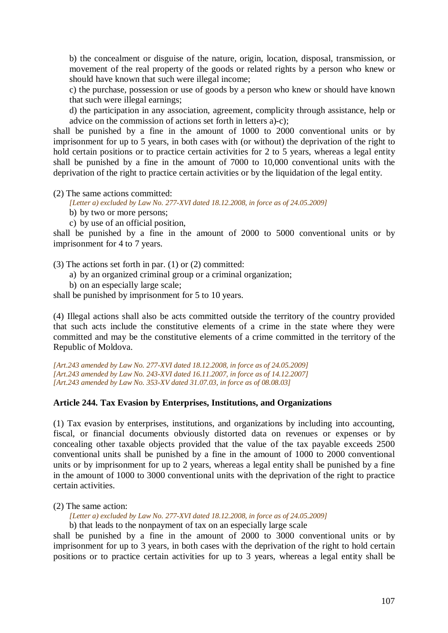b) the concealment or disguise of the nature, origin, location, disposal, transmission, or movement of the real property of the goods or related rights by a person who knew or should have known that such were illegal income;

c) the purchase, possession or use of goods by a person who knew or should have known that such were illegal earnings;

d) the participation in any association, agreement, complicity through assistance, help or advice on the commission of actions set forth in letters a)-c);

shall be punished by a fine in the amount of 1000 to 2000 conventional units or by imprisonment for up to 5 years, in both cases with (or without) the deprivation of the right to hold certain positions or to practice certain activities for 2 to 5 years, whereas a legal entity shall be punished by a fine in the amount of 7000 to 10,000 conventional units with the deprivation of the right to practice certain activities or by the liquidation of the legal entity.

(2) The same actions committed:

*[Letter a) excluded by Law No. 277-XVI dated 18.12.2008, in force as of 24.05.2009]* 

- b) by two or more persons;
- c) by use of an official position,

shall be punished by a fine in the amount of 2000 to 5000 conventional units or by imprisonment for 4 to 7 years.

(3) The actions set forth in par. (1) or (2) committed:

- a) by an organized criminal group or a criminal organization;
- b) on an especially large scale;

shall be punished by imprisonment for 5 to 10 years.

(4) Illegal actions shall also be acts committed outside the territory of the country provided that such acts include the constitutive elements of a crime in the state where they were committed and may be the constitutive elements of a crime committed in the territory of the Republic of Moldova.

*[Art.243 amended by Law No. 277-XVI dated 18.12.2008, in force as of 24.05.2009] [Art.243 amended by Law No. 243-XVI dated 16.11.2007, in force as of 14.12.2007] [Art.243 amended by Law No. 353-XV dated 31.07.03, in force as of 08.08.03]* 

#### **Article 244. Tax Evasion by Enterprises, Institutions, and Organizations**

(1) Tax evasion by enterprises, institutions, and organizations by including into accounting, fiscal, or financial documents obviously distorted data on revenues or expenses or by concealing other taxable objects provided that the value of the tax payable exceeds 2500 conventional units shall be punished by a fine in the amount of 1000 to 2000 conventional units or by imprisonment for up to 2 years, whereas a legal entity shall be punished by a fine in the amount of 1000 to 3000 conventional units with the deprivation of the right to practice certain activities.

(2) The same action:

*[Letter a) excluded by Law No. 277-XVI dated 18.12.2008, in force as of 24.05.2009]*  b) that leads to the nonpayment of tax on an especially large scale

shall be punished by a fine in the amount of 2000 to 3000 conventional units or by imprisonment for up to 3 years, in both cases with the deprivation of the right to hold certain positions or to practice certain activities for up to 3 years, whereas a legal entity shall be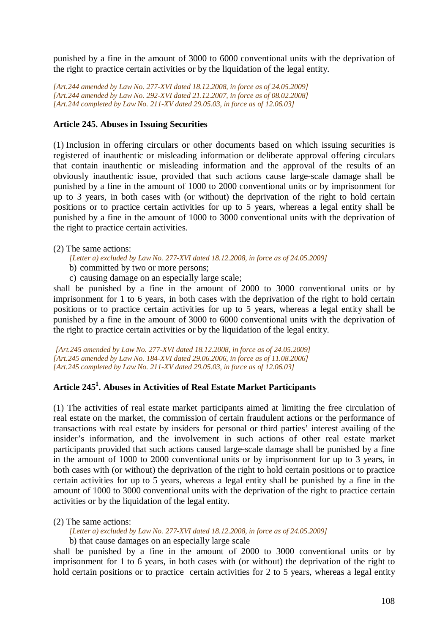punished by a fine in the amount of 3000 to 6000 conventional units with the deprivation of the right to practice certain activities or by the liquidation of the legal entity.

*[Art.244 amended by Law No. 277-XVI dated 18.12.2008, in force as of 24.05.2009] [Art.244 amended by Law No. 292-XVI dated 21.12.2007, in force as of 08.02.2008] [Art.244 completed by Law No. 211-XV dated 29.05.03, in force as of 12.06.03]* 

## **Article 245. Abuses in Issuing Securities**

(1) Inclusion in offering circulars or other documents based on which issuing securities is registered of inauthentic or misleading information or deliberate approval offering circulars that contain inauthentic or misleading information and the approval of the results of an obviously inauthentic issue, provided that such actions cause large-scale damage shall be punished by a fine in the amount of 1000 to 2000 conventional units or by imprisonment for up to 3 years, in both cases with (or without) the deprivation of the right to hold certain positions or to practice certain activities for up to 5 years, whereas a legal entity shall be punished by a fine in the amount of 1000 to 3000 conventional units with the deprivation of the right to practice certain activities.

(2) The same actions:

*[Letter a) excluded by Law No. 277-XVI dated 18.12.2008, in force as of 24.05.2009]* 

- b) committed by two or more persons;
- c) causing damage on an especially large scale;

shall be punished by a fine in the amount of 2000 to 3000 conventional units or by imprisonment for 1 to 6 years, in both cases with the deprivation of the right to hold certain positions or to practice certain activities for up to 5 years, whereas a legal entity shall be punished by a fine in the amount of 3000 to 6000 conventional units with the deprivation of the right to practice certain activities or by the liquidation of the legal entity.

*[Art.245 amended by Law No. 277-XVI dated 18.12.2008, in force as of 24.05.2009] [Art.245 amended by Law No. 184-XVI dated 29.06.2006, in force as of 11.08.2006] [Art.245 completed by Law No. 211-XV dated 29.05.03, in force as of 12.06.03]* 

# **Article 245<sup>1</sup> . Abuses in Activities of Real Estate Market Participants**

(1) The activities of real estate market participants aimed at limiting the free circulation of real estate on the market, the commission of certain fraudulent actions or the performance of transactions with real estate by insiders for personal or third parties' interest availing of the insider's information, and the involvement in such actions of other real estate market participants provided that such actions caused large-scale damage shall be punished by a fine in the amount of 1000 to 2000 conventional units or by imprisonment for up to 3 years, in both cases with (or without) the deprivation of the right to hold certain positions or to practice certain activities for up to 5 years, whereas a legal entity shall be punished by a fine in the amount of 1000 to 3000 conventional units with the deprivation of the right to practice certain activities or by the liquidation of the legal entity.

#### (2) The same actions:

*[Letter a) excluded by Law No. 277-XVI dated 18.12.2008, in force as of 24.05.2009]* 

b) that cause damages on an especially large scale

shall be punished by a fine in the amount of 2000 to 3000 conventional units or by imprisonment for 1 to 6 years, in both cases with (or without) the deprivation of the right to hold certain positions or to practice certain activities for 2 to 5 years, whereas a legal entity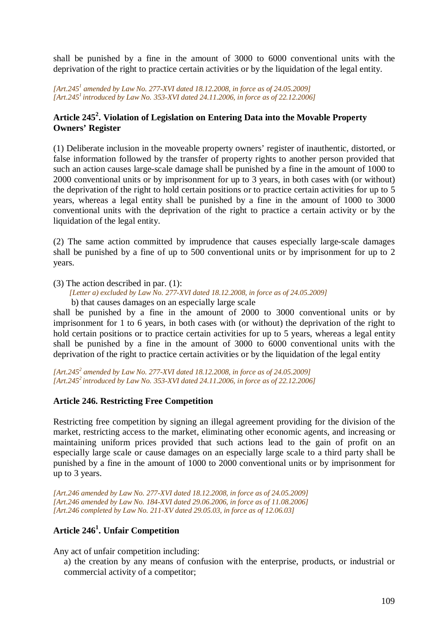shall be punished by a fine in the amount of 3000 to 6000 conventional units with the deprivation of the right to practice certain activities or by the liquidation of the legal entity.

[Art.245<sup>*1</sup>* amended by Law No. 277-XVI dated 18.12.2008, in force as of 24.05.2009]</sup> *[Art.245<sup>1</sup>introduced by Law No. 353-XVI dated 24.11.2006, in force as of 22.12.2006]*

# **Article 245<sup>2</sup> . Violation of Legislation on Entering Data into the Movable Property Owners' Register**

(1) Deliberate inclusion in the moveable property owners' register of inauthentic, distorted, or false information followed by the transfer of property rights to another person provided that such an action causes large-scale damage shall be punished by a fine in the amount of 1000 to 2000 conventional units or by imprisonment for up to 3 years, in both cases with (or without) the deprivation of the right to hold certain positions or to practice certain activities for up to 5 years, whereas a legal entity shall be punished by a fine in the amount of 1000 to 3000 conventional units with the deprivation of the right to practice a certain activity or by the liquidation of the legal entity.

(2) The same action committed by imprudence that causes especially large-scale damages shall be punished by a fine of up to 500 conventional units or by imprisonment for up to 2 years.

(3) The action described in par. (1): *[Letter a) excluded by Law No. 277-XVI dated 18.12.2008, in force as of 24.05.2009]*  b) that causes damages on an especially large scale

shall be punished by a fine in the amount of 2000 to 3000 conventional units or by imprisonment for 1 to 6 years, in both cases with (or without) the deprivation of the right to hold certain positions or to practice certain activities for up to 5 years, whereas a legal entity shall be punished by a fine in the amount of 3000 to 6000 conventional units with the deprivation of the right to practice certain activities or by the liquidation of the legal entity

*[Art.245<sup>2</sup> amended by Law No. 277-XVI dated 18.12.2008, in force as of 24.05.2009] [Art.245<sup>2</sup>introduced by Law No. 353-XVI dated 24.11.2006, in force as of 22.12.2006]*

#### **Article 246. Restricting Free Competition**

Restricting free competition by signing an illegal agreement providing for the division of the market, restricting access to the market, eliminating other economic agents, and increasing or maintaining uniform prices provided that such actions lead to the gain of profit on an especially large scale or cause damages on an especially large scale to a third party shall be punished by a fine in the amount of 1000 to 2000 conventional units or by imprisonment for up to 3 years.

*[Art.246 amended by Law No. 277-XVI dated 18.12.2008, in force as of 24.05.2009] [Art.246 amended by Law No. 184-XVI dated 29.06.2006, in force as of 11.08.2006] [Art.246 completed by Law No. 211-XV dated 29.05.03, in force as of 12.06.03]* 

# **Article 246<sup>1</sup> . Unfair Competition**

Any act of unfair competition including:

a) the creation by any means of confusion with the enterprise, products, or industrial or commercial activity of a competitor;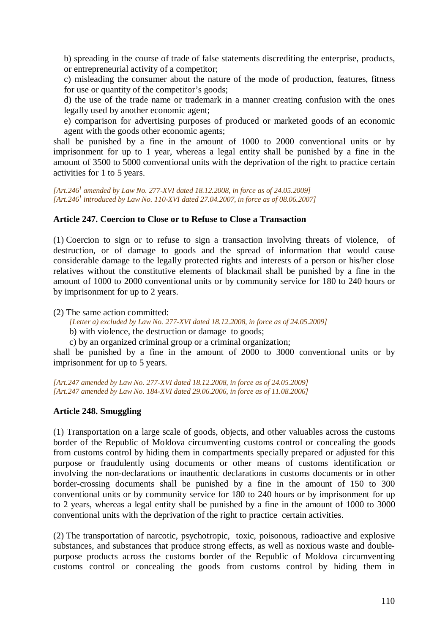b) spreading in the course of trade of false statements discrediting the enterprise, products, or entrepreneurial activity of a competitor;

c) misleading the consumer about the nature of the mode of production, features, fitness for use or quantity of the competitor's goods;

d) the use of the trade name or trademark in a manner creating confusion with the ones legally used by another economic agent;

e) comparison for advertising purposes of produced or marketed goods of an economic agent with the goods other economic agents;

shall be punished by a fine in the amount of 1000 to 2000 conventional units or by imprisonment for up to 1 year, whereas a legal entity shall be punished by a fine in the amount of 3500 to 5000 conventional units with the deprivation of the right to practice certain activities for 1 to 5 years.

*[Art.246<sup>1</sup> amended by Law No. 277-XVI dated 18.12.2008, in force as of 24.05.2009] [Art.246<sup>1</sup> introduced by Law No. 110-XVI dated 27.04.2007, in force as of 08.06.2007]*

#### **Article 247. Coercion to Close or to Refuse to Close a Transaction**

(1) Coercion to sign or to refuse to sign a transaction involving threats of violence, of destruction, or of damage to goods and the spread of information that would cause considerable damage to the legally protected rights and interests of a person or his/her close relatives without the constitutive elements of blackmail shall be punished by a fine in the amount of 1000 to 2000 conventional units or by community service for 180 to 240 hours or by imprisonment for up to 2 years.

(2) The same action committed:

*[Letter a) excluded by Law No. 277-XVI dated 18.12.2008, in force as of 24.05.2009]* 

b) with violence, the destruction or damage to goods;

c) by an organized criminal group or a criminal organization;

shall be punished by a fine in the amount of 2000 to 3000 conventional units or by imprisonment for up to 5 years.

*[Art.247 amended by Law No. 277-XVI dated 18.12.2008, in force as of 24.05.2009] [Art.247 amended by Law No. 184-XVI dated 29.06.2006, in force as of 11.08.2006]*

#### **Article 248. Smuggling**

(1) Transportation on a large scale of goods, objects, and other valuables across the customs border of the Republic of Moldova circumventing customs control or concealing the goods from customs control by hiding them in compartments specially prepared or adjusted for this purpose or fraudulently using documents or other means of customs identification or involving the non-declarations or inauthentic declarations in customs documents or in other border-crossing documents shall be punished by a fine in the amount of 150 to 300 conventional units or by community service for 180 to 240 hours or by imprisonment for up to 2 years, whereas a legal entity shall be punished by a fine in the amount of 1000 to 3000 conventional units with the deprivation of the right to practice certain activities.

(2) The transportation of narcotic, psychotropic, toxic, poisonous, radioactive and explosive substances, and substances that produce strong effects, as well as noxious waste and doublepurpose products across the customs border of the Republic of Moldova circumventing customs control or concealing the goods from customs control by hiding them in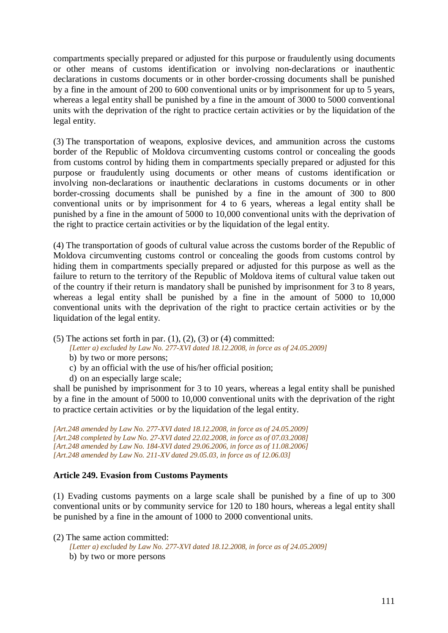compartments specially prepared or adjusted for this purpose or fraudulently using documents or other means of customs identification or involving non-declarations or inauthentic declarations in customs documents or in other border-crossing documents shall be punished by a fine in the amount of 200 to 600 conventional units or by imprisonment for up to 5 years, whereas a legal entity shall be punished by a fine in the amount of 3000 to 5000 conventional units with the deprivation of the right to practice certain activities or by the liquidation of the legal entity.

(3) The transportation of weapons, explosive devices, and ammunition across the customs border of the Republic of Moldova circumventing customs control or concealing the goods from customs control by hiding them in compartments specially prepared or adjusted for this purpose or fraudulently using documents or other means of customs identification or involving non-declarations or inauthentic declarations in customs documents or in other border-crossing documents shall be punished by a fine in the amount of 300 to 800 conventional units or by imprisonment for 4 to 6 years, whereas a legal entity shall be punished by a fine in the amount of 5000 to 10,000 conventional units with the deprivation of the right to practice certain activities or by the liquidation of the legal entity.

(4) The transportation of goods of cultural value across the customs border of the Republic of Moldova circumventing customs control or concealing the goods from customs control by hiding them in compartments specially prepared or adjusted for this purpose as well as the failure to return to the territory of the Republic of Moldova items of cultural value taken out of the country if their return is mandatory shall be punished by imprisonment for 3 to 8 years, whereas a legal entity shall be punished by a fine in the amount of 5000 to 10,000 conventional units with the deprivation of the right to practice certain activities or by the liquidation of the legal entity.

(5) The actions set forth in par.  $(1)$ ,  $(2)$ ,  $(3)$  or  $(4)$  committed:

*[Letter a) excluded by Law No. 277-XVI dated 18.12.2008, in force as of 24.05.2009]* 

- b) by two or more persons;
- c) by an official with the use of his/her official position;
- d) on an especially large scale;

shall be punished by imprisonment for 3 to 10 years, whereas a legal entity shall be punished by a fine in the amount of 5000 to 10,000 conventional units with the deprivation of the right to practice certain activities or by the liquidation of the legal entity.

*[Art.248 amended by Law No. 277-XVI dated 18.12.2008, in force as of 24.05.2009] [Art.248 completed by Law No. 27-XVI dated 22.02.2008, in force as of 07.03.2008] [Art.248 amended by Law No. 184-XVI dated 29.06.2006, in force as of 11.08.2006] [Art.248 amended by Law No. 211-XV dated 29.05.03, in force as of 12.06.03]* 

# **Article 249. Evasion from Customs Payments**

(1) Evading customs payments on a large scale shall be punished by a fine of up to 300 conventional units or by community service for 120 to 180 hours, whereas a legal entity shall be punished by a fine in the amount of 1000 to 2000 conventional units.

(2) The same action committed:

*[Letter a) excluded by Law No. 277-XVI dated 18.12.2008, in force as of 24.05.2009]*  b) by two or more persons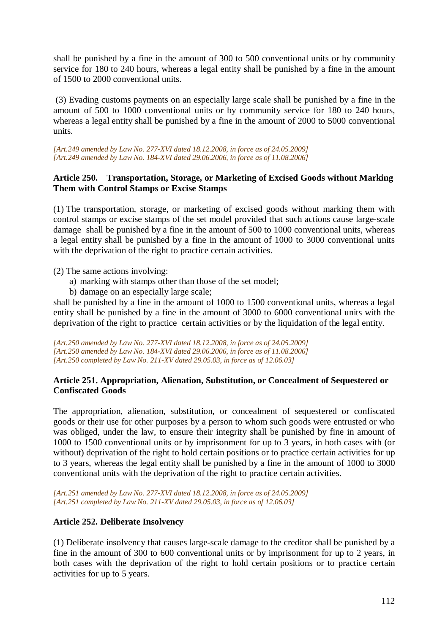shall be punished by a fine in the amount of 300 to 500 conventional units or by community service for 180 to 240 hours, whereas a legal entity shall be punished by a fine in the amount of 1500 to 2000 conventional units.

 (3) Evading customs payments on an especially large scale shall be punished by a fine in the amount of 500 to 1000 conventional units or by community service for 180 to 240 hours, whereas a legal entity shall be punished by a fine in the amount of 2000 to 5000 conventional units.

*[Art.249 amended by Law No. 277-XVI dated 18.12.2008, in force as of 24.05.2009] [Art.249 amended by Law No. 184-XVI dated 29.06.2006, in force as of 11.08.2006]*

## **Article 250. Transportation, Storage, or Marketing of Excised Goods without Marking Them with Control Stamps or Excise Stamps**

(1) The transportation, storage, or marketing of excised goods without marking them with control stamps or excise stamps of the set model provided that such actions cause large-scale damage shall be punished by a fine in the amount of 500 to 1000 conventional units, whereas a legal entity shall be punished by a fine in the amount of 1000 to 3000 conventional units with the deprivation of the right to practice certain activities.

(2) The same actions involving:

- a) marking with stamps other than those of the set model;
- b) damage on an especially large scale;

shall be punished by a fine in the amount of 1000 to 1500 conventional units, whereas a legal entity shall be punished by a fine in the amount of 3000 to 6000 conventional units with the deprivation of the right to practice certain activities or by the liquidation of the legal entity.

*[Art.250 amended by Law No. 277-XVI dated 18.12.2008, in force as of 24.05.2009] [Art.250 amended by Law No. 184-XVI dated 29.06.2006, in force as of 11.08.2006] [Art.250 completed by Law No. 211-XV dated 29.05.03, in force as of 12.06.03]* 

## **Article 251. Appropriation, Alienation, Substitution, or Concealment of Sequestered or Confiscated Goods**

The appropriation, alienation, substitution, or concealment of sequestered or confiscated goods or their use for other purposes by a person to whom such goods were entrusted or who was obliged, under the law, to ensure their integrity shall be punished by fine in amount of 1000 to 1500 conventional units or by imprisonment for up to 3 years, in both cases with (or without) deprivation of the right to hold certain positions or to practice certain activities for up to 3 years, whereas the legal entity shall be punished by a fine in the amount of 1000 to 3000 conventional units with the deprivation of the right to practice certain activities.

*[Art.251 amended by Law No. 277-XVI dated 18.12.2008, in force as of 24.05.2009] [Art.251 completed by Law No. 211-XV dated 29.05.03, in force as of 12.06.03]* 

# **Article 252. Deliberate Insolvency**

(1) Deliberate insolvency that causes large-scale damage to the creditor shall be punished by a fine in the amount of 300 to 600 conventional units or by imprisonment for up to 2 years, in both cases with the deprivation of the right to hold certain positions or to practice certain activities for up to 5 years.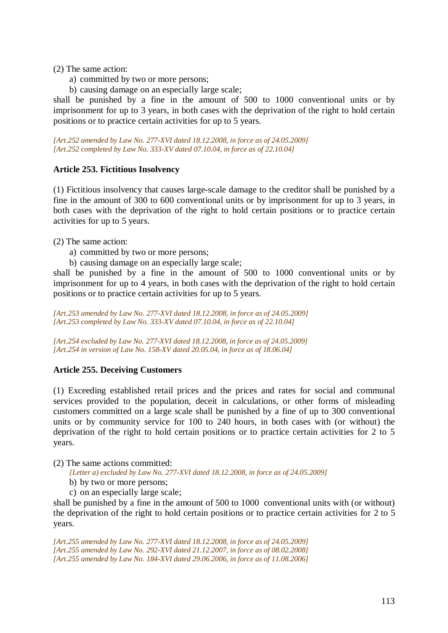(2) The same action:

- a) committed by two or more persons;
- b) causing damage on an especially large scale;

shall be punished by a fine in the amount of 500 to 1000 conventional units or by imprisonment for up to 3 years, in both cases with the deprivation of the right to hold certain positions or to practice certain activities for up to 5 years.

*[Art.252 amended by Law No. 277-XVI dated 18.12.2008, in force as of 24.05.2009] [Art.252 completed by Law No. 333-XV dated 07.10.04, in force as of 22.10.04]*

#### **Article 253. Fictitious Insolvency**

(1) Fictitious insolvency that causes large-scale damage to the creditor shall be punished by a fine in the amount of 300 to 600 conventional units or by imprisonment for up to 3 years, in both cases with the deprivation of the right to hold certain positions or to practice certain activities for up to 5 years.

(2) The same action:

- a) committed by two or more persons;
- b) causing damage on an especially large scale;

shall be punished by a fine in the amount of 500 to 1000 conventional units or by imprisonment for up to 4 years, in both cases with the deprivation of the right to hold certain positions or to practice certain activities for up to 5 years.

*[Art.253 amended by Law No. 277-XVI dated 18.12.2008, in force as of 24.05.2009] [Art.253 completed by Law No. 333-XV dated 07.10.04, in force as of 22.10.04]* 

*[Art.254 excluded by Law No. 277-XVI dated 18.12.2008, in force as of 24.05.2009] [Art.254 in version of Law No. 158-XV dated 20.05.04, in force as of 18.06.04]* 

#### **Article 255. Deceiving Customers**

(1) Exceeding established retail prices and the prices and rates for social and communal services provided to the population, deceit in calculations, or other forms of misleading customers committed on a large scale shall be punished by a fine of up to 300 conventional units or by community service for 100 to 240 hours, in both cases with (or without) the deprivation of the right to hold certain positions or to practice certain activities for 2 to 5 years.

(2) The same actions committed:

*[Letter a) excluded by Law No. 277-XVI dated 18.12.2008, in force as of 24.05.2009]* 

- b) by two or more persons;
- c) on an especially large scale;

shall be punished by a fine in the amount of 500 to 1000 conventional units with (or without) the deprivation of the right to hold certain positions or to practice certain activities for 2 to 5 years.

*[Art.255 amended by Law No. 277-XVI dated 18.12.2008, in force as of 24.05.2009] [Art.255 amended by Law No. 292-XVI dated 21.12.2007, in force as of 08.02.2008] [Art.255 amended by Law No. 184-XVI dated 29.06.2006, in force as of 11.08.2006]*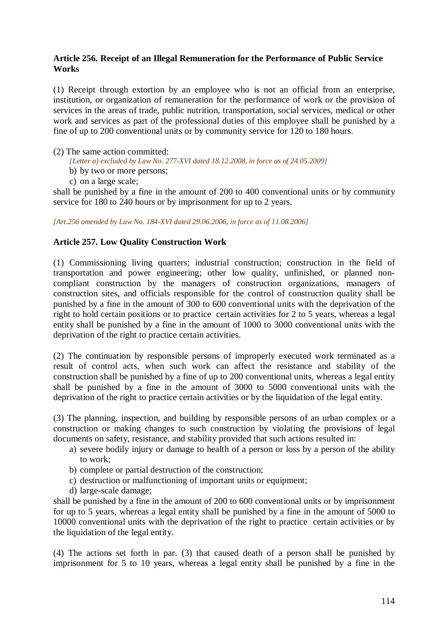## **Article 256. Receipt of an Illegal Remuneration for the Performance of Public Service Works**

(1) Receipt through extortion by an employee who is not an official from an enterprise, institution, or organization of remuneration for the performance of work or the provision of services in the areas of trade, public nutrition, transportation, social services, medical or other work and services as part of the professional duties of this employee shall be punished by a fine of up to 200 conventional units or by community service for 120 to 180 hours.

#### (2) The same action committed:

*[Letter a) excluded by Law No. 277-XVI dated 18.12.2008, in force as of 24.05.2009]* 

- b) by two or more persons;
- c) on a large scale;

shall be punished by a fine in the amount of 200 to 400 conventional units or by community service for 180 to 240 hours or by imprisonment for up to 2 years.

*[Art.256 amended by Law No. 184-XVI dated 29.06.2006, in force as of 11.08.2006]*

# **Article 257. Low Quality Construction Work**

(1) Commissioning living quarters; industrial construction; construction in the field of transportation and power engineering; other low quality, unfinished, or planned noncompliant construction by the managers of construction organizations, managers of construction sites, and officials responsible for the control of construction quality shall be punished by a fine in the amount of 300 to 600 conventional units with the deprivation of the right to hold certain positions or to practice certain activities for 2 to 5 years, whereas a legal entity shall be punished by a fine in the amount of 1000 to 3000 conventional units with the deprivation of the right to practice certain activities.

(2) The continuation by responsible persons of improperly executed work terminated as a result of control acts, when such work can affect the resistance and stability of the construction shall be punished by a fine of up to 200 conventional units, whereas a legal entity shall be punished by a fine in the amount of 3000 to 5000 conventional units with the deprivation of the right to practice certain activities or by the liquidation of the legal entity.

(3) The planning, inspection, and building by responsible persons of an urban complex or a construction or making changes to such construction by violating the provisions of legal documents on safety, resistance, and stability provided that such actions resulted in:

- a) severe bodily injury or damage to health of a person or loss by a person of the ability to work;
- b) complete or partial destruction of the construction;
- c) destruction or malfunctioning of important units or equipment;
- d) large-scale damage;

shall be punished by a fine in the amount of 200 to 600 conventional units or by imprisonment for up to 5 years, whereas a legal entity shall be punished by a fine in the amount of 5000 to 10000 conventional units with the deprivation of the right to practice certain activities or by the liquidation of the legal entity.

(4) The actions set forth in par. (3) that caused death of a person shall be punished by imprisonment for 5 to 10 years, whereas a legal entity shall be punished by a fine in the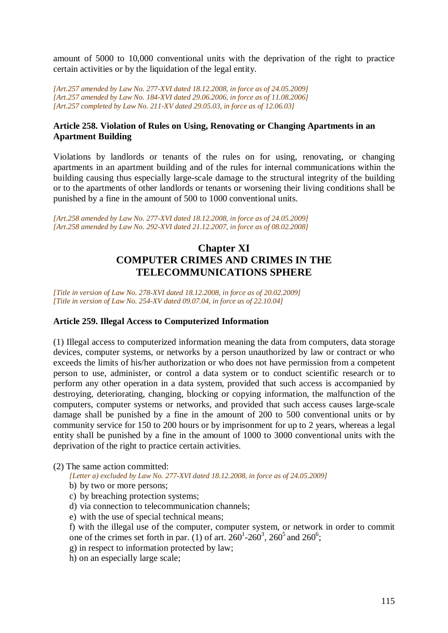amount of 5000 to 10,000 conventional units with the deprivation of the right to practice certain activities or by the liquidation of the legal entity.

*[Art.257 amended by Law No. 277-XVI dated 18.12.2008, in force as of 24.05.2009] [Art.257 amended by Law No. 184-XVI dated 29.06.2006, in force as of 11.08.2006] [Art.257 completed by Law No. 211-XV dated 29.05.03, in force as of 12.06.03]* 

## **Article 258. Violation of Rules on Using, Renovating or Changing Apartments in an Apartment Building**

Violations by landlords or tenants of the rules on for using, renovating, or changing apartments in an apartment building and of the rules for internal communications within the building causing thus especially large-scale damage to the structural integrity of the building or to the apartments of other landlords or tenants or worsening their living conditions shall be punished by a fine in the amount of 500 to 1000 conventional units.

*[Art.258 amended by Law No. 277-XVI dated 18.12.2008, in force as of 24.05.2009] [Art.258 amended by Law No. 292-XVI dated 21.12.2007, in force as of 08.02.2008]*

# **Chapter XI COMPUTER CRIMES AND CRIMES IN THE TELECOMMUNICATIONS SPHERE**

*[Title in version of Law No. 278-XVI dated 18.12.2008, in force as of 20.02.2009] [Title in version of Law No. 254-XV dated 09.07.04, in force as of 22.10.04]*

#### **Article 259. Illegal Access to Computerized Information**

(1) Illegal access to computerized information meaning the data from computers, data storage devices, computer systems, or networks by a person unauthorized by law or contract or who exceeds the limits of his/her authorization or who does not have permission from a competent person to use, administer, or control a data system or to conduct scientific research or to perform any other operation in a data system, provided that such access is accompanied by destroying, deteriorating, changing, blocking or copying information, the malfunction of the computers, computer systems or networks, and provided that such access causes large-scale damage shall be punished by a fine in the amount of 200 to 500 conventional units or by community service for 150 to 200 hours or by imprisonment for up to 2 years, whereas a legal entity shall be punished by a fine in the amount of 1000 to 3000 conventional units with the deprivation of the right to practice certain activities.

(2) The same action committed:

*[Letter a) excluded by Law No. 277-XVI dated 18.12.2008, in force as of 24.05.2009]* 

- b) by two or more persons;
- c) by breaching protection systems;
- d) via connection to telecommunication channels;
- e) with the use of special technical means;

f) with the illegal use of the computer, computer system, or network in order to commit one of the crimes set forth in par. (1) of art.  $260^1$ - $260^3$ ,  $260^5$  and  $260^6$ ;

- g) in respect to information protected by law;
- h) on an especially large scale;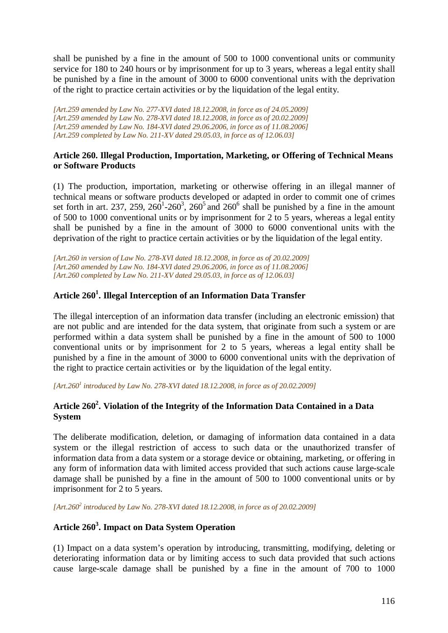shall be punished by a fine in the amount of 500 to 1000 conventional units or community service for 180 to 240 hours or by imprisonment for up to 3 years, whereas a legal entity shall be punished by a fine in the amount of 3000 to 6000 conventional units with the deprivation of the right to practice certain activities or by the liquidation of the legal entity.

*[Art.259 amended by Law No. 277-XVI dated 18.12.2008, in force as of 24.05.2009] [Art.259 amended by Law No. 278-XVI dated 18.12.2008, in force as of 20.02.2009] [Art.259 amended by Law No. 184-XVI dated 29.06.2006, in force as of 11.08.2006] [Art.259 completed by Law No. 211-XV dated 29.05.03, in force as of 12.06.03]* 

## **Article 260. Illegal Production, Importation, Marketing, or Offering of Technical Means or Software Products**

(1) The production, importation, marketing or otherwise offering in an illegal manner of technical means or software products developed or adapted in order to commit one of crimes set forth in art. 237, 259, 260<sup>1</sup>-260<sup>3</sup>, 260<sup>5</sup> and 260<sup>6</sup> shall be punished by a fine in the amount of 500 to 1000 conventional units or by imprisonment for 2 to 5 years, whereas a legal entity shall be punished by a fine in the amount of 3000 to 6000 conventional units with the deprivation of the right to practice certain activities or by the liquidation of the legal entity.

*[Art.260 in version of Law No. 278-XVI dated 18.12.2008, in force as of 20.02.2009] [Art.260 amended by Law No. 184-XVI dated 29.06.2006, in force as of 11.08.2006] [Art.260 completed by Law No. 211-XV dated 29.05.03, in force as of 12.06.03]*

# **Article 260<sup>1</sup> . Illegal Interception of an Information Data Transfer**

The illegal interception of an information data transfer (including an electronic emission) that are not public and are intended for the data system, that originate from such a system or are performed within a data system shall be punished by a fine in the amount of 500 to 1000 conventional units or by imprisonment for 2 to 5 years, whereas a legal entity shall be punished by a fine in the amount of 3000 to 6000 conventional units with the deprivation of the right to practice certain activities or by the liquidation of the legal entity.

*[Art.260<sup>1</sup> introduced by Law No. 278-XVI dated 18.12.2008, in force as of 20.02.2009]* 

# **Article 260<sup>2</sup> . Violation of the Integrity of the Information Data Contained in a Data System**

The deliberate modification, deletion, or damaging of information data contained in a data system or the illegal restriction of access to such data or the unauthorized transfer of information data from a data system or a storage device or obtaining, marketing, or offering in any form of information data with limited access provided that such actions cause large-scale damage shall be punished by a fine in the amount of 500 to 1000 conventional units or by imprisonment for 2 to 5 years.

*[Art.260<sup>2</sup> introduced by Law No. 278-XVI dated 18.12.2008, in force as of 20.02.2009]* 

# **Article 260<sup>3</sup> . Impact on Data System Operation**

(1) Impact on a data system's operation by introducing, transmitting, modifying, deleting or deteriorating information data or by limiting access to such data provided that such actions cause large-scale damage shall be punished by a fine in the amount of 700 to 1000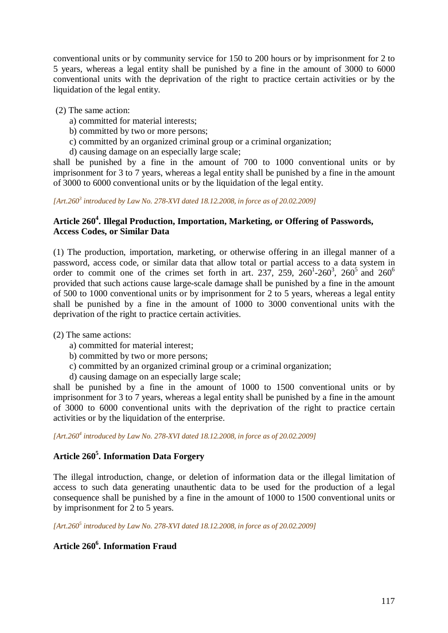conventional units or by community service for 150 to 200 hours or by imprisonment for 2 to 5 years, whereas a legal entity shall be punished by a fine in the amount of 3000 to 6000 conventional units with the deprivation of the right to practice certain activities or by the liquidation of the legal entity.

## (2) The same action:

- a) committed for material interests;
- b) committed by two or more persons;
- c) committed by an organized criminal group or a criminal organization;
- d) causing damage on an especially large scale;

shall be punished by a fine in the amount of 700 to 1000 conventional units or by imprisonment for 3 to 7 years, whereas a legal entity shall be punished by a fine in the amount of 3000 to 6000 conventional units or by the liquidation of the legal entity.

*[Art.260<sup>3</sup> introduced by Law No. 278-XVI dated 18.12.2008, in force as of 20.02.2009]* 

## **Article 260<sup>4</sup> . Illegal Production, Importation, Marketing, or Offering of Passwords, Access Codes, or Similar Data**

(1) The production, importation, marketing, or otherwise offering in an illegal manner of a password, access code, or similar data that allow total or partial access to a data system in order to commit one of the crimes set forth in art. 237, 259, 260<sup>1</sup>-260<sup>3</sup>, 260<sup>5</sup> and 260<sup>6</sup> provided that such actions cause large-scale damage shall be punished by a fine in the amount of 500 to 1000 conventional units or by imprisonment for 2 to 5 years, whereas a legal entity shall be punished by a fine in the amount of 1000 to 3000 conventional units with the deprivation of the right to practice certain activities.

(2) The same actions:

- a) committed for material interest;
- b) committed by two or more persons;
- c) committed by an organized criminal group or a criminal organization;
- d) causing damage on an especially large scale;

shall be punished by a fine in the amount of 1000 to 1500 conventional units or by imprisonment for 3 to 7 years, whereas a legal entity shall be punished by a fine in the amount of 3000 to 6000 conventional units with the deprivation of the right to practice certain activities or by the liquidation of the enterprise.

*[Art.260<sup>4</sup> introduced by Law No. 278-XVI dated 18.12.2008, in force as of 20.02.2009]* 

# **Article 260<sup>5</sup> . Information Data Forgery**

The illegal introduction, change, or deletion of information data or the illegal limitation of access to such data generating unauthentic data to be used for the production of a legal consequence shall be punished by a fine in the amount of 1000 to 1500 conventional units or by imprisonment for 2 to 5 years.

*[Art.260<sup>5</sup> introduced by Law No. 278-XVI dated 18.12.2008, in force as of 20.02.2009]* 

# **Article 260<sup>6</sup> . Information Fraud**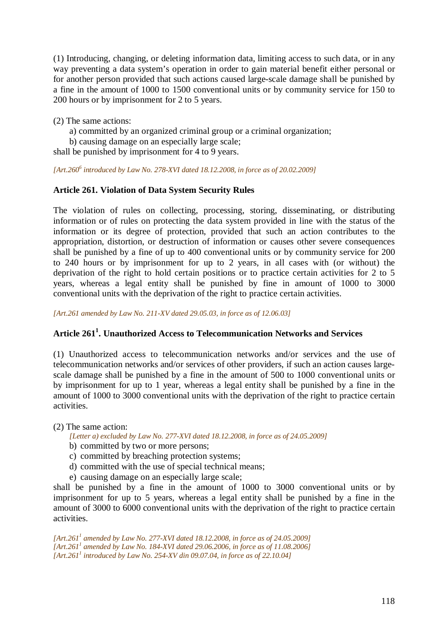(1) Introducing, changing, or deleting information data, limiting access to such data, or in any way preventing a data system's operation in order to gain material benefit either personal or for another person provided that such actions caused large-scale damage shall be punished by a fine in the amount of 1000 to 1500 conventional units or by community service for 150 to 200 hours or by imprisonment for 2 to 5 years.

(2) The same actions:

- a) committed by an organized criminal group or a criminal organization;
- b) causing damage on an especially large scale;
- shall be punished by imprisonment for 4 to 9 years.

*[Art.260<sup>6</sup> introduced by Law No. 278-XVI dated 18.12.2008, in force as of 20.02.2009]* 

## **Article 261. Violation of Data System Security Rules**

The violation of rules on collecting, processing, storing, disseminating, or distributing information or of rules on protecting the data system provided in line with the status of the information or its degree of protection, provided that such an action contributes to the appropriation, distortion, or destruction of information or causes other severe consequences shall be punished by a fine of up to 400 conventional units or by community service for 200 to 240 hours or by imprisonment for up to 2 years, in all cases with (or without) the deprivation of the right to hold certain positions or to practice certain activities for 2 to 5 years, whereas a legal entity shall be punished by fine in amount of 1000 to 3000 conventional units with the deprivation of the right to practice certain activities.

*[Art.261 amended by Law No. 211-XV dated 29.05.03, in force as of 12.06.03]* 

# **Article 261<sup>1</sup> . Unauthorized Access to Telecommunication Networks and Services**

(1) Unauthorized access to telecommunication networks and/or services and the use of telecommunication networks and/or services of other providers, if such an action causes largescale damage shall be punished by a fine in the amount of 500 to 1000 conventional units or by imprisonment for up to 1 year, whereas a legal entity shall be punished by a fine in the amount of 1000 to 3000 conventional units with the deprivation of the right to practice certain activities.

(2) The same action:

*[Letter a) excluded by Law No. 277-XVI dated 18.12.2008, in force as of 24.05.2009]* 

- b) committed by two or more persons;
- c) committed by breaching protection systems;
- d) committed with the use of special technical means;
- e) causing damage on an especially large scale;

shall be punished by a fine in the amount of 1000 to 3000 conventional units or by imprisonment for up to 5 years, whereas a legal entity shall be punished by a fine in the amount of 3000 to 6000 conventional units with the deprivation of the right to practice certain activities.

*[Art.261<sup>1</sup> amended by Law No. 277-XVI dated 18.12.2008, in force as of 24.05.2009] [Art.261<sup>1</sup> amended by Law No. 184-XVI dated 29.06.2006, in force as of 11.08.2006] [Art.261<sup>1</sup> introduced by Law No. 254-XV din 09.07.04, in force as of 22.10.04]*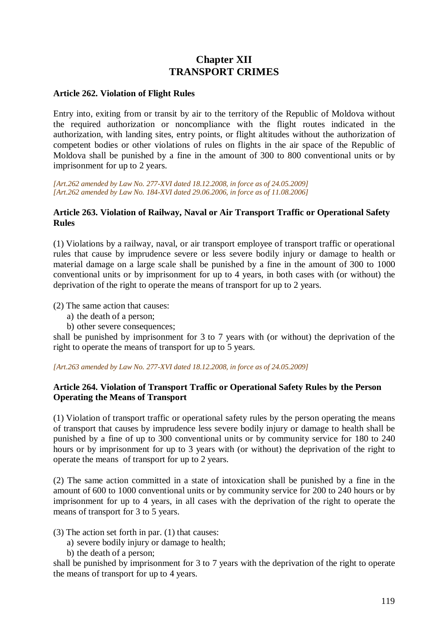# **Chapter XII TRANSPORT CRIMES**

## **Article 262. Violation of Flight Rules**

Entry into, exiting from or transit by air to the territory of the Republic of Moldova without the required authorization or noncompliance with the flight routes indicated in the authorization, with landing sites, entry points, or flight altitudes without the authorization of competent bodies or other violations of rules on flights in the air space of the Republic of Moldova shall be punished by a fine in the amount of 300 to 800 conventional units or by imprisonment for up to 2 years.

*[Art.262 amended by Law No. 277-XVI dated 18.12.2008, in force as of 24.05.2009] [Art.262 amended by Law No. 184-XVI dated 29.06.2006, in force as of 11.08.2006]*

### **Article 263. Violation of Railway, Naval or Air Transport Traffic or Operational Safety Rules**

(1) Violations by a railway, naval, or air transport employee of transport traffic or operational rules that cause by imprudence severe or less severe bodily injury or damage to health or material damage on a large scale shall be punished by a fine in the amount of 300 to 1000 conventional units or by imprisonment for up to 4 years, in both cases with (or without) the deprivation of the right to operate the means of transport for up to 2 years.

(2) The same action that causes:

- a) the death of a person;
- b) other severe consequences;

shall be punished by imprisonment for 3 to 7 years with (or without) the deprivation of the right to operate the means of transport for up to 5 years.

*[Art.263 amended by Law No. 277-XVI dated 18.12.2008, in force as of 24.05.2009]* 

## **Article 264. Violation of Transport Traffic or Operational Safety Rules by the Person Operating the Means of Transport**

(1) Violation of transport traffic or operational safety rules by the person operating the means of transport that causes by imprudence less severe bodily injury or damage to health shall be punished by a fine of up to 300 conventional units or by community service for 180 to 240 hours or by imprisonment for up to 3 years with (or without) the deprivation of the right to operate the means of transport for up to 2 years.

(2) The same action committed in a state of intoxication shall be punished by a fine in the amount of 600 to 1000 conventional units or by community service for 200 to 240 hours or by imprisonment for up to 4 years, in all cases with the deprivation of the right to operate the means of transport for 3 to 5 years.

(3) The action set forth in par. (1) that causes:

- a) severe bodily injury or damage to health;
- b) the death of a person;

shall be punished by imprisonment for 3 to 7 years with the deprivation of the right to operate the means of transport for up to 4 years.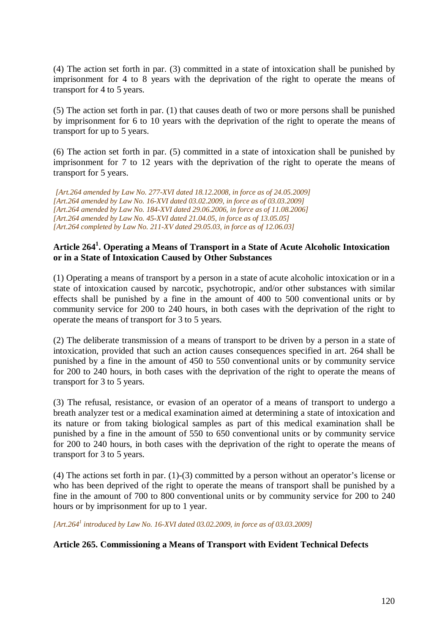(4) The action set forth in par. (3) committed in a state of intoxication shall be punished by imprisonment for 4 to 8 years with the deprivation of the right to operate the means of transport for 4 to 5 years.

(5) The action set forth in par. (1) that causes death of two or more persons shall be punished by imprisonment for 6 to 10 years with the deprivation of the right to operate the means of transport for up to 5 years.

(6) The action set forth in par. (5) committed in a state of intoxication shall be punished by imprisonment for 7 to 12 years with the deprivation of the right to operate the means of transport for 5 years.

*[Art.264 amended by Law No. 277-XVI dated 18.12.2008, in force as of 24.05.2009] [Art.264 amended by Law No. 16-XVI dated 03.02.2009, in force as of 03.03.2009] [Art.264 amended by Law No. 184-XVI dated 29.06.2006, in force as of 11.08.2006] [Art.264 amended by Law No. 45-XVI dated 21.04.05, in force as of 13.05.05] [Art.264 completed by Law No. 211-XV dated 29.05.03, in force as of 12.06.03]* 

# **Article 264<sup>1</sup> . Operating a Means of Transport in a State of Acute Alcoholic Intoxication or in a State of Intoxication Caused by Other Substances**

(1) Operating a means of transport by a person in a state of acute alcoholic intoxication or in a state of intoxication caused by narcotic, psychotropic, and/or other substances with similar effects shall be punished by a fine in the amount of 400 to 500 conventional units or by community service for 200 to 240 hours, in both cases with the deprivation of the right to operate the means of transport for 3 to 5 years.

(2) The deliberate transmission of a means of transport to be driven by a person in a state of intoxication, provided that such an action causes consequences specified in art. 264 shall be punished by a fine in the amount of 450 to 550 conventional units or by community service for 200 to 240 hours, in both cases with the deprivation of the right to operate the means of transport for 3 to 5 years.

(3) The refusal, resistance, or evasion of an operator of a means of transport to undergo a breath analyzer test or a medical examination aimed at determining a state of intoxication and its nature or from taking biological samples as part of this medical examination shall be punished by a fine in the amount of 550 to 650 conventional units or by community service for 200 to 240 hours, in both cases with the deprivation of the right to operate the means of transport for 3 to 5 years.

(4) The actions set forth in par. (1)-(3) committed by a person without an operator's license or who has been deprived of the right to operate the means of transport shall be punished by a fine in the amount of 700 to 800 conventional units or by community service for 200 to 240 hours or by imprisonment for up to 1 year.

*[Art.264<sup>1</sup> introduced by Law No. 16-XVI dated 03.02.2009, in force as of 03.03.2009]*

#### **Article 265. Commissioning a Means of Transport with Evident Technical Defects**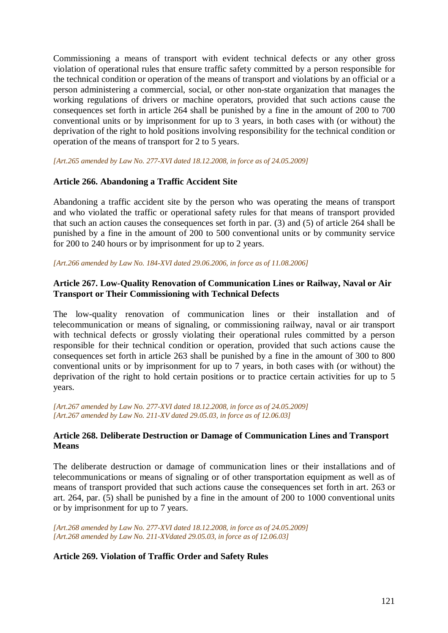Commissioning a means of transport with evident technical defects or any other gross violation of operational rules that ensure traffic safety committed by a person responsible for the technical condition or operation of the means of transport and violations by an official or a person administering a commercial, social, or other non-state organization that manages the working regulations of drivers or machine operators, provided that such actions cause the consequences set forth in article 264 shall be punished by a fine in the amount of 200 to 700 conventional units or by imprisonment for up to 3 years, in both cases with (or without) the deprivation of the right to hold positions involving responsibility for the technical condition or operation of the means of transport for 2 to 5 years.

*[Art.265 amended by Law No. 277-XVI dated 18.12.2008, in force as of 24.05.2009]* 

#### **Article 266. Abandoning a Traffic Accident Site**

Abandoning a traffic accident site by the person who was operating the means of transport and who violated the traffic or operational safety rules for that means of transport provided that such an action causes the consequences set forth in par. (3) and (5) of article 264 shall be punished by a fine in the amount of 200 to 500 conventional units or by community service for 200 to 240 hours or by imprisonment for up to 2 years.

*[Art.266 amended by Law No. 184-XVI dated 29.06.2006, in force as of 11.08.2006]*

### **Article 267. Low-Quality Renovation of Communication Lines or Railway, Naval or Air Transport or Their Commissioning with Technical Defects**

The low-quality renovation of communication lines or their installation and of telecommunication or means of signaling, or commissioning railway, naval or air transport with technical defects or grossly violating their operational rules committed by a person responsible for their technical condition or operation, provided that such actions cause the consequences set forth in article 263 shall be punished by a fine in the amount of 300 to 800 conventional units or by imprisonment for up to 7 years, in both cases with (or without) the deprivation of the right to hold certain positions or to practice certain activities for up to 5 years.

*[Art.267 amended by Law No. 277-XVI dated 18.12.2008, in force as of 24.05.2009] [Art.267 amended by Law No. 211-XV dated 29.05.03, in force as of 12.06.03]*

#### **Article 268. Deliberate Destruction or Damage of Communication Lines and Transport Means**

The deliberate destruction or damage of communication lines or their installations and of telecommunications or means of signaling or of other transportation equipment as well as of means of transport provided that such actions cause the consequences set forth in art. 263 or art. 264, par. (5) shall be punished by a fine in the amount of 200 to 1000 conventional units or by imprisonment for up to 7 years.

*[Art.268 amended by Law No. 277-XVI dated 18.12.2008, in force as of 24.05.2009] [Art.268 amended by Law No. 211-XVdated 29.05.03, in force as of 12.06.03]* 

#### **Article 269. Violation of Traffic Order and Safety Rules**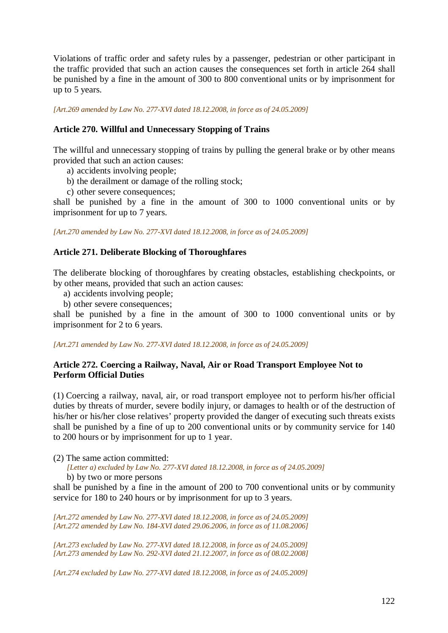Violations of traffic order and safety rules by a passenger, pedestrian or other participant in the traffic provided that such an action causes the consequences set forth in article 264 shall be punished by a fine in the amount of 300 to 800 conventional units or by imprisonment for up to 5 years.

*[Art.269 amended by Law No. 277-XVI dated 18.12.2008, in force as of 24.05.2009]* 

## **Article 270. Willful and Unnecessary Stopping of Trains**

The willful and unnecessary stopping of trains by pulling the general brake or by other means provided that such an action causes:

- a) accidents involving people;
- b) the derailment or damage of the rolling stock;
- c) other severe consequences;

shall be punished by a fine in the amount of 300 to 1000 conventional units or by imprisonment for up to 7 years.

*[Art.270 amended by Law No. 277-XVI dated 18.12.2008, in force as of 24.05.2009]* 

## **Article 271. Deliberate Blocking of Thoroughfares**

The deliberate blocking of thoroughfares by creating obstacles, establishing checkpoints, or by other means, provided that such an action causes:

- a) accidents involving people;
- b) other severe consequences;

shall be punished by a fine in the amount of 300 to 1000 conventional units or by imprisonment for 2 to 6 years.

*[Art.271 amended by Law No. 277-XVI dated 18.12.2008, in force as of 24.05.2009]* 

# **Article 272. Coercing a Railway, Naval, Air or Road Transport Employee Not to Perform Official Duties**

(1) Coercing a railway, naval, air, or road transport employee not to perform his/her official duties by threats of murder, severe bodily injury, or damages to health or of the destruction of his/her or his/her close relatives' property provided the danger of executing such threats exists shall be punished by a fine of up to 200 conventional units or by community service for 140 to 200 hours or by imprisonment for up to 1 year.

(2) The same action committed:

*[Letter a) excluded by Law No. 277-XVI dated 18.12.2008, in force as of 24.05.2009]* 

b) by two or more persons

shall be punished by a fine in the amount of 200 to 700 conventional units or by community service for 180 to 240 hours or by imprisonment for up to 3 years.

*[Art.272 amended by Law No. 277-XVI dated 18.12.2008, in force as of 24.05.2009] [Art.272 amended by Law No. 184-XVI dated 29.06.2006, in force as of 11.08.2006]*

*[Art.273 excluded by Law No. 277-XVI dated 18.12.2008, in force as of 24.05.2009] [Art.273 amended by Law No. 292-XVI dated 21.12.2007, in force as of 08.02.2008]*

*[Art.274 excluded by Law No. 277-XVI dated 18.12.2008, in force as of 24.05.2009]*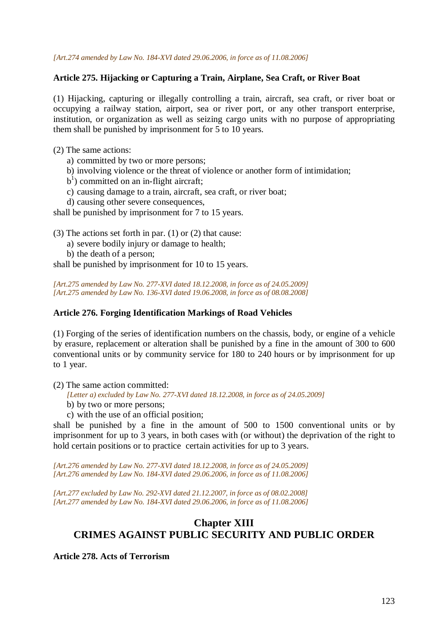*[Art.274 amended by Law No. 184-XVI dated 29.06.2006, in force as of 11.08.2006]*

#### **Article 275. Hijacking or Capturing a Train, Airplane, Sea Craft, or River Boat**

(1) Hijacking, capturing or illegally controlling a train, aircraft, sea craft, or river boat or occupying a railway station, airport, sea or river port, or any other transport enterprise, institution, or organization as well as seizing cargo units with no purpose of appropriating them shall be punished by imprisonment for 5 to 10 years.

- (2) The same actions:
	- a) committed by two or more persons;
	- b) involving violence or the threat of violence or another form of intimidation;
	- b<sup>1</sup>) committed on an in-flight aircraft;
	- c) causing damage to a train, aircraft, sea craft, or river boat;
	- d) causing other severe consequences,

shall be punished by imprisonment for 7 to 15 years.

(3) The actions set forth in par. (1) or (2) that cause:

- a) severe bodily injury or damage to health;
- b) the death of a person;

shall be punished by imprisonment for 10 to 15 years.

*[Art.275 amended by Law No. 277-XVI dated 18.12.2008, in force as of 24.05.2009] [Art.275 amended by Law No. 136-XVI dated 19.06.2008, in force as of 08.08.2008]*

#### **Article 276. Forging Identification Markings of Road Vehicles**

(1) Forging of the series of identification numbers on the chassis, body, or engine of a vehicle by erasure, replacement or alteration shall be punished by a fine in the amount of 300 to 600 conventional units or by community service for 180 to 240 hours or by imprisonment for up to 1 year.

(2) The same action committed:

- *[Letter a) excluded by Law No. 277-XVI dated 18.12.2008, in force as of 24.05.2009]*
- b) by two or more persons;
- c) with the use of an official position;

shall be punished by a fine in the amount of 500 to 1500 conventional units or by imprisonment for up to 3 years, in both cases with (or without) the deprivation of the right to hold certain positions or to practice certain activities for up to 3 years.

*[Art.276 amended by Law No. 277-XVI dated 18.12.2008, in force as of 24.05.2009] [Art.276 amended by Law No. 184-XVI dated 29.06.2006, in force as of 11.08.2006]*

*[Art.277 excluded by Law No. 292-XVI dated 21.12.2007, in force as of 08.02.2008] [Art.277 amended by Law No. 184-XVI dated 29.06.2006, in force as of 11.08.2006]*

# **Chapter XIII CRIMES AGAINST PUBLIC SECURITY AND PUBLIC ORDER**

**Article 278. Acts of Terrorism**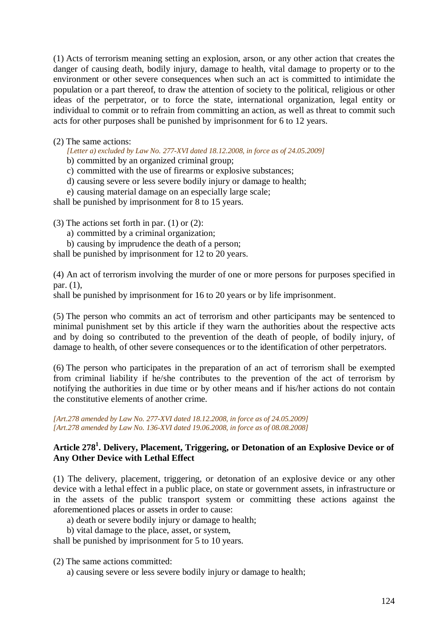(1) Acts of terrorism meaning setting an explosion, arson, or any other action that creates the danger of causing death, bodily injury, damage to health, vital damage to property or to the environment or other severe consequences when such an act is committed to intimidate the population or a part thereof, to draw the attention of society to the political, religious or other ideas of the perpetrator, or to force the state, international organization, legal entity or individual to commit or to refrain from committing an action, as well as threat to commit such acts for other purposes shall be punished by imprisonment for 6 to 12 years.

### (2) The same actions:

*[Letter a) excluded by Law No. 277-XVI dated 18.12.2008, in force as of 24.05.2009]* 

- b) committed by an organized criminal group;
- c) committed with the use of firearms or explosive substances;
- d) causing severe or less severe bodily injury or damage to health;
- e) causing material damage on an especially large scale;

shall be punished by imprisonment for 8 to 15 years.

(3) The actions set forth in par. (1) or (2):

- a) committed by a criminal organization;
- b) causing by imprudence the death of a person;

shall be punished by imprisonment for 12 to 20 years.

(4) An act of terrorism involving the murder of one or more persons for purposes specified in par. (1),

shall be punished by imprisonment for 16 to 20 years or by life imprisonment.

(5) The person who commits an act of terrorism and other participants may be sentenced to minimal punishment set by this article if they warn the authorities about the respective acts and by doing so contributed to the prevention of the death of people, of bodily injury, of damage to health, of other severe consequences or to the identification of other perpetrators.

(6) The person who participates in the preparation of an act of terrorism shall be exempted from criminal liability if he/she contributes to the prevention of the act of terrorism by notifying the authorities in due time or by other means and if his/her actions do not contain the constitutive elements of another crime.

*[Art.278 amended by Law No. 277-XVI dated 18.12.2008, in force as of 24.05.2009] [Art.278 amended by Law No. 136-XVI dated 19.06.2008, in force as of 08.08.2008]*

# **Article 278<sup>1</sup> . Delivery, Placement, Triggering, or Detonation of an Explosive Device or of Any Other Device with Lethal Effect**

(1) The delivery, placement, triggering, or detonation of an explosive device or any other device with a lethal effect in a public place, on state or government assets, in infrastructure or in the assets of the public transport system or committing these actions against the aforementioned places or assets in order to cause:

- a) death or severe bodily injury or damage to health;
- b) vital damage to the place, asset, or system,

shall be punished by imprisonment for 5 to 10 years.

(2) The same actions committed:

a) causing severe or less severe bodily injury or damage to health;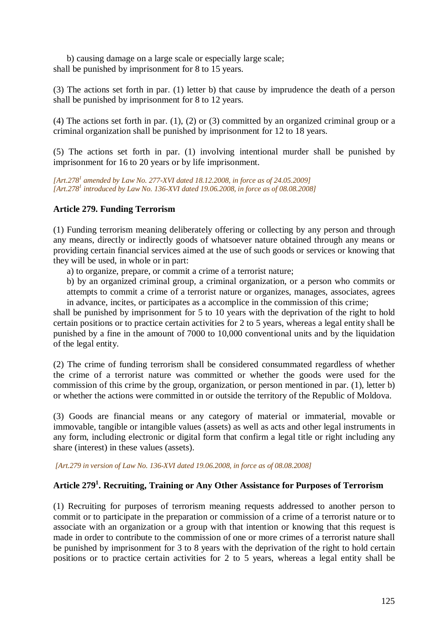b) causing damage on a large scale or especially large scale; shall be punished by imprisonment for 8 to 15 years.

(3) The actions set forth in par. (1) letter b) that cause by imprudence the death of a person shall be punished by imprisonment for 8 to 12 years.

(4) The actions set forth in par. (1), (2) or (3) committed by an organized criminal group or a criminal organization shall be punished by imprisonment for 12 to 18 years.

(5) The actions set forth in par. (1) involving intentional murder shall be punished by imprisonment for 16 to 20 years or by life imprisonment.

*[Art.278<sup>1</sup> amended by Law No. 277-XVI dated 18.12.2008, in force as of 24.05.2009] [Art.278<sup>1</sup> introduced by Law No. 136-XVI dated 19.06.2008, in force as of 08.08.2008]*

## **Article 279. Funding Terrorism**

(1) Funding terrorism meaning deliberately offering or collecting by any person and through any means, directly or indirectly goods of whatsoever nature obtained through any means or providing certain financial services aimed at the use of such goods or services or knowing that they will be used, in whole or in part:

a) to organize, prepare, or commit a crime of a terrorist nature;

b) by an organized criminal group, a criminal organization, or a person who commits or attempts to commit a crime of a terrorist nature or organizes, manages, associates, agrees in advance, incites, or participates as a accomplice in the commission of this crime;

shall be punished by imprisonment for 5 to 10 years with the deprivation of the right to hold certain positions or to practice certain activities for 2 to 5 years, whereas a legal entity shall be punished by a fine in the amount of 7000 to 10,000 conventional units and by the liquidation of the legal entity.

(2) The crime of funding terrorism shall be considered consummated regardless of whether the crime of a terrorist nature was committed or whether the goods were used for the commission of this crime by the group, organization, or person mentioned in par. (1), letter b) or whether the actions were committed in or outside the territory of the Republic of Moldova.

(3) Goods are financial means or any category of material or immaterial, movable or immovable, tangible or intangible values (assets) as well as acts and other legal instruments in any form, including electronic or digital form that confirm a legal title or right including any share (interest) in these values (assets).

 *[Art.279 in version of Law No. 136-XVI dated 19.06.2008, in force as of 08.08.2008]*

# **Article 279<sup>1</sup> . Recruiting, Training or Any Other Assistance for Purposes of Terrorism**

(1) Recruiting for purposes of terrorism meaning requests addressed to another person to commit or to participate in the preparation or commission of a crime of a terrorist nature or to associate with an organization or a group with that intention or knowing that this request is made in order to contribute to the commission of one or more crimes of a terrorist nature shall be punished by imprisonment for 3 to 8 years with the deprivation of the right to hold certain positions or to practice certain activities for 2 to 5 years, whereas a legal entity shall be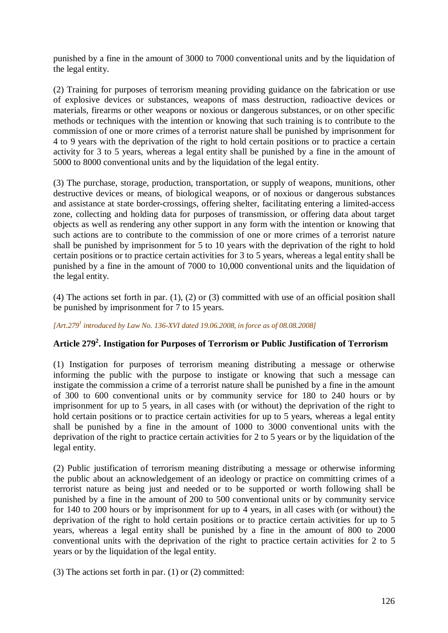punished by a fine in the amount of 3000 to 7000 conventional units and by the liquidation of the legal entity.

(2) Training for purposes of terrorism meaning providing guidance on the fabrication or use of explosive devices or substances, weapons of mass destruction, radioactive devices or materials, firearms or other weapons or noxious or dangerous substances, or on other specific methods or techniques with the intention or knowing that such training is to contribute to the commission of one or more crimes of a terrorist nature shall be punished by imprisonment for 4 to 9 years with the deprivation of the right to hold certain positions or to practice a certain activity for 3 to 5 years, whereas a legal entity shall be punished by a fine in the amount of 5000 to 8000 conventional units and by the liquidation of the legal entity.

(3) The purchase, storage, production, transportation, or supply of weapons, munitions, other destructive devices or means, of biological weapons, or of noxious or dangerous substances and assistance at state border-crossings, offering shelter, facilitating entering a limited-access zone, collecting and holding data for purposes of transmission, or offering data about target objects as well as rendering any other support in any form with the intention or knowing that such actions are to contribute to the commission of one or more crimes of a terrorist nature shall be punished by imprisonment for 5 to 10 years with the deprivation of the right to hold certain positions or to practice certain activities for 3 to 5 years, whereas a legal entity shall be punished by a fine in the amount of 7000 to 10,000 conventional units and the liquidation of the legal entity.

(4) The actions set forth in par. (1), (2) or (3) committed with use of an official position shall be punished by imprisonment for 7 to 15 years.

*[Art.279<sup>1</sup> introduced by Law No. 136-XVI dated 19.06.2008, in force as of 08.08.2008]*

# **Article 279<sup>2</sup> . Instigation for Purposes of Terrorism or Public Justification of Terrorism**

(1) Instigation for purposes of terrorism meaning distributing a message or otherwise informing the public with the purpose to instigate or knowing that such a message can instigate the commission a crime of a terrorist nature shall be punished by a fine in the amount of 300 to 600 conventional units or by community service for 180 to 240 hours or by imprisonment for up to 5 years, in all cases with (or without) the deprivation of the right to hold certain positions or to practice certain activities for up to 5 years, whereas a legal entity shall be punished by a fine in the amount of 1000 to 3000 conventional units with the deprivation of the right to practice certain activities for 2 to 5 years or by the liquidation of the legal entity.

(2) Public justification of terrorism meaning distributing a message or otherwise informing the public about an acknowledgement of an ideology or practice on committing crimes of a terrorist nature as being just and needed or to be supported or worth following shall be punished by a fine in the amount of 200 to 500 conventional units or by community service for 140 to 200 hours or by imprisonment for up to 4 years, in all cases with (or without) the deprivation of the right to hold certain positions or to practice certain activities for up to 5 years, whereas a legal entity shall be punished by a fine in the amount of 800 to 2000 conventional units with the deprivation of the right to practice certain activities for 2 to 5 years or by the liquidation of the legal entity.

(3) The actions set forth in par. (1) or (2) committed: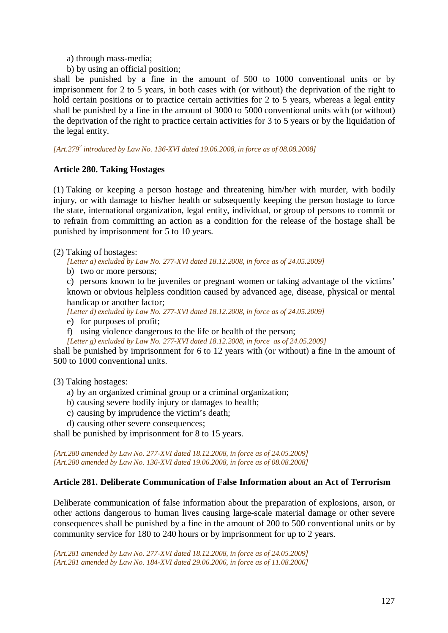a) through mass-media;

b) by using an official position;

shall be punished by a fine in the amount of 500 to 1000 conventional units or by imprisonment for 2 to 5 years, in both cases with (or without) the deprivation of the right to hold certain positions or to practice certain activities for 2 to 5 years, whereas a legal entity shall be punished by a fine in the amount of 3000 to 5000 conventional units with (or without) the deprivation of the right to practice certain activities for 3 to 5 years or by the liquidation of the legal entity.

*[Art.279<sup>2</sup> introduced by Law No. 136-XVI dated 19.06.2008, in force as of 08.08.2008]*

# **Article 280. Taking Hostages**

(1) Taking or keeping a person hostage and threatening him/her with murder, with bodily injury, or with damage to his/her health or subsequently keeping the person hostage to force the state, international organization, legal entity, individual, or group of persons to commit or to refrain from committing an action as a condition for the release of the hostage shall be punished by imprisonment for 5 to 10 years.

- (2) Taking of hostages:
	- *[Letter a) excluded by Law No. 277-XVI dated 18.12.2008, in force as of 24.05.2009]*
	- b) two or more persons;

c) persons known to be juveniles or pregnant women or taking advantage of the victims' known or obvious helpless condition caused by advanced age, disease, physical or mental handicap or another factor:

*[Letter d) excluded by Law No. 277-XVI dated 18.12.2008, in force as of 24.05.2009]* 

e) for purposes of profit;

- f) using violence dangerous to the life or health of the person;
- *[Letter g) excluded by Law No. 277-XVI dated 18.12.2008, in force as of 24.05.2009]*

shall be punished by imprisonment for 6 to 12 years with (or without) a fine in the amount of 500 to 1000 conventional units.

#### (3) Taking hostages:

- a) by an organized criminal group or a criminal organization;
- b) causing severe bodily injury or damages to health;
- c) causing by imprudence the victim's death;
- d) causing other severe consequences;

shall be punished by imprisonment for 8 to 15 years.

*[Art.280 amended by Law No. 277-XVI dated 18.12.2008, in force as of 24.05.2009] [Art.280 amended by Law No. 136-XVI dated 19.06.2008, in force as of 08.08.2008]*

#### **Article 281. Deliberate Communication of False Information about an Act of Terrorism**

Deliberate communication of false information about the preparation of explosions, arson, or other actions dangerous to human lives causing large-scale material damage or other severe consequences shall be punished by a fine in the amount of 200 to 500 conventional units or by community service for 180 to 240 hours or by imprisonment for up to 2 years.

*[Art.281 amended by Law No. 277-XVI dated 18.12.2008, in force as of 24.05.2009] [Art.281 amended by Law No. 184-XVI dated 29.06.2006, in force as of 11.08.2006]*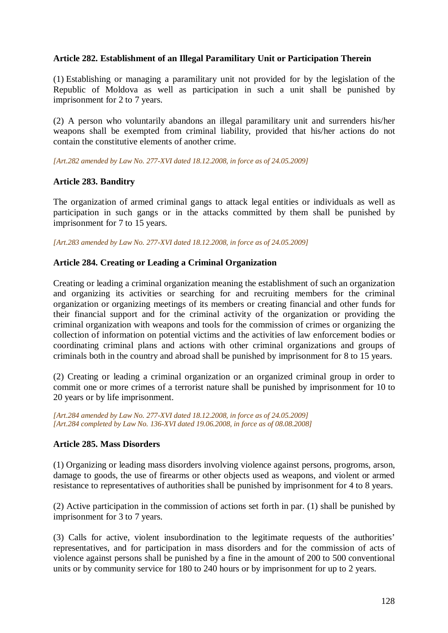## **Article 282. Establishment of an Illegal Paramilitary Unit or Participation Therein**

(1) Establishing or managing a paramilitary unit not provided for by the legislation of the Republic of Moldova as well as participation in such a unit shall be punished by imprisonment for 2 to 7 years.

(2) A person who voluntarily abandons an illegal paramilitary unit and surrenders his/her weapons shall be exempted from criminal liability, provided that his/her actions do not contain the constitutive elements of another crime.

*[Art.282 amended by Law No. 277-XVI dated 18.12.2008, in force as of 24.05.2009]* 

#### **Article 283. Banditry**

The organization of armed criminal gangs to attack legal entities or individuals as well as participation in such gangs or in the attacks committed by them shall be punished by imprisonment for 7 to 15 years.

*[Art.283 amended by Law No. 277-XVI dated 18.12.2008, in force as of 24.05.2009]* 

#### **Article 284. Creating or Leading a Criminal Organization**

Creating or leading a criminal organization meaning the establishment of such an organization and organizing its activities or searching for and recruiting members for the criminal organization or organizing meetings of its members or creating financial and other funds for their financial support and for the criminal activity of the organization or providing the criminal organization with weapons and tools for the commission of crimes or organizing the collection of information on potential victims and the activities of law enforcement bodies or coordinating criminal plans and actions with other criminal organizations and groups of criminals both in the country and abroad shall be punished by imprisonment for 8 to 15 years.

(2) Creating or leading a criminal organization or an organized criminal group in order to commit one or more crimes of a terrorist nature shall be punished by imprisonment for 10 to 20 years or by life imprisonment.

*[Art.284 amended by Law No. 277-XVI dated 18.12.2008, in force as of 24.05.2009] [Art.284 completed by Law No. 136-XVI dated 19.06.2008, in force as of 08.08.2008]*

## **Article 285. Mass Disorders**

(1) Organizing or leading mass disorders involving violence against persons, progroms, arson, damage to goods, the use of firearms or other objects used as weapons, and violent or armed resistance to representatives of authorities shall be punished by imprisonment for 4 to 8 years.

(2) Active participation in the commission of actions set forth in par. (1) shall be punished by imprisonment for 3 to 7 years.

(3) Calls for active, violent insubordination to the legitimate requests of the authorities' representatives, and for participation in mass disorders and for the commission of acts of violence against persons shall be punished by a fine in the amount of 200 to 500 conventional units or by community service for 180 to 240 hours or by imprisonment for up to 2 years.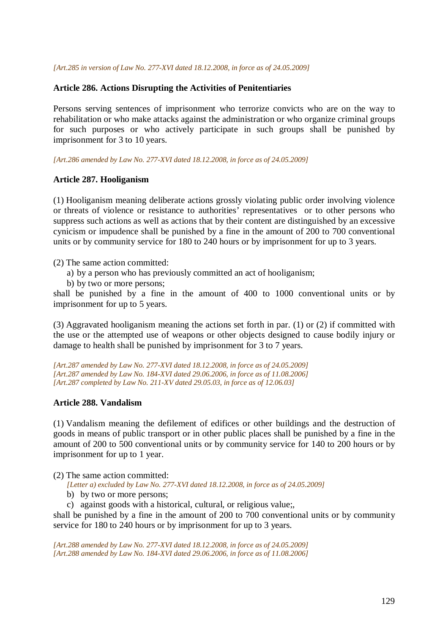#### *[Art.285 in version of Law No. 277-XVI dated 18.12.2008, in force as of 24.05.2009]*

#### **Article 286. Actions Disrupting the Activities of Penitentiaries**

Persons serving sentences of imprisonment who terrorize convicts who are on the way to rehabilitation or who make attacks against the administration or who organize criminal groups for such purposes or who actively participate in such groups shall be punished by imprisonment for 3 to 10 years.

*[Art.286 amended by Law No. 277-XVI dated 18.12.2008, in force as of 24.05.2009]* 

#### **Article 287. Hooliganism**

(1) Hooliganism meaning deliberate actions grossly violating public order involving violence or threats of violence or resistance to authorities' representatives or to other persons who suppress such actions as well as actions that by their content are distinguished by an excessive cynicism or impudence shall be punished by a fine in the amount of 200 to 700 conventional units or by community service for 180 to 240 hours or by imprisonment for up to 3 years.

(2) The same action committed:

- a) by a person who has previously committed an act of hooliganism;
- b) by two or more persons;

shall be punished by a fine in the amount of 400 to 1000 conventional units or by imprisonment for up to 5 years.

(3) Aggravated hooliganism meaning the actions set forth in par. (1) or (2) if committed with the use or the attempted use of weapons or other objects designed to cause bodily injury or damage to health shall be punished by imprisonment for 3 to 7 years.

*[Art.287 amended by Law No. 277-XVI dated 18.12.2008, in force as of 24.05.2009] [Art.287 amended by Law No. 184-XVI dated 29.06.2006, in force as of 11.08.2006] [Art.287 completed by Law No. 211-XV dated 29.05.03, in force as of 12.06.03]* 

#### **Article 288. Vandalism**

(1) Vandalism meaning the defilement of edifices or other buildings and the destruction of goods in means of public transport or in other public places shall be punished by a fine in the amount of 200 to 500 conventional units or by community service for 140 to 200 hours or by imprisonment for up to 1 year.

(2) The same action committed:

*[Letter a) excluded by Law No. 277-XVI dated 18.12.2008, in force as of 24.05.2009]* 

- b) by two or more persons;
- c) against goods with a historical, cultural, or religious value;,

shall be punished by a fine in the amount of 200 to 700 conventional units or by community service for 180 to 240 hours or by imprisonment for up to 3 years.

*[Art.288 amended by Law No. 277-XVI dated 18.12.2008, in force as of 24.05.2009] [Art.288 amended by Law No. 184-XVI dated 29.06.2006, in force as of 11.08.2006]*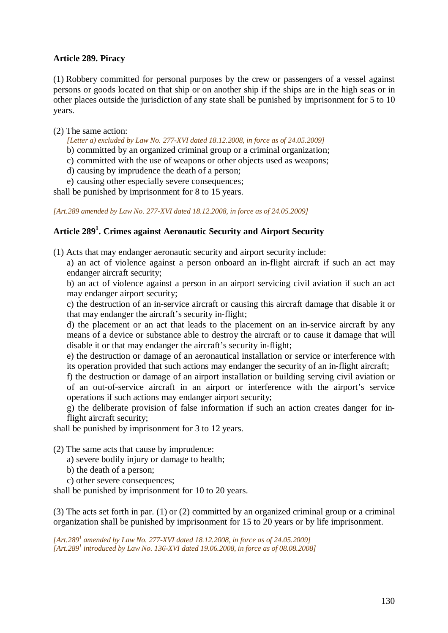## **Article 289. Piracy**

(1) Robbery committed for personal purposes by the crew or passengers of a vessel against persons or goods located on that ship or on another ship if the ships are in the high seas or in other places outside the jurisdiction of any state shall be punished by imprisonment for 5 to 10 years.

### (2) The same action:

*[Letter a) excluded by Law No. 277-XVI dated 18.12.2008, in force as of 24.05.2009]* 

b) committed by an organized criminal group or a criminal organization;

- c) committed with the use of weapons or other objects used as weapons;
- d) causing by imprudence the death of a person;

e) causing other especially severe consequences;

shall be punished by imprisonment for 8 to 15 years.

*[Art.289 amended by Law No. 277-XVI dated 18.12.2008, in force as of 24.05.2009]* 

# **Article 289<sup>1</sup> . Crimes against Aeronautic Security and Airport Security**

(1) Acts that may endanger aeronautic security and airport security include:

a) an act of violence against a person onboard an in-flight aircraft if such an act may endanger aircraft security;

b) an act of violence against a person in an airport servicing civil aviation if such an act may endanger airport security;

c) the destruction of an in-service aircraft or causing this aircraft damage that disable it or that may endanger the aircraft's security in-flight;

d) the placement or an act that leads to the placement on an in-service aircraft by any means of a device or substance able to destroy the aircraft or to cause it damage that will disable it or that may endanger the aircraft's security in-flight;

e) the destruction or damage of an aeronautical installation or service or interference with its operation provided that such actions may endanger the security of an in-flight aircraft;

f) the destruction or damage of an airport installation or building serving civil aviation or of an out-of-service aircraft in an airport or interference with the airport's service operations if such actions may endanger airport security;

g) the deliberate provision of false information if such an action creates danger for inflight aircraft security;

shall be punished by imprisonment for 3 to 12 years.

(2) The same acts that cause by imprudence:

- a) severe bodily injury or damage to health;
- b) the death of a person;
- c) other severe consequences;

shall be punished by imprisonment for 10 to 20 years.

(3) The acts set forth in par. (1) or (2) committed by an organized criminal group or a criminal organization shall be punished by imprisonment for 15 to 20 years or by life imprisonment.

[Art.289<sup>*1</sup>* amended by Law No. 277-XVI dated 18.12.2008, in force as of 24.05.2009]</sup> *[Art.289<sup>1</sup> introduced by Law No. 136-XVI dated 19.06.2008, in force as of 08.08.2008]*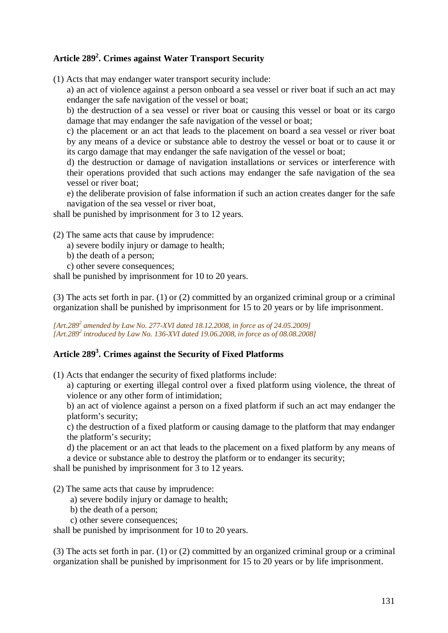# **Article 289<sup>2</sup> . Crimes against Water Transport Security**

(1) Acts that may endanger water transport security include:

a) an act of violence against a person onboard a sea vessel or river boat if such an act may endanger the safe navigation of the vessel or boat;

b) the destruction of a sea vessel or river boat or causing this vessel or boat or its cargo damage that may endanger the safe navigation of the vessel or boat;

c) the placement or an act that leads to the placement on board a sea vessel or river boat by any means of a device or substance able to destroy the vessel or boat or to cause it or its cargo damage that may endanger the safe navigation of the vessel or boat;

d) the destruction or damage of navigation installations or services or interference with their operations provided that such actions may endanger the safe navigation of the sea vessel or river boat;

e) the deliberate provision of false information if such an action creates danger for the safe navigation of the sea vessel or river boat,

shall be punished by imprisonment for 3 to 12 years.

(2) The same acts that cause by imprudence:

- a) severe bodily injury or damage to health;
- b) the death of a person;
- c) other severe consequences;

shall be punished by imprisonment for 10 to 20 years.

(3) The acts set forth in par. (1) or (2) committed by an organized criminal group or a criminal organization shall be punished by imprisonment for 15 to 20 years or by life imprisonment.

*[Art.289<sup>2</sup> amended by Law No. 277-XVI dated 18.12.2008, in force as of 24.05.2009] [Art.289<sup>2</sup> introduced by Law No. 136-XVI dated 19.06.2008, in force as of 08.08.2008]*

# **Article 289<sup>3</sup> . Crimes against the Security of Fixed Platforms**

(1) Acts that endanger the security of fixed platforms include:

a) capturing or exerting illegal control over a fixed platform using violence, the threat of violence or any other form of intimidation;

b) an act of violence against a person on a fixed platform if such an act may endanger the platform's security;

c) the destruction of a fixed platform or causing damage to the platform that may endanger the platform's security;

d) the placement or an act that leads to the placement on a fixed platform by any means of a device or substance able to destroy the platform or to endanger its security;

shall be punished by imprisonment for 3 to 12 years.

(2) The same acts that cause by imprudence:

- a) severe bodily injury or damage to health;
- b) the death of a person;
- c) other severe consequences;

shall be punished by imprisonment for 10 to 20 years.

(3) The acts set forth in par. (1) or (2) committed by an organized criminal group or a criminal organization shall be punished by imprisonment for 15 to 20 years or by life imprisonment.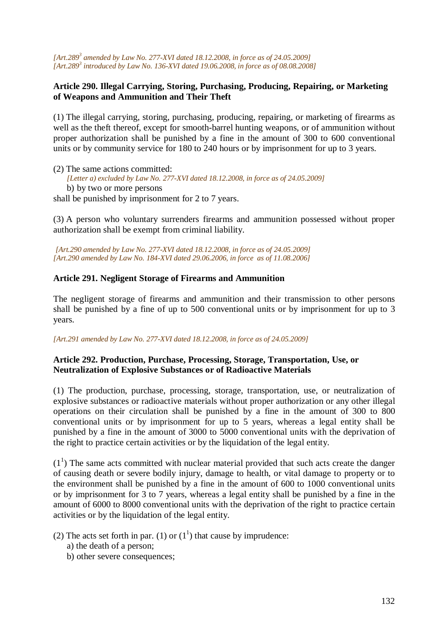*[Art.289<sup>3</sup> amended by Law No. 277-XVI dated 18.12.2008, in force as of 24.05.2009] [Art.289<sup>3</sup> introduced by Law No. 136-XVI dated 19.06.2008, in force as of 08.08.2008]*

## **Article 290. Illegal Carrying, Storing, Purchasing, Producing, Repairing, or Marketing of Weapons and Ammunition and Their Theft**

(1) The illegal carrying, storing, purchasing, producing, repairing, or marketing of firearms as well as the theft thereof, except for smooth-barrel hunting weapons, or of ammunition without proper authorization shall be punished by a fine in the amount of 300 to 600 conventional units or by community service for 180 to 240 hours or by imprisonment for up to 3 years.

(2) The same actions committed: *[Letter a) excluded by Law No. 277-XVI dated 18.12.2008, in force as of 24.05.2009]*  b) by two or more persons shall be punished by imprisonment for 2 to 7 years.

(3) A person who voluntary surrenders firearms and ammunition possessed without proper authorization shall be exempt from criminal liability.

*[Art.290 amended by Law No. 277-XVI dated 18.12.2008, in force as of 24.05.2009] [Art.290 amended by Law No. 184-XVI dated 29.06.2006, in force as of 11.08.2006]*

## **Article 291. Negligent Storage of Firearms and Ammunition**

The negligent storage of firearms and ammunition and their transmission to other persons shall be punished by a fine of up to 500 conventional units or by imprisonment for up to 3 years.

*[Art.291 amended by Law No. 277-XVI dated 18.12.2008, in force as of 24.05.2009]* 

## **Article 292. Production, Purchase, Processing, Storage, Transportation, Use, or Neutralization of Explosive Substances or of Radioactive Materials**

(1) The production, purchase, processing, storage, transportation, use, or neutralization of explosive substances or radioactive materials without proper authorization or any other illegal operations on their circulation shall be punished by a fine in the amount of 300 to 800 conventional units or by imprisonment for up to 5 years, whereas a legal entity shall be punished by a fine in the amount of 3000 to 5000 conventional units with the deprivation of the right to practice certain activities or by the liquidation of the legal entity.

 $(1<sup>1</sup>)$  The same acts committed with nuclear material provided that such acts create the danger of causing death or severe bodily injury, damage to health, or vital damage to property or to the environment shall be punished by a fine in the amount of 600 to 1000 conventional units or by imprisonment for 3 to 7 years, whereas a legal entity shall be punished by a fine in the amount of 6000 to 8000 conventional units with the deprivation of the right to practice certain activities or by the liquidation of the legal entity.

(2) The acts set forth in par. (1) or  $(1<sup>1</sup>)$  that cause by imprudence:

- a) the death of a person;
- b) other severe consequences;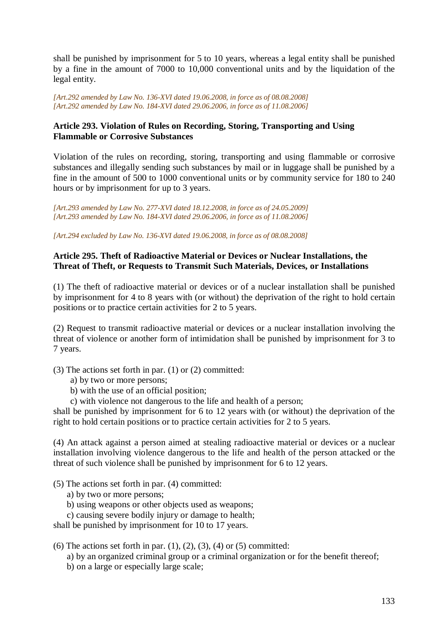shall be punished by imprisonment for 5 to 10 years, whereas a legal entity shall be punished by a fine in the amount of 7000 to 10,000 conventional units and by the liquidation of the legal entity.

*[Art.292 amended by Law No. 136-XVI dated 19.06.2008, in force as of 08.08.2008] [Art.292 amended by Law No. 184-XVI dated 29.06.2006, in force as of 11.08.2006]*

## **Article 293. Violation of Rules on Recording, Storing, Transporting and Using Flammable or Corrosive Substances**

Violation of the rules on recording, storing, transporting and using flammable or corrosive substances and illegally sending such substances by mail or in luggage shall be punished by a fine in the amount of 500 to 1000 conventional units or by community service for 180 to 240 hours or by imprisonment for up to 3 years.

*[Art.293 amended by Law No. 277-XVI dated 18.12.2008, in force as of 24.05.2009] [Art.293 amended by Law No. 184-XVI dated 29.06.2006, in force as of 11.08.2006]*

*[Art.294 excluded by Law No. 136-XVI dated 19.06.2008, in force as of 08.08.2008]*

## **Article 295. Theft of Radioactive Material or Devices or Nuclear Installations, the Threat of Theft, or Requests to Transmit Such Materials, Devices, or Installations**

(1) The theft of radioactive material or devices or of a nuclear installation shall be punished by imprisonment for 4 to 8 years with (or without) the deprivation of the right to hold certain positions or to practice certain activities for 2 to 5 years.

(2) Request to transmit radioactive material or devices or a nuclear installation involving the threat of violence or another form of intimidation shall be punished by imprisonment for 3 to 7 years.

(3) The actions set forth in par. (1) or (2) committed:

- a) by two or more persons;
- b) with the use of an official position;
- c) with violence not dangerous to the life and health of a person;

shall be punished by imprisonment for 6 to 12 years with (or without) the deprivation of the right to hold certain positions or to practice certain activities for 2 to 5 years.

(4) An attack against a person aimed at stealing radioactive material or devices or a nuclear installation involving violence dangerous to the life and health of the person attacked or the threat of such violence shall be punished by imprisonment for 6 to 12 years.

#### (5) The actions set forth in par. (4) committed:

- a) by two or more persons;
- b) using weapons or other objects used as weapons;

c) causing severe bodily injury or damage to health;

shall be punished by imprisonment for 10 to 17 years.

(6) The actions set forth in par.  $(1)$ ,  $(2)$ ,  $(3)$ ,  $(4)$  or  $(5)$  committed:

- a) by an organized criminal group or a criminal organization or for the benefit thereof;
- b) on a large or especially large scale;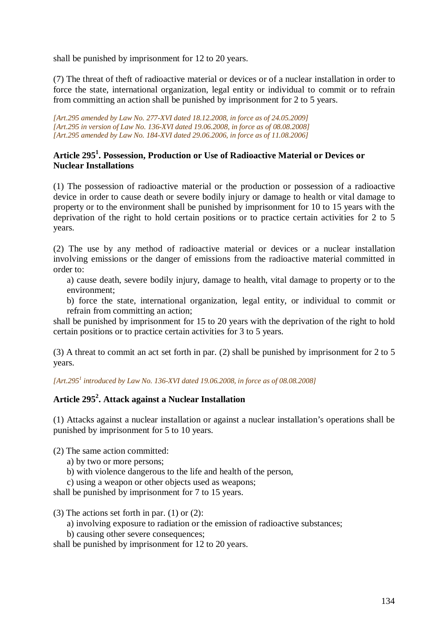shall be punished by imprisonment for 12 to 20 years.

(7) The threat of theft of radioactive material or devices or of a nuclear installation in order to force the state, international organization, legal entity or individual to commit or to refrain from committing an action shall be punished by imprisonment for 2 to 5 years.

*[Art.295 amended by Law No. 277-XVI dated 18.12.2008, in force as of 24.05.2009] [Art.295 in version of Law No. 136-XVI dated 19.06.2008, in force as of 08.08.2008] [Art.295 amended by Law No. 184-XVI dated 29.06.2006, in force as of 11.08.2006]*

## **Article 295<sup>1</sup> . Possession, Production or Use of Radioactive Material or Devices or Nuclear Installations**

(1) The possession of radioactive material or the production or possession of a radioactive device in order to cause death or severe bodily injury or damage to health or vital damage to property or to the environment shall be punished by imprisonment for 10 to 15 years with the deprivation of the right to hold certain positions or to practice certain activities for 2 to 5 years.

(2) The use by any method of radioactive material or devices or a nuclear installation involving emissions or the danger of emissions from the radioactive material committed in order to:

a) cause death, severe bodily injury, damage to health, vital damage to property or to the environment;

b) force the state, international organization, legal entity, or individual to commit or refrain from committing an action;

shall be punished by imprisonment for 15 to 20 years with the deprivation of the right to hold certain positions or to practice certain activities for 3 to 5 years.

(3) A threat to commit an act set forth in par. (2) shall be punished by imprisonment for 2 to 5 years.

*[Art.295<sup>1</sup> introduced by Law No. 136-XVI dated 19.06.2008, in force as of 08.08.2008]*

# **Article 295<sup>2</sup> . Attack against a Nuclear Installation**

(1) Attacks against a nuclear installation or against a nuclear installation's operations shall be punished by imprisonment for 5 to 10 years.

(2) The same action committed:

- a) by two or more persons;
- b) with violence dangerous to the life and health of the person,
- c) using a weapon or other objects used as weapons;

shall be punished by imprisonment for 7 to 15 years.

(3) The actions set forth in par.  $(1)$  or  $(2)$ :

- a) involving exposure to radiation or the emission of radioactive substances;
- b) causing other severe consequences:

shall be punished by imprisonment for 12 to 20 years.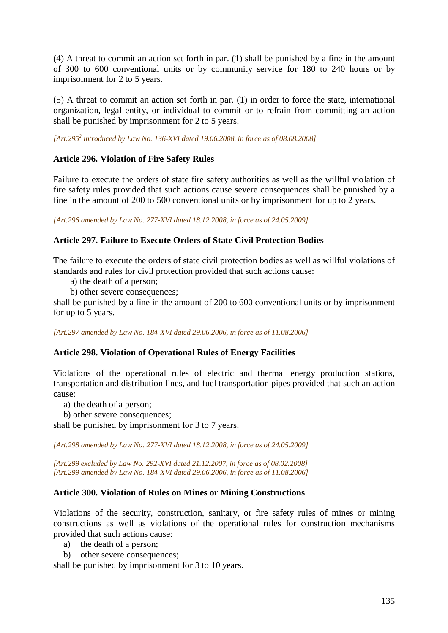(4) A threat to commit an action set forth in par. (1) shall be punished by a fine in the amount of 300 to 600 conventional units or by community service for 180 to 240 hours or by imprisonment for 2 to 5 years.

(5) A threat to commit an action set forth in par. (1) in order to force the state, international organization, legal entity, or individual to commit or to refrain from committing an action shall be punished by imprisonment for 2 to 5 years.

*[Art.295<sup>2</sup> introduced by Law No. 136-XVI dated 19.06.2008, in force as of 08.08.2008]*

# **Article 296. Violation of Fire Safety Rules**

Failure to execute the orders of state fire safety authorities as well as the willful violation of fire safety rules provided that such actions cause severe consequences shall be punished by a fine in the amount of 200 to 500 conventional units or by imprisonment for up to 2 years.

*[Art.296 amended by Law No. 277-XVI dated 18.12.2008, in force as of 24.05.2009]* 

# **Article 297. Failure to Execute Orders of State Civil Protection Bodies**

The failure to execute the orders of state civil protection bodies as well as willful violations of standards and rules for civil protection provided that such actions cause:

- a) the death of a person;
- b) other severe consequences;

shall be punished by a fine in the amount of 200 to 600 conventional units or by imprisonment for up to 5 years.

*[Art.297 amended by Law No. 184-XVI dated 29.06.2006, in force as of 11.08.2006]*

#### **Article 298. Violation of Operational Rules of Energy Facilities**

Violations of the operational rules of electric and thermal energy production stations, transportation and distribution lines, and fuel transportation pipes provided that such an action cause:

a) the death of a person;

b) other severe consequences;

shall be punished by imprisonment for 3 to 7 years.

*[Art.298 amended by Law No. 277-XVI dated 18.12.2008, in force as of 24.05.2009]* 

*[Art.299 excluded by Law No. 292-XVI dated 21.12.2007, in force as of 08.02.2008] [Art.299 amended by Law No. 184-XVI dated 29.06.2006, in force as of 11.08.2006]*

#### **Article 300. Violation of Rules on Mines or Mining Constructions**

Violations of the security, construction, sanitary, or fire safety rules of mines or mining constructions as well as violations of the operational rules for construction mechanisms provided that such actions cause:

- a) the death of a person;
- b) other severe consequences;

shall be punished by imprisonment for 3 to 10 years.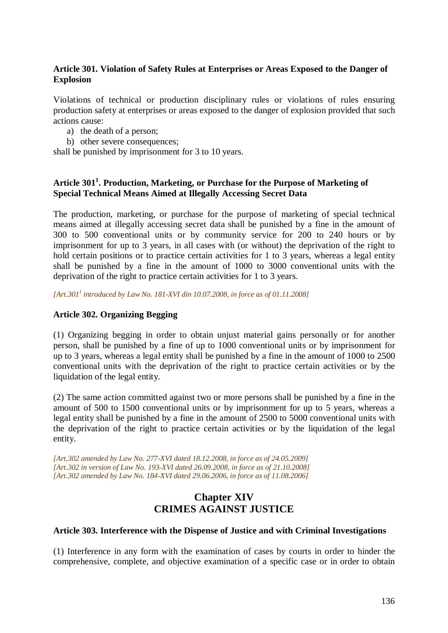## **Article 301. Violation of Safety Rules at Enterprises or Areas Exposed to the Danger of Explosion**

Violations of technical or production disciplinary rules or violations of rules ensuring production safety at enterprises or areas exposed to the danger of explosion provided that such actions cause:

- a) the death of a person;
- b) other severe consequences;

shall be punished by imprisonment for 3 to 10 years.

# **Article 301<sup>1</sup> . Production, Marketing, or Purchase for the Purpose of Marketing of Special Technical Means Aimed at Illegally Accessing Secret Data**

The production, marketing, or purchase for the purpose of marketing of special technical means aimed at illegally accessing secret data shall be punished by a fine in the amount of 300 to 500 conventional units or by community service for 200 to 240 hours or by imprisonment for up to 3 years, in all cases with (or without) the deprivation of the right to hold certain positions or to practice certain activities for 1 to 3 years, whereas a legal entity shall be punished by a fine in the amount of 1000 to 3000 conventional units with the deprivation of the right to practice certain activities for 1 to 3 years.

*[Art.301<sup>1</sup> introduced by Law No. 181-XVI din 10.07.2008, in force as of 01.11.2008]* 

## **Article 302. Organizing Begging**

(1) Organizing begging in order to obtain unjust material gains personally or for another person, shall be punished by a fine of up to 1000 conventional units or by imprisonment for up to 3 years, whereas a legal entity shall be punished by a fine in the amount of 1000 to 2500 conventional units with the deprivation of the right to practice certain activities or by the liquidation of the legal entity.

(2) The same action committed against two or more persons shall be punished by a fine in the amount of 500 to 1500 conventional units or by imprisonment for up to 5 years, whereas a legal entity shall be punished by a fine in the amount of 2500 to 5000 conventional units with the deprivation of the right to practice certain activities or by the liquidation of the legal entity.

*[Art.302 amended by Law No. 277-XVI dated 18.12.2008, in force as of 24.05.2009] [Art.302 in version of Law No. 193-XVI dated 26.09.2008, in force as of 21.10.2008] [Art.302 amended by Law No. 184-XVI dated 29.06.2006, in force as of 11.08.2006]*

# **Chapter XIV CRIMES AGAINST JUSTICE**

#### **Article 303. Interference with the Dispense of Justice and with Criminal Investigations**

(1) Interference in any form with the examination of cases by courts in order to hinder the comprehensive, complete, and objective examination of a specific case or in order to obtain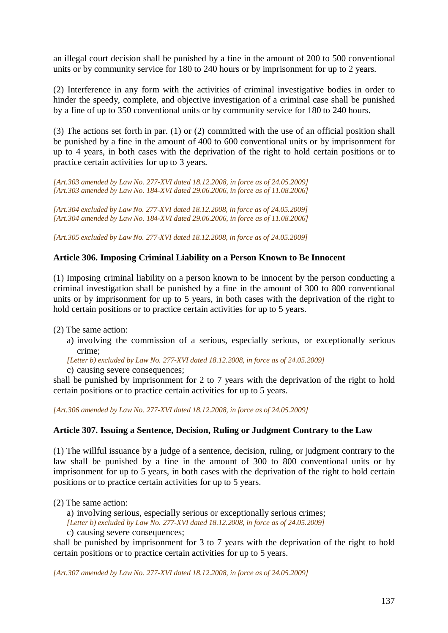an illegal court decision shall be punished by a fine in the amount of 200 to 500 conventional units or by community service for 180 to 240 hours or by imprisonment for up to 2 years.

(2) Interference in any form with the activities of criminal investigative bodies in order to hinder the speedy, complete, and objective investigation of a criminal case shall be punished by a fine of up to 350 conventional units or by community service for 180 to 240 hours.

(3) The actions set forth in par. (1) or (2) committed with the use of an official position shall be punished by a fine in the amount of 400 to 600 conventional units or by imprisonment for up to 4 years, in both cases with the deprivation of the right to hold certain positions or to practice certain activities for up to 3 years.

*[Art.303 amended by Law No. 277-XVI dated 18.12.2008, in force as of 24.05.2009] [Art.303 amended by Law No. 184-XVI dated 29.06.2006, in force as of 11.08.2006]*

*[Art.304 excluded by Law No. 277-XVI dated 18.12.2008, in force as of 24.05.2009] [Art.304 amended by Law No. 184-XVI dated 29.06.2006, in force as of 11.08.2006]*

*[Art.305 excluded by Law No. 277-XVI dated 18.12.2008, in force as of 24.05.2009]* 

#### **Article 306. Imposing Criminal Liability on a Person Known to Be Innocent**

(1) Imposing criminal liability on a person known to be innocent by the person conducting a criminal investigation shall be punished by a fine in the amount of 300 to 800 conventional units or by imprisonment for up to 5 years, in both cases with the deprivation of the right to hold certain positions or to practice certain activities for up to 5 years.

(2) The same action:

a) involving the commission of a serious, especially serious, or exceptionally serious crime;

*[Letter b) excluded by Law No. 277-XVI dated 18.12.2008, in force as of 24.05.2009]* 

c) causing severe consequences;

shall be punished by imprisonment for 2 to 7 years with the deprivation of the right to hold certain positions or to practice certain activities for up to 5 years.

*[Art.306 amended by Law No. 277-XVI dated 18.12.2008, in force as of 24.05.2009]* 

#### **Article 307. Issuing a Sentence, Decision, Ruling or Judgment Contrary to the Law**

(1) The willful issuance by a judge of a sentence, decision, ruling, or judgment contrary to the law shall be punished by a fine in the amount of 300 to 800 conventional units or by imprisonment for up to 5 years, in both cases with the deprivation of the right to hold certain positions or to practice certain activities for up to 5 years.

(2) The same action:

a) involving serious, especially serious or exceptionally serious crimes;

*[Letter b) excluded by Law No. 277-XVI dated 18.12.2008, in force as of 24.05.2009]* 

c) causing severe consequences;

shall be punished by imprisonment for 3 to 7 years with the deprivation of the right to hold certain positions or to practice certain activities for up to 5 years.

*[Art.307 amended by Law No. 277-XVI dated 18.12.2008, in force as of 24.05.2009]*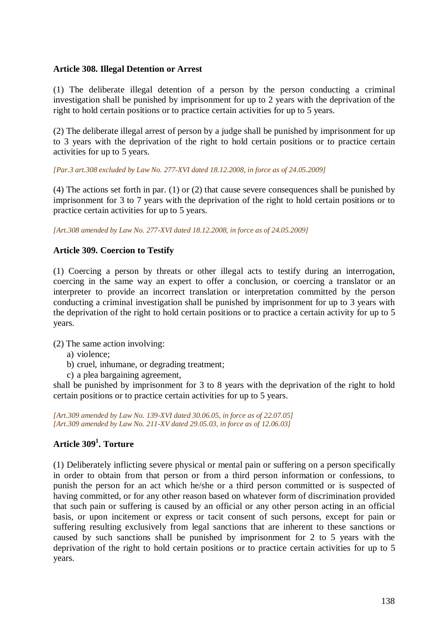## **Article 308. Illegal Detention or Arrest**

(1) The deliberate illegal detention of a person by the person conducting a criminal investigation shall be punished by imprisonment for up to 2 years with the deprivation of the right to hold certain positions or to practice certain activities for up to 5 years.

(2) The deliberate illegal arrest of person by a judge shall be punished by imprisonment for up to 3 years with the deprivation of the right to hold certain positions or to practice certain activities for up to 5 years.

*[Par.3 art.308 excluded by Law No. 277-XVI dated 18.12.2008, in force as of 24.05.2009]* 

(4) The actions set forth in par. (1) or (2) that cause severe consequences shall be punished by imprisonment for 3 to 7 years with the deprivation of the right to hold certain positions or to practice certain activities for up to 5 years.

*[Art.308 amended by Law No. 277-XVI dated 18.12.2008, in force as of 24.05.2009]* 

# **Article 309. Coercion to Testify**

(1) Coercing a person by threats or other illegal acts to testify during an interrogation, coercing in the same way an expert to offer a conclusion, or coercing a translator or an interpreter to provide an incorrect translation or interpretation committed by the person conducting a criminal investigation shall be punished by imprisonment for up to 3 years with the deprivation of the right to hold certain positions or to practice a certain activity for up to 5 years.

(2) The same action involving:

- a) violence;
- b) cruel, inhumane, or degrading treatment;
- c) a plea bargaining agreement,

shall be punished by imprisonment for 3 to 8 years with the deprivation of the right to hold certain positions or to practice certain activities for up to 5 years.

*[Art.309 amended by Law No. 139-XVI dated 30.06.05, in force as of 22.07.05] [Art.309 amended by Law No. 211-XV dated 29.05.03, in force as of 12.06.03]* 

# **Article 309<sup>1</sup> . Torture**

(1) Deliberately inflicting severe physical or mental pain or suffering on a person specifically in order to obtain from that person or from a third person information or confessions, to punish the person for an act which he/she or a third person committed or is suspected of having committed, or for any other reason based on whatever form of discrimination provided that such pain or suffering is caused by an official or any other person acting in an official basis, or upon incitement or express or tacit consent of such persons, except for pain or suffering resulting exclusively from legal sanctions that are inherent to these sanctions or caused by such sanctions shall be punished by imprisonment for 2 to 5 years with the deprivation of the right to hold certain positions or to practice certain activities for up to 5 years.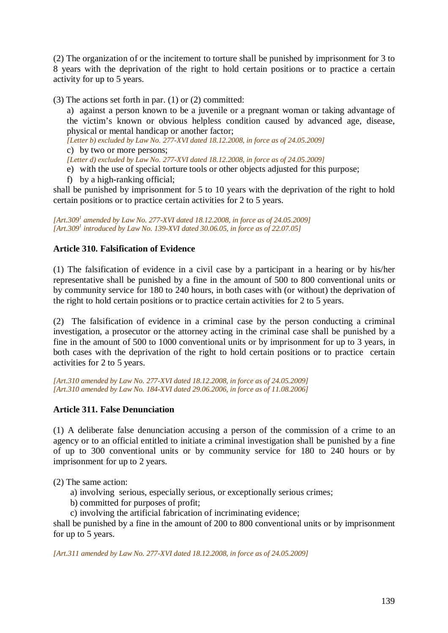(2) The organization of or the incitement to torture shall be punished by imprisonment for 3 to 8 years with the deprivation of the right to hold certain positions or to practice a certain activity for up to 5 years.

(3) The actions set forth in par. (1) or (2) committed:

a) against a person known to be a juvenile or a pregnant woman or taking advantage of the victim's known or obvious helpless condition caused by advanced age, disease, physical or mental handicap or another factor;

*[Letter b) excluded by Law No. 277-XVI dated 18.12.2008, in force as of 24.05.2009]* 

c) by two or more persons;

*[Letter d) excluded by Law No. 277-XVI dated 18.12.2008, in force as of 24.05.2009]* 

e) with the use of special torture tools or other objects adjusted for this purpose;

f) by a high-ranking official;

shall be punished by imprisonment for 5 to 10 years with the deprivation of the right to hold certain positions or to practice certain activities for 2 to 5 years.

[Art.309<sup>*1</sup>* amended by Law No. 277-XVI dated 18.12.2008, in force as of 24.05.2009]</sup> *[Art.309<sup>1</sup> introduced by Law No. 139-XVI dated 30.06.05, in force as of 22.07.05]* 

# **Article 310. Falsification of Evidence**

(1) The falsification of evidence in a civil case by a participant in a hearing or by his/her representative shall be punished by a fine in the amount of 500 to 800 conventional units or by community service for 180 to 240 hours, in both cases with (or without) the deprivation of the right to hold certain positions or to practice certain activities for 2 to 5 years.

(2) The falsification of evidence in a criminal case by the person conducting a criminal investigation, a prosecutor or the attorney acting in the criminal case shall be punished by a fine in the amount of 500 to 1000 conventional units or by imprisonment for up to 3 years, in both cases with the deprivation of the right to hold certain positions or to practice certain activities for 2 to 5 years.

*[Art.310 amended by Law No. 277-XVI dated 18.12.2008, in force as of 24.05.2009] [Art.310 amended by Law No. 184-XVI dated 29.06.2006, in force as of 11.08.2006]*

# **Article 311. False Denunciation**

(1) A deliberate false denunciation accusing a person of the commission of a crime to an agency or to an official entitled to initiate a criminal investigation shall be punished by a fine of up to 300 conventional units or by community service for 180 to 240 hours or by imprisonment for up to 2 years.

(2) The same action:

- a) involving serious, especially serious, or exceptionally serious crimes;
- b) committed for purposes of profit;
- c) involving the artificial fabrication of incriminating evidence;

shall be punished by a fine in the amount of 200 to 800 conventional units or by imprisonment for up to 5 years.

*[Art.311 amended by Law No. 277-XVI dated 18.12.2008, in force as of 24.05.2009]*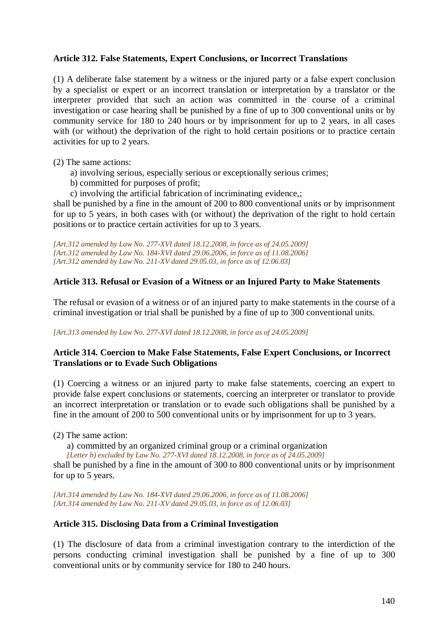## **Article 312. False Statements, Expert Conclusions, or Incorrect Translations**

(1) A deliberate false statement by a witness or the injured party or a false expert conclusion by a specialist or expert or an incorrect translation or interpretation by a translator or the interpreter provided that such an action was committed in the course of a criminal investigation or case hearing shall be punished by a fine of up to 300 conventional units or by community service for 180 to 240 hours or by imprisonment for up to 2 years, in all cases with (or without) the deprivation of the right to hold certain positions or to practice certain activities for up to 2 years.

(2) The same actions:

- a) involving serious, especially serious or exceptionally serious crimes;
- b) committed for purposes of profit;
- c) involving the artificial fabrication of incriminating evidence,;

shall be punished by a fine in the amount of 200 to 800 conventional units or by imprisonment for up to 5 years, in both cases with (or without) the deprivation of the right to hold certain positions or to practice certain activities for up to 3 years.

*[Art.312 amended by Law No. 277-XVI dated 18.12.2008, in force as of 24.05.2009] [Art.312 amended by Law No. 184-XVI dated 29.06.2006, in force as of 11.08.2006] [Art.312 amended by Law No. 211-XV dated 29.05.03, in force as of 12.06.03]* 

## **Article 313. Refusal or Evasion of a Witness or an Injured Party to Make Statements**

The refusal or evasion of a witness or of an injured party to make statements in the course of a criminal investigation or trial shall be punished by a fine of up to 300 conventional units.

#### *[Art.313 amended by Law No. 277-XVI dated 18.12.2008, in force as of 24.05.2009]*

## **Article 314. Coercion to Make False Statements, False Expert Conclusions, or Incorrect Translations or to Evade Such Obligations**

(1) Coercing a witness or an injured party to make false statements, coercing an expert to provide false expert conclusions or statements, coercing an interpreter or translator to provide an incorrect interpretation or translation or to evade such obligations shall be punished by a fine in the amount of 200 to 500 conventional units or by imprisonment for up to 3 years.

(2) The same action:

a) committed by an organized criminal group or a criminal organization *[Letter b) excluded by Law No. 277-XVI dated 18.12.2008, in force as of 24.05.2009]* 

shall be punished by a fine in the amount of 300 to 800 conventional units or by imprisonment for up to 5 years.

*[Art.314 amended by Law No. 184-XVI dated 29.06.2006, in force as of 11.08.2006] [Art.314 amended by Law No. 211-XV dated 29.05.03, in force as of 12.06.03]* 

# **Article 315. Disclosing Data from a Criminal Investigation**

(1) The disclosure of data from a criminal investigation contrary to the interdiction of the persons conducting criminal investigation shall be punished by a fine of up to 300 conventional units or by community service for 180 to 240 hours.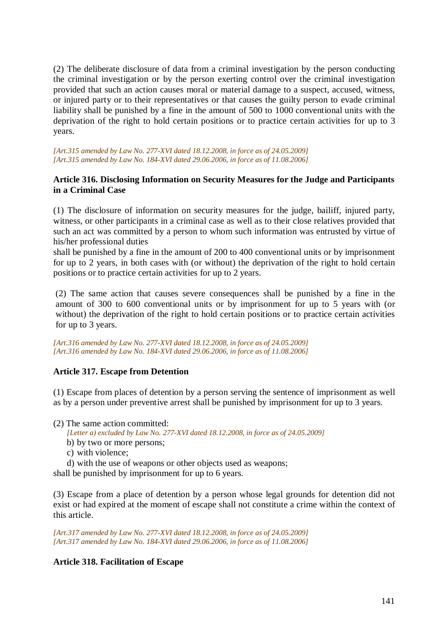(2) The deliberate disclosure of data from a criminal investigation by the person conducting the criminal investigation or by the person exerting control over the criminal investigation provided that such an action causes moral or material damage to a suspect, accused, witness, or injured party or to their representatives or that causes the guilty person to evade criminal liability shall be punished by a fine in the amount of 500 to 1000 conventional units with the deprivation of the right to hold certain positions or to practice certain activities for up to 3 years.

*[Art.315 amended by Law No. 277-XVI dated 18.12.2008, in force as of 24.05.2009] [Art.315 amended by Law No. 184-XVI dated 29.06.2006, in force as of 11.08.2006]*

## **Article 316. Disclosing Information on Security Measures for the Judge and Participants in a Criminal Case**

(1) The disclosure of information on security measures for the judge, bailiff, injured party, witness, or other participants in a criminal case as well as to their close relatives provided that such an act was committed by a person to whom such information was entrusted by virtue of his/her professional duties

shall be punished by a fine in the amount of 200 to 400 conventional units or by imprisonment for up to 2 years, in both cases with (or without) the deprivation of the right to hold certain positions or to practice certain activities for up to 2 years.

(2) The same action that causes severe consequences shall be punished by a fine in the amount of 300 to 600 conventional units or by imprisonment for up to 5 years with (or without) the deprivation of the right to hold certain positions or to practice certain activities for up to 3 years.

*[Art.316 amended by Law No. 277-XVI dated 18.12.2008, in force as of 24.05.2009] [Art.316 amended by Law No. 184-XVI dated 29.06.2006, in force as of 11.08.2006]*

#### **Article 317. Escape from Detention**

(1) Escape from places of detention by a person serving the sentence of imprisonment as well as by a person under preventive arrest shall be punished by imprisonment for up to 3 years.

- (2) The same action committed:
	- *[Letter a) excluded by Law No. 277-XVI dated 18.12.2008, in force as of 24.05.2009]*
	- b) by two or more persons;
	- c) with violence;

d) with the use of weapons or other objects used as weapons;

shall be punished by imprisonment for up to 6 years.

(3) Escape from a place of detention by a person whose legal grounds for detention did not exist or had expired at the moment of escape shall not constitute a crime within the context of this article.

*[Art.317 amended by Law No. 277-XVI dated 18.12.2008, in force as of 24.05.2009] [Art.317 amended by Law No. 184-XVI dated 29.06.2006, in force as of 11.08.2006]*

#### **Article 318. Facilitation of Escape**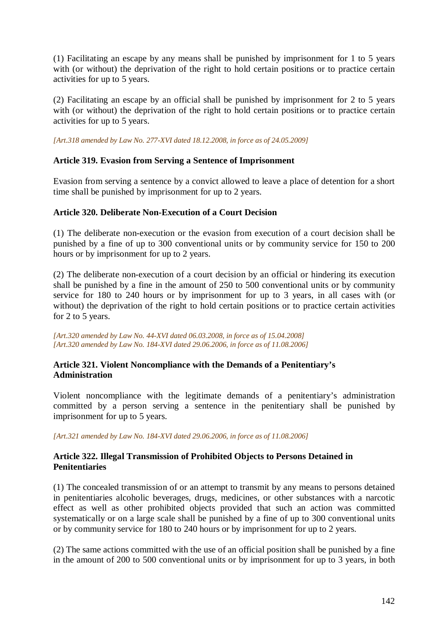(1) Facilitating an escape by any means shall be punished by imprisonment for 1 to 5 years with (or without) the deprivation of the right to hold certain positions or to practice certain activities for up to 5 years.

(2) Facilitating an escape by an official shall be punished by imprisonment for 2 to 5 years with (or without) the deprivation of the right to hold certain positions or to practice certain activities for up to 5 years.

*[Art.318 amended by Law No. 277-XVI dated 18.12.2008, in force as of 24.05.2009]* 

## **Article 319. Evasion from Serving a Sentence of Imprisonment**

Evasion from serving a sentence by a convict allowed to leave a place of detention for a short time shall be punished by imprisonment for up to 2 years.

#### **Article 320. Deliberate Non-Execution of a Court Decision**

(1) The deliberate non-execution or the evasion from execution of a court decision shall be punished by a fine of up to 300 conventional units or by community service for 150 to 200 hours or by imprisonment for up to 2 years.

(2) The deliberate non-execution of a court decision by an official or hindering its execution shall be punished by a fine in the amount of 250 to 500 conventional units or by community service for 180 to 240 hours or by imprisonment for up to 3 years, in all cases with (or without) the deprivation of the right to hold certain positions or to practice certain activities for 2 to 5 years.

*[Art.320 amended by Law No. 44-XVI dated 06.03.2008, in force as of 15.04.2008] [Art.320 amended by Law No. 184-XVI dated 29.06.2006, in force as of 11.08.2006]*

# **Article 321. Violent Noncompliance with the Demands of a Penitentiary's Administration**

Violent noncompliance with the legitimate demands of a penitentiary's administration committed by a person serving a sentence in the penitentiary shall be punished by imprisonment for up to 5 years.

*[Art.321 amended by Law No. 184-XVI dated 29.06.2006, in force as of 11.08.2006]*

## **Article 322. Illegal Transmission of Prohibited Objects to Persons Detained in Penitentiaries**

(1) The concealed transmission of or an attempt to transmit by any means to persons detained in penitentiaries alcoholic beverages, drugs, medicines, or other substances with a narcotic effect as well as other prohibited objects provided that such an action was committed systematically or on a large scale shall be punished by a fine of up to 300 conventional units or by community service for 180 to 240 hours or by imprisonment for up to 2 years.

(2) The same actions committed with the use of an official position shall be punished by a fine in the amount of 200 to 500 conventional units or by imprisonment for up to 3 years, in both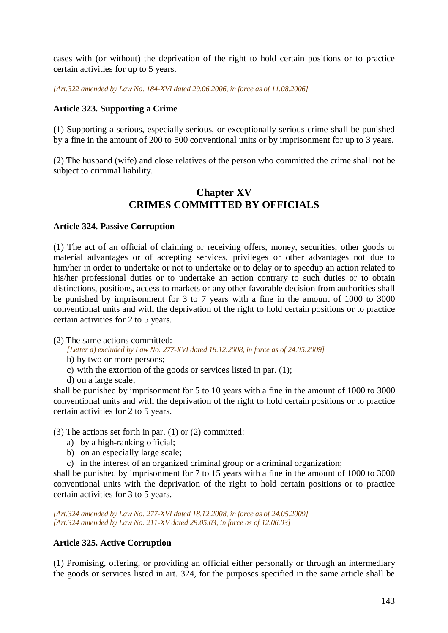cases with (or without) the deprivation of the right to hold certain positions or to practice certain activities for up to 5 years.

*[Art.322 amended by Law No. 184-XVI dated 29.06.2006, in force as of 11.08.2006]*

## **Article 323. Supporting a Crime**

(1) Supporting a serious, especially serious, or exceptionally serious crime shall be punished by a fine in the amount of 200 to 500 conventional units or by imprisonment for up to 3 years.

(2) The husband (wife) and close relatives of the person who committed the crime shall not be subject to criminal liability.

# **Chapter XV CRIMES COMMITTED BY OFFICIALS**

#### **Article 324. Passive Corruption**

(1) The act of an official of claiming or receiving offers, money, securities, other goods or material advantages or of accepting services, privileges or other advantages not due to him/her in order to undertake or not to undertake or to delay or to speedup an action related to his/her professional duties or to undertake an action contrary to such duties or to obtain distinctions, positions, access to markets or any other favorable decision from authorities shall be punished by imprisonment for 3 to 7 years with a fine in the amount of 1000 to 3000 conventional units and with the deprivation of the right to hold certain positions or to practice certain activities for 2 to 5 years.

(2) The same actions committed:

*[Letter a) excluded by Law No. 277-XVI dated 18.12.2008, in force as of 24.05.2009]* 

- b) by two or more persons;
- c) with the extortion of the goods or services listed in par. (1);
- d) on a large scale;

shall be punished by imprisonment for 5 to 10 years with a fine in the amount of 1000 to 3000 conventional units and with the deprivation of the right to hold certain positions or to practice certain activities for 2 to 5 years.

(3) The actions set forth in par. (1) or (2) committed:

- a) by a high-ranking official;
- b) on an especially large scale;
- c) in the interest of an organized criminal group or a criminal organization;

shall be punished by imprisonment for 7 to 15 years with a fine in the amount of 1000 to 3000 conventional units with the deprivation of the right to hold certain positions or to practice certain activities for 3 to 5 years.

*[Art.324 amended by Law No. 277-XVI dated 18.12.2008, in force as of 24.05.2009] [Art.324 amended by Law No. 211-XV dated 29.05.03, in force as of 12.06.03]* 

# **Article 325. Active Corruption**

(1) Promising, offering, or providing an official either personally or through an intermediary the goods or services listed in art. 324, for the purposes specified in the same article shall be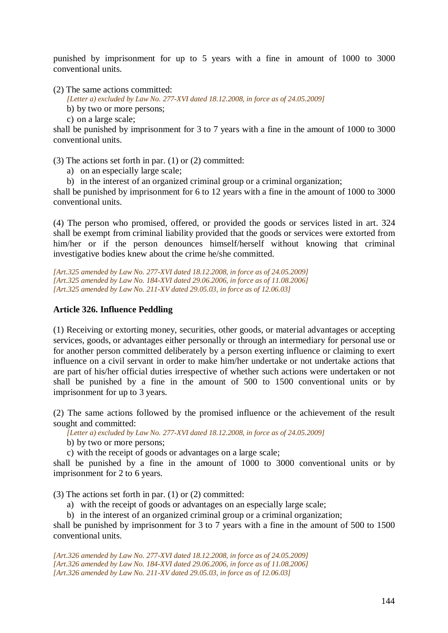punished by imprisonment for up to 5 years with a fine in amount of 1000 to 3000 conventional units.

(2) The same actions committed:

*[Letter a) excluded by Law No. 277-XVI dated 18.12.2008, in force as of 24.05.2009]* 

b) by two or more persons;

c) on a large scale;

shall be punished by imprisonment for 3 to 7 years with a fine in the amount of 1000 to 3000 conventional units.

(3) The actions set forth in par. (1) or (2) committed:

a) on an especially large scale;

b) in the interest of an organized criminal group or a criminal organization;

shall be punished by imprisonment for 6 to 12 years with a fine in the amount of 1000 to 3000 conventional units.

(4) The person who promised, offered, or provided the goods or services listed in art. 324 shall be exempt from criminal liability provided that the goods or services were extorted from him/her or if the person denounces himself/herself without knowing that criminal investigative bodies knew about the crime he/she committed.

*[Art.325 amended by Law No. 277-XVI dated 18.12.2008, in force as of 24.05.2009] [Art.325 amended by Law No. 184-XVI dated 29.06.2006, in force as of 11.08.2006] [Art.325 amended by Law No. 211-XV dated 29.05.03, in force as of 12.06.03]* 

#### **Article 326. Influence Peddling**

(1) Receiving or extorting money, securities, other goods, or material advantages or accepting services, goods, or advantages either personally or through an intermediary for personal use or for another person committed deliberately by a person exerting influence or claiming to exert influence on a civil servant in order to make him/her undertake or not undertake actions that are part of his/her official duties irrespective of whether such actions were undertaken or not shall be punished by a fine in the amount of 500 to 1500 conventional units or by imprisonment for up to 3 years.

(2) The same actions followed by the promised influence or the achievement of the result sought and committed:

*[Letter a) excluded by Law No. 277-XVI dated 18.12.2008, in force as of 24.05.2009]* 

b) by two or more persons;

c) with the receipt of goods or advantages on a large scale;

shall be punished by a fine in the amount of 1000 to 3000 conventional units or by imprisonment for 2 to 6 years.

(3) The actions set forth in par. (1) or (2) committed:

a) with the receipt of goods or advantages on an especially large scale;

b) in the interest of an organized criminal group or a criminal organization;

shall be punished by imprisonment for 3 to 7 years with a fine in the amount of 500 to 1500 conventional units.

*[Art.326 amended by Law No. 277-XVI dated 18.12.2008, in force as of 24.05.2009] [Art.326 amended by Law No. 184-XVI dated 29.06.2006, in force as of 11.08.2006] [Art.326 amended by Law No. 211-XV dated 29.05.03, in force as of 12.06.03]*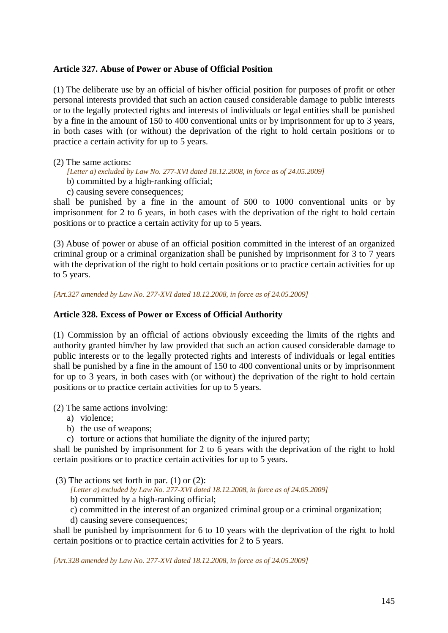### **Article 327. Abuse of Power or Abuse of Official Position**

(1) The deliberate use by an official of his/her official position for purposes of profit or other personal interests provided that such an action caused considerable damage to public interests or to the legally protected rights and interests of individuals or legal entities shall be punished by a fine in the amount of 150 to 400 conventional units or by imprisonment for up to 3 years, in both cases with (or without) the deprivation of the right to hold certain positions or to practice a certain activity for up to 5 years.

### (2) The same actions:

- *[Letter a) excluded by Law No. 277-XVI dated 18.12.2008, in force as of 24.05.2009]*
- b) committed by a high-ranking official;
- c) causing severe consequences;

shall be punished by a fine in the amount of 500 to 1000 conventional units or by imprisonment for 2 to 6 years, in both cases with the deprivation of the right to hold certain positions or to practice a certain activity for up to 5 years.

(3) Abuse of power or abuse of an official position committed in the interest of an organized criminal group or a criminal organization shall be punished by imprisonment for 3 to 7 years with the deprivation of the right to hold certain positions or to practice certain activities for up to 5 years.

*[Art.327 amended by Law No. 277-XVI dated 18.12.2008, in force as of 24.05.2009]* 

## **Article 328. Excess of Power or Excess of Official Authority**

(1) Commission by an official of actions obviously exceeding the limits of the rights and authority granted him/her by law provided that such an action caused considerable damage to public interests or to the legally protected rights and interests of individuals or legal entities shall be punished by a fine in the amount of 150 to 400 conventional units or by imprisonment for up to 3 years, in both cases with (or without) the deprivation of the right to hold certain positions or to practice certain activities for up to 5 years.

(2) The same actions involving:

- a) violence;
- b) the use of weapons;
- c) torture or actions that humiliate the dignity of the injured party;

shall be punished by imprisonment for 2 to 6 years with the deprivation of the right to hold certain positions or to practice certain activities for up to 5 years.

(3) The actions set forth in par. (1) or (2):

*[Letter a) excluded by Law No. 277-XVI dated 18.12.2008, in force as of 24.05.2009]* 

- b) committed by a high-ranking official;
- c) committed in the interest of an organized criminal group or a criminal organization;
- d) causing severe consequences;

shall be punished by imprisonment for 6 to 10 years with the deprivation of the right to hold certain positions or to practice certain activities for 2 to 5 years.

*[Art.328 amended by Law No. 277-XVI dated 18.12.2008, in force as of 24.05.2009]*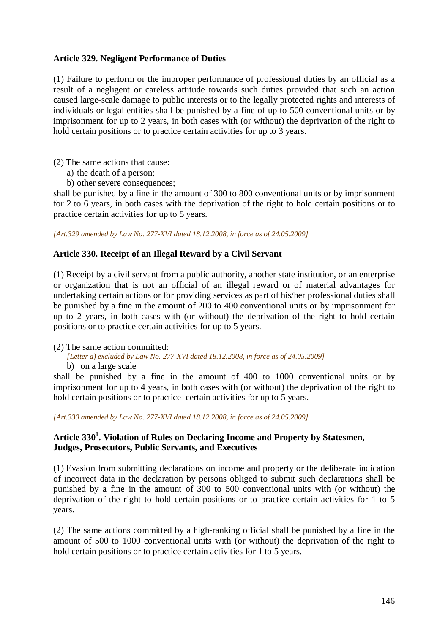## **Article 329. Negligent Performance of Duties**

(1) Failure to perform or the improper performance of professional duties by an official as a result of a negligent or careless attitude towards such duties provided that such an action caused large-scale damage to public interests or to the legally protected rights and interests of individuals or legal entities shall be punished by a fine of up to 500 conventional units or by imprisonment for up to 2 years, in both cases with (or without) the deprivation of the right to hold certain positions or to practice certain activities for up to 3 years.

(2) The same actions that cause:

- a) the death of a person;
- b) other severe consequences;

shall be punished by a fine in the amount of 300 to 800 conventional units or by imprisonment for 2 to 6 years, in both cases with the deprivation of the right to hold certain positions or to practice certain activities for up to 5 years.

*[Art.329 amended by Law No. 277-XVI dated 18.12.2008, in force as of 24.05.2009]* 

### **Article 330. Receipt of an Illegal Reward by a Civil Servant**

(1) Receipt by a civil servant from a public authority, another state institution, or an enterprise or organization that is not an official of an illegal reward or of material advantages for undertaking certain actions or for providing services as part of his/her professional duties shall be punished by a fine in the amount of 200 to 400 conventional units or by imprisonment for up to 2 years, in both cases with (or without) the deprivation of the right to hold certain positions or to practice certain activities for up to 5 years.

(2) The same action committed:

*[Letter a) excluded by Law No. 277-XVI dated 18.12.2008, in force as of 24.05.2009]*  b) on a large scale

shall be punished by a fine in the amount of 400 to 1000 conventional units or by imprisonment for up to 4 years, in both cases with (or without) the deprivation of the right to hold certain positions or to practice certain activities for up to 5 years.

*[Art.330 amended by Law No. 277-XVI dated 18.12.2008, in force as of 24.05.2009]* 

## **Article 330<sup>1</sup> . Violation of Rules on Declaring Income and Property by Statesmen, Judges, Prosecutors, Public Servants, and Executives**

(1) Evasion from submitting declarations on income and property or the deliberate indication of incorrect data in the declaration by persons obliged to submit such declarations shall be punished by a fine in the amount of 300 to 500 conventional units with (or without) the deprivation of the right to hold certain positions or to practice certain activities for 1 to 5 years.

(2) The same actions committed by a high-ranking official shall be punished by a fine in the amount of 500 to 1000 conventional units with (or without) the deprivation of the right to hold certain positions or to practice certain activities for 1 to 5 years.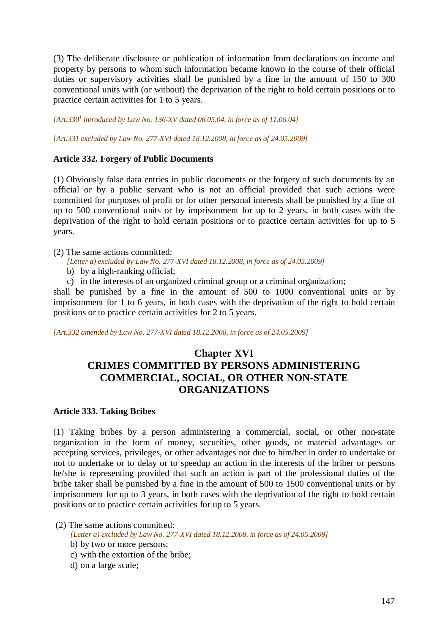(3) The deliberate disclosure or publication of information from declarations on income and property by persons to whom such information became known in the course of their official duties or supervisory activities shall be punished by a fine in the amount of 150 to 300 conventional units with (or without) the deprivation of the right to hold certain positions or to practice certain activities for 1 to 5 years.

*[Art.330<sup>1</sup> introduced by Law No. 136-XV dated 06.05.04, in force as of 11.06.04]* 

*[Art.331 excluded by Law No. 277-XVI dated 18.12.2008, in force as of 24.05.2009]* 

### **Article 332. Forgery of Public Documents**

(1) Obviously false data entries in public documents or the forgery of such documents by an official or by a public servant who is not an official provided that such actions were committed for purposes of profit or for other personal interests shall be punished by a fine of up to 500 conventional units or by imprisonment for up to 2 years, in both cases with the deprivation of the right to hold certain positions or to practice certain activities for up to 5 years.

### (2) The same actions committed:

- *[Letter a) excluded by Law No. 277-XVI dated 18.12.2008, in force as of 24.05.2009]*
- b) by a high-ranking official;
- c) in the interests of an organized criminal group or a criminal organization;

shall be punished by a fine in the amount of 500 to 1000 conventional units or by imprisonment for 1 to 6 years, in both cases with the deprivation of the right to hold certain positions or to practice certain activities for 2 to 5 years.

*[Art.332 amended by Law No. 277-XVI dated 18.12.2008, in force as of 24.05.2009]* 

# **Chapter XVI CRIMES COMMITTED BY PERSONS ADMINISTERING COMMERCIAL, SOCIAL, OR OTHER NON-STATE ORGANIZATIONS**

# **Article 333. Taking Bribes**

(1) Taking bribes by a person administering a commercial, social, or other non-state organization in the form of money, securities, other goods, or material advantages or accepting services, privileges, or other advantages not due to him/her in order to undertake or not to undertake or to delay or to speedup an action in the interests of the briber or persons he/she is representing provided that such an action is part of the professional duties of the bribe taker shall be punished by a fine in the amount of 500 to 1500 conventional units or by imprisonment for up to 3 years, in both cases with the deprivation of the right to hold certain positions or to practice certain activities for up to 5 years.

(2) The same actions committed:

*[Letter a) excluded by Law No. 277-XVI dated 18.12.2008, in force as of 24.05.2009]* 

- b) by two or more persons;
- c) with the extortion of the bribe;
- d) on a large scale;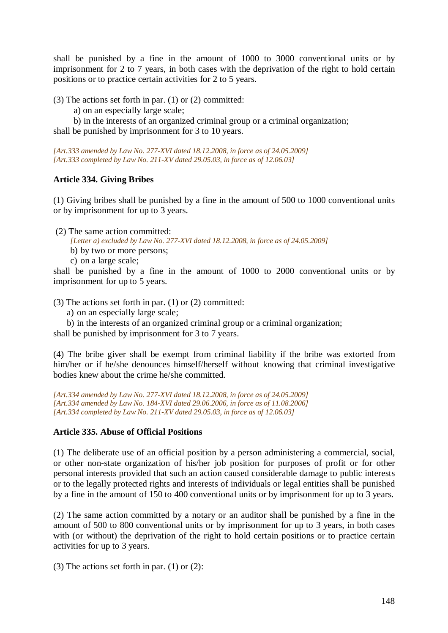shall be punished by a fine in the amount of 1000 to 3000 conventional units or by imprisonment for 2 to 7 years, in both cases with the deprivation of the right to hold certain positions or to practice certain activities for 2 to 5 years.

(3) The actions set forth in par. (1) or (2) committed:

a) on an especially large scale;

 b) in the interests of an organized criminal group or a criminal organization; shall be punished by imprisonment for 3 to 10 years.

*[Art.333 amended by Law No. 277-XVI dated 18.12.2008, in force as of 24.05.2009] [Art.333 completed by Law No. 211-XV dated 29.05.03, in force as of 12.06.03]* 

# **Article 334. Giving Bribes**

(1) Giving bribes shall be punished by a fine in the amount of 500 to 1000 conventional units or by imprisonment for up to 3 years.

(2) The same action committed:

*[Letter a) excluded by Law No. 277-XVI dated 18.12.2008, in force as of 24.05.2009]* 

- b) by two or more persons;
- c) on a large scale;

shall be punished by a fine in the amount of 1000 to 2000 conventional units or by imprisonment for up to 5 years.

(3) The actions set forth in par. (1) or (2) committed:

a) on an especially large scale;

b) in the interests of an organized criminal group or a criminal organization; shall be punished by imprisonment for 3 to 7 years.

(4) The bribe giver shall be exempt from criminal liability if the bribe was extorted from him/her or if he/she denounces himself/herself without knowing that criminal investigative bodies knew about the crime he/she committed.

*[Art.334 amended by Law No. 277-XVI dated 18.12.2008, in force as of 24.05.2009] [Art.334 amended by Law No. 184-XVI dated 29.06.2006, in force as of 11.08.2006] [Art.334 completed by Law No. 211-XV dated 29.05.03, in force as of 12.06.03]* 

# **Article 335. Abuse of Official Positions**

(1) The deliberate use of an official position by a person administering a commercial, social, or other non-state organization of his/her job position for purposes of profit or for other personal interests provided that such an action caused considerable damage to public interests or to the legally protected rights and interests of individuals or legal entities shall be punished by a fine in the amount of 150 to 400 conventional units or by imprisonment for up to 3 years.

(2) The same action committed by a notary or an auditor shall be punished by a fine in the amount of 500 to 800 conventional units or by imprisonment for up to 3 years, in both cases with (or without) the deprivation of the right to hold certain positions or to practice certain activities for up to 3 years.

(3) The actions set forth in par. (1) or (2):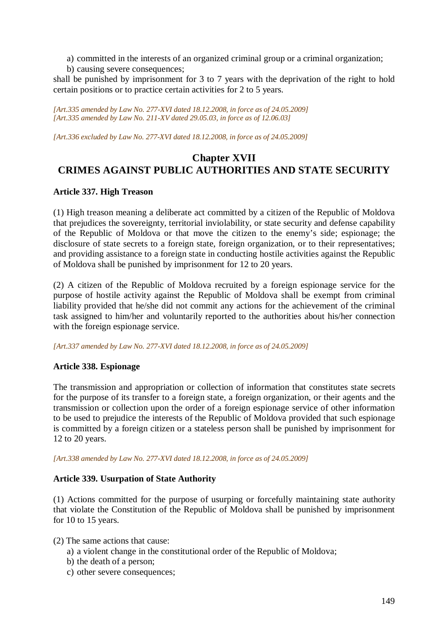- a) committed in the interests of an organized criminal group or a criminal organization;
- b) causing severe consequences;

shall be punished by imprisonment for 3 to 7 years with the deprivation of the right to hold certain positions or to practice certain activities for 2 to 5 years.

*[Art.335 amended by Law No. 277-XVI dated 18.12.2008, in force as of 24.05.2009] [Art.335 amended by Law No. 211-XV dated 29.05.03, in force as of 12.06.03]* 

*[Art.336 excluded by Law No. 277-XVI dated 18.12.2008, in force as of 24.05.2009]* 

# **Chapter XVII CRIMES AGAINST PUBLIC AUTHORITIES AND STATE SECURITY**

# **Article 337. High Treason**

(1) High treason meaning a deliberate act committed by a citizen of the Republic of Moldova that prejudices the sovereignty, territorial inviolability, or state security and defense capability of the Republic of Moldova or that move the citizen to the enemy's side; espionage; the disclosure of state secrets to a foreign state, foreign organization, or to their representatives; and providing assistance to a foreign state in conducting hostile activities against the Republic of Moldova shall be punished by imprisonment for 12 to 20 years.

(2) A citizen of the Republic of Moldova recruited by a foreign espionage service for the purpose of hostile activity against the Republic of Moldova shall be exempt from criminal liability provided that he/she did not commit any actions for the achievement of the criminal task assigned to him/her and voluntarily reported to the authorities about his/her connection with the foreign espionage service.

*[Art.337 amended by Law No. 277-XVI dated 18.12.2008, in force as of 24.05.2009]* 

# **Article 338. Espionage**

The transmission and appropriation or collection of information that constitutes state secrets for the purpose of its transfer to a foreign state, a foreign organization, or their agents and the transmission or collection upon the order of a foreign espionage service of other information to be used to prejudice the interests of the Republic of Moldova provided that such espionage is committed by a foreign citizen or a stateless person shall be punished by imprisonment for 12 to 20 years.

*[Art.338 amended by Law No. 277-XVI dated 18.12.2008, in force as of 24.05.2009]* 

# **Article 339. Usurpation of State Authority**

(1) Actions committed for the purpose of usurping or forcefully maintaining state authority that violate the Constitution of the Republic of Moldova shall be punished by imprisonment for 10 to 15 years.

(2) The same actions that cause:

- a) a violent change in the constitutional order of the Republic of Moldova;
- b) the death of a person;
- c) other severe consequences;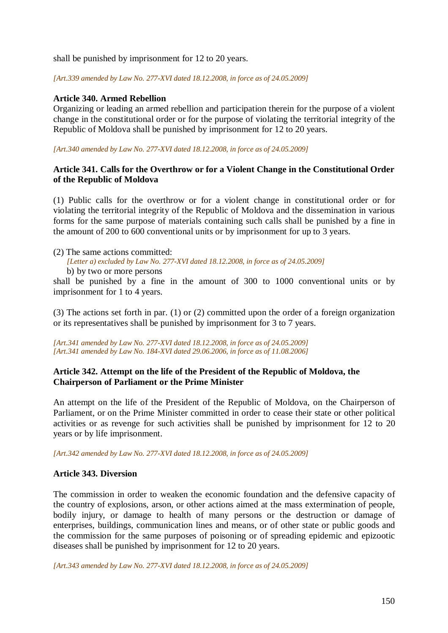shall be punished by imprisonment for 12 to 20 years.

*[Art.339 amended by Law No. 277-XVI dated 18.12.2008, in force as of 24.05.2009]* 

### **Article 340. Armed Rebellion**

Organizing or leading an armed rebellion and participation therein for the purpose of a violent change in the constitutional order or for the purpose of violating the territorial integrity of the Republic of Moldova shall be punished by imprisonment for 12 to 20 years.

*[Art.340 amended by Law No. 277-XVI dated 18.12.2008, in force as of 24.05.2009]* 

## **Article 341. Calls for the Overthrow or for a Violent Change in the Constitutional Order of the Republic of Moldova**

(1) Public calls for the overthrow or for a violent change in constitutional order or for violating the territorial integrity of the Republic of Moldova and the dissemination in various forms for the same purpose of materials containing such calls shall be punished by a fine in the amount of 200 to 600 conventional units or by imprisonment for up to 3 years.

(2) The same actions committed:

*[Letter a) excluded by Law No. 277-XVI dated 18.12.2008, in force as of 24.05.2009]* 

b) by two or more persons

shall be punished by a fine in the amount of 300 to 1000 conventional units or by imprisonment for 1 to 4 years.

(3) The actions set forth in par. (1) or (2) committed upon the order of a foreign organization or its representatives shall be punished by imprisonment for 3 to 7 years.

*[Art.341 amended by Law No. 277-XVI dated 18.12.2008, in force as of 24.05.2009] [Art.341 amended by Law No. 184-XVI dated 29.06.2006, in force as of 11.08.2006]*

### **Article 342. Attempt on the life of the President of the Republic of Moldova, the Chairperson of Parliament or the Prime Minister**

An attempt on the life of the President of the Republic of Moldova, on the Chairperson of Parliament, or on the Prime Minister committed in order to cease their state or other political activities or as revenge for such activities shall be punished by imprisonment for 12 to 20 years or by life imprisonment.

*[Art.342 amended by Law No. 277-XVI dated 18.12.2008, in force as of 24.05.2009]* 

### **Article 343. Diversion**

The commission in order to weaken the economic foundation and the defensive capacity of the country of explosions, arson, or other actions aimed at the mass extermination of people, bodily injury, or damage to health of many persons or the destruction or damage of enterprises, buildings, communication lines and means, or of other state or public goods and the commission for the same purposes of poisoning or of spreading epidemic and epizootic diseases shall be punished by imprisonment for 12 to 20 years.

*[Art.343 amended by Law No. 277-XVI dated 18.12.2008, in force as of 24.05.2009]*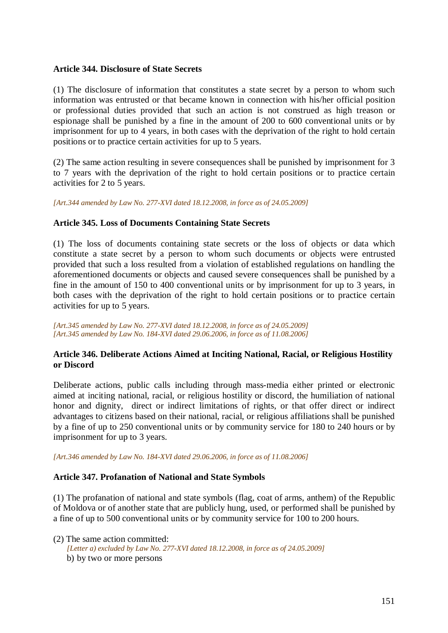### **Article 344. Disclosure of State Secrets**

(1) The disclosure of information that constitutes a state secret by a person to whom such information was entrusted or that became known in connection with his/her official position or professional duties provided that such an action is not construed as high treason or espionage shall be punished by a fine in the amount of 200 to 600 conventional units or by imprisonment for up to 4 years, in both cases with the deprivation of the right to hold certain positions or to practice certain activities for up to 5 years.

(2) The same action resulting in severe consequences shall be punished by imprisonment for 3 to 7 years with the deprivation of the right to hold certain positions or to practice certain activities for 2 to 5 years.

*[Art.344 amended by Law No. 277-XVI dated 18.12.2008, in force as of 24.05.2009]* 

## **Article 345. Loss of Documents Containing State Secrets**

(1) The loss of documents containing state secrets or the loss of objects or data which constitute a state secret by a person to whom such documents or objects were entrusted provided that such a loss resulted from a violation of established regulations on handling the aforementioned documents or objects and caused severe consequences shall be punished by a fine in the amount of 150 to 400 conventional units or by imprisonment for up to 3 years, in both cases with the deprivation of the right to hold certain positions or to practice certain activities for up to 5 years.

*[Art.345 amended by Law No. 277-XVI dated 18.12.2008, in force as of 24.05.2009] [Art.345 amended by Law No. 184-XVI dated 29.06.2006, in force as of 11.08.2006]*

## **Article 346. Deliberate Actions Aimed at Inciting National, Racial, or Religious Hostility or Discord**

Deliberate actions, public calls including through mass-media either printed or electronic aimed at inciting national, racial, or religious hostility or discord, the humiliation of national honor and dignity, direct or indirect limitations of rights, or that offer direct or indirect advantages to citizens based on their national, racial, or religious affiliations shall be punished by a fine of up to 250 conventional units or by community service for 180 to 240 hours or by imprisonment for up to 3 years.

*[Art.346 amended by Law No. 184-XVI dated 29.06.2006, in force as of 11.08.2006]*

# **Article 347. Profanation of National and State Symbols**

(1) The profanation of national and state symbols (flag, coat of arms, anthem) of the Republic of Moldova or of another state that are publicly hung, used, or performed shall be punished by a fine of up to 500 conventional units or by community service for 100 to 200 hours.

(2) The same action committed: *[Letter a) excluded by Law No. 277-XVI dated 18.12.2008, in force as of 24.05.2009]*  b) by two or more persons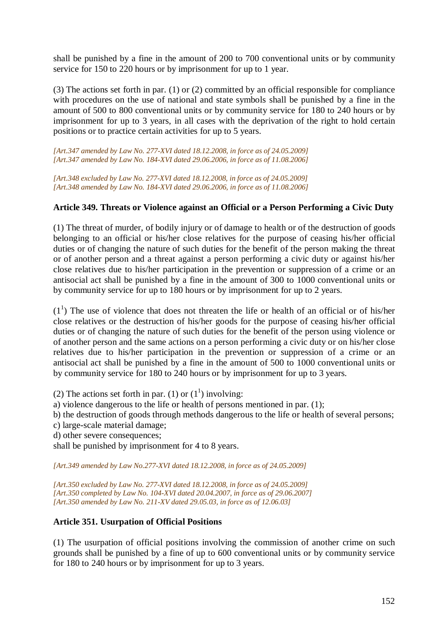shall be punished by a fine in the amount of 200 to 700 conventional units or by community service for 150 to 220 hours or by imprisonment for up to 1 year.

(3) The actions set forth in par. (1) or (2) committed by an official responsible for compliance with procedures on the use of national and state symbols shall be punished by a fine in the amount of 500 to 800 conventional units or by community service for 180 to 240 hours or by imprisonment for up to 3 years, in all cases with the deprivation of the right to hold certain positions or to practice certain activities for up to 5 years.

*[Art.347 amended by Law No. 277-XVI dated 18.12.2008, in force as of 24.05.2009] [Art.347 amended by Law No. 184-XVI dated 29.06.2006, in force as of 11.08.2006]*

*[Art.348 excluded by Law No. 277-XVI dated 18.12.2008, in force as of 24.05.2009] [Art.348 amended by Law No. 184-XVI dated 29.06.2006, in force as of 11.08.2006]*

## **Article 349. Threats or Violence against an Official or a Person Performing a Civic Duty**

(1) The threat of murder, of bodily injury or of damage to health or of the destruction of goods belonging to an official or his/her close relatives for the purpose of ceasing his/her official duties or of changing the nature of such duties for the benefit of the person making the threat or of another person and a threat against a person performing a civic duty or against his/her close relatives due to his/her participation in the prevention or suppression of a crime or an antisocial act shall be punished by a fine in the amount of 300 to 1000 conventional units or by community service for up to 180 hours or by imprisonment for up to 2 years.

 $(1<sup>1</sup>)$  The use of violence that does not threaten the life or health of an official or of his/her close relatives or the destruction of his/her goods for the purpose of ceasing his/her official duties or of changing the nature of such duties for the benefit of the person using violence or of another person and the same actions on a person performing a civic duty or on his/her close relatives due to his/her participation in the prevention or suppression of a crime or an antisocial act shall be punished by a fine in the amount of 500 to 1000 conventional units or by community service for 180 to 240 hours or by imprisonment for up to 3 years.

(2) The actions set forth in par. (1) or  $(1^1)$  involving:

- a) violence dangerous to the life or health of persons mentioned in par. (1);
- b) the destruction of goods through methods dangerous to the life or health of several persons;
- c) large-scale material damage;
- d) other severe consequences;

shall be punished by imprisonment for 4 to 8 years.

*[Art.349 amended by Law No.277-XVI dated 18.12.2008, in force as of 24.05.2009]* 

*[Art.350 excluded by Law No. 277-XVI dated 18.12.2008, in force as of 24.05.2009] [Art.350 completed by Law No. 104-XVI dated 20.04.2007, in force as of 29.06.2007] [Art.350 amended by Law No. 211-XV dated 29.05.03, in force as of 12.06.03]* 

# **Article 351. Usurpation of Official Positions**

(1) The usurpation of official positions involving the commission of another crime on such grounds shall be punished by a fine of up to 600 conventional units or by community service for 180 to 240 hours or by imprisonment for up to 3 years.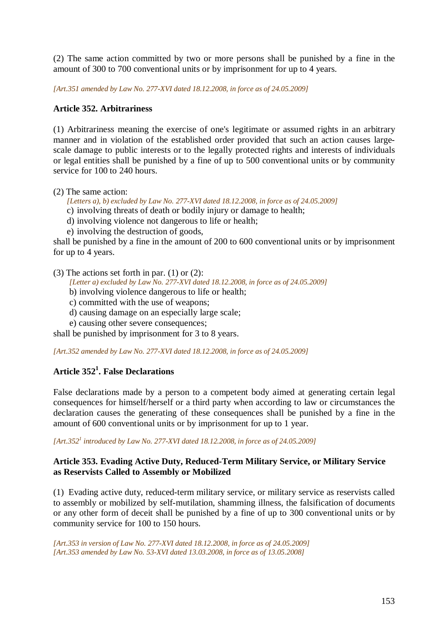(2) The same action committed by two or more persons shall be punished by a fine in the amount of 300 to 700 conventional units or by imprisonment for up to 4 years.

*[Art.351 amended by Law No. 277-XVI dated 18.12.2008, in force as of 24.05.2009]* 

## **Article 352. Arbitrariness**

(1) Arbitrariness meaning the exercise of one's legitimate or assumed rights in an arbitrary manner and in violation of the established order provided that such an action causes largescale damage to public interests or to the legally protected rights and interests of individuals or legal entities shall be punished by a fine of up to 500 conventional units or by community service for 100 to 240 hours.

(2) The same action:

*[Letters a), b) excluded by Law No. 277-XVI dated 18.12.2008, in force as of 24.05.2009]* 

- c) involving threats of death or bodily injury or damage to health;
- d) involving violence not dangerous to life or health;
- e) involving the destruction of goods,

shall be punished by a fine in the amount of 200 to 600 conventional units or by imprisonment for up to 4 years.

(3) The actions set forth in par. (1) or (2):

*[Letter a) excluded by Law No. 277-XVI dated 18.12.2008, in force as of 24.05.2009]* 

- b) involving violence dangerous to life or health;
- c) committed with the use of weapons;
- d) causing damage on an especially large scale;
- e) causing other severe consequences;

shall be punished by imprisonment for 3 to 8 years.

*[Art.352 amended by Law No. 277-XVI dated 18.12.2008, in force as of 24.05.2009]* 

# **Article 352<sup>1</sup> . False Declarations**

False declarations made by a person to a competent body aimed at generating certain legal consequences for himself/herself or a third party when according to law or circumstances the declaration causes the generating of these consequences shall be punished by a fine in the amount of 600 conventional units or by imprisonment for up to 1 year.

*[Art.352<sup>1</sup> introduced by Law No. 277-XVI dated 18.12.2008, in force as of 24.05.2009]* 

## **Article 353. Evading Active Duty, Reduced-Term Military Service, or Military Service as Reservists Called to Assembly or Mobilized**

(1) Evading active duty, reduced-term military service, or military service as reservists called to assembly or mobilized by self-mutilation, shamming illness, the falsification of documents or any other form of deceit shall be punished by a fine of up to 300 conventional units or by community service for 100 to 150 hours.

*[Art.353 in version of Law No. 277-XVI dated 18.12.2008, in force as of 24.05.2009] [Art.353 amended by Law No. 53-XVI dated 13.03.2008, in force as of 13.05.2008]*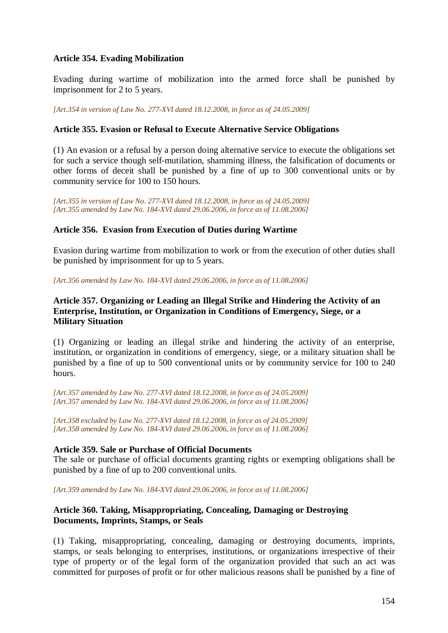### **Article 354. Evading Mobilization**

Evading during wartime of mobilization into the armed force shall be punished by imprisonment for 2 to 5 years.

*[Art.354 in version of Law No. 277-XVI dated 18.12.2008, in force as of 24.05.2009]* 

## **Article 355. Evasion or Refusal to Execute Alternative Service Obligations**

(1) An evasion or a refusal by a person doing alternative service to execute the obligations set for such a service though self-mutilation, shamming illness, the falsification of documents or other forms of deceit shall be punished by a fine of up to 300 conventional units or by community service for 100 to 150 hours.

*[Art.355 in version of Law No. 277-XVI dated 18.12.2008, in force as of 24.05.2009] [Art.355 amended by Law No. 184-XVI dated 29.06.2006, in force as of 11.08.2006]*

## **Article 356. Evasion from Execution of Duties during Wartime**

Evasion during wartime from mobilization to work or from the execution of other duties shall be punished by imprisonment for up to 5 years.

*[Art.356 amended by Law No. 184-XVI dated 29.06.2006, in force as of 11.08.2006]*

## **Article 357. Organizing or Leading an Illegal Strike and Hindering the Activity of an Enterprise, Institution, or Organization in Conditions of Emergency, Siege, or a Military Situation**

(1) Organizing or leading an illegal strike and hindering the activity of an enterprise, institution, or organization in conditions of emergency, siege, or a military situation shall be punished by a fine of up to 500 conventional units or by community service for 100 to 240 hours.

*[Art.357 amended by Law No. 277-XVI dated 18.12.2008, in force as of 24.05.2009] [Art.357 amended by Law No. 184-XVI dated 29.06.2006, in force as of 11.08.2006]*

*[Art.358 excluded by Law No. 277-XVI dated 18.12.2008, in force as of 24.05.2009] [Art.358 amended by Law No. 184-XVI dated 29.06.2006, in force as of 11.08.2006]*

### **Article 359. Sale or Purchase of Official Documents**

The sale or purchase of official documents granting rights or exempting obligations shall be punished by a fine of up to 200 conventional units.

*[Art.359 amended by Law No. 184-XVI dated 29.06.2006, in force as of 11.08.2006]*

## **Article 360. Taking, Misappropriating, Concealing, Damaging or Destroying Documents, Imprints, Stamps, or Seals**

(1) Taking, misappropriating, concealing, damaging or destroying documents, imprints, stamps, or seals belonging to enterprises, institutions, or organizations irrespective of their type of property or of the legal form of the organization provided that such an act was committed for purposes of profit or for other malicious reasons shall be punished by a fine of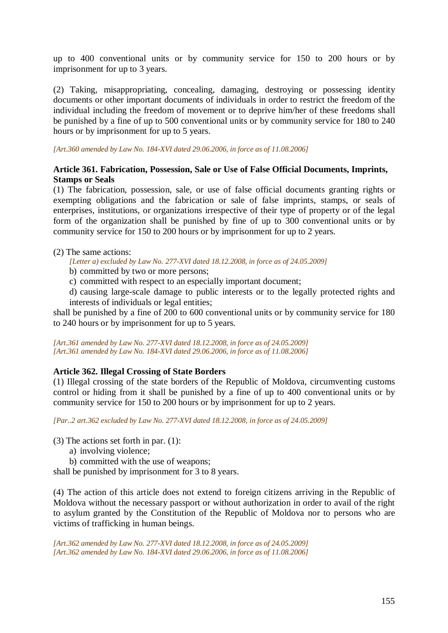up to 400 conventional units or by community service for 150 to 200 hours or by imprisonment for up to 3 years.

(2) Taking, misappropriating, concealing, damaging, destroying or possessing identity documents or other important documents of individuals in order to restrict the freedom of the individual including the freedom of movement or to deprive him/her of these freedoms shall be punished by a fine of up to 500 conventional units or by community service for 180 to 240 hours or by imprisonment for up to 5 years.

*[Art.360 amended by Law No. 184-XVI dated 29.06.2006, in force as of 11.08.2006]*

# **Article 361. Fabrication, Possession, Sale or Use of False Official Documents, Imprints, Stamps or Seals**

(1) The fabrication, possession, sale, or use of false official documents granting rights or exempting obligations and the fabrication or sale of false imprints, stamps, or seals of enterprises, institutions, or organizations irrespective of their type of property or of the legal form of the organization shall be punished by fine of up to 300 conventional units or by community service for 150 to 200 hours or by imprisonment for up to 2 years.

(2) The same actions:

*[Letter a) excluded by Law No. 277-XVI dated 18.12.2008, in force as of 24.05.2009]* 

- b) committed by two or more persons;
- c) committed with respect to an especially important document;

d) causing large-scale damage to public interests or to the legally protected rights and interests of individuals or legal entities;

shall be punished by a fine of 200 to 600 conventional units or by community service for 180 to 240 hours or by imprisonment for up to 5 years.

*[Art.361 amended by Law No. 277-XVI dated 18.12.2008, in force as of 24.05.2009] [Art.361 amended by Law No. 184-XVI dated 29.06.2006, in force as of 11.08.2006]*

# **Article 362. Illegal Crossing of State Borders**

(1) Illegal crossing of the state borders of the Republic of Moldova, circumventing customs control or hiding from it shall be punished by a fine of up to 400 conventional units or by community service for 150 to 200 hours or by imprisonment for up to 2 years.

*[Par..2 art.362 excluded by Law No. 277-XVI dated 18.12.2008, in force as of 24.05.2009]* 

(3) The actions set forth in par. (1):

a) involving violence;

b) committed with the use of weapons;

shall be punished by imprisonment for 3 to 8 years.

(4) The action of this article does not extend to foreign citizens arriving in the Republic of Moldova without the necessary passport or without authorization in order to avail of the right to asylum granted by the Constitution of the Republic of Moldova nor to persons who are victims of trafficking in human beings.

*[Art.362 amended by Law No. 277-XVI dated 18.12.2008, in force as of 24.05.2009] [Art.362 amended by Law No. 184-XVI dated 29.06.2006, in force as of 11.08.2006]*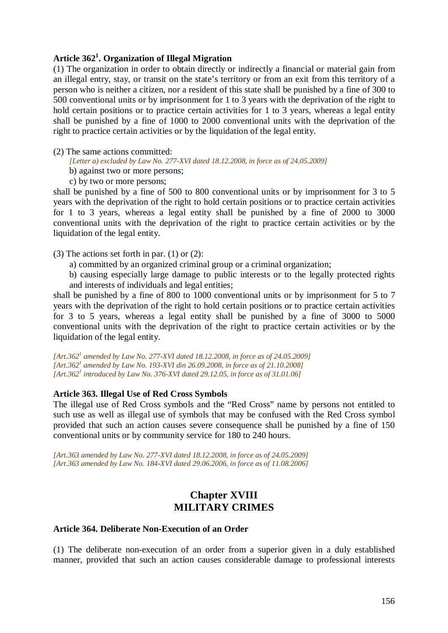# **Article 362<sup>1</sup> . Organization of Illegal Migration**

(1) The organization in order to obtain directly or indirectly a financial or material gain from an illegal entry, stay, or transit on the state's territory or from an exit from this territory of a person who is neither a citizen, nor a resident of this state shall be punished by a fine of 300 to 500 conventional units or by imprisonment for 1 to 3 years with the deprivation of the right to hold certain positions or to practice certain activities for 1 to 3 years, whereas a legal entity shall be punished by a fine of 1000 to 2000 conventional units with the deprivation of the right to practice certain activities or by the liquidation of the legal entity.

### (2) The same actions committed:

*[Letter a) excluded by Law No. 277-XVI dated 18.12.2008, in force as of 24.05.2009]* 

- b) against two or more persons;
- c) by two or more persons;

shall be punished by a fine of 500 to 800 conventional units or by imprisonment for 3 to 5 years with the deprivation of the right to hold certain positions or to practice certain activities for 1 to 3 years, whereas a legal entity shall be punished by a fine of 2000 to 3000 conventional units with the deprivation of the right to practice certain activities or by the liquidation of the legal entity.

(3) The actions set forth in par. (1) or (2):

- a) committed by an organized criminal group or a criminal organization;
- b) causing especially large damage to public interests or to the legally protected rights and interests of individuals and legal entities;

shall be punished by a fine of 800 to 1000 conventional units or by imprisonment for 5 to 7 years with the deprivation of the right to hold certain positions or to practice certain activities for 3 to 5 years, whereas a legal entity shall be punished by a fine of 3000 to 5000 conventional units with the deprivation of the right to practice certain activities or by the liquidation of the legal entity.

[Art.362<sup>*1</sup>* amended by Law No. 277-XVI dated 18.12.2008, in force as of 24.05.2009]</sup> *[Art.362<sup>1</sup> amended by Law No. 193-XVI din 26.09.2008, in force as of 21.10.2008] [Art.362<sup>1</sup> introduced by Law No. 376-XVI dated 29.12.05, in force as of 31.01.06]* 

### **Article 363. Illegal Use of Red Cross Symbols**

The illegal use of Red Cross symbols and the "Red Cross" name by persons not entitled to such use as well as illegal use of symbols that may be confused with the Red Cross symbol provided that such an action causes severe consequence shall be punished by a fine of 150 conventional units or by community service for 180 to 240 hours.

*[Art.363 amended by Law No. 277-XVI dated 18.12.2008, in force as of 24.05.2009] [Art.363 amended by Law No. 184-XVI dated 29.06.2006, in force as of 11.08.2006]* 

# **Chapter XVIII MILITARY CRIMES**

#### **Article 364. Deliberate Non-Execution of an Order**

(1) The deliberate non-execution of an order from a superior given in a duly established manner, provided that such an action causes considerable damage to professional interests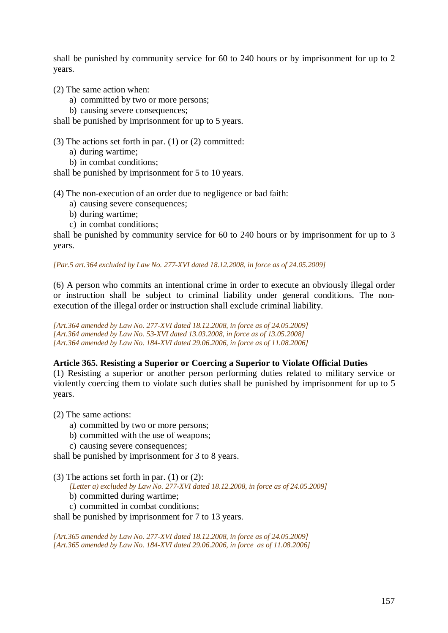shall be punished by community service for 60 to 240 hours or by imprisonment for up to 2 years.

(2) The same action when:

- a) committed by two or more persons;
- b) causing severe consequences;

shall be punished by imprisonment for up to 5 years.

(3) The actions set forth in par. (1) or (2) committed:

- a) during wartime;
- b) in combat conditions;

shall be punished by imprisonment for 5 to 10 years.

(4) The non-execution of an order due to negligence or bad faith:

- a) causing severe consequences;
- b) during wartime;
- c) in combat conditions;

shall be punished by community service for 60 to 240 hours or by imprisonment for up to 3 years.

### *[Par.5 art.364 excluded by Law No. 277-XVI dated 18.12.2008, in force as of 24.05.2009]*

(6) A person who commits an intentional crime in order to execute an obviously illegal order or instruction shall be subject to criminal liability under general conditions. The nonexecution of the illegal order or instruction shall exclude criminal liability.

*[Art.364 amended by Law No. 277-XVI dated 18.12.2008, in force as of 24.05.2009] [Art.364 amended by Law No. 53-XVI dated 13.03.2008, in force as of 13.05.2008] [Art.364 amended by Law No. 184-XVI dated 29.06.2006, in force as of 11.08.2006]*

### **Article 365. Resisting a Superior or Coercing a Superior to Violate Official Duties**

(1) Resisting a superior or another person performing duties related to military service or violently coercing them to violate such duties shall be punished by imprisonment for up to 5 years.

(2) The same actions:

- a) committed by two or more persons;
- b) committed with the use of weapons;
- c) causing severe consequences;

shall be punished by imprisonment for 3 to 8 years.

- (3) The actions set forth in par. (1) or (2):
	- *[Letter a) excluded by Law No. 277-XVI dated 18.12.2008, in force as of 24.05.2009]*
	- b) committed during wartime;
	- c) committed in combat conditions;

shall be punished by imprisonment for 7 to 13 years.

*[Art.365 amended by Law No. 277-XVI dated 18.12.2008, in force as of 24.05.2009] [Art.365 amended by Law No. 184-XVI dated 29.06.2006, in force as of 11.08.2006]*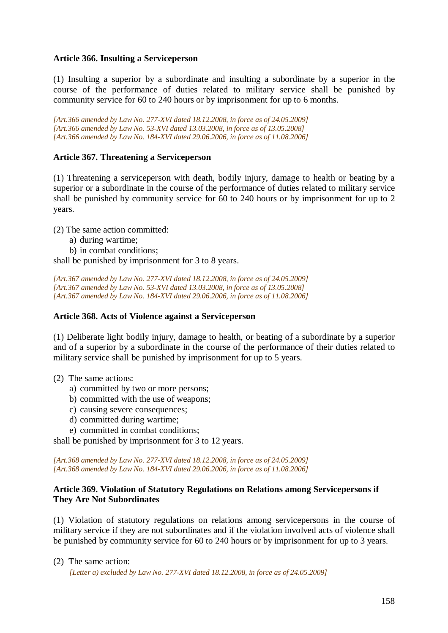### **Article 366. Insulting a Serviceperson**

(1) Insulting a superior by a subordinate and insulting a subordinate by a superior in the course of the performance of duties related to military service shall be punished by community service for 60 to 240 hours or by imprisonment for up to 6 months.

*[Art.366 amended by Law No. 277-XVI dated 18.12.2008, in force as of 24.05.2009] [Art.366 amended by Law No. 53-XVI dated 13.03.2008, in force as of 13.05.2008] [Art.366 amended by Law No. 184-XVI dated 29.06.2006, in force as of 11.08.2006]*

## **Article 367. Threatening a Serviceperson**

(1) Threatening a serviceperson with death, bodily injury, damage to health or beating by a superior or a subordinate in the course of the performance of duties related to military service shall be punished by community service for 60 to 240 hours or by imprisonment for up to 2 years.

(2) The same action committed:

a) during wartime;

b) in combat conditions;

shall be punished by imprisonment for 3 to 8 years.

*[Art.367 amended by Law No. 277-XVI dated 18.12.2008, in force as of 24.05.2009] [Art.367 amended by Law No. 53-XVI dated 13.03.2008, in force as of 13.05.2008] [Art.367 amended by Law No. 184-XVI dated 29.06.2006, in force as of 11.08.2006]*

### **Article 368. Acts of Violence against a Serviceperson**

(1) Deliberate light bodily injury, damage to health, or beating of a subordinate by a superior and of a superior by a subordinate in the course of the performance of their duties related to military service shall be punished by imprisonment for up to 5 years.

### (2) The same actions:

- a) committed by two or more persons;
- b) committed with the use of weapons;
- c) causing severe consequences;
- d) committed during wartime;
- e) committed in combat conditions;

shall be punished by imprisonment for 3 to 12 years.

*[Art.368 amended by Law No. 277-XVI dated 18.12.2008, in force as of 24.05.2009] [Art.368 amended by Law No. 184-XVI dated 29.06.2006, in force as of 11.08.2006]*

### **Article 369. Violation of Statutory Regulations on Relations among Servicepersons if They Are Not Subordinates**

(1) Violation of statutory regulations on relations among servicepersons in the course of military service if they are not subordinates and if the violation involved acts of violence shall be punished by community service for 60 to 240 hours or by imprisonment for up to 3 years.

(2) The same action:

*[Letter a) excluded by Law No. 277-XVI dated 18.12.2008, in force as of 24.05.2009]*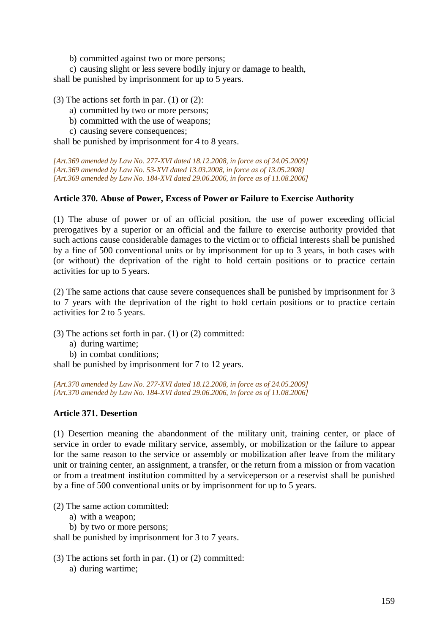b) committed against two or more persons;

c) causing slight or less severe bodily injury or damage to health, shall be punished by imprisonment for up to 5 years.

(3) The actions set forth in par. (1) or (2):

- a) committed by two or more persons;
- b) committed with the use of weapons;
- c) causing severe consequences;

shall be punished by imprisonment for 4 to 8 years.

*[Art.369 amended by Law No. 277-XVI dated 18.12.2008, in force as of 24.05.2009] [Art.369 amended by Law No. 53-XVI dated 13.03.2008, in force as of 13.05.2008] [Art.369 amended by Law No. 184-XVI dated 29.06.2006, in force as of 11.08.2006]*

### **Article 370. Abuse of Power, Excess of Power or Failure to Exercise Authority**

(1) The abuse of power or of an official position, the use of power exceeding official prerogatives by a superior or an official and the failure to exercise authority provided that such actions cause considerable damages to the victim or to official interests shall be punished by a fine of 500 conventional units or by imprisonment for up to 3 years, in both cases with (or without) the deprivation of the right to hold certain positions or to practice certain activities for up to 5 years.

(2) The same actions that cause severe consequences shall be punished by imprisonment for 3 to 7 years with the deprivation of the right to hold certain positions or to practice certain activities for 2 to 5 years.

(3) The actions set forth in par. (1) or (2) committed:

- a) during wartime;
- b) in combat conditions;

shall be punished by imprisonment for 7 to 12 years.

*[Art.370 amended by Law No. 277-XVI dated 18.12.2008, in force as of 24.05.2009] [Art.370 amended by Law No. 184-XVI dated 29.06.2006, in force as of 11.08.2006]*

### **Article 371. Desertion**

(1) Desertion meaning the abandonment of the military unit, training center, or place of service in order to evade military service, assembly, or mobilization or the failure to appear for the same reason to the service or assembly or mobilization after leave from the military unit or training center, an assignment, a transfer, or the return from a mission or from vacation or from a treatment institution committed by a serviceperson or a reservist shall be punished by a fine of 500 conventional units or by imprisonment for up to 5 years.

(2) The same action committed:

- a) with a weapon;
- b) by two or more persons;

shall be punished by imprisonment for 3 to 7 years.

(3) The actions set forth in par. (1) or (2) committed: a) during wartime;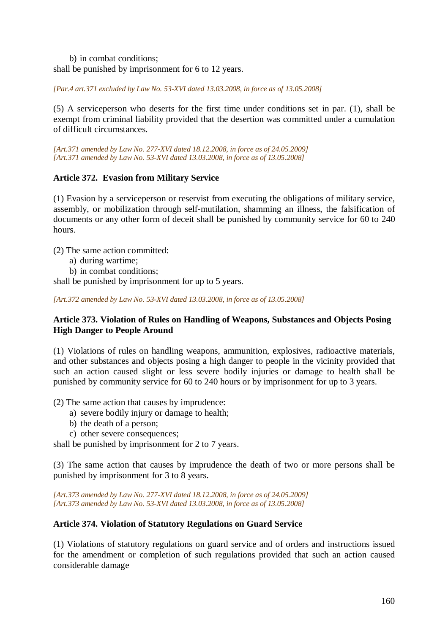b) in combat conditions; shall be punished by imprisonment for 6 to 12 years.

*[Par.4 art.371 excluded by Law No. 53-XVI dated 13.03.2008, in force as of 13.05.2008]* 

(5) A serviceperson who deserts for the first time under conditions set in par. (1), shall be exempt from criminal liability provided that the desertion was committed under a cumulation of difficult circumstances.

*[Art.371 amended by Law No. 277-XVI dated 18.12.2008, in force as of 24.05.2009] [Art.371 amended by Law No. 53-XVI dated 13.03.2008, in force as of 13.05.2008]* 

# **Article 372. Evasion from Military Service**

(1) Evasion by a serviceperson or reservist from executing the obligations of military service, assembly, or mobilization through self-mutilation, shamming an illness, the falsification of documents or any other form of deceit shall be punished by community service for 60 to 240 hours.

(2) The same action committed:

- a) during wartime;
- b) in combat conditions;

shall be punished by imprisonment for up to 5 years.

*[Art.372 amended by Law No. 53-XVI dated 13.03.2008, in force as of 13.05.2008]* 

# **Article 373. Violation of Rules on Handling of Weapons, Substances and Objects Posing High Danger to People Around**

(1) Violations of rules on handling weapons, ammunition, explosives, radioactive materials, and other substances and objects posing a high danger to people in the vicinity provided that such an action caused slight or less severe bodily injuries or damage to health shall be punished by community service for 60 to 240 hours or by imprisonment for up to 3 years.

(2) The same action that causes by imprudence:

- a) severe bodily injury or damage to health;
- b) the death of a person;
- c) other severe consequences;

shall be punished by imprisonment for 2 to 7 years.

(3) The same action that causes by imprudence the death of two or more persons shall be punished by imprisonment for 3 to 8 years.

*[Art.373 amended by Law No. 277-XVI dated 18.12.2008, in force as of 24.05.2009] [Art.373 amended by Law No. 53-XVI dated 13.03.2008, in force as of 13.05.2008]* 

# **Article 374. Violation of Statutory Regulations on Guard Service**

(1) Violations of statutory regulations on guard service and of orders and instructions issued for the amendment or completion of such regulations provided that such an action caused considerable damage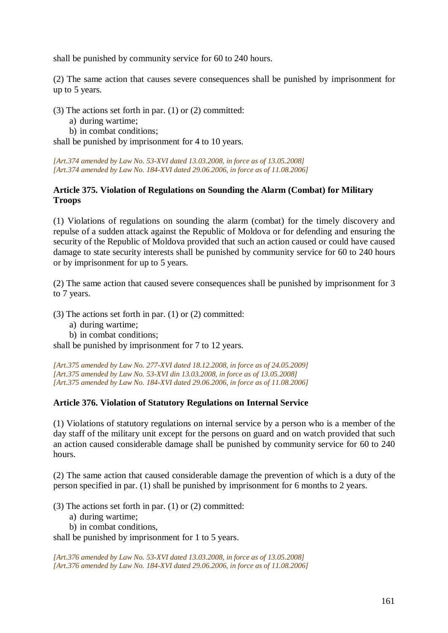shall be punished by community service for 60 to 240 hours.

(2) The same action that causes severe consequences shall be punished by imprisonment for up to 5 years.

(3) The actions set forth in par. (1) or (2) committed:

- a) during wartime;
- b) in combat conditions;

shall be punished by imprisonment for 4 to 10 years.

*[Art.374 amended by Law No. 53-XVI dated 13.03.2008, in force as of 13.05.2008] [Art.374 amended by Law No. 184-XVI dated 29.06.2006, in force as of 11.08.2006]*

## **Article 375. Violation of Regulations on Sounding the Alarm (Combat) for Military Troops**

(1) Violations of regulations on sounding the alarm (combat) for the timely discovery and repulse of a sudden attack against the Republic of Moldova or for defending and ensuring the security of the Republic of Moldova provided that such an action caused or could have caused damage to state security interests shall be punished by community service for 60 to 240 hours or by imprisonment for up to 5 years.

(2) The same action that caused severe consequences shall be punished by imprisonment for 3 to 7 years.

(3) The actions set forth in par. (1) or (2) committed:

- a) during wartime;
- b) in combat conditions;

shall be punished by imprisonment for 7 to 12 years.

*[Art.375 amended by Law No. 277-XVI dated 18.12.2008, in force as of 24.05.2009] [Art.375 amended by Law No. 53-XVI din 13.03.2008, in force as of 13.05.2008] [Art.375 amended by Law No. 184-XVI dated 29.06.2006, in force as of 11.08.2006]*

### **Article 376. Violation of Statutory Regulations on Internal Service**

(1) Violations of statutory regulations on internal service by a person who is a member of the day staff of the military unit except for the persons on guard and on watch provided that such an action caused considerable damage shall be punished by community service for 60 to 240 hours.

(2) The same action that caused considerable damage the prevention of which is a duty of the person specified in par. (1) shall be punished by imprisonment for 6 months to 2 years.

(3) The actions set forth in par. (1) or (2) committed:

- a) during wartime;
- b) in combat conditions,

shall be punished by imprisonment for 1 to 5 years.

*[Art.376 amended by Law No. 53-XVI dated 13.03.2008, in force as of 13.05.2008] [Art.376 amended by Law No. 184-XVI dated 29.06.2006, in force as of 11.08.2006]*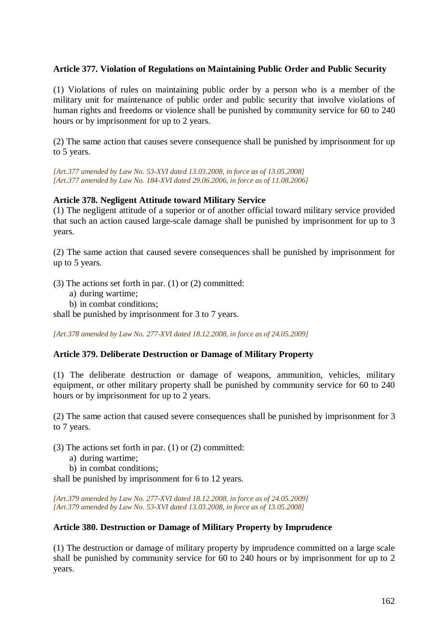## **Article 377. Violation of Regulations on Maintaining Public Order and Public Security**

(1) Violations of rules on maintaining public order by a person who is a member of the military unit for maintenance of public order and public security that involve violations of human rights and freedoms or violence shall be punished by community service for 60 to 240 hours or by imprisonment for up to 2 years.

(2) The same action that causes severe consequence shall be punished by imprisonment for up to 5 years.

*[Art.377 amended by Law No. 53-XVI dated 13.03.2008, in force as of 13.05.2008] [Art.377 amended by Law No. 184-XVI dated 29.06.2006, in force as of 11.08.2006]*

### **Article 378. Negligent Attitude toward Military Service**

(1) The negligent attitude of a superior or of another official toward military service provided that such an action caused large-scale damage shall be punished by imprisonment for up to 3 years.

(2) The same action that caused severe consequences shall be punished by imprisonment for up to 5 years.

(3) The actions set forth in par. (1) or (2) committed:

- a) during wartime;
- b) in combat conditions;

shall be punished by imprisonment for 3 to 7 years.

*[Art.378 amended by Law No. 277-XVI dated 18.12.2008, in force as of 24.05.2009]* 

### **Article 379. Deliberate Destruction or Damage of Military Property**

(1) The deliberate destruction or damage of weapons, ammunition, vehicles, military equipment, or other military property shall be punished by community service for 60 to 240 hours or by imprisonment for up to 2 years.

(2) The same action that caused severe consequences shall be punished by imprisonment for 3 to 7 years.

(3) The actions set forth in par. (1) or (2) committed:

a) during wartime;

b) in combat conditions;

shall be punished by imprisonment for 6 to 12 years.

*[Art.379 amended by Law No. 277-XVI dated 18.12.2008, in force as of 24.05.2009] [Art.379 amended by Law No. 53-XVI dated 13.03.2008, in force as of 13.05.2008]* 

#### **Article 380. Destruction or Damage of Military Property by Imprudence**

(1) The destruction or damage of military property by imprudence committed on a large scale shall be punished by community service for 60 to 240 hours or by imprisonment for up to 2 years.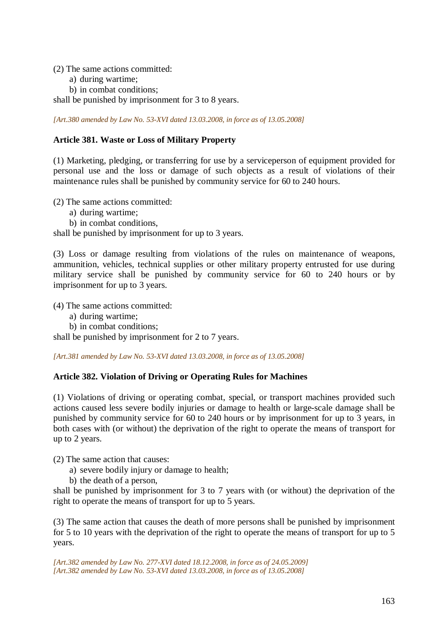(2) The same actions committed:

- a) during wartime;
- b) in combat conditions;

shall be punished by imprisonment for 3 to 8 years.

*[Art.380 amended by Law No. 53-XVI dated 13.03.2008, in force as of 13.05.2008]* 

## **Article 381. Waste or Loss of Military Property**

(1) Marketing, pledging, or transferring for use by a serviceperson of equipment provided for personal use and the loss or damage of such objects as a result of violations of their maintenance rules shall be punished by community service for 60 to 240 hours.

(2) The same actions committed:

- a) during wartime;
- b) in combat conditions,

shall be punished by imprisonment for up to 3 years.

(3) Loss or damage resulting from violations of the rules on maintenance of weapons, ammunition, vehicles, technical supplies or other military property entrusted for use during military service shall be punished by community service for 60 to 240 hours or by imprisonment for up to 3 years.

(4) The same actions committed:

- a) during wartime;
- b) in combat conditions;

shall be punished by imprisonment for 2 to 7 years.

*[Art.381 amended by Law No. 53-XVI dated 13.03.2008, in force as of 13.05.2008]* 

### **Article 382. Violation of Driving or Operating Rules for Machines**

(1) Violations of driving or operating combat, special, or transport machines provided such actions caused less severe bodily injuries or damage to health or large-scale damage shall be punished by community service for 60 to 240 hours or by imprisonment for up to 3 years, in both cases with (or without) the deprivation of the right to operate the means of transport for up to 2 years.

(2) The same action that causes:

- a) severe bodily injury or damage to health;
- b) the death of a person,

shall be punished by imprisonment for 3 to 7 years with (or without) the deprivation of the right to operate the means of transport for up to 5 years.

(3) The same action that causes the death of more persons shall be punished by imprisonment for 5 to 10 years with the deprivation of the right to operate the means of transport for up to 5 years.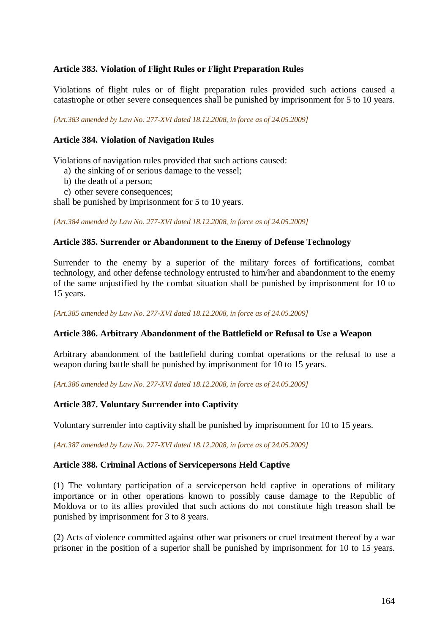# **Article 383. Violation of Flight Rules or Flight Preparation Rules**

Violations of flight rules or of flight preparation rules provided such actions caused a catastrophe or other severe consequences shall be punished by imprisonment for 5 to 10 years.

*[Art.383 amended by Law No. 277-XVI dated 18.12.2008, in force as of 24.05.2009]* 

## **Article 384. Violation of Navigation Rules**

Violations of navigation rules provided that such actions caused:

- a) the sinking of or serious damage to the vessel;
- b) the death of a person;
- c) other severe consequences;

shall be punished by imprisonment for 5 to 10 years.

*[Art.384 amended by Law No. 277-XVI dated 18.12.2008, in force as of 24.05.2009]* 

### **Article 385. Surrender or Abandonment to the Enemy of Defense Technology**

Surrender to the enemy by a superior of the military forces of fortifications, combat technology, and other defense technology entrusted to him/her and abandonment to the enemy of the same unjustified by the combat situation shall be punished by imprisonment for 10 to 15 years.

*[Art.385 amended by Law No. 277-XVI dated 18.12.2008, in force as of 24.05.2009]* 

#### **Article 386. Arbitrary Abandonment of the Battlefield or Refusal to Use a Weapon**

Arbitrary abandonment of the battlefield during combat operations or the refusal to use a weapon during battle shall be punished by imprisonment for 10 to 15 years.

*[Art.386 amended by Law No. 277-XVI dated 18.12.2008, in force as of 24.05.2009]* 

### **Article 387. Voluntary Surrender into Captivity**

Voluntary surrender into captivity shall be punished by imprisonment for 10 to 15 years.

*[Art.387 amended by Law No. 277-XVI dated 18.12.2008, in force as of 24.05.2009]* 

#### **Article 388. Criminal Actions of Servicepersons Held Captive**

(1) The voluntary participation of a serviceperson held captive in operations of military importance or in other operations known to possibly cause damage to the Republic of Moldova or to its allies provided that such actions do not constitute high treason shall be punished by imprisonment for 3 to 8 years.

(2) Acts of violence committed against other war prisoners or cruel treatment thereof by a war prisoner in the position of a superior shall be punished by imprisonment for 10 to 15 years.